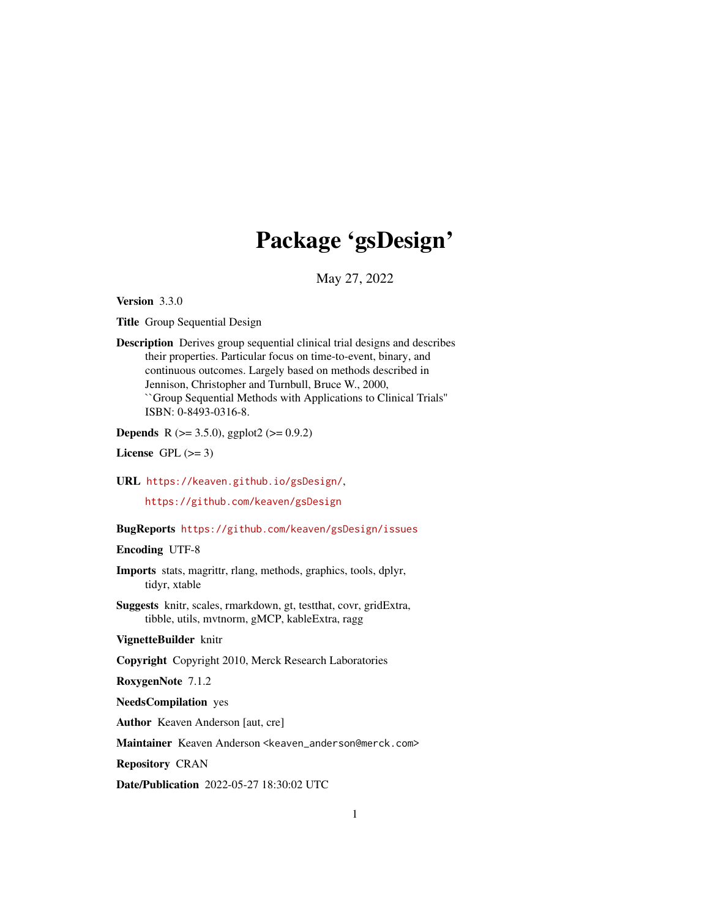# Package 'gsDesign'

May 27, 2022

<span id="page-0-0"></span>Version 3.3.0

Title Group Sequential Design

Description Derives group sequential clinical trial designs and describes their properties. Particular focus on time-to-event, binary, and continuous outcomes. Largely based on methods described in Jennison, Christopher and Turnbull, Bruce W., 2000, ``Group Sequential Methods with Applications to Clinical Trials'' ISBN: 0-8493-0316-8.

**Depends** R ( $>= 3.5.0$ ), ggplot2 ( $>= 0.9.2$ )

License GPL  $(>= 3)$ 

URL <https://keaven.github.io/gsDesign/>,

<https://github.com/keaven/gsDesign>

#### BugReports <https://github.com/keaven/gsDesign/issues>

Encoding UTF-8

- Imports stats, magrittr, rlang, methods, graphics, tools, dplyr, tidyr, xtable
- Suggests knitr, scales, rmarkdown, gt, testthat, covr, gridExtra, tibble, utils, mvtnorm, gMCP, kableExtra, ragg

#### VignetteBuilder knitr

Copyright Copyright 2010, Merck Research Laboratories

RoxygenNote 7.1.2

NeedsCompilation yes

Author Keaven Anderson [aut, cre]

Maintainer Keaven Anderson <keaven\_anderson@merck.com>

Repository CRAN

Date/Publication 2022-05-27 18:30:02 UTC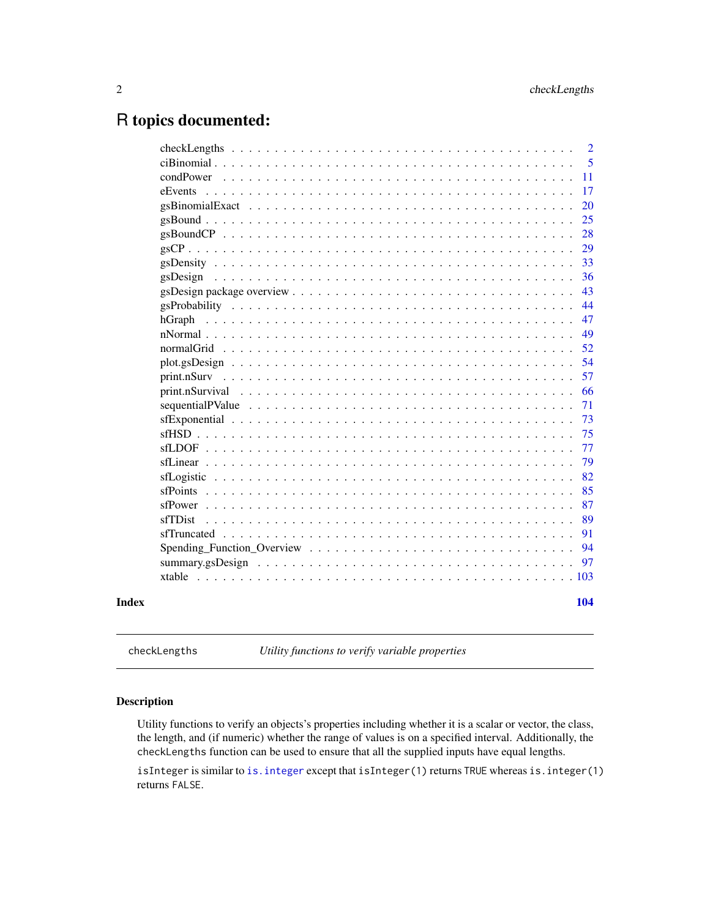## <span id="page-1-0"></span>R topics documented:

|       | $\overline{2}$         |
|-------|------------------------|
|       | 5                      |
|       | condPower<br>11        |
|       | 17<br>eEvents          |
|       | 20                     |
|       | 25                     |
|       | 28                     |
|       | 29                     |
|       | 33                     |
|       | 36<br>gsDesign         |
|       | 43                     |
|       | 44                     |
|       | 47                     |
|       | 49                     |
|       | 52<br>normalGrid       |
|       | 54                     |
|       | 57                     |
|       | 66                     |
|       | 71<br>sequentialPValue |
|       | 73                     |
|       | 75                     |
|       | 77                     |
|       | 79                     |
|       | 82                     |
|       | 85<br>$sfPoints$       |
|       | 87<br>sfPower          |
|       | 89<br>sfTDist          |
|       | sfTruncated<br>91      |
|       | 94                     |
|       | 97                     |
|       | xtable                 |
| Index | 104                    |
|       |                        |

<span id="page-1-2"></span>checkLengths *Utility functions to verify variable properties*

#### <span id="page-1-1"></span>Description

Utility functions to verify an objects's properties including whether it is a scalar or vector, the class, the length, and (if numeric) whether the range of values is on a specified interval. Additionally, the checkLengths function can be used to ensure that all the supplied inputs have equal lengths.

isInteger is similar to [is.integer](#page-0-0) except that isInteger(1) returns TRUE whereas is.integer(1) returns FALSE.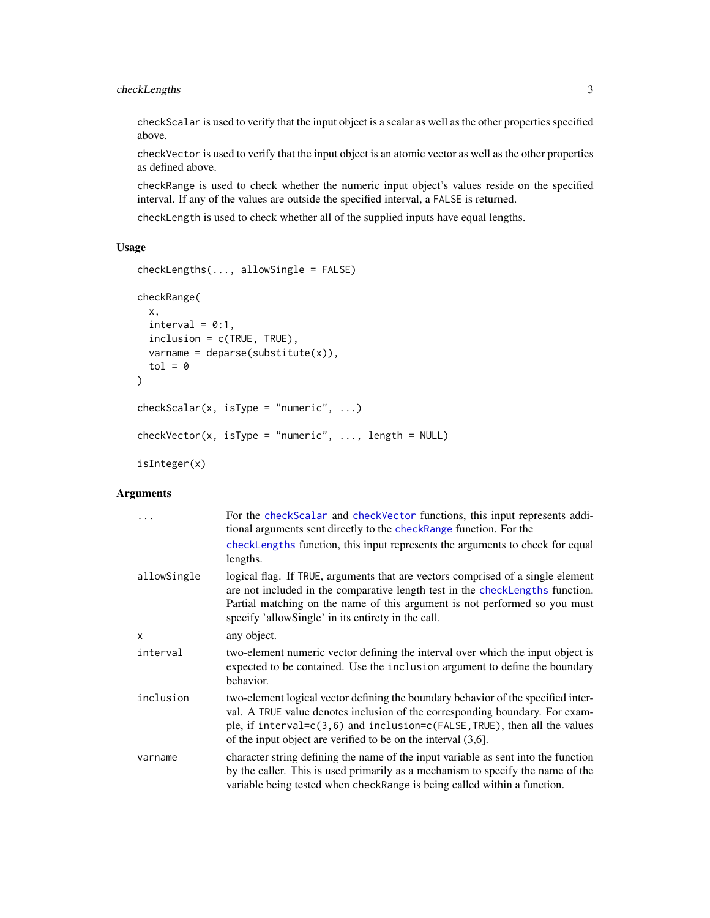#### checkLengths 3

checkScalar is used to verify that the input object is a scalar as well as the other properties specified above.

checkVector is used to verify that the input object is an atomic vector as well as the other properties as defined above.

checkRange is used to check whether the numeric input object's values reside on the specified interval. If any of the values are outside the specified interval, a FALSE is returned.

checkLength is used to check whether all of the supplied inputs have equal lengths.

#### Usage

```
checkLengths(..., allowSingle = FALSE)
checkRange(
 x,
 interval = 0:1,
 inclusion = c(TRUE, TRUE),
 varname = deparse(substitute(x)),
  tol = 0)
checkScalar(x, isType = "numeric", ...)checkVector(x, isType = "numeric", ..., length = NULL)isInteger(x)
```
#### Arguments

|              | For the check Scalar and check Vector functions, this input represents addi-<br>tional arguments sent directly to the checkRange function. For the                                                                                                                                                                 |
|--------------|--------------------------------------------------------------------------------------------------------------------------------------------------------------------------------------------------------------------------------------------------------------------------------------------------------------------|
|              | checkLengths function, this input represents the arguments to check for equal<br>lengths.                                                                                                                                                                                                                          |
| allowSingle  | logical flag. If TRUE, arguments that are vectors comprised of a single element<br>are not included in the comparative length test in the checkLengths function.<br>Partial matching on the name of this argument is not performed so you must<br>specify 'allowSingle' in its entirety in the call.               |
| $\mathsf{x}$ | any object.                                                                                                                                                                                                                                                                                                        |
| interval     | two-element numeric vector defining the interval over which the input object is<br>expected to be contained. Use the inclusion argument to define the boundary<br>behavior.                                                                                                                                        |
| inclusion    | two-element logical vector defining the boundary behavior of the specified inter-<br>val. A TRUE value denotes inclusion of the corresponding boundary. For exam-<br>ple, if interval=c(3,6) and inclusion=c(FALSE, TRUE), then all the values<br>of the input object are verified to be on the interval $(3,6)$ . |
| varname      | character string defining the name of the input variable as sent into the function<br>by the caller. This is used primarily as a mechanism to specify the name of the<br>variable being tested when checkRange is being called within a function.                                                                  |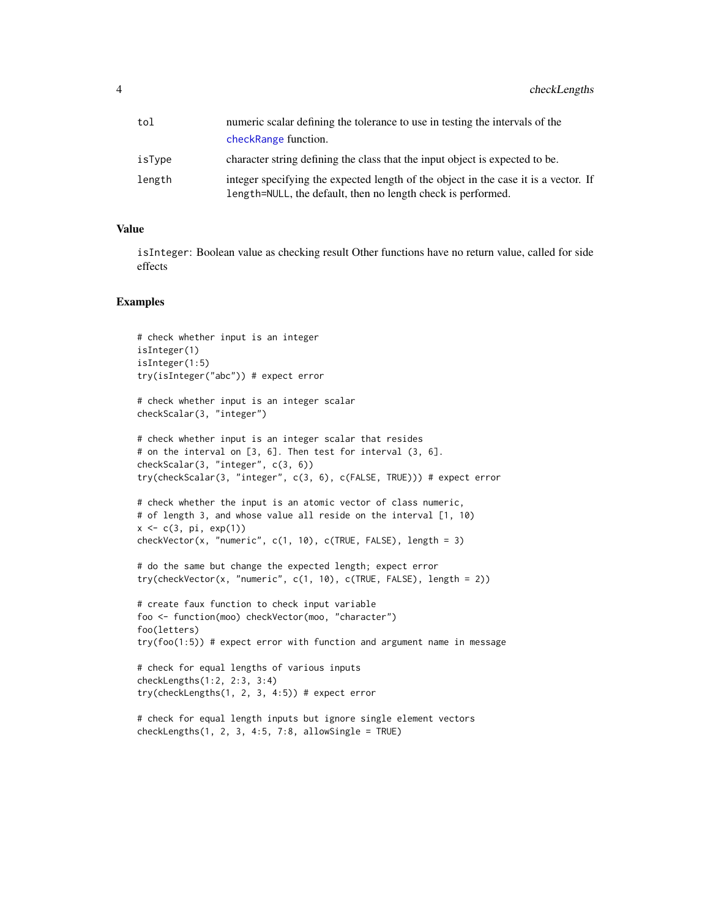| tol    | numeric scalar defining the tolerance to use in testing the intervals of the                                                                        |  |
|--------|-----------------------------------------------------------------------------------------------------------------------------------------------------|--|
|        | checkRange function.                                                                                                                                |  |
| isType | character string defining the class that the input object is expected to be.                                                                        |  |
| length | integer specifying the expected length of the object in the case it is a vector. If<br>length=NULL, the default, then no length check is performed. |  |

#### Value

isInteger: Boolean value as checking result Other functions have no return value, called for side effects

#### Examples

```
# check whether input is an integer
isInteger(1)
isInteger(1:5)
try(isInteger("abc")) # expect error
# check whether input is an integer scalar
checkScalar(3, "integer")
# check whether input is an integer scalar that resides
# on the interval on [3, 6]. Then test for interval (3, 6].
checkScalar(3, "integer", c(3, 6))
try(checkScalar(3, "integer", c(3, 6), c(FALSE, TRUE))) # expect error
# check whether the input is an atomic vector of class numeric,
# of length 3, and whose value all reside on the interval [1, 10)
x <- c(3, pi, exp(1))
checkVector(x, "numeric", c(1, 10), c(TRUE, FALSE), length = 3)
# do the same but change the expected length; expect error
try(checkVector(x, "numeric", c(1, 10), c(TRUE, FALSE), length = 2))
# create faux function to check input variable
foo <- function(moo) checkVector(moo, "character")
foo(letters)
try(foo(1:5)) # expect error with function and argument name in message
# check for equal lengths of various inputs
checkLengths(1:2, 2:3, 3:4)
try(checkLengths(1, 2, 3, 4:5)) # expect error
# check for equal length inputs but ignore single element vectors
```
 $checkLengths(1, 2, 3, 4:5, 7:8, allowSingle = TRUE)$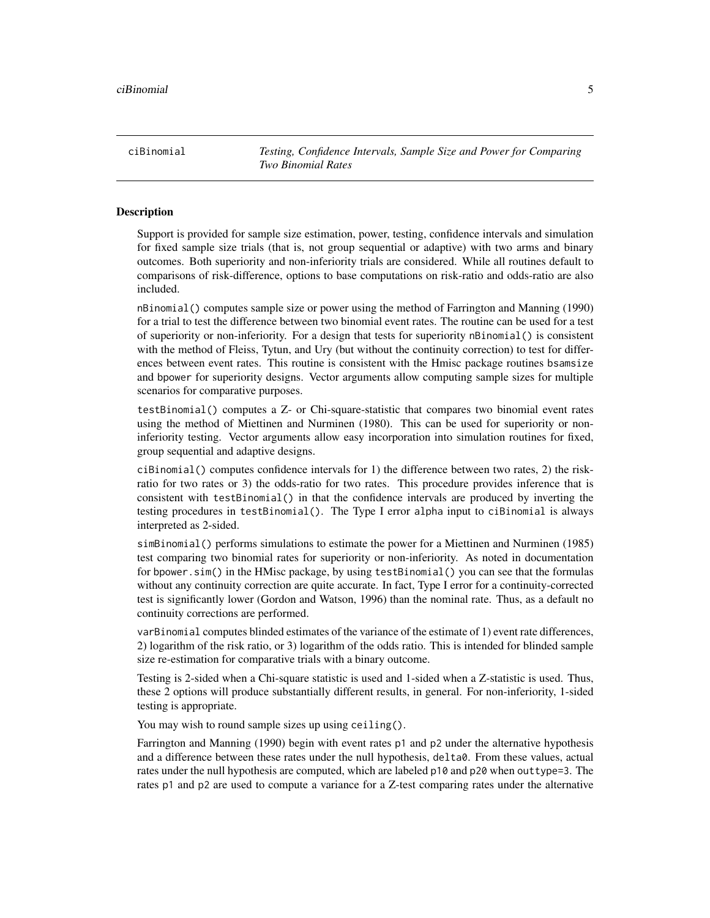<span id="page-4-0"></span>ciBinomial *Testing, Confidence Intervals, Sample Size and Power for Comparing Two Binomial Rates*

#### **Description**

Support is provided for sample size estimation, power, testing, confidence intervals and simulation for fixed sample size trials (that is, not group sequential or adaptive) with two arms and binary outcomes. Both superiority and non-inferiority trials are considered. While all routines default to comparisons of risk-difference, options to base computations on risk-ratio and odds-ratio are also included.

nBinomial() computes sample size or power using the method of Farrington and Manning (1990) for a trial to test the difference between two binomial event rates. The routine can be used for a test of superiority or non-inferiority. For a design that tests for superiority nBinomial() is consistent with the method of Fleiss, Tytun, and Ury (but without the continuity correction) to test for differences between event rates. This routine is consistent with the Hmisc package routines bsamsize and bpower for superiority designs. Vector arguments allow computing sample sizes for multiple scenarios for comparative purposes.

testBinomial() computes a Z- or Chi-square-statistic that compares two binomial event rates using the method of Miettinen and Nurminen (1980). This can be used for superiority or noninferiority testing. Vector arguments allow easy incorporation into simulation routines for fixed, group sequential and adaptive designs.

ciBinomial() computes confidence intervals for 1) the difference between two rates, 2) the riskratio for two rates or 3) the odds-ratio for two rates. This procedure provides inference that is consistent with testBinomial() in that the confidence intervals are produced by inverting the testing procedures in testBinomial(). The Type I error alpha input to ciBinomial is always interpreted as 2-sided.

simBinomial() performs simulations to estimate the power for a Miettinen and Nurminen (1985) test comparing two binomial rates for superiority or non-inferiority. As noted in documentation for bpower.sim() in the HMisc package, by using testBinomial() you can see that the formulas without any continuity correction are quite accurate. In fact, Type I error for a continuity-corrected test is significantly lower (Gordon and Watson, 1996) than the nominal rate. Thus, as a default no continuity corrections are performed.

varBinomial computes blinded estimates of the variance of the estimate of 1) event rate differences, 2) logarithm of the risk ratio, or 3) logarithm of the odds ratio. This is intended for blinded sample size re-estimation for comparative trials with a binary outcome.

Testing is 2-sided when a Chi-square statistic is used and 1-sided when a Z-statistic is used. Thus, these 2 options will produce substantially different results, in general. For non-inferiority, 1-sided testing is appropriate.

You may wish to round sample sizes up using ceiling().

Farrington and Manning (1990) begin with event rates p1 and p2 under the alternative hypothesis and a difference between these rates under the null hypothesis, delta0. From these values, actual rates under the null hypothesis are computed, which are labeled p10 and p20 when outtype=3. The rates p1 and p2 are used to compute a variance for a Z-test comparing rates under the alternative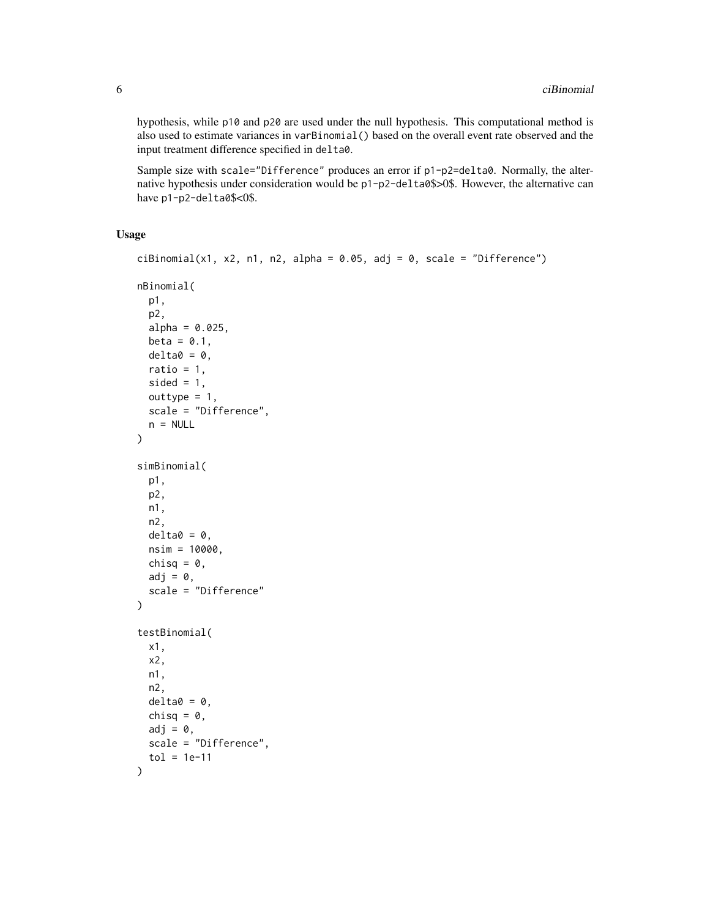hypothesis, while p10 and p20 are used under the null hypothesis. This computational method is also used to estimate variances in varBinomial() based on the overall event rate observed and the input treatment difference specified in delta0.

Sample size with scale="Difference" produces an error if p1-p2=delta0. Normally, the alternative hypothesis under consideration would be p1-p2-delta0\$>0\$. However, the alternative can have p1-p2-delta0\$<0\$.

#### Usage

```
ciBinomial(x1, x2, n1, n2, alpha = 0.05, adj = 0, scale = "Difference")
nBinomial(
  p1,
 p2,
  alpha = 0.025,
 beta = 0.1,
  delta = 0,
  ratio = 1,
  sided = 1,
  outtype = 1,
  scale = "Difference",
 n = NULL)
simBinomial(
 p1,
 p2,
 n1,
 n2,
  delta = 0,
 nsim = 10000,
  chisq = \theta,
  adj = 0,scale = "Difference"
\mathcal{L}testBinomial(
  x1,
  x2,
  n1,
  n2,
  delta = 0,
  chisq = 0,
  adj = 0,scale = "Difference",
  tol = 1e-11)
```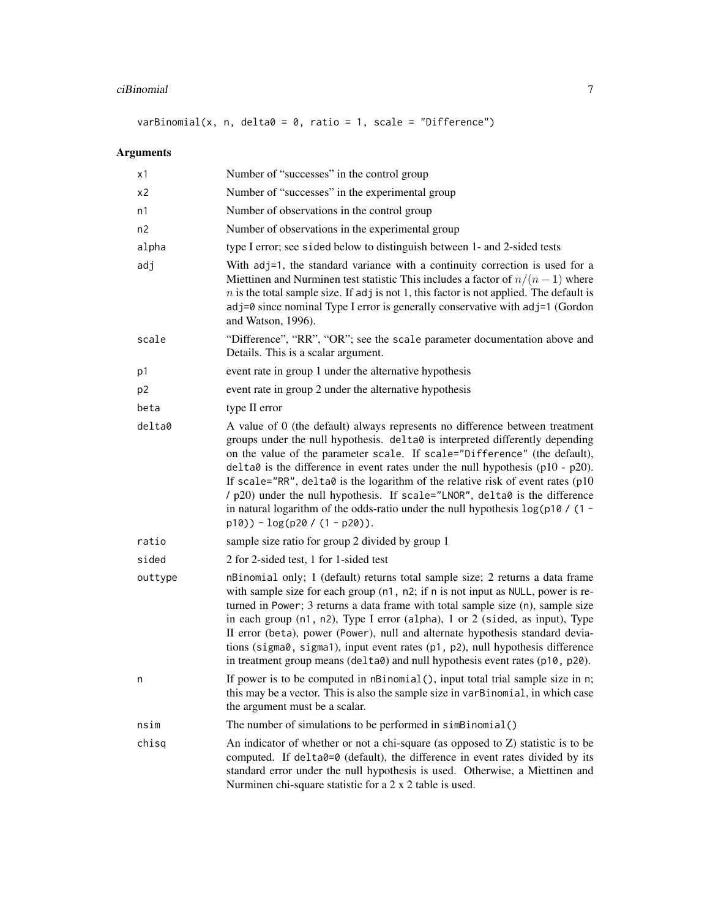## ciBinomial 7

varBinomial(x, n, delta $0 = 0$ , ratio = 1, scale = "Difference")

## Arguments

| x1             | Number of "successes" in the control group                                                                                                                                                                                                                                                                                                                                                                                                                                                                                                                                                                              |  |
|----------------|-------------------------------------------------------------------------------------------------------------------------------------------------------------------------------------------------------------------------------------------------------------------------------------------------------------------------------------------------------------------------------------------------------------------------------------------------------------------------------------------------------------------------------------------------------------------------------------------------------------------------|--|
| х2             | Number of "successes" in the experimental group                                                                                                                                                                                                                                                                                                                                                                                                                                                                                                                                                                         |  |
| n1             | Number of observations in the control group                                                                                                                                                                                                                                                                                                                                                                                                                                                                                                                                                                             |  |
| n2             | Number of observations in the experimental group                                                                                                                                                                                                                                                                                                                                                                                                                                                                                                                                                                        |  |
| alpha          | type I error; see sided below to distinguish between 1- and 2-sided tests                                                                                                                                                                                                                                                                                                                                                                                                                                                                                                                                               |  |
| adj            | With adj=1, the standard variance with a continuity correction is used for a<br>Miettinen and Nurminen test statistic This includes a factor of $n/(n-1)$ where<br>$n$ is the total sample size. If adj is not 1, this factor is not applied. The default is<br>adj=0 since nominal Type I error is generally conservative with adj=1 (Gordon<br>and Watson, 1996).                                                                                                                                                                                                                                                     |  |
| scale          | "Difference", "RR", "OR"; see the scale parameter documentation above and<br>Details. This is a scalar argument.                                                                                                                                                                                                                                                                                                                                                                                                                                                                                                        |  |
| p1             | event rate in group 1 under the alternative hypothesis                                                                                                                                                                                                                                                                                                                                                                                                                                                                                                                                                                  |  |
| p <sub>2</sub> | event rate in group 2 under the alternative hypothesis                                                                                                                                                                                                                                                                                                                                                                                                                                                                                                                                                                  |  |
| beta           | type II error                                                                                                                                                                                                                                                                                                                                                                                                                                                                                                                                                                                                           |  |
| delta0         | A value of 0 (the default) always represents no difference between treatment<br>groups under the null hypothesis. delta0 is interpreted differently depending<br>on the value of the parameter scale. If scale="Difference" (the default),<br>$delta$ is the difference in event rates under the null hypothesis (p10 - p20).<br>If scale="RR", delta0 is the logarithm of the relative risk of event rates (p10<br>/ p20) under the null hypothesis. If scale="LNOR", delta0 is the difference<br>in natural logarithm of the odds-ratio under the null hypothesis $\log(p10 / (1 -$<br>$p10) - log(p20 / (1 - p20)).$ |  |
| ratio          | sample size ratio for group 2 divided by group 1                                                                                                                                                                                                                                                                                                                                                                                                                                                                                                                                                                        |  |
| sided          | 2 for 2-sided test, 1 for 1-sided test                                                                                                                                                                                                                                                                                                                                                                                                                                                                                                                                                                                  |  |
| outtype        | nBinomial only; 1 (default) returns total sample size; 2 returns a data frame<br>with sample size for each group (n1, n2; if n is not input as NULL, power is re-<br>turned in Power; 3 returns a data frame with total sample size (n), sample size<br>in each group $(n1, n2)$ , Type I error (alpha), 1 or 2 (sided, as input), Type<br>II error (beta), power (Power), null and alternate hypothesis standard devia-<br>tions (sigma0, sigma1), input event rates (p1, p2), null hypothesis difference<br>in treatment group means (delta0) and null hypothesis event rates (p10, p20).                             |  |
| n              | If power is to be computed in nBinomial(), input total trial sample size in n;<br>this may be a vector. This is also the sample size in varBinomial, in which case<br>the argument must be a scalar.                                                                                                                                                                                                                                                                                                                                                                                                                    |  |
| nsim           | The number of simulations to be performed in simBinomial()                                                                                                                                                                                                                                                                                                                                                                                                                                                                                                                                                              |  |
| chisq          | An indicator of whether or not a chi-square (as opposed to $Z$ ) statistic is to be<br>computed. If delta0=0 (default), the difference in event rates divided by its<br>standard error under the null hypothesis is used. Otherwise, a Miettinen and<br>Nurminen chi-square statistic for a 2 x 2 table is used.                                                                                                                                                                                                                                                                                                        |  |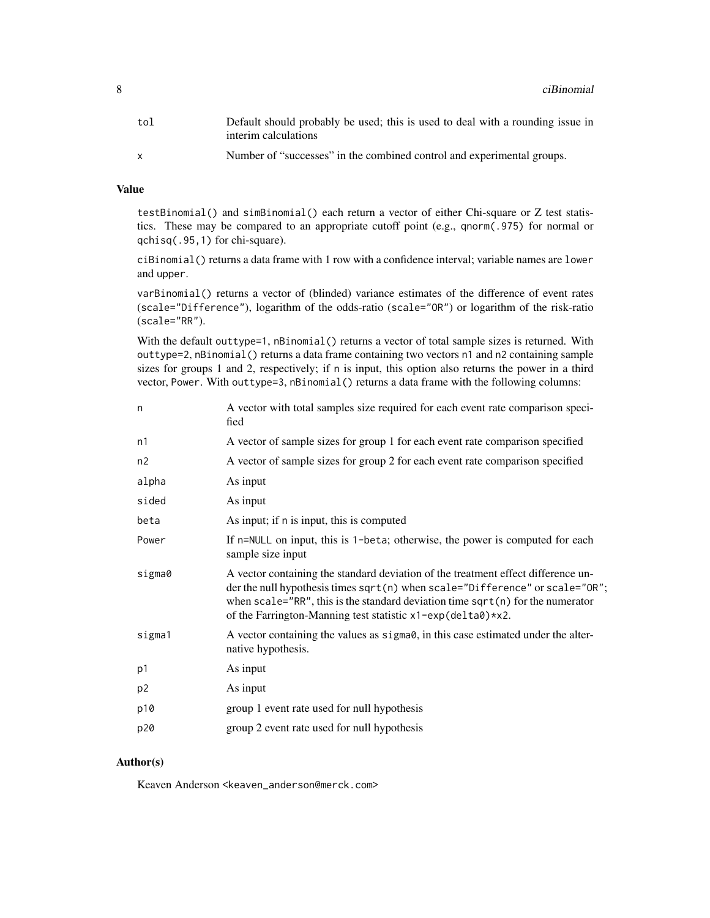| tol | Default should probably be used; this is used to deal with a rounding issue in<br>interim calculations |
|-----|--------------------------------------------------------------------------------------------------------|
|     | Number of "successes" in the combined control and experimental groups.                                 |

#### Value

testBinomial() and simBinomial() each return a vector of either Chi-square or Z test statistics. These may be compared to an appropriate cutoff point (e.g., qnorm(.975) for normal or qchisq(.95,1) for chi-square).

ciBinomial() returns a data frame with 1 row with a confidence interval; variable names are lower and upper.

varBinomial() returns a vector of (blinded) variance estimates of the difference of event rates (scale="Difference"), logarithm of the odds-ratio (scale="OR") or logarithm of the risk-ratio (scale="RR").

With the default outtype=1, nBinomial() returns a vector of total sample sizes is returned. With outtype=2, nBinomial() returns a data frame containing two vectors n1 and n2 containing sample sizes for groups 1 and 2, respectively; if n is input, this option also returns the power in a third vector, Power. With outtype=3, nBinomial() returns a data frame with the following columns:

| n              | A vector with total samples size required for each event rate comparison speci-<br>fied                                                                                                                                                                                                                              |  |
|----------------|----------------------------------------------------------------------------------------------------------------------------------------------------------------------------------------------------------------------------------------------------------------------------------------------------------------------|--|
| n1             | A vector of sample sizes for group 1 for each event rate comparison specified                                                                                                                                                                                                                                        |  |
| n2             | A vector of sample sizes for group 2 for each event rate comparison specified                                                                                                                                                                                                                                        |  |
| alpha          | As input                                                                                                                                                                                                                                                                                                             |  |
| sided          | As input                                                                                                                                                                                                                                                                                                             |  |
| beta           | As input; if n is input, this is computed                                                                                                                                                                                                                                                                            |  |
| Power          | If n=NULL on input, this is 1-beta; otherwise, the power is computed for each<br>sample size input                                                                                                                                                                                                                   |  |
| sigma0         | A vector containing the standard deviation of the treatment effect difference un-<br>der the null hypothesis times $sqrt(n)$ when scale="Difference" or scale="OR";<br>when scale="RR", this is the standard deviation time sqrt(n) for the numerator<br>of the Farrington-Manning test statistic x1-exp(delta0)*x2. |  |
| sigma1         | A vector containing the values as sigma $\theta$ , in this case estimated under the alter-<br>native hypothesis.                                                                                                                                                                                                     |  |
| p1             | As input                                                                                                                                                                                                                                                                                                             |  |
| p <sub>2</sub> | As input                                                                                                                                                                                                                                                                                                             |  |
| p10            | group 1 event rate used for null hypothesis                                                                                                                                                                                                                                                                          |  |
| p20            | group 2 event rate used for null hypothesis                                                                                                                                                                                                                                                                          |  |

#### Author(s)

Keaven Anderson <keaven\_anderson@merck.com>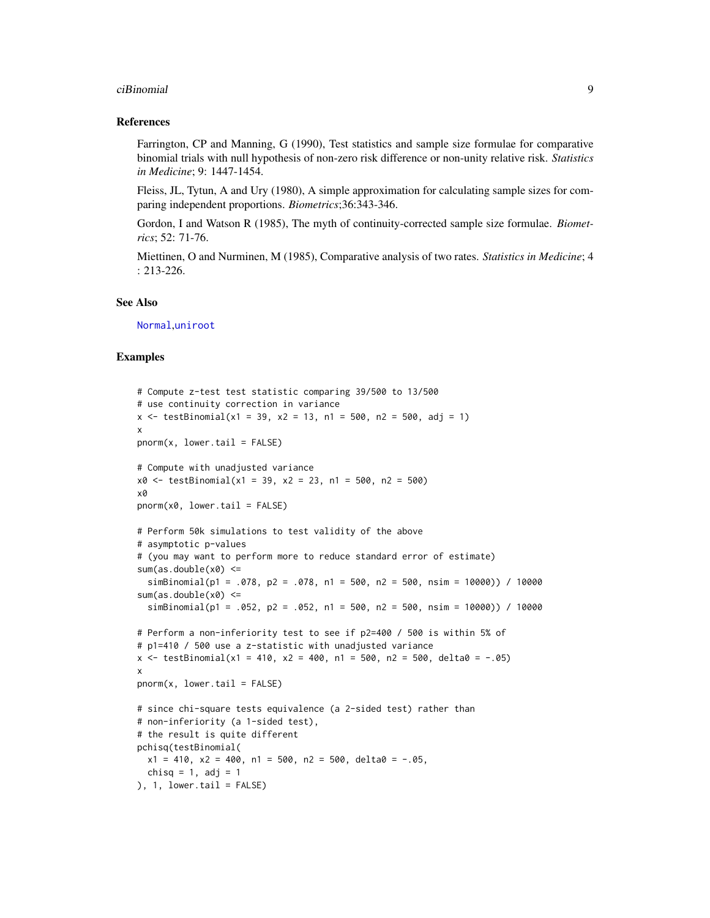#### ciBinomial 9

#### References

Farrington, CP and Manning, G (1990), Test statistics and sample size formulae for comparative binomial trials with null hypothesis of non-zero risk difference or non-unity relative risk. *Statistics in Medicine*; 9: 1447-1454.

Fleiss, JL, Tytun, A and Ury (1980), A simple approximation for calculating sample sizes for comparing independent proportions. *Biometrics*;36:343-346.

Gordon, I and Watson R (1985), The myth of continuity-corrected sample size formulae. *Biometrics*; 52: 71-76.

Miettinen, O and Nurminen, M (1985), Comparative analysis of two rates. *Statistics in Medicine*; 4 : 213-226.

#### See Also

[Normal](#page-0-0),[uniroot](#page-0-0)

#### Examples

```
# Compute z-test test statistic comparing 39/500 to 13/500
# use continuity correction in variance
x \le - testBinomial(x1 = 39, x2 = 13, n1 = 500, n2 = 500, adj = 1)
x
pnorm(x, lowertail = <math>FALSE)# Compute with unadjusted variance
x0 \le -\text{testBinomial}(x1 = 39, x2 = 23, n1 = 500, n2 = 500)x0
pnorm(x0, lower.tail = FALSE)
# Perform 50k simulations to test validity of the above
# asymptotic p-values
# (you may want to perform more to reduce standard error of estimate)
sum(as.double(x0) < =simBinomial(p1 = .078, p2 = .078, n1 = 500, n2 = 500, nsim = 10000)) / 10000
sum(as.double(x0) < =simBinomial(p1 = .052, p2 = .052, n1 = 500, n2 = 500, nsim = 10000)) / 10000
# Perform a non-inferiority test to see if p2=400 / 500 is within 5% of
# p1=410 / 500 use a z-statistic with unadjusted variance
x \le - testBinomial(x1 = 410, x2 = 400, n1 = 500, n2 = 500, delta0 = -.05)
x
pnorm(x, lower.tail = FALSE)# since chi-square tests equivalence (a 2-sided test) rather than
# non-inferiority (a 1-sided test),
# the result is quite different
pchisq(testBinomial(
  x1 = 410, x2 = 400, n1 = 500, n2 = 500, delta0 = -.05,
  chisq = 1, adj = 1
), 1, lower.tail = FALSE)
```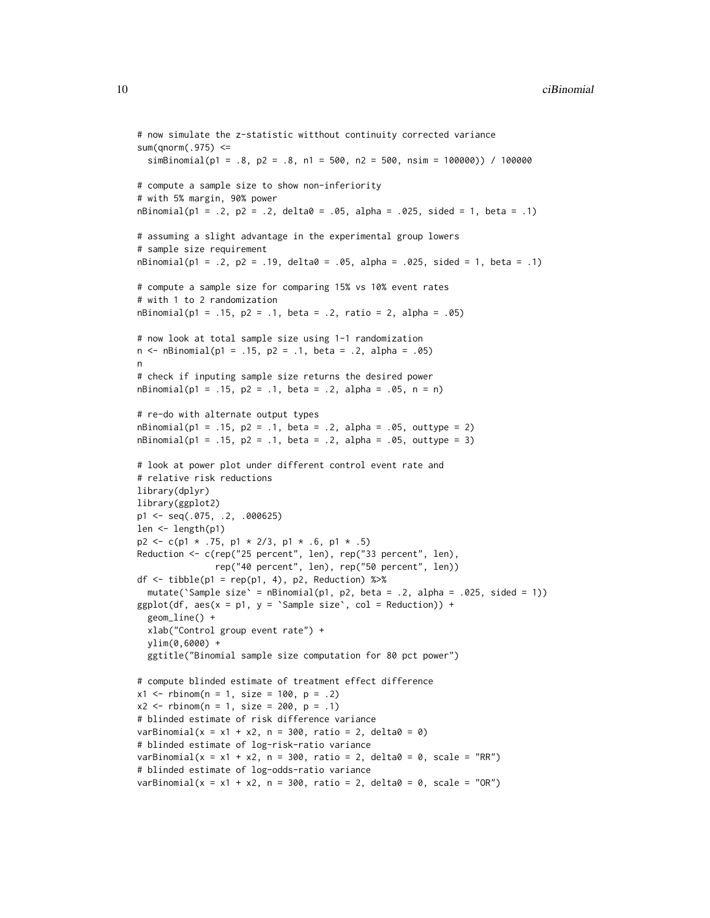```
# now simulate the z-statistic witthout continuity corrected variance
sum(qnorm(.975) \lesimBinomial(p1 = .8, p2 = .8, n1 = 500, n2 = 500, nsim = 100000)) / 100000
# compute a sample size to show non-inferiority
# with 5% margin, 90% power
nBinomial(p1 = .2, p2 = .2, delta2 = .05, alpha = .025, side1 = 1, beta = .1)# assuming a slight advantage in the experimental group lowers
# sample size requirement
nBinomial(p1 = .2, p2 = .19, delta = .05, alpha = .025, sided = 1, beta = .1)# compute a sample size for comparing 15% vs 10% event rates
# with 1 to 2 randomization
nBinomial(p1 = .15, p2 = .1, beta = .2, ratio = 2, alpha = .05)
# now look at total sample size using 1-1 randomization
n <- nBinomial(p1 = .15, p2 = .1, beta = .2, alpha = .05)
n
# check if inputing sample size returns the desired power
nBinomial(p1 = .15, p2 = .1, beta = .2, alpha = .05, n = n)# re-do with alternate output types
nBinomial(p1 = .15, p2 = .1, beta = .2, alpha = .05, outtype = 2)nBinomial(p1 = .15, p2 = .1, beta = .2, alpha = .05, outtype = 3)# look at power plot under different control event rate and
# relative risk reductions
library(dplyr)
library(ggplot2)
p1 <- seq(.075, .2, .000625)
len <- length(p1)
p2 \leq c(p1 \times .75, p1 \times 2/3, p1 \times .6, p1 \times .5)Reduction <- c(rep("25 percent", len), rep("33 percent", len),
               rep("40 percent", len), rep("50 percent", len))
df \le tibble(p1 = rep(p1, 4), p2, Reduction) %>%
  mutate('Sample size' = nBinomial(p1, p2, beta = .2, alpha = .025, sided = 1))
ggplot(df, aes(x = p1, y = 'Sample size', col = Reduction)) +geom_line() +
  xlab("Control group event rate") +
  ylim(0,6000) +
  ggtitle("Binomial sample size computation for 80 pct power")
# compute blinded estimate of treatment effect difference
x1 \le - rbinom(n = 1, size = 100, p = .2)
x2 \le - rbinom(n = 1, size = 200, p = .1)
# blinded estimate of risk difference variance
varBinomial(x = x1 + x2, n = 300, ratio = 2, delta0 = 0)
# blinded estimate of log-risk-ratio variance
varBinomial(x = x1 + x2, n = 300, ratio = 2, delta0 = 0, scale = "RR")
# blinded estimate of log-odds-ratio variance
varBinomial(x = x1 + x2, n = 300, ratio = 2, delta0 = 0, scale = "OR")
```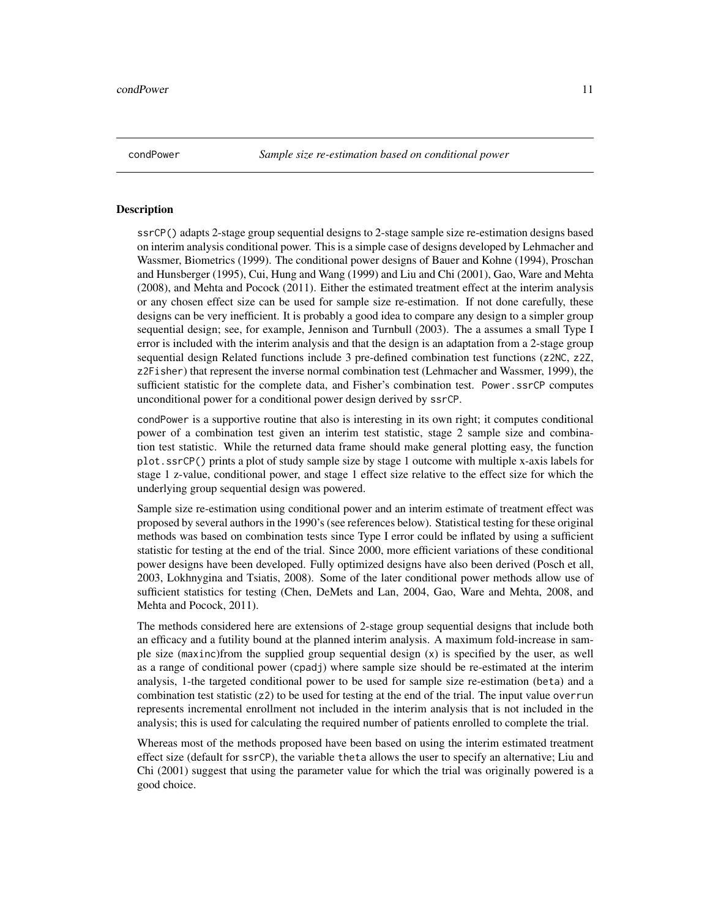<span id="page-10-1"></span><span id="page-10-0"></span>condPower *Sample size re-estimation based on conditional power*

#### <span id="page-10-2"></span>**Description**

ssrCP() adapts 2-stage group sequential designs to 2-stage sample size re-estimation designs based on interim analysis conditional power. This is a simple case of designs developed by Lehmacher and Wassmer, Biometrics (1999). The conditional power designs of Bauer and Kohne (1994), Proschan and Hunsberger (1995), Cui, Hung and Wang (1999) and Liu and Chi (2001), Gao, Ware and Mehta (2008), and Mehta and Pocock (2011). Either the estimated treatment effect at the interim analysis or any chosen effect size can be used for sample size re-estimation. If not done carefully, these designs can be very inefficient. It is probably a good idea to compare any design to a simpler group sequential design; see, for example, Jennison and Turnbull (2003). The a assumes a small Type I error is included with the interim analysis and that the design is an adaptation from a 2-stage group sequential design Related functions include 3 pre-defined combination test functions (z2NC, z2Z, z2Fisher) that represent the inverse normal combination test (Lehmacher and Wassmer, 1999), the sufficient statistic for the complete data, and Fisher's combination test. Power.ssrCP computes unconditional power for a conditional power design derived by ssrCP.

condPower is a supportive routine that also is interesting in its own right; it computes conditional power of a combination test given an interim test statistic, stage 2 sample size and combination test statistic. While the returned data frame should make general plotting easy, the function plot.ssrCP() prints a plot of study sample size by stage 1 outcome with multiple x-axis labels for stage 1 z-value, conditional power, and stage 1 effect size relative to the effect size for which the underlying group sequential design was powered.

Sample size re-estimation using conditional power and an interim estimate of treatment effect was proposed by several authors in the 1990's (see references below). Statistical testing for these original methods was based on combination tests since Type I error could be inflated by using a sufficient statistic for testing at the end of the trial. Since 2000, more efficient variations of these conditional power designs have been developed. Fully optimized designs have also been derived (Posch et all, 2003, Lokhnygina and Tsiatis, 2008). Some of the later conditional power methods allow use of sufficient statistics for testing (Chen, DeMets and Lan, 2004, Gao, Ware and Mehta, 2008, and Mehta and Pocock, 2011).

The methods considered here are extensions of 2-stage group sequential designs that include both an efficacy and a futility bound at the planned interim analysis. A maximum fold-increase in sample size (maxinc)from the supplied group sequential design (x) is specified by the user, as well as a range of conditional power (cpadj) where sample size should be re-estimated at the interim analysis, 1-the targeted conditional power to be used for sample size re-estimation (beta) and a combination test statistic (z2) to be used for testing at the end of the trial. The input value overrun represents incremental enrollment not included in the interim analysis that is not included in the analysis; this is used for calculating the required number of patients enrolled to complete the trial.

Whereas most of the methods proposed have been based on using the interim estimated treatment effect size (default for ssrCP), the variable theta allows the user to specify an alternative; Liu and Chi (2001) suggest that using the parameter value for which the trial was originally powered is a good choice.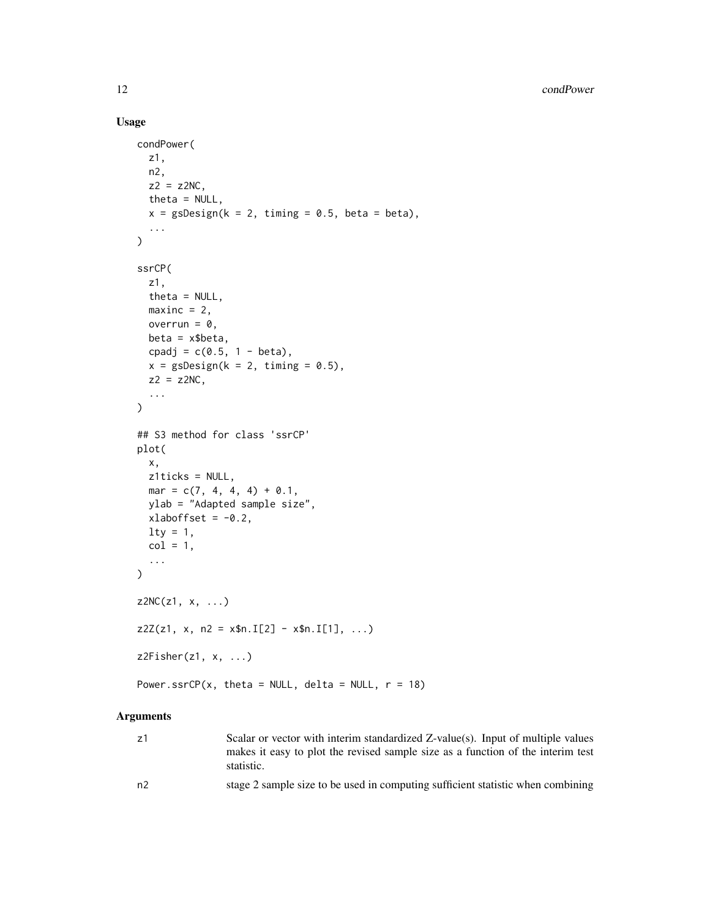#### Usage

```
condPower(
  z1,
 n2,
 z2 = z2NC,
 theta = NULL,
  x = gsDesign(k = 2, timing = 0.5, beta = beta),...
\mathcal{L}ssrCP(
 z1,
  theta = NULL,
 maxinc = 2,
 overrun = 0,
 beta = x$beta,cpadj = c(0.5, 1 - beta),
  x = gsDesign(k = 2, timing = 0.5),
  z2 = z2NC,
  ...
\mathcal{L}## S3 method for class 'ssrCP'
plot(
 x,
  z1ticks = NULL,
 mar = c(7, 4, 4, 4) + 0.1,ylab = "Adapted sample size",
 xlaboffset = -0.2,
 \frac{1}{y} = 1,col = 1,
  ...
\mathcal{L}Z2NC(z1, x, \ldots)z2Z(z1, x, n2 = xfn.I[2] - xfn.I[1], ...)z2Fisher(z1, x, ...)Power.ssrCP(x, theta = NULL, delta = NULL, r = 18)
```
#### Arguments

- z1 Scalar or vector with interim standardized Z-value(s). Input of multiple values makes it easy to plot the revised sample size as a function of the interim test statistic.
- n2 stage 2 sample size to be used in computing sufficient statistic when combining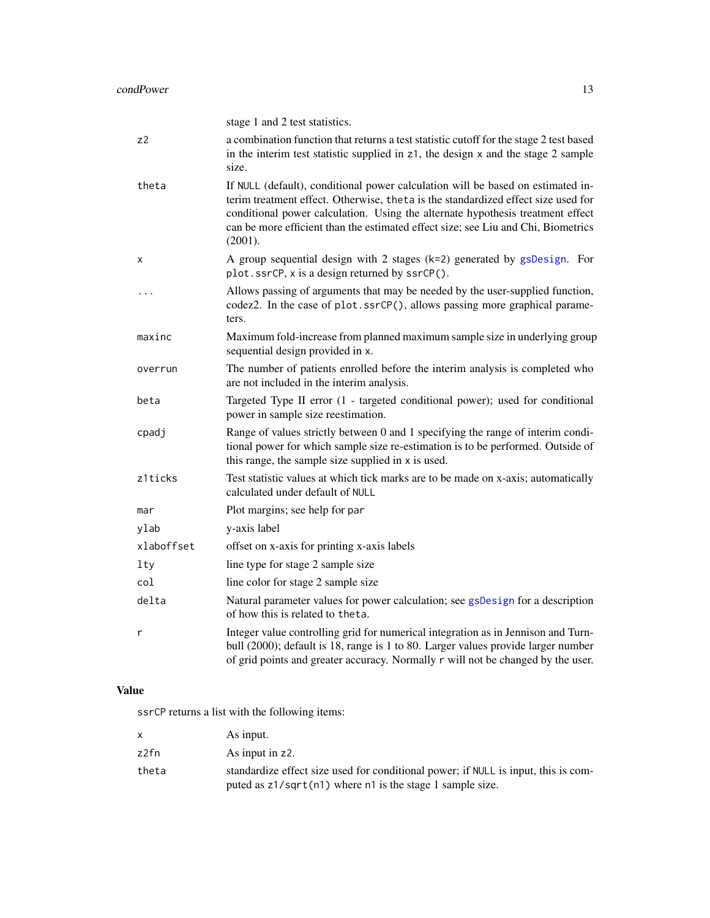|            | stage 1 and 2 test statistics.                                                                                                                                                                                                                                                                                                                         |
|------------|--------------------------------------------------------------------------------------------------------------------------------------------------------------------------------------------------------------------------------------------------------------------------------------------------------------------------------------------------------|
| z2         | a combination function that returns a test statistic cutoff for the stage 2 test based<br>in the interim test statistic supplied in z1, the design x and the stage 2 sample<br>size.                                                                                                                                                                   |
| theta      | If NULL (default), conditional power calculation will be based on estimated in-<br>terim treatment effect. Otherwise, theta is the standardized effect size used for<br>conditional power calculation. Using the alternate hypothesis treatment effect<br>can be more efficient than the estimated effect size; see Liu and Chi, Biometrics<br>(2001). |
| X          | A group sequential design with 2 stages $(k=2)$ generated by gsDesign. For<br>plot.ssrCP, x is a design returned by ssrCP().                                                                                                                                                                                                                           |
| .          | Allows passing of arguments that may be needed by the user-supplied function,<br>codez2. In the case of plot.ssrCP(), allows passing more graphical parame-<br>ters.                                                                                                                                                                                   |
| maxinc     | Maximum fold-increase from planned maximum sample size in underlying group<br>sequential design provided in x.                                                                                                                                                                                                                                         |
| overrun    | The number of patients enrolled before the interim analysis is completed who<br>are not included in the interim analysis.                                                                                                                                                                                                                              |
| beta       | Targeted Type II error (1 - targeted conditional power); used for conditional<br>power in sample size reestimation.                                                                                                                                                                                                                                    |
| cpadj      | Range of values strictly between 0 and 1 specifying the range of interim condi-<br>tional power for which sample size re-estimation is to be performed. Outside of<br>this range, the sample size supplied in x is used.                                                                                                                               |
| z1ticks    | Test statistic values at which tick marks are to be made on x-axis; automatically<br>calculated under default of NULL                                                                                                                                                                                                                                  |
| mar        | Plot margins; see help for par                                                                                                                                                                                                                                                                                                                         |
| ylab       | y-axis label                                                                                                                                                                                                                                                                                                                                           |
| xlaboffset | offset on x-axis for printing x-axis labels                                                                                                                                                                                                                                                                                                            |
| lty        | line type for stage 2 sample size                                                                                                                                                                                                                                                                                                                      |
| col        | line color for stage 2 sample size                                                                                                                                                                                                                                                                                                                     |
| delta      | Natural parameter values for power calculation; see gsDesign for a description<br>of how this is related to theta.                                                                                                                                                                                                                                     |
| r          | Integer value controlling grid for numerical integration as in Jennison and Turn-<br>bull (2000); default is 18, range is 1 to 80. Larger values provide larger number<br>of grid points and greater accuracy. Normally r will not be changed by the user.                                                                                             |

## Value

ssrCP returns a list with the following items:

|       | As input.                                                                          |
|-------|------------------------------------------------------------------------------------|
| z2fn  | As input in z2.                                                                    |
| theta | standardize effect size used for conditional power; if NULL is input, this is com- |
|       | puted as $z1/sqrt(n1)$ where n1 is the stage 1 sample size.                        |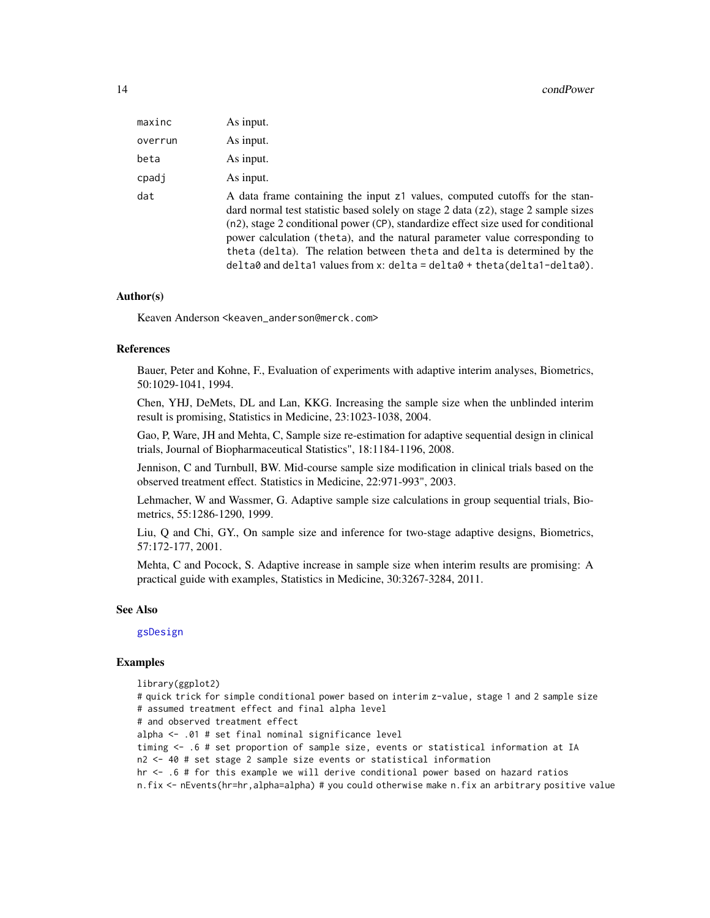| maxinc  | As input.                                                                                                                                                                                                                                                                                                                                                                                                                                                                                                       |
|---------|-----------------------------------------------------------------------------------------------------------------------------------------------------------------------------------------------------------------------------------------------------------------------------------------------------------------------------------------------------------------------------------------------------------------------------------------------------------------------------------------------------------------|
| overrun | As input.                                                                                                                                                                                                                                                                                                                                                                                                                                                                                                       |
| beta    | As input.                                                                                                                                                                                                                                                                                                                                                                                                                                                                                                       |
| cpadj   | As input.                                                                                                                                                                                                                                                                                                                                                                                                                                                                                                       |
| dat     | A data frame containing the input z1 values, computed cutoffs for the stan-<br>dard normal test statistic based solely on stage 2 data (z2), stage 2 sample sizes<br>(n2), stage 2 conditional power (CP), standardize effect size used for conditional<br>power calculation (theta), and the natural parameter value corresponding to<br>theta (delta). The relation between theta and delta is determined by the<br>$delta$ and deltal values from x: delta = delta $\theta$ + theta(delta1-delta $\theta$ ). |

#### Author(s)

Keaven Anderson <keaven\_anderson@merck.com>

#### References

Bauer, Peter and Kohne, F., Evaluation of experiments with adaptive interim analyses, Biometrics, 50:1029-1041, 1994.

Chen, YHJ, DeMets, DL and Lan, KKG. Increasing the sample size when the unblinded interim result is promising, Statistics in Medicine, 23:1023-1038, 2004.

Gao, P, Ware, JH and Mehta, C, Sample size re-estimation for adaptive sequential design in clinical trials, Journal of Biopharmaceutical Statistics", 18:1184-1196, 2008.

Jennison, C and Turnbull, BW. Mid-course sample size modification in clinical trials based on the observed treatment effect. Statistics in Medicine, 22:971-993", 2003.

Lehmacher, W and Wassmer, G. Adaptive sample size calculations in group sequential trials, Biometrics, 55:1286-1290, 1999.

Liu, Q and Chi, GY., On sample size and inference for two-stage adaptive designs, Biometrics, 57:172-177, 2001.

Mehta, C and Pocock, S. Adaptive increase in sample size when interim results are promising: A practical guide with examples, Statistics in Medicine, 30:3267-3284, 2011.

#### See Also

[gsDesign](#page-35-1)

#### Examples

library(ggplot2) # quick trick for simple conditional power based on interim z-value, stage 1 and 2 sample size # assumed treatment effect and final alpha level # and observed treatment effect alpha <- .01 # set final nominal significance level timing <- .6 # set proportion of sample size, events or statistical information at IA n2 <- 40 # set stage 2 sample size events or statistical information hr <- .6 # for this example we will derive conditional power based on hazard ratios n.fix <- nEvents(hr=hr,alpha=alpha) # you could otherwise make n.fix an arbitrary positive value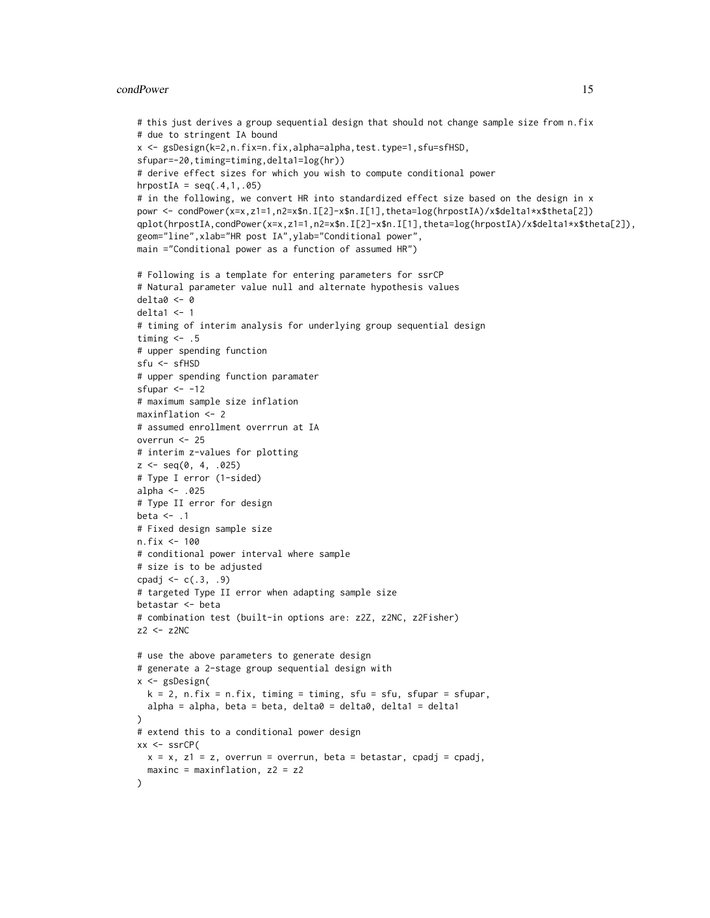#### condPower 15

```
# this just derives a group sequential design that should not change sample size from n.fix
# due to stringent IA bound
x <- gsDesign(k=2,n.fix=n.fix,alpha=alpha,test.type=1,sfu=sfHSD,
sfupar=-20,timing=timing,delta1=log(hr))
# derive effect sizes for which you wish to compute conditional power
hrpostIA = seq(.4,1,.05)# in the following, we convert HR into standardized effect size based on the design in x
powr <- condPower(x=x,z1=1,n2=x$n.I[2]-x$n.I[1],theta=log(hrpostIA)/x$delta1*x$theta[2])
qplot(hrpostIA,condPower(x=x,z1=1,n2=x$n.I[2]-x$n.I[1],theta=log(hrpostIA)/x$delta1*x$theta[2]),
geom="line",xlab="HR post IA",ylab="Conditional power",
main ="Conditional power as a function of assumed HR")
# Following is a template for entering parameters for ssrCP
# Natural parameter value null and alternate hypothesis values
delta0 <- 0
delta1 < -1# timing of interim analysis for underlying group sequential design
timing \leq .5
# upper spending function
sfu <- sfHSD
# upper spending function paramater
sfupar <-12# maximum sample size inflation
maxinflation <- 2
# assumed enrollment overrrun at IA
overrun <- 25
# interim z-values for plotting
z \leq - \text{seq}(0, 4, .025)# Type I error (1-sided)
alpha <- .025
# Type II error for design
beta \leq -1# Fixed design sample size
n.fix <- 100
# conditional power interval where sample
# size is to be adjusted
cpadj <- c(.3, .9)# targeted Type II error when adapting sample size
betastar <- beta
# combination test (built-in options are: z2Z, z2NC, z2Fisher)
z2 <- z2NC
# use the above parameters to generate design
# generate a 2-stage group sequential design with
x <- gsDesign(
  k = 2, n.fix = n.fix, timing = timing, sfu = sfu, sfupar = sfupar,
  alpha = alpha, beta = beta, delta0 = delta0, delta1 = delta1\lambda# extend this to a conditional power design
xx \leq -ssrcP(x = x, z1 = z, overrun = overrun, beta = betastar, cpadj = cpadj,
  maxinc = maxinflation, z2 = z2)
```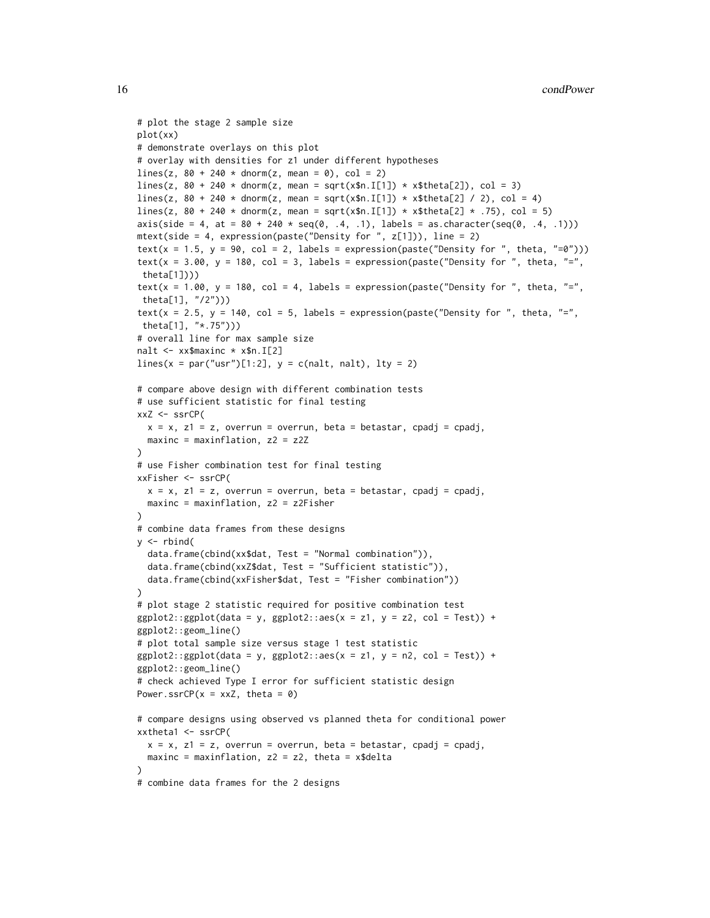```
# plot the stage 2 sample size
plot(xx)
# demonstrate overlays on this plot
# overlay with densities for z1 under different hypotheses
lines(z, 80 + 240 * donor(m(z, mean = 0), col = 2)lines(z, 80 + 240 \times \text{dnorm}(z), mean = sqrt(x$n.I[1]) \star x$theta[2]), col = 3)
lines(z, 80 + 240 \times \text{donm}(z), mean = sqrt(x$n.I[1]) \times x$theta[2] / 2), col = 4)
lines(z, 80 + 240 \times \text{dnorm}(z), mean = sqrt(x$n.I[1]) \times x$theta[2] \times .75), col = 5)
axis(side = 4, at = 80 + 240 \times \text{seq}(0, .4, .1), labels = as.character(seq(0, .4, .1)))
mtext(side = 4, expression(paste("Density for ", z[1])), line = 2)
text(x = 1.5, y = 90, col = 2, labels = expression(paste("Density for ", theta, "=0")))
text(x = 3.00, y = 180, col = 3, labels = expression(paste("Density for ", theta, "=",
 theta[1])))
text(x = 1.00, y = 180, col = 4, labels = expression(paste("Density for ", theta, "=",
 theta[1], "/2")))
text(x = 2.5, y = 140, col = 5, labels = expression(paste("Density for ", theta, "=",
theta[1], "*.75")))
# overall line for max sample size
nalt <- xx$maxinc * x$n.I[2]
lines(x = par("usr")[1:2], y = c(nalt, nalt), lty = 2)# compare above design with different combination tests
# use sufficient statistic for final testing
xxZ <- ssrCP(
  x = x, z1 = z, overrun = overrun, beta = betastar, cpadj = cpadj,
  maxinc = maxinflation, z2 = z2Z)
# use Fisher combination test for final testing
xxFisher <- ssrCP(
 x = x, z1 = z, overrun = overrun, beta = betastar, cpadj = cpadj,
 maxinc = maxinflation, z2 = z2Fisher\lambda# combine data frames from these designs
y \le - rbind(
  data.frame(cbind(xx$dat, Test = "Normal combination")),
  data.frame(cbind(xxZ$dat, Test = "Sufficient statistic")),
  data.frame(cbind(xxFisher$dat, Test = "Fisher combination"))
)
# plot stage 2 statistic required for positive combination test
ggplot2::ggplot(data = y, ggplot2::aes(x = z1, y = z2, col = Test)) +ggplot2::geom_line()
# plot total sample size versus stage 1 test statistic
ggplot2::ggplot(data = y, ggplot2::aes(x = z1, y = n2, col = Test)) +ggplot2::geom_line()
# check achieved Type I error for sufficient statistic design
Power.ssrCP(x = xxZ, theta = 0)
# compare designs using observed vs planned theta for conditional power
xxtheta1 <- ssrCP(
  x = x, z1 = z, overrun = overrun, beta = betastar, cpadj = cpadj,
  maxinc = maxinflation, z2 = z2, theta = x$delta
)
# combine data frames for the 2 designs
```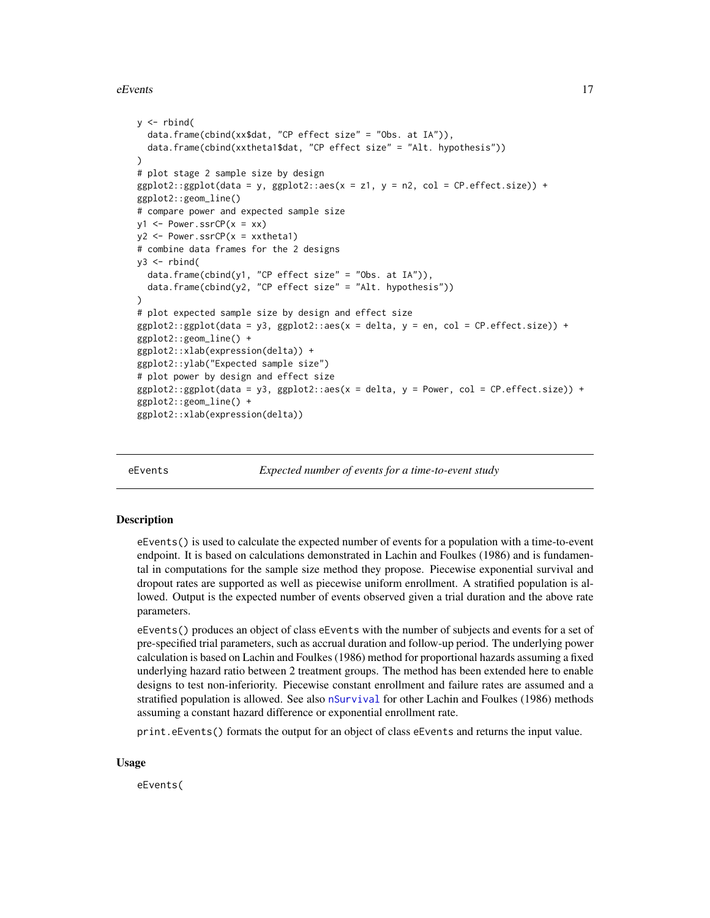#### <span id="page-16-0"></span> $eE$ vents  $17$

```
y \le - rbind(
  data.frame(cbind(xx$dat, "CP effect size" = "Obs. at IA")),
  data.frame(cbind(xxtheta1$dat, "CP effect size" = "Alt. hypothesis"))
\lambda# plot stage 2 sample size by design
ggplot2::ggplot(data = y, ggplot2::aes(x = z1, y = n2, col = CP.effect.size)) +ggplot2::geom_line()
# compare power and expected sample size
y1 \leftarrow Power.ssrCP(x = xx)y2 \leq -Power.ssrCP(x = xxtheta1)# combine data frames for the 2 designs
y3 \le- rbind(
  data.frame(cbind(y1, "CP effect size" = "Obs. at IA")),
  data.frame(cbind(y2, "CP effect size" = "Alt. hypothesis"))
)
# plot expected sample size by design and effect size
ggplot2::ggplot(data = y3, ggplot2::aes(x = delta, y = en, col = CP.effect.size)) +ggplot2::geom_line() +
ggplot2::xlab(expression(delta)) +
ggplot2::ylab("Expected sample size")
# plot power by design and effect size
ggplot2::ggplot(data = y3, ggplot2::aes(x = delta, y = Power, col = CP.effect.size)) +ggplot2::geom_line() +
ggplot2::xlab(expression(delta))
```
eEvents *Expected number of events for a time-to-event study*

#### **Description**

eEvents() is used to calculate the expected number of events for a population with a time-to-event endpoint. It is based on calculations demonstrated in Lachin and Foulkes (1986) and is fundamental in computations for the sample size method they propose. Piecewise exponential survival and dropout rates are supported as well as piecewise uniform enrollment. A stratified population is allowed. Output is the expected number of events observed given a trial duration and the above rate parameters.

eEvents() produces an object of class eEvents with the number of subjects and events for a set of pre-specified trial parameters, such as accrual duration and follow-up period. The underlying power calculation is based on Lachin and Foulkes (1986) method for proportional hazards assuming a fixed underlying hazard ratio between 2 treatment groups. The method has been extended here to enable designs to test non-inferiority. Piecewise constant enrollment and failure rates are assumed and a stratified population is allowed. See also [nSurvival](#page-65-1) for other Lachin and Foulkes (1986) methods assuming a constant hazard difference or exponential enrollment rate.

print.eEvents() formats the output for an object of class eEvents and returns the input value.

#### Usage

eEvents(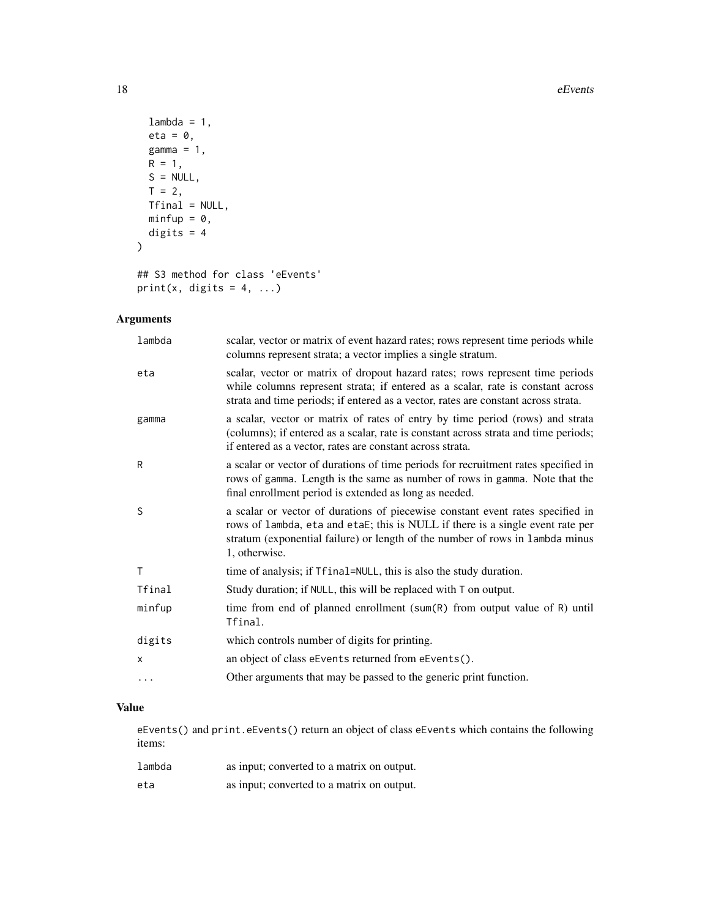#### 18 eEvents

```
lambda = 1,
 eta = \theta,
 gamma = 1,
 R = 1,S = NULL,T = 2,Tfinal = NULL,
 minfup = 0,
 digits = 4)
## S3 method for class 'eEvents'
```

```
print(x, digits = 4, ...)
```
## Arguments

| lambda       | scalar, vector or matrix of event hazard rates; rows represent time periods while<br>columns represent strata; a vector implies a single stratum.                                                                                                                  |
|--------------|--------------------------------------------------------------------------------------------------------------------------------------------------------------------------------------------------------------------------------------------------------------------|
| eta          | scalar, vector or matrix of dropout hazard rates; rows represent time periods<br>while columns represent strata; if entered as a scalar, rate is constant across<br>strata and time periods; if entered as a vector, rates are constant across strata.             |
| gamma        | a scalar, vector or matrix of rates of entry by time period (rows) and strata<br>(columns); if entered as a scalar, rate is constant across strata and time periods;<br>if entered as a vector, rates are constant across strata.                                  |
| R            | a scalar or vector of durations of time periods for recruitment rates specified in<br>rows of gamma. Length is the same as number of rows in gamma. Note that the<br>final enrollment period is extended as long as needed.                                        |
| S            | a scalar or vector of durations of piecewise constant event rates specified in<br>rows of lambda, eta and etaE; this is NULL if there is a single event rate per<br>stratum (exponential failure) or length of the number of rows in lambda minus<br>1, otherwise. |
| $\mathsf{T}$ | time of analysis; if Tfinal=NULL, this is also the study duration.                                                                                                                                                                                                 |
| Tfinal       | Study duration; if NULL, this will be replaced with T on output.                                                                                                                                                                                                   |
| minfup       | time from end of planned enrollment (sum(R) from output value of R) until<br>Tfinal.                                                                                                                                                                               |
| digits       | which controls number of digits for printing.                                                                                                                                                                                                                      |
| X            | an object of class eEvents returned from eEvents().                                                                                                                                                                                                                |
| $\cdots$     | Other arguments that may be passed to the generic print function.                                                                                                                                                                                                  |

## Value

eEvents() and print.eEvents() return an object of class eEvents which contains the following items:

| lambda | as input; converted to a matrix on output. |
|--------|--------------------------------------------|
| eta    | as input; converted to a matrix on output. |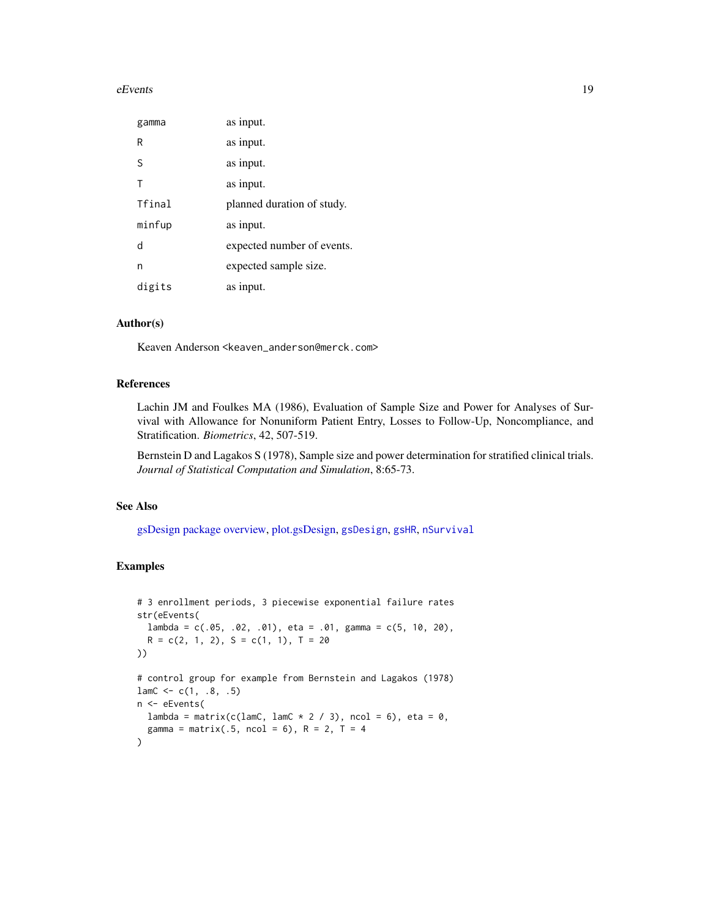#### eEvents and the extra state of the extra state of the extra state of the extra state of the extra state of the extra state of the extra state of the extra state of the extra state of the extra state of the extra state of t

| gamma  | as input.                  |
|--------|----------------------------|
| R      | as input.                  |
| S      | as input.                  |
| Т      | as input.                  |
| Tfinal | planned duration of study. |
| minfup | as input.                  |
| d      | expected number of events. |
| n      | expected sample size.      |
| digits | as input.                  |

#### Author(s)

Keaven Anderson <keaven\_anderson@merck.com>

#### References

Lachin JM and Foulkes MA (1986), Evaluation of Sample Size and Power for Analyses of Survival with Allowance for Nonuniform Patient Entry, Losses to Follow-Up, Noncompliance, and Stratification. *Biometrics*, 42, 507-519.

Bernstein D and Lagakos S (1978), Sample size and power determination for stratified clinical trials. *Journal of Statistical Computation and Simulation*, 8:65-73.

#### See Also

[gsDesign package overview,](#page-42-1) [plot.gsDesign,](#page-53-1) [gsDesign](#page-35-1), [gsHR](#page-96-1), [nSurvival](#page-65-1)

#### Examples

```
# 3 enrollment periods, 3 piecewise exponential failure rates
str(eEvents(
  lambda = c(.05, .02, .01), eta = .01, gamma = c(5, 10, 20),
  R = c(2, 1, 2), S = c(1, 1), T = 20))
# control group for example from Bernstein and Lagakos (1978)
lamC \leq c(1, .8, .5)n <- eEvents(
  lambda = matrix(c(lamC, lamC * 2 / 3), ncol = 6), eta = 0,
  gamma = matrix(.5, ncol = 6), R = 2, T = 4\mathcal{L}
```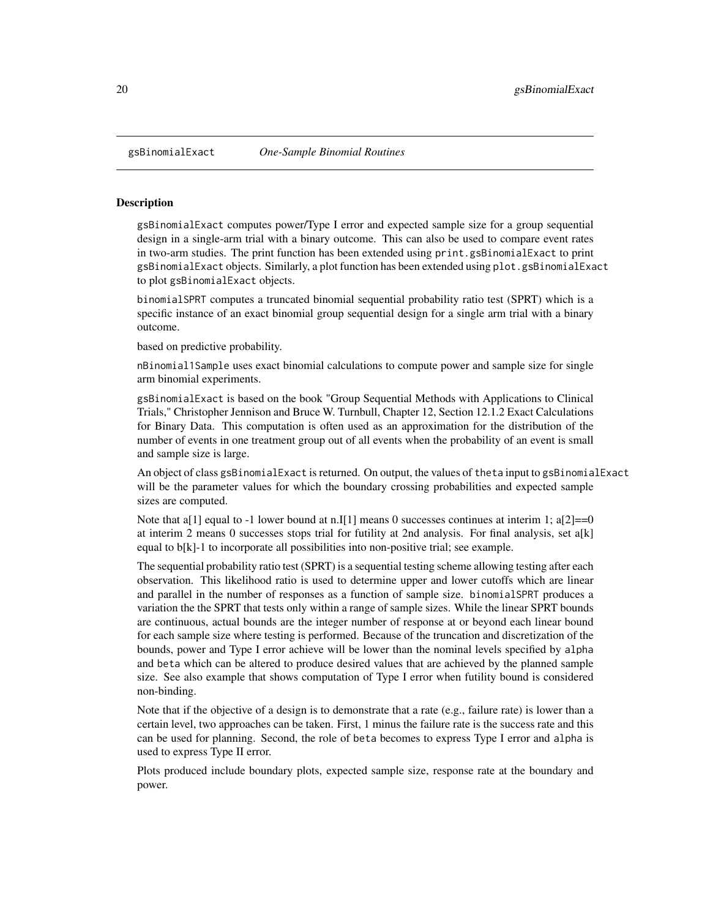<span id="page-19-0"></span>

#### **Description**

gsBinomialExact computes power/Type I error and expected sample size for a group sequential design in a single-arm trial with a binary outcome. This can also be used to compare event rates in two-arm studies. The print function has been extended using print.gsBinomialExact to print gsBinomialExact objects. Similarly, a plot function has been extended using plot.gsBinomialExact to plot gsBinomialExact objects.

binomialSPRT computes a truncated binomial sequential probability ratio test (SPRT) which is a specific instance of an exact binomial group sequential design for a single arm trial with a binary outcome.

based on predictive probability.

nBinomial1Sample uses exact binomial calculations to compute power and sample size for single arm binomial experiments.

gsBinomialExact is based on the book "Group Sequential Methods with Applications to Clinical Trials," Christopher Jennison and Bruce W. Turnbull, Chapter 12, Section 12.1.2 Exact Calculations for Binary Data. This computation is often used as an approximation for the distribution of the number of events in one treatment group out of all events when the probability of an event is small and sample size is large.

An object of class gsBinomialExact is returned. On output, the values of theta input to gsBinomialExact will be the parameter values for which the boundary crossing probabilities and expected sample sizes are computed.

Note that a[1] equal to -1 lower bound at n.I[1] means 0 successes continues at interim 1;  $a[2]=0$ at interim 2 means 0 successes stops trial for futility at 2nd analysis. For final analysis, set a[k] equal to b[k]-1 to incorporate all possibilities into non-positive trial; see example.

The sequential probability ratio test (SPRT) is a sequential testing scheme allowing testing after each observation. This likelihood ratio is used to determine upper and lower cutoffs which are linear and parallel in the number of responses as a function of sample size. binomialSPRT produces a variation the the SPRT that tests only within a range of sample sizes. While the linear SPRT bounds are continuous, actual bounds are the integer number of response at or beyond each linear bound for each sample size where testing is performed. Because of the truncation and discretization of the bounds, power and Type I error achieve will be lower than the nominal levels specified by alpha and beta which can be altered to produce desired values that are achieved by the planned sample size. See also example that shows computation of Type I error when futility bound is considered non-binding.

Note that if the objective of a design is to demonstrate that a rate (e.g., failure rate) is lower than a certain level, two approaches can be taken. First, 1 minus the failure rate is the success rate and this can be used for planning. Second, the role of beta becomes to express Type I error and alpha is used to express Type II error.

Plots produced include boundary plots, expected sample size, response rate at the boundary and power.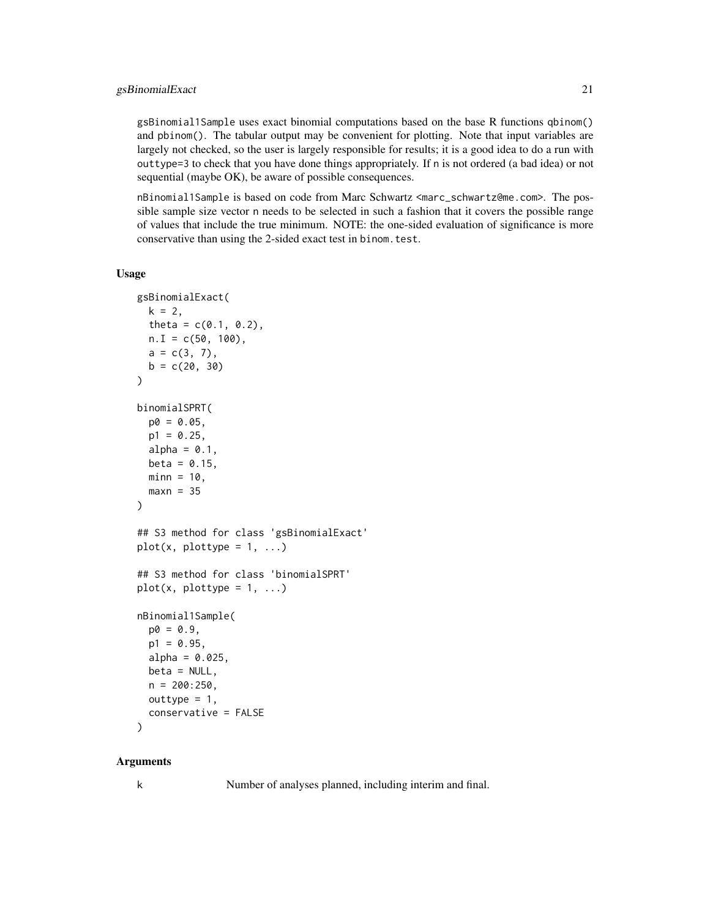#### gsBinomialExact 21

gsBinomial1Sample uses exact binomial computations based on the base R functions qbinom() and pbinom(). The tabular output may be convenient for plotting. Note that input variables are largely not checked, so the user is largely responsible for results; it is a good idea to do a run with outtype=3 to check that you have done things appropriately. If n is not ordered (a bad idea) or not sequential (maybe OK), be aware of possible consequences.

nBinomial1Sample is based on code from Marc Schwartz <marc\_schwartz@me.com>. The possible sample size vector n needs to be selected in such a fashion that it covers the possible range of values that include the true minimum. NOTE: the one-sided evaluation of significance is more conservative than using the 2-sided exact test in binom.test.

#### Usage

```
gsBinomialExact(
  k = 2,theta = c(0.1, 0.2),
  n.I = c(50, 100),a = c(3, 7),
  b = c(20, 30))
binomialSPRT(
  p0 = 0.05,
  p1 = 0.25,
  alpha = 0.1,
  beta = 0.15,
  min = 10,
  maxn = 35\lambda## S3 method for class 'gsBinomialExact'
plot(x, plottype = 1, ...)## S3 method for class 'binomialSPRT'
plot(x, plottype = 1, ...)nBinomial1Sample(
  p0 = 0.9,
  p1 = 0.95,
  alpha = 0.025,
  beta = NULL,
  n = 200:250,
  outtype = 1,
  conservative = FALSE
\mathcal{L}
```
#### Arguments

k Number of analyses planned, including interim and final.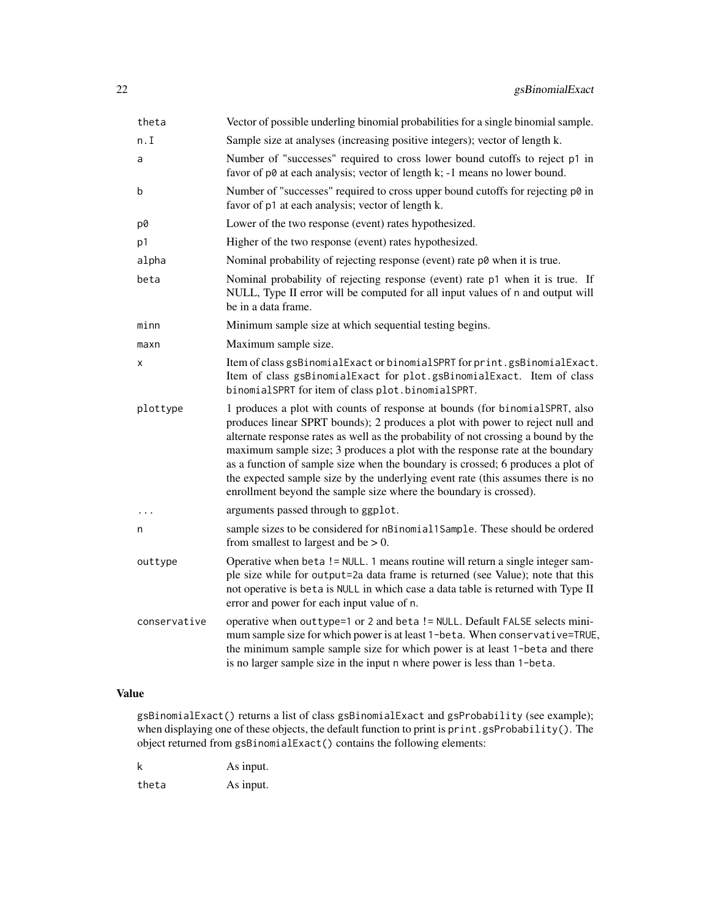| theta        | Vector of possible underling binomial probabilities for a single binomial sample.                                                                                                                                                                                                                                                                                                                                                                                                                                                                                              |
|--------------|--------------------------------------------------------------------------------------------------------------------------------------------------------------------------------------------------------------------------------------------------------------------------------------------------------------------------------------------------------------------------------------------------------------------------------------------------------------------------------------------------------------------------------------------------------------------------------|
| n.I          | Sample size at analyses (increasing positive integers); vector of length k.                                                                                                                                                                                                                                                                                                                                                                                                                                                                                                    |
| a            | Number of "successes" required to cross lower bound cutoffs to reject p1 in<br>favor of p0 at each analysis; vector of length k; -1 means no lower bound.                                                                                                                                                                                                                                                                                                                                                                                                                      |
| b            | Number of "successes" required to cross upper bound cutoffs for rejecting p0 in<br>favor of p1 at each analysis; vector of length k.                                                                                                                                                                                                                                                                                                                                                                                                                                           |
| p0           | Lower of the two response (event) rates hypothesized.                                                                                                                                                                                                                                                                                                                                                                                                                                                                                                                          |
| p1           | Higher of the two response (event) rates hypothesized.                                                                                                                                                                                                                                                                                                                                                                                                                                                                                                                         |
| alpha        | Nominal probability of rejecting response (event) rate p0 when it is true.                                                                                                                                                                                                                                                                                                                                                                                                                                                                                                     |
| beta         | Nominal probability of rejecting response (event) rate p1 when it is true. If<br>NULL, Type II error will be computed for all input values of n and output will<br>be in a data frame.                                                                                                                                                                                                                                                                                                                                                                                         |
| minn         | Minimum sample size at which sequential testing begins.                                                                                                                                                                                                                                                                                                                                                                                                                                                                                                                        |
| maxn         | Maximum sample size.                                                                                                                                                                                                                                                                                                                                                                                                                                                                                                                                                           |
| x            | Item of class gsBinomialExact or binomialSPRT for print.gsBinomialExact.<br>Item of class gsBinomialExact for plot.gsBinomialExact. Item of class<br>binomialSPRT for item of class plot.binomialSPRT.                                                                                                                                                                                                                                                                                                                                                                         |
| plottype     | 1 produces a plot with counts of response at bounds (for binomialSPRT, also<br>produces linear SPRT bounds); 2 produces a plot with power to reject null and<br>alternate response rates as well as the probability of not crossing a bound by the<br>maximum sample size; 3 produces a plot with the response rate at the boundary<br>as a function of sample size when the boundary is crossed; 6 produces a plot of<br>the expected sample size by the underlying event rate (this assumes there is no<br>enrollment beyond the sample size where the boundary is crossed). |
|              | arguments passed through to ggplot.                                                                                                                                                                                                                                                                                                                                                                                                                                                                                                                                            |
| n            | sample sizes to be considered for nBinomial1Sample. These should be ordered<br>from smallest to largest and be $> 0$ .                                                                                                                                                                                                                                                                                                                                                                                                                                                         |
| outtype      | Operative when beta ! = NULL. 1 means routine will return a single integer sam-<br>ple size while for output=2a data frame is returned (see Value); note that this<br>not operative is beta is NULL in which case a data table is returned with Type II<br>error and power for each input value of n.                                                                                                                                                                                                                                                                          |
| conservative | operative when outtype=1 or 2 and beta != NULL. Default FALSE selects mini-<br>mum sample size for which power is at least 1-beta. When conservative=TRUE,<br>the minimum sample sample size for which power is at least 1-beta and there<br>is no larger sample size in the input n where power is less than 1-beta.                                                                                                                                                                                                                                                          |

### Value

gsBinomialExact() returns a list of class gsBinomialExact and gsProbability (see example); when displaying one of these objects, the default function to print is print.gsProbability(). The object returned from gsBinomialExact() contains the following elements:

k As input. theta As input.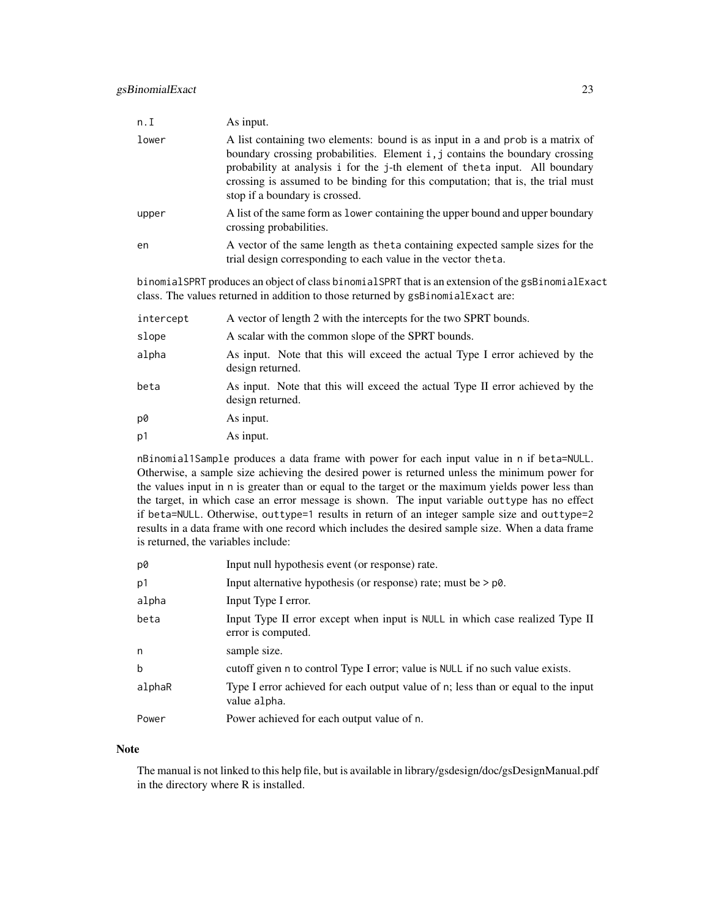| n.I   | As input.                                                                                                                                                                                                                                                                                                                                                          |
|-------|--------------------------------------------------------------------------------------------------------------------------------------------------------------------------------------------------------------------------------------------------------------------------------------------------------------------------------------------------------------------|
| lower | A list containing two elements: bound is as input in a and prob is a matrix of<br>boundary crossing probabilities. Element i, j contains the boundary crossing<br>probability at analysis i for the j-th element of theta input. All boundary<br>crossing is assumed to be binding for this computation; that is, the trial must<br>stop if a boundary is crossed. |
| upper | A list of the same form as lower containing the upper bound and upper boundary<br>crossing probabilities.                                                                                                                                                                                                                                                          |
| en    | A vector of the same length as the ta containing expected sample sizes for the<br>trial design corresponding to each value in the vector theta.                                                                                                                                                                                                                    |

binomialSPRT produces an object of class binomialSPRT that is an extension of the gsBinomialExact class. The values returned in addition to those returned by gsBinomialExact are:

| intercept      | A vector of length 2 with the intercepts for the two SPRT bounds.                                 |
|----------------|---------------------------------------------------------------------------------------------------|
| slope          | A scalar with the common slope of the SPRT bounds.                                                |
| alpha          | As input. Note that this will exceed the actual Type I error achieved by the<br>design returned.  |
| beta           | As input. Note that this will exceed the actual Type II error achieved by the<br>design returned. |
| p0             | As input.                                                                                         |
| p <sub>1</sub> | As input.                                                                                         |

nBinomial1Sample produces a data frame with power for each input value in n if beta=NULL. Otherwise, a sample size achieving the desired power is returned unless the minimum power for the values input in n is greater than or equal to the target or the maximum yields power less than the target, in which case an error message is shown. The input variable outtype has no effect if beta=NULL. Otherwise, outtype=1 results in return of an integer sample size and outtype=2 results in a data frame with one record which includes the desired sample size. When a data frame is returned, the variables include:

| p0     | Input null hypothesis event (or response) rate.                                                    |
|--------|----------------------------------------------------------------------------------------------------|
| p1     | Input alternative hypothesis (or response) rate; must be $> p\delta$ .                             |
| alpha  | Input Type I error.                                                                                |
| beta   | Input Type II error except when input is NULL in which case realized Type II<br>error is computed. |
| n      | sample size.                                                                                       |
| b      | cutoff given n to control Type I error; value is NULL if no such value exists.                     |
| alphaR | Type I error achieved for each output value of n; less than or equal to the input<br>value alpha.  |
| Power  | Power achieved for each output value of n.                                                         |

#### Note

The manual is not linked to this help file, but is available in library/gsdesign/doc/gsDesignManual.pdf in the directory where R is installed.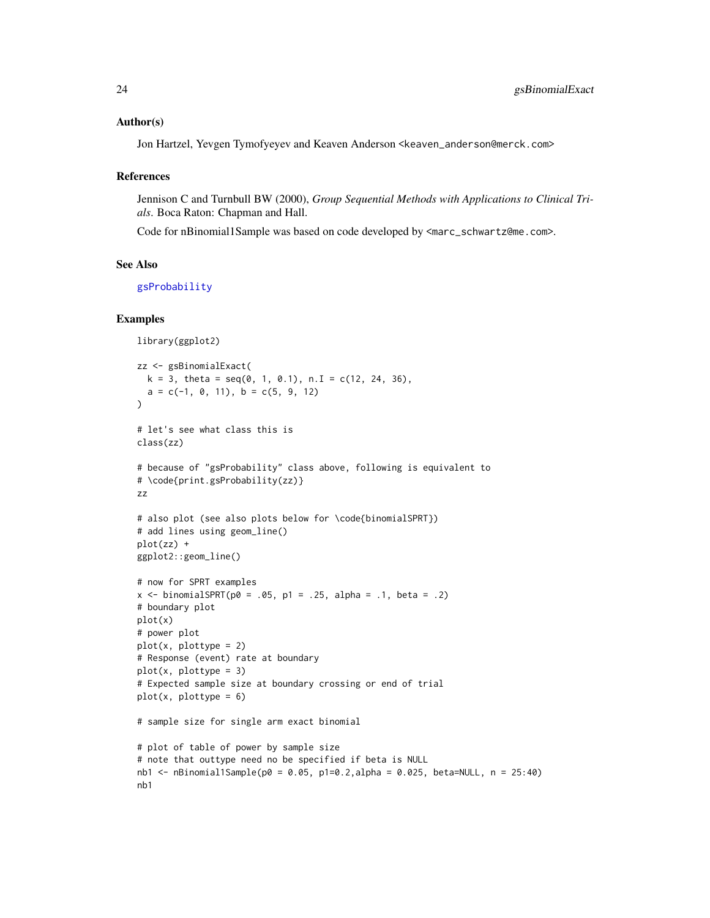#### Author(s)

Jon Hartzel, Yevgen Tymofyeyev and Keaven Anderson <keaven\_anderson@merck.com>

#### References

Jennison C and Turnbull BW (2000), *Group Sequential Methods with Applications to Clinical Trials*. Boca Raton: Chapman and Hall.

Code for nBinomial1Sample was based on code developed by <marc\_schwartz@me.com>.

#### See Also

[gsProbability](#page-43-1)

#### Examples

```
library(ggplot2)
zz <- gsBinomialExact(
  k = 3, theta = seq(0, 1, 0.1), n.I = c(12, 24, 36),
  a = c(-1, 0, 11), b = c(5, 9, 12))
# let's see what class this is
class(zz)
# because of "gsProbability" class above, following is equivalent to
# \code{print.gsProbability(zz)}
zz
# also plot (see also plots below for \code{binomialSPRT})
# add lines using geom_line()
plot(zz) +
ggplot2::geom_line()
# now for SPRT examples
x \le - binomialSPRT(p0 = .05, p1 = .25, alpha = .1, beta = .2)
# boundary plot
plot(x)
# power plot
plot(x, plottype = 2)# Response (event) rate at boundary
plot(x, plottype = 3)
# Expected sample size at boundary crossing or end of trial
plot(x, plottype = 6)# sample size for single arm exact binomial
# plot of table of power by sample size
# note that outtype need no be specified if beta is NULL
nb1 <- nBinomial1Sample(p0 = 0.05, p1=0.2, alpha = 0.025, beta=NULL, n = 25:40)
nb1
```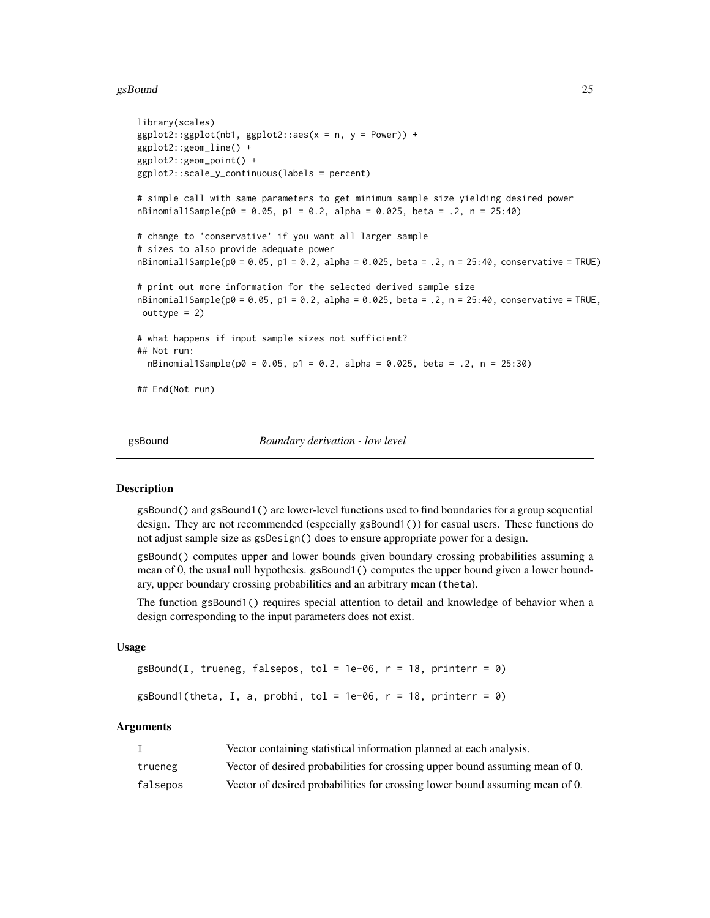#### <span id="page-24-0"></span>gsBound 25

```
library(scales)
ggplot2::ggplot(nb1, ggplot2::aes(x = n, y = Power)) +ggplot2::geom_line() +
ggplot2::geom_point() +
ggplot2::scale_y_continuous(labels = percent)
# simple call with same parameters to get minimum sample size yielding desired power
nBinomial1Sample(p0 = 0.05, p1 = 0.2, alpha = 0.025, beta = .2, n = 25:40)
# change to 'conservative' if you want all larger sample
# sizes to also provide adequate power
nBinomial1Sample(p0 = 0.05, p1 = 0.2, alpha = 0.025, beta = .2, n = 25:40, conservative = TRUE)# print out more information for the selected derived sample size
nBinomial1Sample(p0 = 0.05, p1 = 0.2, alpha = 0.025, beta = .2, n = 25:40, conservative = TRUE,outtype = 2)
# what happens if input sample sizes not sufficient?
## Not run:
 nBinomial1Sample(p0 = 0.05, p1 = 0.2, alpha = 0.025, beta = .2, n = 25:30)
## End(Not run)
```
gsBound *Boundary derivation - low level*

#### Description

gsBound() and gsBound1() are lower-level functions used to find boundaries for a group sequential design. They are not recommended (especially gsBound1()) for casual users. These functions do not adjust sample size as gsDesign() does to ensure appropriate power for a design.

gsBound() computes upper and lower bounds given boundary crossing probabilities assuming a mean of 0, the usual null hypothesis. gsBound1() computes the upper bound given a lower boundary, upper boundary crossing probabilities and an arbitrary mean (theta).

The function gsBound1() requires special attention to detail and knowledge of behavior when a design corresponding to the input parameters does not exist.

#### Usage

```
gsBound(I, trueneg, falsepos, tol = 1e-06, r = 18, printer = 0)
```

```
gsBound1(theta, I, a, problem, tol = 1e-06, r = 18, printer = 0)
```
#### Arguments

|          | Vector containing statistical information planned at each analysis.          |
|----------|------------------------------------------------------------------------------|
| trueneg  | Vector of desired probabilities for crossing upper bound assuming mean of 0. |
| falsepos | Vector of desired probabilities for crossing lower bound assuming mean of 0. |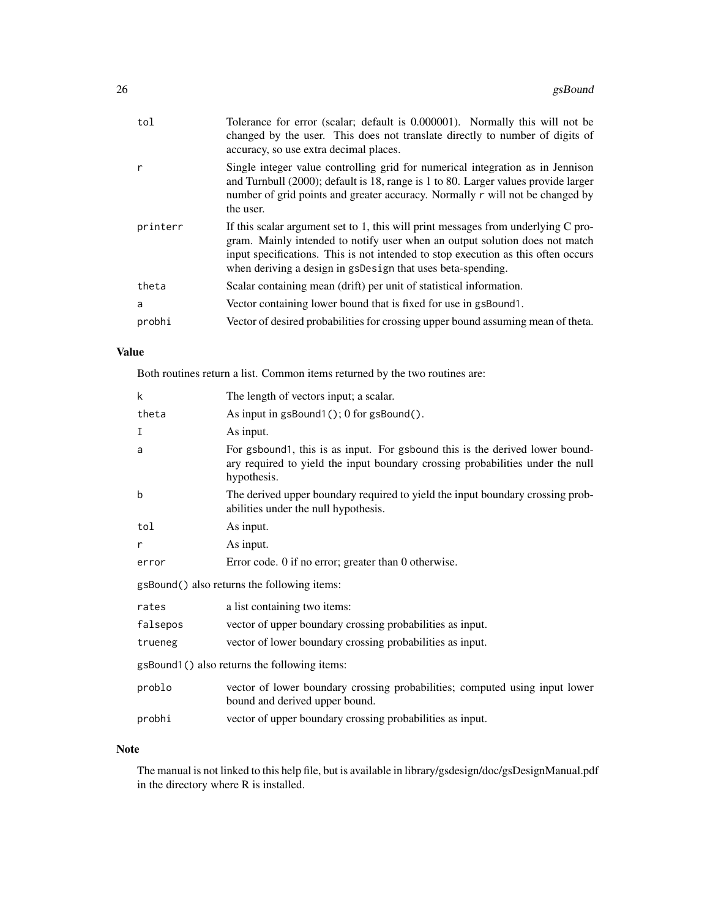| tol      | Tolerance for error (scalar; default is 0.000001). Normally this will not be<br>changed by the user. This does not translate directly to number of digits of<br>accuracy, so use extra decimal places.                                                                                                                 |
|----------|------------------------------------------------------------------------------------------------------------------------------------------------------------------------------------------------------------------------------------------------------------------------------------------------------------------------|
|          | Single integer value controlling grid for numerical integration as in Jennison<br>and Turnbull (2000); default is 18, range is 1 to 80. Larger values provide larger<br>number of grid points and greater accuracy. Normally r will not be changed by<br>the user.                                                     |
| printerr | If this scalar argument set to 1, this will print messages from underlying $C$ pro-<br>gram. Mainly intended to notify user when an output solution does not match<br>input specifications. This is not intended to stop execution as this often occurs<br>when deriving a design in gsDesign that uses beta-spending. |
| theta    | Scalar containing mean (drift) per unit of statistical information.                                                                                                                                                                                                                                                    |
| a        | Vector containing lower bound that is fixed for use in gsBound1.                                                                                                                                                                                                                                                       |
| probhi   | Vector of desired probabilities for crossing upper bound assuming mean of theta.                                                                                                                                                                                                                                       |

## Value

Both routines return a list. Common items returned by the two routines are:

| k                                            | The length of vectors input; a scalar.                                                                                                                                        |  |
|----------------------------------------------|-------------------------------------------------------------------------------------------------------------------------------------------------------------------------------|--|
| theta                                        | As input in gsBound1(); 0 for gsBound().                                                                                                                                      |  |
| I                                            | As input.                                                                                                                                                                     |  |
| a                                            | For gsbound1, this is as input. For gsbound this is the derived lower bound-<br>ary required to yield the input boundary crossing probabilities under the null<br>hypothesis. |  |
| b                                            | The derived upper boundary required to yield the input boundary crossing prob-<br>abilities under the null hypothesis.                                                        |  |
| tol                                          | As input.                                                                                                                                                                     |  |
| r                                            | As input.                                                                                                                                                                     |  |
| error                                        | Error code. 0 if no error; greater than 0 otherwise.                                                                                                                          |  |
| gsBound() also returns the following items:  |                                                                                                                                                                               |  |
| rates                                        | a list containing two items:                                                                                                                                                  |  |
| falsepos                                     | vector of upper boundary crossing probabilities as input.                                                                                                                     |  |
| trueneg                                      | vector of lower boundary crossing probabilities as input.                                                                                                                     |  |
| gsBound1() also returns the following items: |                                                                                                                                                                               |  |
| problo                                       | vector of lower boundary crossing probabilities; computed using input lower<br>bound and derived upper bound.                                                                 |  |
| probhi                                       | vector of upper boundary crossing probabilities as input.                                                                                                                     |  |

### Note

The manual is not linked to this help file, but is available in library/gsdesign/doc/gsDesignManual.pdf in the directory where R is installed.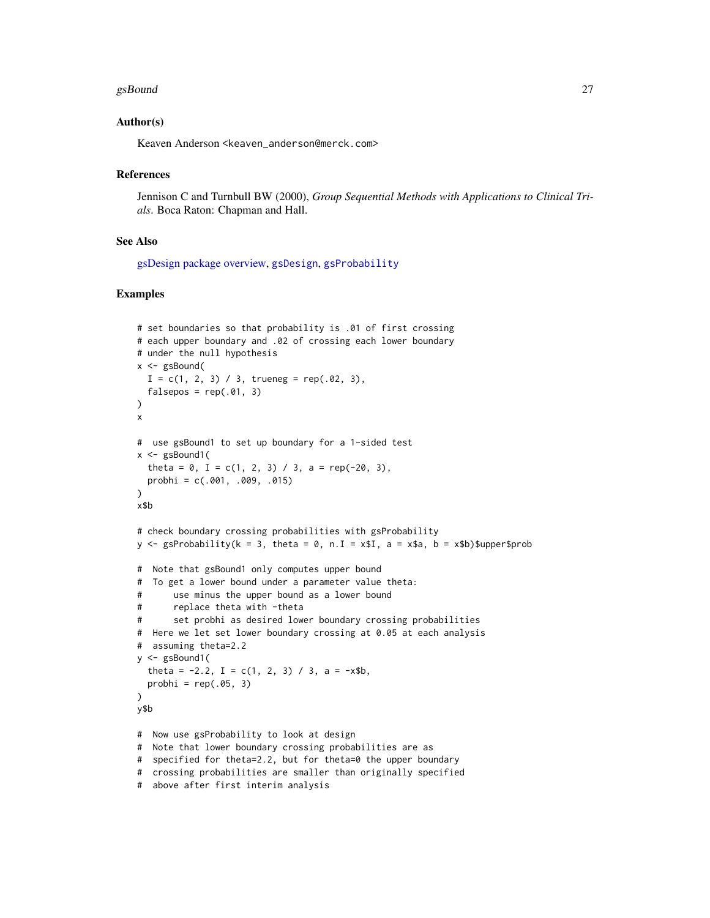#### gsBound 27 and 27 and 27 and 27 and 27 and 27 and 27 and 27 and 27 and 27 and 27 and 27 and 27 and 27

#### Author(s)

Keaven Anderson <keaven\_anderson@merck.com>

#### References

Jennison C and Turnbull BW (2000), *Group Sequential Methods with Applications to Clinical Trials*. Boca Raton: Chapman and Hall.

#### See Also

[gsDesign package overview,](#page-42-1) [gsDesign](#page-35-1), [gsProbability](#page-43-1)

#### Examples

```
# set boundaries so that probability is .01 of first crossing
# each upper boundary and .02 of crossing each lower boundary
# under the null hypothesis
x \leq - gsBound(
  I = c(1, 2, 3) / 3, trueneg = rep(.02, 3),
  falsepos = rep(.01, 3))
x
# use gsBound1 to set up boundary for a 1-sided test
x \leq - gsBound1(
  theta = 0, I = c(1, 2, 3) / 3, a = rep(-20, 3),
  probhi = c(.001, .009, .015)\mathcal{L}x$b
# check boundary crossing probabilities with gsProbability
y \leq gsProbability(k = 3, theta = 0, n. I = x$I, a = x$a, b = x$b)$upper$prob
# Note that gsBound1 only computes upper bound
# To get a lower bound under a parameter value theta:
# use minus the upper bound as a lower bound
# replace theta with -theta
# set probhi as desired lower boundary crossing probabilities
# Here we let set lower boundary crossing at 0.05 at each analysis
# assuming theta=2.2
y <- gsBound1(
  theta = -2.2, I = c(1, 2, 3) / 3, a = -x$b,
  probhi = rep(.05, 3))
y$b
# Now use gsProbability to look at design
# Note that lower boundary crossing probabilities are as
# specified for theta=2.2, but for theta=0 the upper boundary
# crossing probabilities are smaller than originally specified
```
<sup>#</sup> above after first interim analysis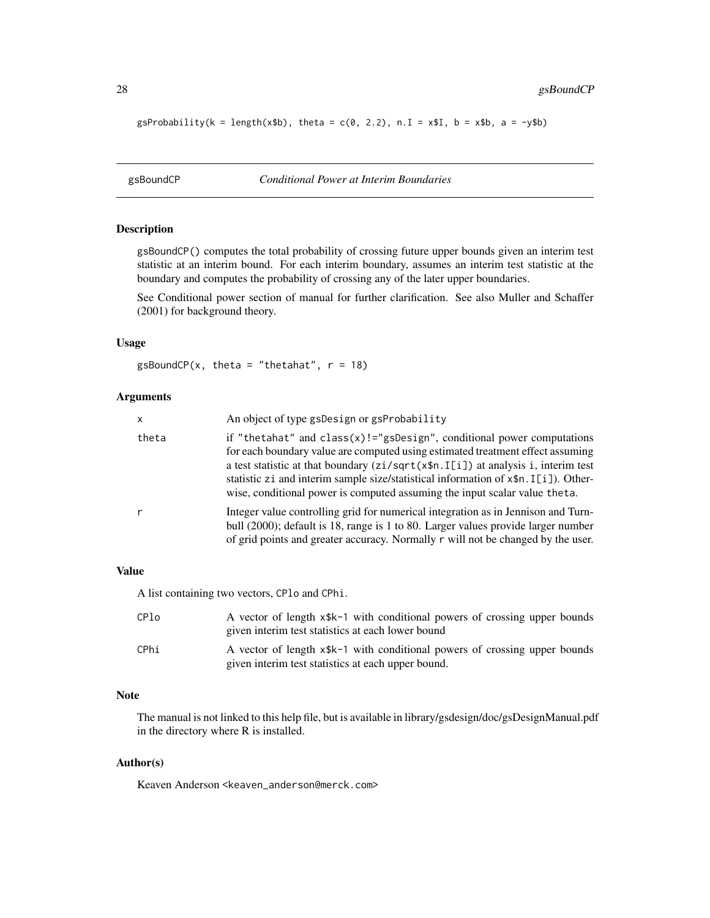<span id="page-27-0"></span> $g$ sProbability(k = length(x\$b), theta = c(0, 2.2), n.I = x\$I, b = x\$b, a = -y\$b)

<span id="page-27-1"></span>gsBoundCP *Conditional Power at Interim Boundaries*

#### Description

gsBoundCP() computes the total probability of crossing future upper bounds given an interim test statistic at an interim bound. For each interim boundary, assumes an interim test statistic at the boundary and computes the probability of crossing any of the later upper boundaries.

See Conditional power section of manual for further clarification. See also Muller and Schaffer (2001) for background theory.

#### Usage

gsBoundCP(x, theta = "thetahat",  $r = 18$ )

#### Arguments

| x     | An object of type gsDesign or gsProbability                                                                                                                                                                                                                                                                                                                                                                                  |
|-------|------------------------------------------------------------------------------------------------------------------------------------------------------------------------------------------------------------------------------------------------------------------------------------------------------------------------------------------------------------------------------------------------------------------------------|
| theta | if "the tahat" and $class(x)! = "gsDesign", conditional power computations$<br>for each boundary value are computed using estimated treatment effect assuming<br>a test statistic at that boundary $(zi/sqrt(xfn. I[i])$ at analysis i, interim test<br>statistic zi and interim sample size/statistical information of $x$ \$n. I[i]). Other-<br>wise, conditional power is computed assuming the input scalar value theta. |
| r     | Integer value controlling grid for numerical integration as in Jennison and Turn-<br>bull (2000); default is 18, range is 1 to 80. Larger values provide larger number<br>of grid points and greater accuracy. Normally r will not be changed by the user.                                                                                                                                                                   |

#### Value

A list containing two vectors, CPlo and CPhi.

| CPlo | A vector of length x\$k-1 with conditional powers of crossing upper bounds<br>given interim test statistics at each lower bound  |
|------|----------------------------------------------------------------------------------------------------------------------------------|
| CPhi | A vector of length x\$k-1 with conditional powers of crossing upper bounds<br>given interim test statistics at each upper bound. |

#### Note

The manual is not linked to this help file, but is available in library/gsdesign/doc/gsDesignManual.pdf in the directory where R is installed.

#### Author(s)

Keaven Anderson <keaven\_anderson@merck.com>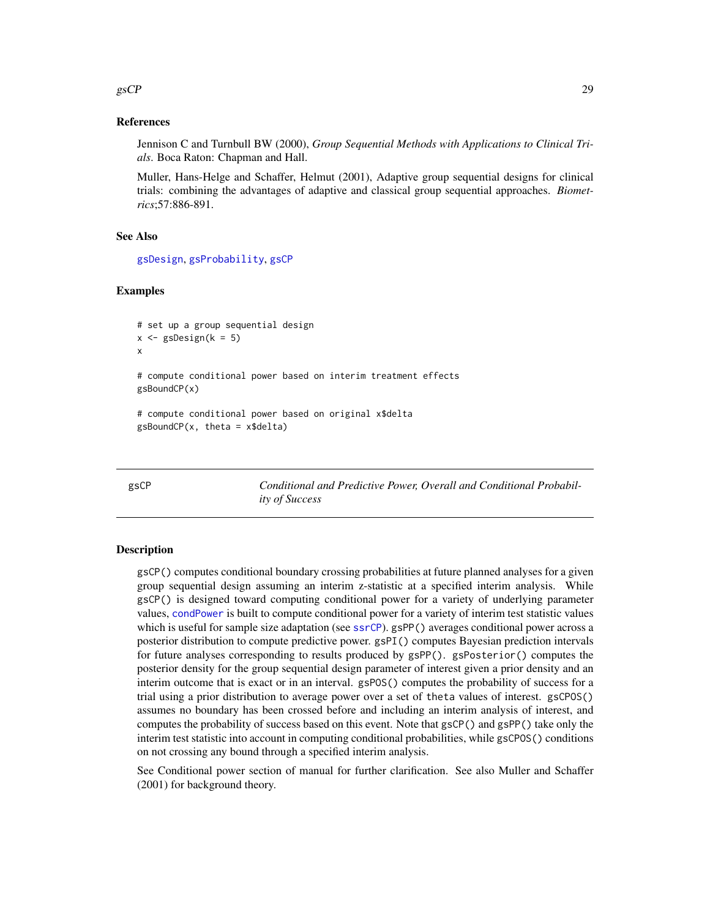#### <span id="page-28-0"></span> $\epsilon$ gsCP 29

#### References

Jennison C and Turnbull BW (2000), *Group Sequential Methods with Applications to Clinical Trials*. Boca Raton: Chapman and Hall.

Muller, Hans-Helge and Schaffer, Helmut (2001), Adaptive group sequential designs for clinical trials: combining the advantages of adaptive and classical group sequential approaches. *Biometrics*;57:886-891.

#### See Also

[gsDesign](#page-35-1), [gsProbability](#page-43-1), [gsCP](#page-28-1)

#### Examples

```
# set up a group sequential design
x \leq - gsDesign(k = 5)
x
# compute conditional power based on interim treatment effects
gsBoundCP(x)
# compute conditional power based on original x$delta
gsBoundCP(x, theta = x$delta)
```
<span id="page-28-1"></span>gsCP *Conditional and Predictive Power, Overall and Conditional Probability of Success*

#### <span id="page-28-2"></span>Description

gsCP() computes conditional boundary crossing probabilities at future planned analyses for a given group sequential design assuming an interim z-statistic at a specified interim analysis. While gsCP() is designed toward computing conditional power for a variety of underlying parameter values, [condPower](#page-10-1) is built to compute conditional power for a variety of interim test statistic values which is useful for sample size adaptation (see [ssrCP](#page-10-2)). gsPP() averages conditional power across a posterior distribution to compute predictive power. gsPI() computes Bayesian prediction intervals for future analyses corresponding to results produced by gsPP(). gsPosterior() computes the posterior density for the group sequential design parameter of interest given a prior density and an interim outcome that is exact or in an interval. gsPOS() computes the probability of success for a trial using a prior distribution to average power over a set of theta values of interest. gsCPOS() assumes no boundary has been crossed before and including an interim analysis of interest, and computes the probability of success based on this event. Note that gsCP() and gsPP() take only the interim test statistic into account in computing conditional probabilities, while gsCPOS() conditions on not crossing any bound through a specified interim analysis.

See Conditional power section of manual for further clarification. See also Muller and Schaffer (2001) for background theory.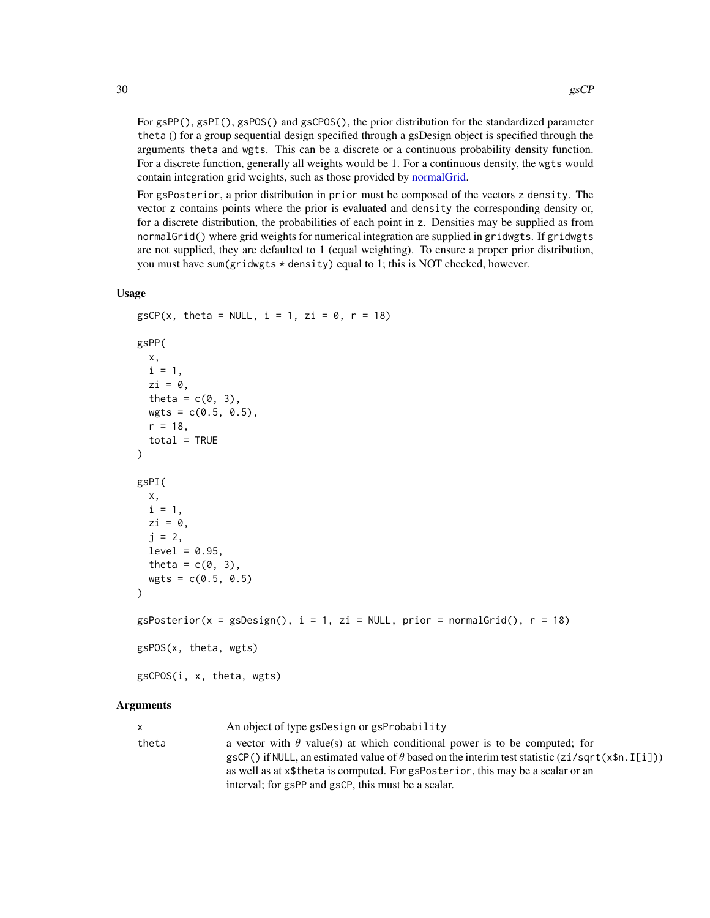For gsPP(), gsP1(), gsP0S() and gsCPOS(), the prior distribution for the standardized parameter theta () for a group sequential design specified through a gsDesign object is specified through the arguments theta and wgts. This can be a discrete or a continuous probability density function. For a discrete function, generally all weights would be 1. For a continuous density, the wgts would contain integration grid weights, such as those provided by [normalGrid.](#page-51-1)

For gsPosterior, a prior distribution in prior must be composed of the vectors z density. The vector z contains points where the prior is evaluated and density the corresponding density or, for a discrete distribution, the probabilities of each point in z. Densities may be supplied as from normalGrid() where grid weights for numerical integration are supplied in gridwgts. If gridwgts are not supplied, they are defaulted to 1 (equal weighting). To ensure a proper prior distribution, you must have sum(gridwgts \* density) equal to 1; this is NOT checked, however.

#### Usage

```
gsCP(x, theta = NULL, i = 1, zi = 0, r = 18)
gsPP(
  x,
 i = 1,
  zi = 0,
  theta = c(0, 3),
  wgts = c(0.5, 0.5),
  r = 18,
  total = TRUE)
gsPI(
 x,
  i = 1,zi = 0,
  j = 2,level = 0.95,
  theta = c(0, 3),
  wgts = c(0.5, 0.5))
gsPosterior(x = gsDesign(), i = 1, zi = NULL, prior = normalGrid(), r = 18)gsPOS(x, theta, wgts)
gsCPOS(i, x, theta, wgts)
```
#### Arguments

| X     | An object of type gsDesign or gsProbability                                                                                                                                                                                                                                                                                             |
|-------|-----------------------------------------------------------------------------------------------------------------------------------------------------------------------------------------------------------------------------------------------------------------------------------------------------------------------------------------|
| theta | a vector with $\theta$ value(s) at which conditional power is to be computed; for<br>gsCP() if NULL, an estimated value of $\theta$ based on the interim test statistic (zi/sqrt(x\$n. I[i]))<br>as well as at x\$theta is computed. For gsPosterior, this may be a scalar or an<br>interval; for gsPP and gsCP, this must be a scalar. |
|       |                                                                                                                                                                                                                                                                                                                                         |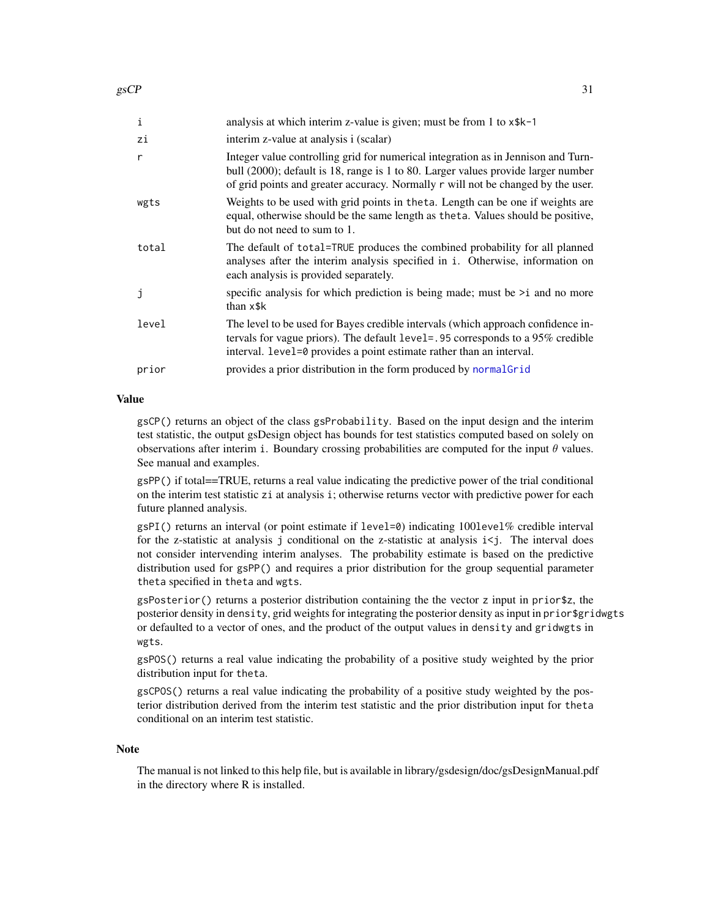| i            | analysis at which interim z-value is given; must be from 1 to x\$k-1                                                                                                                                                                                       |
|--------------|------------------------------------------------------------------------------------------------------------------------------------------------------------------------------------------------------------------------------------------------------------|
| zi           | interim z-value at analysis i (scalar)                                                                                                                                                                                                                     |
| $\mathsf{r}$ | Integer value controlling grid for numerical integration as in Jennison and Turn-<br>bull (2000); default is 18, range is 1 to 80. Larger values provide larger number<br>of grid points and greater accuracy. Normally r will not be changed by the user. |
| wgts         | Weights to be used with grid points in the ta. Length can be one if weights are<br>equal, otherwise should be the same length as the ta. Values should be positive,<br>but do not need to sum to 1.                                                        |
| total        | The default of total=TRUE produces the combined probability for all planned<br>analyses after the interim analysis specified in i. Otherwise, information on<br>each analysis is provided separately.                                                      |
| j            | specific analysis for which prediction is being made; must be $\geq i$ and no more<br>than x\$k                                                                                                                                                            |
| level        | The level to be used for Bayes credible intervals (which approach confidence in-<br>tervals for vague priors). The default level=. 95 corresponds to a 95% credible<br>interval. level=0 provides a point estimate rather than an interval.                |
| prior        | provides a prior distribution in the form produced by normal Grid                                                                                                                                                                                          |

#### Value

gsCP() returns an object of the class gsProbability. Based on the input design and the interim test statistic, the output gsDesign object has bounds for test statistics computed based on solely on observations after interim i. Boundary crossing probabilities are computed for the input  $\theta$  values. See manual and examples.

gsPP() if total==TRUE, returns a real value indicating the predictive power of the trial conditional on the interim test statistic zi at analysis i; otherwise returns vector with predictive power for each future planned analysis.

gsPI() returns an interval (or point estimate if level=0) indicating 100level% credible interval for the z-statistic at analysis j conditional on the z-statistic at analysis i<j. The interval does not consider intervending interim analyses. The probability estimate is based on the predictive distribution used for gsPP() and requires a prior distribution for the group sequential parameter theta specified in theta and wgts.

gsPosterior() returns a posterior distribution containing the the vector z input in prior\$z, the posterior density in density, grid weights for integrating the posterior density as input in prior\$gridwgts or defaulted to a vector of ones, and the product of the output values in density and gridwgts in wgts.

gsPOS() returns a real value indicating the probability of a positive study weighted by the prior distribution input for theta.

gsCPOS() returns a real value indicating the probability of a positive study weighted by the posterior distribution derived from the interim test statistic and the prior distribution input for theta conditional on an interim test statistic.

#### Note

The manual is not linked to this help file, but is available in library/gsdesign/doc/gsDesignManual.pdf in the directory where R is installed.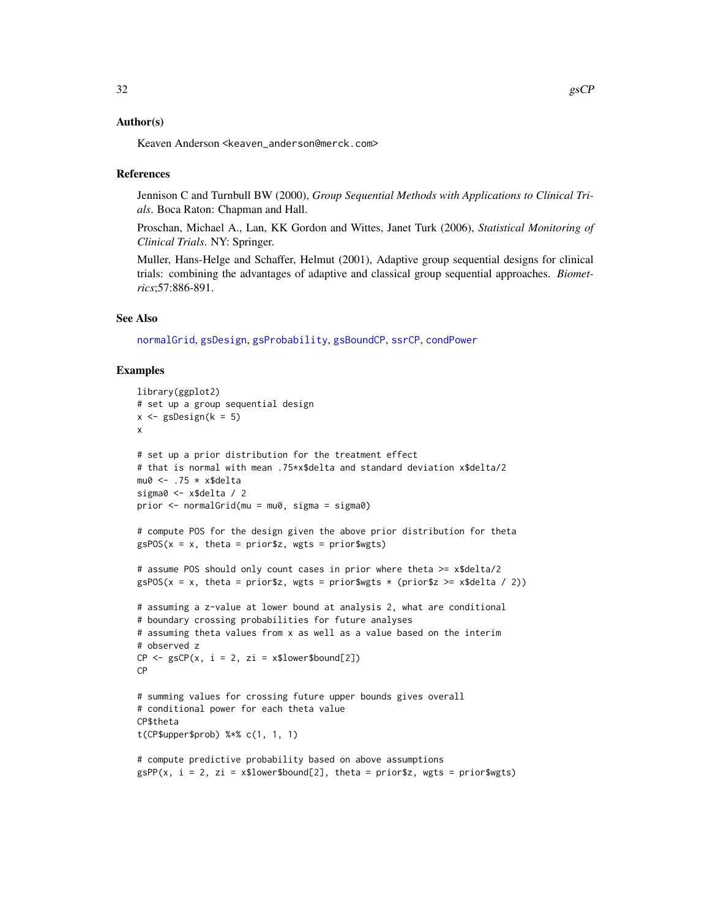#### Author(s)

Keaven Anderson <keaven\_anderson@merck.com>

#### References

Jennison C and Turnbull BW (2000), *Group Sequential Methods with Applications to Clinical Trials*. Boca Raton: Chapman and Hall.

Proschan, Michael A., Lan, KK Gordon and Wittes, Janet Turk (2006), *Statistical Monitoring of Clinical Trials*. NY: Springer.

Muller, Hans-Helge and Schaffer, Helmut (2001), Adaptive group sequential designs for clinical trials: combining the advantages of adaptive and classical group sequential approaches. *Biometrics*;57:886-891.

#### See Also

[normalGrid](#page-51-1), [gsDesign](#page-35-1), [gsProbability](#page-43-1), [gsBoundCP](#page-27-1), [ssrCP](#page-10-2), [condPower](#page-10-1)

#### Examples

```
library(ggplot2)
# set up a group sequential design
x \le - gsDesign(k = 5)
x
# set up a prior distribution for the treatment effect
# that is normal with mean .75*x$delta and standard deviation x$delta/2
mu0 \leftarrow .75 \times x$delta
sigma0 <- x$delta / 2
prior <- normalGrid(mu = mu0, sigma = sigma0)
# compute POS for the design given the above prior distribution for theta
gsPOS(x = x, theta = priorsz, wgts = priorswgts)# assume POS should only count cases in prior where theta >= x$delta/2
gsPOS(x = x, theta = prior$z, wgts = prior$wgts * (prior$z >= x$delta / 2))
# assuming a z-value at lower bound at analysis 2, what are conditional
# boundary crossing probabilities for future analyses
# assuming theta values from x as well as a value based on the interim
# observed z
CP \leq -gSCP(x, i = 2, zi = x$lower$bound[2])CP
# summing values for crossing future upper bounds gives overall
# conditional power for each theta value
CP$theta
t(CP$upper$prob) %*% c(1, 1, 1)
# compute predictive probability based on above assumptions
gSPP(x, i = 2, zi = x$lower$bound[2], theta = prior$z, wgts = prior$wgts)
```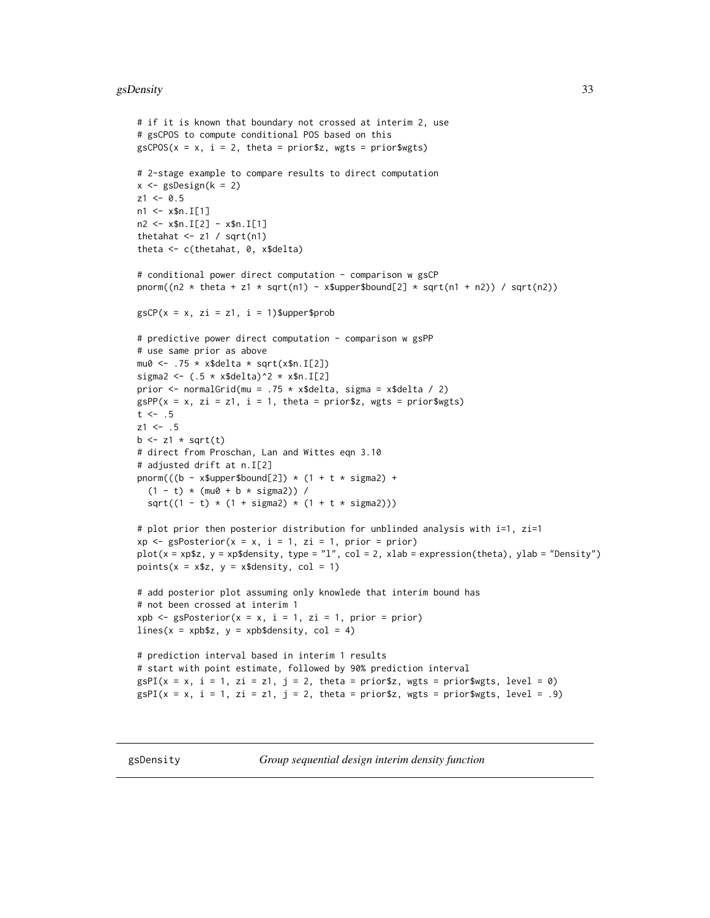#### <span id="page-32-0"></span>gsDensity 33

```
# if it is known that boundary not crossed at interim 2, use
# gsCPOS to compute conditional POS based on this
gSCPOS(x = x, i = 2, theta = priorsz, wgts = priorswgts)# 2-stage example to compare results to direct computation
x \leftarrow gsDesign(k = 2)
z1 < -0.5n1 <- x$n.I[1]
n2 \leq x \n. I[2] - x$n. I[1]
thetahat \leq z1 / sqrt(n1)
theta <- c(thetahat, 0, x$delta)
# conditional power direct computation - comparison w gsCP
pnorm((n2 * theta + z1 * sqrt(n1) - x$upper$bound[2] * sqrt(n1 + n2)) / sqrt(n2))
gSCP(x = x, zi = z1, i = 1)$upper$prob
# predictive power direct computation - comparison w gsPP
# use same prior as above
mu0 \leftarrow .75 \times x$delta * sqrt(x$n.I[2])
sigma2 <- (.5 * x$deltaelta)^2 * x$n.I[2]prior \leq normalGrid(mu = .75 \star x$delta, sigma = x$delta / 2)
gSPP(x = x, zi = z1, i = 1, theta = priorsz, wgts = priorswgts)t \le - .5z1 \le - .5b \leftarrow z1 \cdot \sqrt{z}# direct from Proschan, Lan and Wittes eqn 3.10
# adjusted drift at n.I[2]
pnorm((b - x$upper$bound[2]) * (1 + t * sigma2) +(1 - t) * (mu0 + b * sigma2)) /sqrt((1 - t) * (1 + sigma2) * (1 + t * sigma2)))
# plot prior then posterior distribution for unblinded analysis with i=1, zi=1
xp \leq spS s \text{Posterior}(x = x, i = 1, zi = 1, prior = prior)plot(x = xp$z, y = xp$density, type = "l", col = 2, xlab = expression(theta), ylab = "Density")
points(x = x$z, y = x$density, col = 1)
# add posterior plot assuming only knowlede that interim bound has
# not been crossed at interim 1
xpb \leq gsPosterior(x = x, i = 1, zi = 1, prior = prior)
lines(x = xpbsz, y = xpbsdensity, col = 4)
# prediction interval based in interim 1 results
# start with point estimate, followed by 90% prediction interval
gsPI(x = x, i = 1, zi = z1, j = 2, theta = priorsz, wgts = priorswgts, level = 0)gsPI(x = x, i = 1, zi = z1, j = 2, theta = prior $z, wgts = prior$wgts, level = .9)
```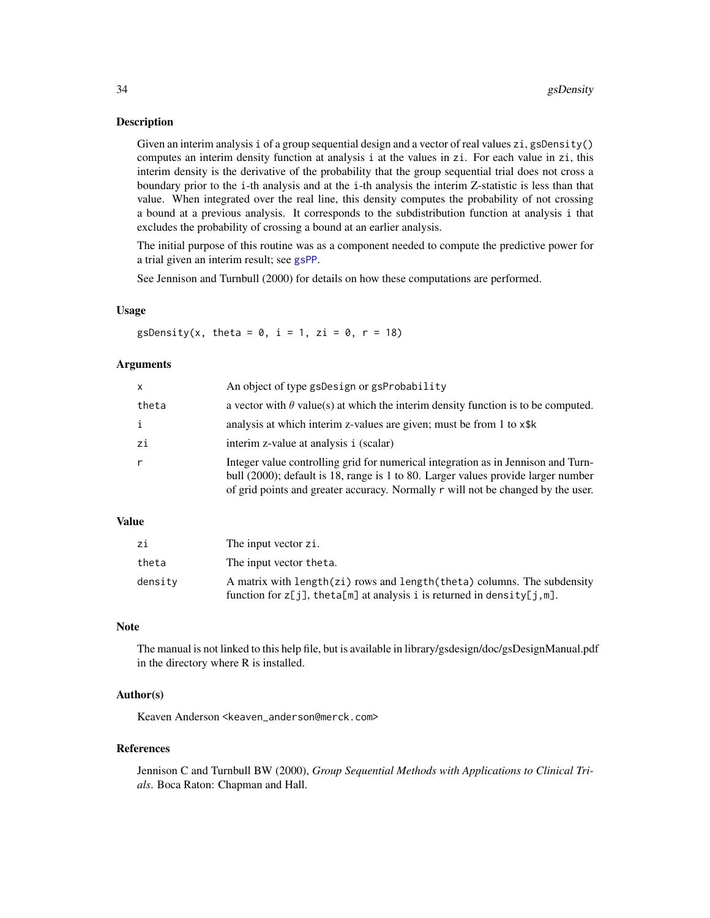#### Description

Given an interim analysis i of a group sequential design and a vector of real values zi, gsDensity() computes an interim density function at analysis i at the values in zi. For each value in zi, this interim density is the derivative of the probability that the group sequential trial does not cross a boundary prior to the i-th analysis and at the i-th analysis the interim Z-statistic is less than that value. When integrated over the real line, this density computes the probability of not crossing a bound at a previous analysis. It corresponds to the subdistribution function at analysis i that excludes the probability of crossing a bound at an earlier analysis.

The initial purpose of this routine was as a component needed to compute the predictive power for a trial given an interim result; see [gsPP](#page-28-2).

See Jennison and Turnbull (2000) for details on how these computations are performed.

#### Usage

gsDensity(x, theta =  $0$ , i = 1, zi =  $0$ , r = 18)

#### **Arguments**

| $\mathsf{x}$ | An object of type gsDesign or gsProbability                                                                                                                                                                                                                |
|--------------|------------------------------------------------------------------------------------------------------------------------------------------------------------------------------------------------------------------------------------------------------------|
| theta        | a vector with $\theta$ value(s) at which the interim density function is to be computed.                                                                                                                                                                   |
|              | analysis at which interim z-values are given; must be from 1 to x\$k                                                                                                                                                                                       |
| zi           | interim z-value at analysis i (scalar)                                                                                                                                                                                                                     |
|              | Integer value controlling grid for numerical integration as in Jennison and Turn-<br>bull (2000); default is 18, range is 1 to 80. Larger values provide larger number<br>of grid points and greater accuracy. Normally r will not be changed by the user. |

#### Value

| zi      | The input vector zi.                                                                                                                                  |
|---------|-------------------------------------------------------------------------------------------------------------------------------------------------------|
| theta   | The input vector theta.                                                                                                                               |
| density | A matrix with length(zi) rows and length(theta) columns. The subdensity<br>function for $z[j]$ , the ta[m] at analysis i is returned in density[j,m]. |

#### Note

The manual is not linked to this help file, but is available in library/gsdesign/doc/gsDesignManual.pdf in the directory where R is installed.

### Author(s)

Keaven Anderson <keaven\_anderson@merck.com>

#### References

Jennison C and Turnbull BW (2000), *Group Sequential Methods with Applications to Clinical Trials*. Boca Raton: Chapman and Hall.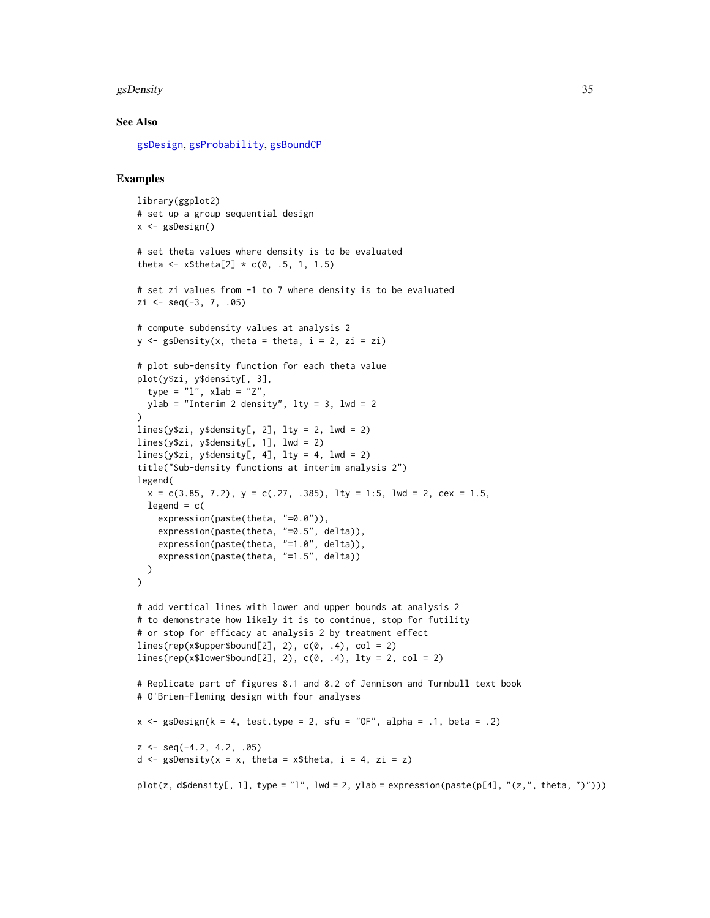#### gsDensity 35

#### See Also

[gsDesign](#page-35-1), [gsProbability](#page-43-1), [gsBoundCP](#page-27-1)

#### Examples

```
library(ggplot2)
# set up a group sequential design
x <- gsDesign()
# set theta values where density is to be evaluated
theta <- x$theta[2] * c(0, .5, 1, 1.5)# set zi values from -1 to 7 where density is to be evaluated
zi \leq - \text{seq}(-3, 7, .05)# compute subdensity values at analysis 2
y \leq -gsDensity(x, theta = theta, i = 2, zi = zi)
# plot sub-density function for each theta value
plot(y$zi, y$density[, 3],
  type = "1", xlab = "Z",
 ylab = "Interim 2 density", lty = 3, lwd = 2
)
lines(y$zi, y$density[, 2], lty = 2, lwd = 2)
lines(y$zi, y$density[, 1], lwd = 2)
lines(y$zi, y$density[, 4], lty = 4, lwd = 2)
title("Sub-density functions at interim analysis 2")
legend(
  x = c(3.85, 7.2), y = c(.27, .385), \text{lty} = 1:5, \text{lwd} = 2, \text{cex} = 1.5,legend = c(expression(paste(theta, "=0.0")),
    expression(paste(theta, "=0.5", delta)),
    expression(paste(theta, "=1.0", delta)),
    expression(paste(theta, "=1.5", delta))
 )
\lambda# add vertical lines with lower and upper bounds at analysis 2
# to demonstrate how likely it is to continue, stop for futility
# or stop for efficacy at analysis 2 by treatment effect
lines(rep(x$upper$bound[2], 2), c(\theta, .4), col = 2)
lines(rep(x$lower$bound[2], 2), c(0, .4), lty = 2, col = 2)
# Replicate part of figures 8.1 and 8.2 of Jennison and Turnbull text book
# O'Brien-Fleming design with four analyses
x \leq - gsDesign(k = 4, test.type = 2, sfu = "OF", alpha = .1, beta = .2)
z \leq - seq(-4.2, 4.2, .05)
d \leq gsDensity(x = x, theta = x$theta, i = 4, zi = z)
plot(z, d$density[, 1], type = "l", lwd = 2, ylab = expression(paste(p[4], "(z,", theta, ")")))
```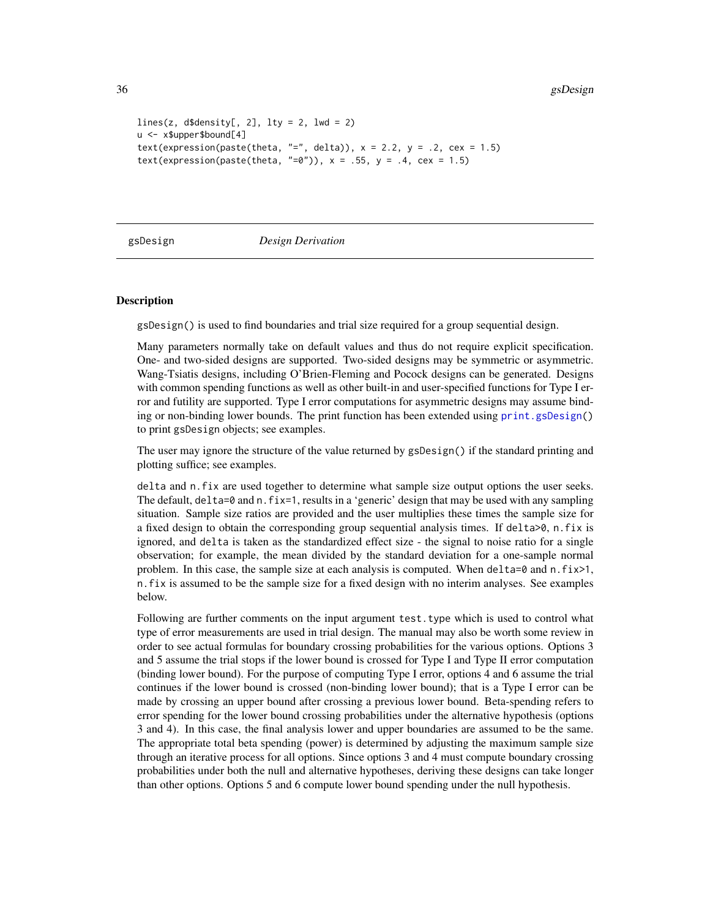```
lines(z, d$density[, 2], lty = 2, lwd = 2)u <- x$upper$bound[4]
text(expression(paste(theta, "=", delta)), x = 2.2, y = .2, cex = 1.5)
text(expression(paste(theta, "=0")), x = .55, y = .4, cex = 1.5)
```
<span id="page-35-1"></span>

gsDesign *Design Derivation*

#### **Description**

gsDesign() is used to find boundaries and trial size required for a group sequential design.

Many parameters normally take on default values and thus do not require explicit specification. One- and two-sided designs are supported. Two-sided designs may be symmetric or asymmetric. Wang-Tsiatis designs, including O'Brien-Fleming and Pocock designs can be generated. Designs with common spending functions as well as other built-in and user-specified functions for Type I error and futility are supported. Type I error computations for asymmetric designs may assume binding or non-binding lower bounds. The print function has been extended using [print.gsDesign\(](#page-96-1)) to print gsDesign objects; see examples.

The user may ignore the structure of the value returned by gsDesign() if the standard printing and plotting suffice; see examples.

delta and n.fix are used together to determine what sample size output options the user seeks. The default,  $delta=0$  and  $n$ . fix=1, results in a 'generic' design that may be used with any sampling situation. Sample size ratios are provided and the user multiplies these times the sample size for a fixed design to obtain the corresponding group sequential analysis times. If delta>0, n.fix is ignored, and delta is taken as the standardized effect size - the signal to noise ratio for a single observation; for example, the mean divided by the standard deviation for a one-sample normal problem. In this case, the sample size at each analysis is computed. When delta=0 and n.  $fix>1$ , n.fix is assumed to be the sample size for a fixed design with no interim analyses. See examples below.

Following are further comments on the input argument test. type which is used to control what type of error measurements are used in trial design. The manual may also be worth some review in order to see actual formulas for boundary crossing probabilities for the various options. Options 3 and 5 assume the trial stops if the lower bound is crossed for Type I and Type II error computation (binding lower bound). For the purpose of computing Type I error, options 4 and 6 assume the trial continues if the lower bound is crossed (non-binding lower bound); that is a Type I error can be made by crossing an upper bound after crossing a previous lower bound. Beta-spending refers to error spending for the lower bound crossing probabilities under the alternative hypothesis (options 3 and 4). In this case, the final analysis lower and upper boundaries are assumed to be the same. The appropriate total beta spending (power) is determined by adjusting the maximum sample size through an iterative process for all options. Since options 3 and 4 must compute boundary crossing probabilities under both the null and alternative hypotheses, deriving these designs can take longer than other options. Options 5 and 6 compute lower bound spending under the null hypothesis.

<span id="page-35-0"></span>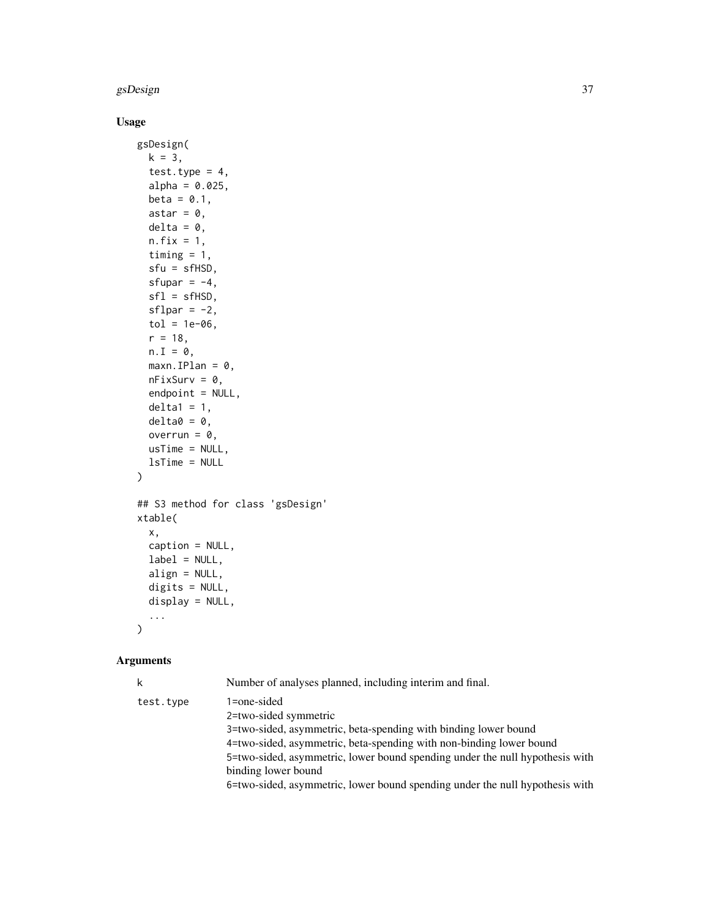## gsDesign 37

# Usage

```
gsDesign(
  k = 3,test.type = 4,
  alpha = 0.025,
  beta = 0.1,
  astar = \theta,
  delta = 0,
  n.fix = 1,
  timing = 1,
  sfu = sfHSD,
  sfupar = -4,
  sfl = sfHSD,sflpar = -2,
  tol = 1e-06,r = 18,
  n.I = 0,maxn.IPlan = 0,
  nFixSurv = 0,
  endpoint = NULL,delta1 = 1,delta = 0,
  overrun = 0,usTime = NULL,
  lsTime = NULL
\mathcal{L}## S3 method for class 'gsDesign'
xtable(
  x,
  caption = NULL,
  label = NULL,align = NULL,
  digits = NULL,
  display = NULL,
  ...
\mathcal{L}
```
# Arguments

|           | Number of analyses planned, including interim and final.                                                                                                                                                                                                                                                                                                              |
|-----------|-----------------------------------------------------------------------------------------------------------------------------------------------------------------------------------------------------------------------------------------------------------------------------------------------------------------------------------------------------------------------|
| test.type | 1=one-sided<br>2=two-sided symmetric<br>3=two-sided, asymmetric, beta-spending with binding lower bound<br>4=two-sided, asymmetric, beta-spending with non-binding lower bound<br>5=two-sided, asymmetric, lower bound spending under the null hypothesis with<br>binding lower bound<br>6=two-sided, asymmetric, lower bound spending under the null hypothesis with |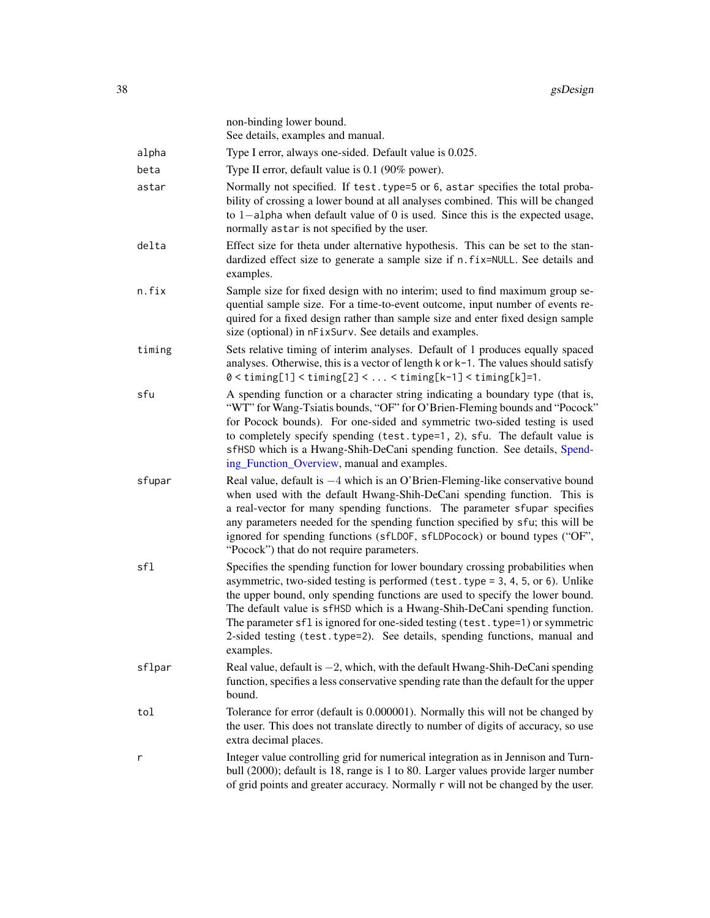|        | non-binding lower bound.<br>See details, examples and manual.                                                                                                                                                                                                                                                                                                                                                                                                                                                       |
|--------|---------------------------------------------------------------------------------------------------------------------------------------------------------------------------------------------------------------------------------------------------------------------------------------------------------------------------------------------------------------------------------------------------------------------------------------------------------------------------------------------------------------------|
| alpha  | Type I error, always one-sided. Default value is 0.025.                                                                                                                                                                                                                                                                                                                                                                                                                                                             |
| beta   | Type II error, default value is 0.1 (90% power).                                                                                                                                                                                                                                                                                                                                                                                                                                                                    |
| astar  | Normally not specified. If test. type=5 or 6, astar specifies the total proba-<br>bility of crossing a lower bound at all analyses combined. This will be changed<br>to 1-alpha when default value of 0 is used. Since this is the expected usage,<br>normally astar is not specified by the user.                                                                                                                                                                                                                  |
| delta  | Effect size for theta under alternative hypothesis. This can be set to the stan-<br>dardized effect size to generate a sample size if n. fix=NULL. See details and<br>examples.                                                                                                                                                                                                                                                                                                                                     |
| n.fix  | Sample size for fixed design with no interim; used to find maximum group se-<br>quential sample size. For a time-to-event outcome, input number of events re-<br>quired for a fixed design rather than sample size and enter fixed design sample<br>size (optional) in nFixSurv. See details and examples.                                                                                                                                                                                                          |
| timing | Sets relative timing of interim analyses. Default of 1 produces equally spaced<br>analyses. Otherwise, this is a vector of length k or k-1. The values should satisfy<br>$0 < t$ iming[1] < timing[2] <  < timing[k-1] < timing[k]=1.                                                                                                                                                                                                                                                                               |
| sfu    | A spending function or a character string indicating a boundary type (that is,<br>"WT" for Wang-Tsiatis bounds, "OF" for O'Brien-Fleming bounds and "Pocock"<br>for Pocock bounds). For one-sided and symmetric two-sided testing is used<br>to completely specify spending (test.type=1, 2), sfu. The default value is<br>sfHSD which is a Hwang-Shih-DeCani spending function. See details, Spend-<br>ing_Function_Overview, manual and examples.                                                                 |
| sfupar | Real value, default is $-4$ which is an O'Brien-Fleming-like conservative bound<br>when used with the default Hwang-Shih-DeCani spending function. This is<br>a real-vector for many spending functions. The parameter sfupar specifies<br>any parameters needed for the spending function specified by sfu; this will be<br>ignored for spending functions (sfLDOF, sfLDPocock) or bound types ("OF",<br>"Pocock") that do not require parameters.                                                                 |
| sfl    | Specifies the spending function for lower boundary crossing probabilities when<br>asymmetric, two-sided testing is performed (test. type = $3, 4, 5$ , or $6$ ). Unlike<br>the upper bound, only spending functions are used to specify the lower bound.<br>The default value is sfHSD which is a Hwang-Shih-DeCani spending function.<br>The parameter sfl is ignored for one-sided testing (test. type=1) or symmetric<br>2-sided testing (test.type=2). See details, spending functions, manual and<br>examples. |
| sflpar | Real value, default is $-2$ , which, with the default Hwang-Shih-DeCani spending<br>function, specifies a less conservative spending rate than the default for the upper<br>bound.                                                                                                                                                                                                                                                                                                                                  |
| tol    | Tolerance for error (default is 0.000001). Normally this will not be changed by<br>the user. This does not translate directly to number of digits of accuracy, so use<br>extra decimal places.                                                                                                                                                                                                                                                                                                                      |
| r      | Integer value controlling grid for numerical integration as in Jennison and Turn-<br>bull (2000); default is 18, range is 1 to 80. Larger values provide larger number<br>of grid points and greater accuracy. Normally r will not be changed by the user.                                                                                                                                                                                                                                                          |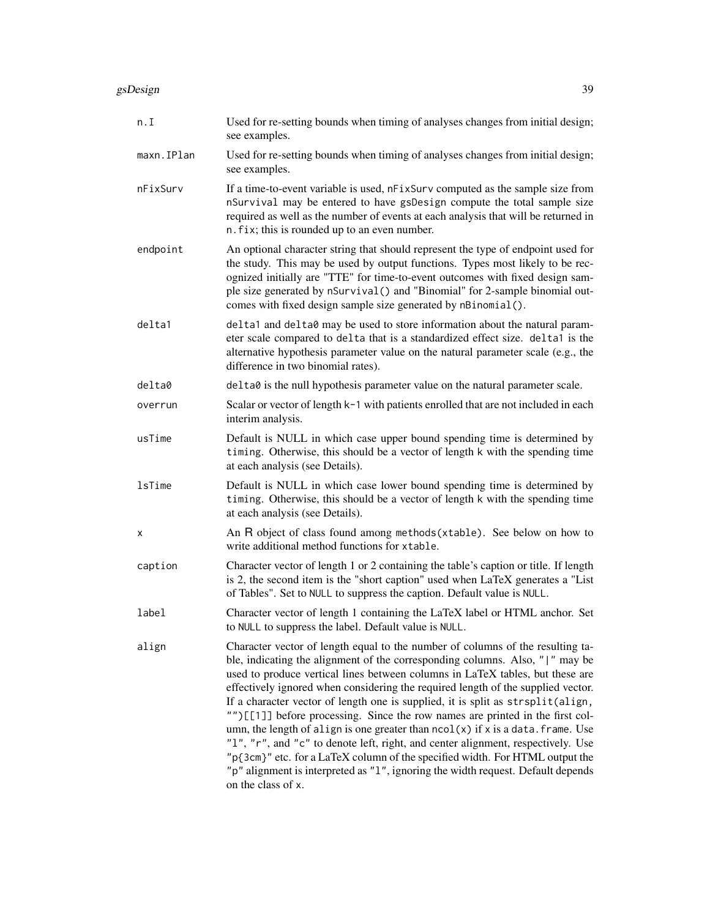| n.I           | Used for re-setting bounds when timing of analyses changes from initial design;<br>see examples.                                                                                                                                                                                                                                                                                                                                                                                                                                                                                                                                                                                                                                                                                                                                                                           |
|---------------|----------------------------------------------------------------------------------------------------------------------------------------------------------------------------------------------------------------------------------------------------------------------------------------------------------------------------------------------------------------------------------------------------------------------------------------------------------------------------------------------------------------------------------------------------------------------------------------------------------------------------------------------------------------------------------------------------------------------------------------------------------------------------------------------------------------------------------------------------------------------------|
| maxn.IPlan    | Used for re-setting bounds when timing of analyses changes from initial design;<br>see examples.                                                                                                                                                                                                                                                                                                                                                                                                                                                                                                                                                                                                                                                                                                                                                                           |
| nFixSurv      | If a time-to-event variable is used, nFixSurv computed as the sample size from<br>nSurvival may be entered to have gsDesign compute the total sample size<br>required as well as the number of events at each analysis that will be returned in<br>n. fix; this is rounded up to an even number.                                                                                                                                                                                                                                                                                                                                                                                                                                                                                                                                                                           |
| endpoint      | An optional character string that should represent the type of endpoint used for<br>the study. This may be used by output functions. Types most likely to be rec-<br>ognized initially are "TTE" for time-to-event outcomes with fixed design sam-<br>ple size generated by nSurvival() and "Binomial" for 2-sample binomial out-<br>comes with fixed design sample size generated by nBinomial().                                                                                                                                                                                                                                                                                                                                                                                                                                                                         |
| delta1        | delta1 and delta0 may be used to store information about the natural param-<br>eter scale compared to delta that is a standardized effect size. delta1 is the<br>alternative hypothesis parameter value on the natural parameter scale (e.g., the<br>difference in two binomial rates).                                                                                                                                                                                                                                                                                                                                                                                                                                                                                                                                                                                    |
| delta0        | delta0 is the null hypothesis parameter value on the natural parameter scale.                                                                                                                                                                                                                                                                                                                                                                                                                                                                                                                                                                                                                                                                                                                                                                                              |
| overrun       | Scalar or vector of length k-1 with patients enrolled that are not included in each<br>interim analysis.                                                                                                                                                                                                                                                                                                                                                                                                                                                                                                                                                                                                                                                                                                                                                                   |
| usTime        | Default is NULL in which case upper bound spending time is determined by<br>timing. Otherwise, this should be a vector of length k with the spending time<br>at each analysis (see Details).                                                                                                                                                                                                                                                                                                                                                                                                                                                                                                                                                                                                                                                                               |
| <b>lsTime</b> | Default is NULL in which case lower bound spending time is determined by<br>timing. Otherwise, this should be a vector of length k with the spending time<br>at each analysis (see Details).                                                                                                                                                                                                                                                                                                                                                                                                                                                                                                                                                                                                                                                                               |
| X             | An R object of class found among methods (xtable). See below on how to<br>write additional method functions for xtable.                                                                                                                                                                                                                                                                                                                                                                                                                                                                                                                                                                                                                                                                                                                                                    |
| caption       | Character vector of length 1 or 2 containing the table's caption or title. If length<br>is 2, the second item is the "short caption" used when LaTeX generates a "List"<br>of Tables". Set to NULL to suppress the caption. Default value is NULL.                                                                                                                                                                                                                                                                                                                                                                                                                                                                                                                                                                                                                         |
| label         | Character vector of length 1 containing the LaTeX label or HTML anchor. Set<br>to NULL to suppress the label. Default value is NULL.                                                                                                                                                                                                                                                                                                                                                                                                                                                                                                                                                                                                                                                                                                                                       |
| align         | Character vector of length equal to the number of columns of the resulting ta-<br>ble, indicating the alignment of the corresponding columns. Also, " " may be<br>used to produce vertical lines between columns in LaTeX tables, but these are<br>effectively ignored when considering the required length of the supplied vector.<br>If a character vector of length one is supplied, it is split as strsplit(align,<br>"")[[1]] before processing. Since the row names are printed in the first col-<br>umn, the length of align is one greater than $ncol(x)$ if x is a data. frame. Use<br>"1", "r", and "c" to denote left, right, and center alignment, respectively. Use<br>"p{3cm}" etc. for a LaTeX column of the specified width. For HTML output the<br>"p" alignment is interpreted as "1", ignoring the width request. Default depends<br>on the class of x. |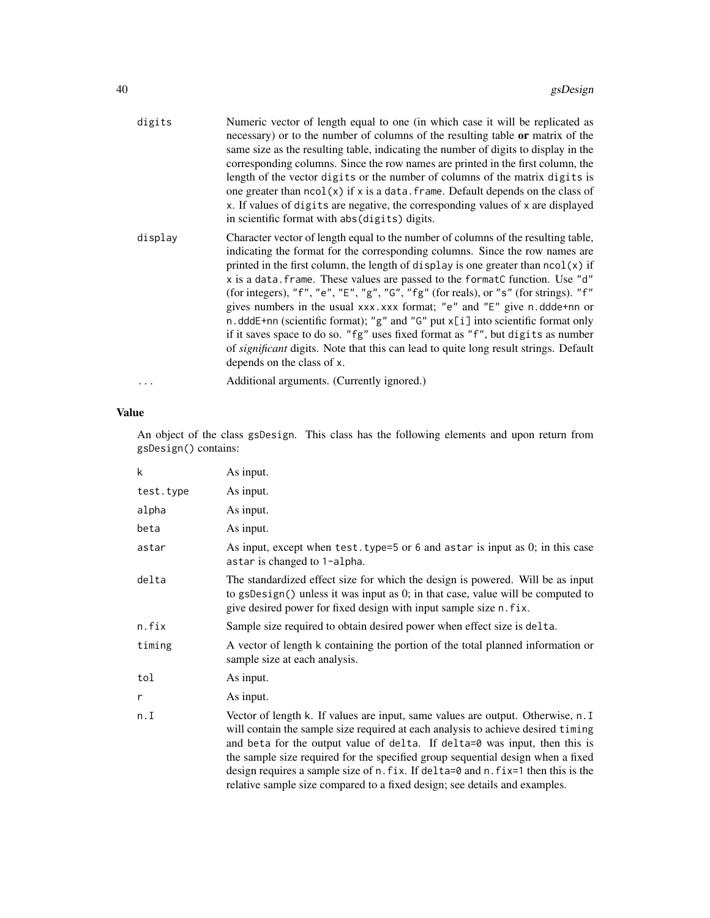| digits  | Numeric vector of length equal to one (in which case it will be replicated as<br>necessary) or to the number of columns of the resulting table <b>or</b> matrix of the<br>same size as the resulting table, indicating the number of digits to display in the<br>corresponding columns. Since the row names are printed in the first column, the<br>length of the vector digits or the number of columns of the matrix digits is<br>one greater than $ncol(x)$ if x is a data. frame. Default depends on the class of<br>x. If values of digits are negative, the corresponding values of x are displayed<br>in scientific format with abs (digits) digits.                                                                                                                                                       |
|---------|-------------------------------------------------------------------------------------------------------------------------------------------------------------------------------------------------------------------------------------------------------------------------------------------------------------------------------------------------------------------------------------------------------------------------------------------------------------------------------------------------------------------------------------------------------------------------------------------------------------------------------------------------------------------------------------------------------------------------------------------------------------------------------------------------------------------|
| display | Character vector of length equal to the number of columns of the resulting table,<br>indicating the format for the corresponding columns. Since the row names are<br>printed in the first column, the length of display is one greater than $\text{ncol}(x)$ if<br>x is a data. frame. These values are passed to the formatC function. Use "d"<br>(for integers), "f", "e", "E", "g", "G", "fg" (for reals), or "s" (for strings). "f"<br>gives numbers in the usual xxx.xxx format; "e" and "E" give n.ddde+nn or<br>n.dddE+nn (scientific format); "g" and "G" put $x[i]$ into scientific format only<br>if it saves space to do so. "fg" uses fixed format as "f", but digits as number<br>of significant digits. Note that this can lead to quite long result strings. Default<br>depends on the class of x. |
|         | Additional arguments. (Currently ignored.)                                                                                                                                                                                                                                                                                                                                                                                                                                                                                                                                                                                                                                                                                                                                                                        |

# Value

An object of the class gsDesign. This class has the following elements and upon return from gsDesign() contains:

| k         | As input.                                                                                                                                                                                                                                                                                                                                                                                                                                                                                                |
|-----------|----------------------------------------------------------------------------------------------------------------------------------------------------------------------------------------------------------------------------------------------------------------------------------------------------------------------------------------------------------------------------------------------------------------------------------------------------------------------------------------------------------|
| test.type | As input.                                                                                                                                                                                                                                                                                                                                                                                                                                                                                                |
| alpha     | As input.                                                                                                                                                                                                                                                                                                                                                                                                                                                                                                |
| beta      | As input.                                                                                                                                                                                                                                                                                                                                                                                                                                                                                                |
| astar     | As input, except when $test.\text{type=}5$ or 6 and astar is input as 0; in this case<br>astar is changed to 1-alpha.                                                                                                                                                                                                                                                                                                                                                                                    |
| delta     | The standardized effect size for which the design is powered. Will be as input<br>to gsDesign() unless it was input as 0; in that case, value will be computed to<br>give desired power for fixed design with input sample size n. fix.                                                                                                                                                                                                                                                                  |
| n.fix     | Sample size required to obtain desired power when effect size is delta.                                                                                                                                                                                                                                                                                                                                                                                                                                  |
| timing    | A vector of length k containing the portion of the total planned information or<br>sample size at each analysis.                                                                                                                                                                                                                                                                                                                                                                                         |
| tol       | As input.                                                                                                                                                                                                                                                                                                                                                                                                                                                                                                |
| r         | As input.                                                                                                                                                                                                                                                                                                                                                                                                                                                                                                |
| n.I       | Vector of length k. If values are input, same values are output. Otherwise, n. I<br>will contain the sample size required at each analysis to achieve desired timing<br>and beta for the output value of delta. If delta=0 was input, then this is<br>the sample size required for the specified group sequential design when a fixed<br>design requires a sample size of n. fix. If delta=0 and n. fix=1 then this is the<br>relative sample size compared to a fixed design; see details and examples. |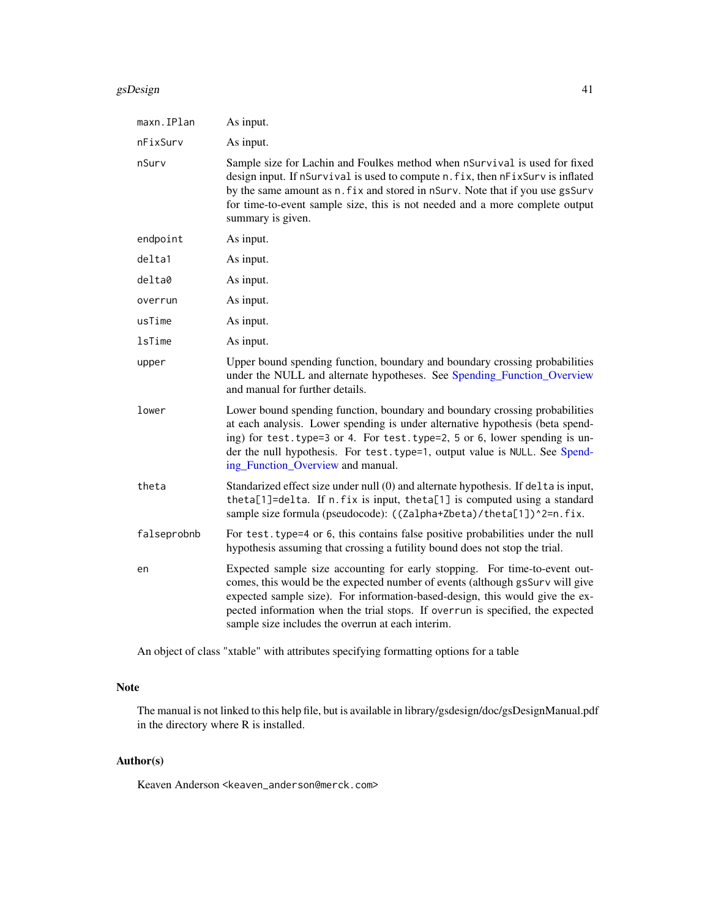#### gsDesign  $\blacksquare$

| maxn.IPlan    | As input.                                                                                                                                                                                                                                                                                                                                                                          |
|---------------|------------------------------------------------------------------------------------------------------------------------------------------------------------------------------------------------------------------------------------------------------------------------------------------------------------------------------------------------------------------------------------|
| nFixSurv      | As input.                                                                                                                                                                                                                                                                                                                                                                          |
| nSurv         | Sample size for Lachin and Foulkes method when nSurvival is used for fixed<br>design input. If nSurvival is used to compute n. fix, then nFixSurv is inflated<br>by the same amount as n. fix and stored in nSurv. Note that if you use gsSurv<br>for time-to-event sample size, this is not needed and a more complete output<br>summary is given.                                |
| endpoint      | As input.                                                                                                                                                                                                                                                                                                                                                                          |
| delta1        | As input.                                                                                                                                                                                                                                                                                                                                                                          |
| delta0        | As input.                                                                                                                                                                                                                                                                                                                                                                          |
| overrun       | As input.                                                                                                                                                                                                                                                                                                                                                                          |
| usTime        | As input.                                                                                                                                                                                                                                                                                                                                                                          |
| <b>lsTime</b> | As input.                                                                                                                                                                                                                                                                                                                                                                          |
| upper         | Upper bound spending function, boundary and boundary crossing probabilities<br>under the NULL and alternate hypotheses. See Spending_Function_Overview<br>and manual for further details.                                                                                                                                                                                          |
| lower         | Lower bound spending function, boundary and boundary crossing probabilities<br>at each analysis. Lower spending is under alternative hypothesis (beta spend-<br>ing) for test. type=3 or 4. For test. type=2, 5 or 6, lower spending is un-<br>der the null hypothesis. For test.type=1, output value is NULL. See Spend-<br>ing_Function_Overview and manual.                     |
| theta         | Standarized effect size under null (0) and alternate hypothesis. If delta is input,<br>theta[1]=delta. If n.fix is input, theta[1] is computed using a standard<br>sample size formula (pseudocode): ((Zalpha+Zbeta)/theta[1])^2=n.fix.                                                                                                                                            |
| falseprobnb   | For test. type=4 or 6, this contains false positive probabilities under the null<br>hypothesis assuming that crossing a futility bound does not stop the trial.                                                                                                                                                                                                                    |
| en            | Expected sample size accounting for early stopping. For time-to-event out-<br>comes, this would be the expected number of events (although gsSurv will give<br>expected sample size). For information-based-design, this would give the ex-<br>pected information when the trial stops. If overrun is specified, the expected<br>sample size includes the overrun at each interim. |

An object of class "xtable" with attributes specifying formatting options for a table

# Note

The manual is not linked to this help file, but is available in library/gsdesign/doc/gsDesignManual.pdf in the directory where R is installed.

# Author(s)

Keaven Anderson <keaven\_anderson@merck.com>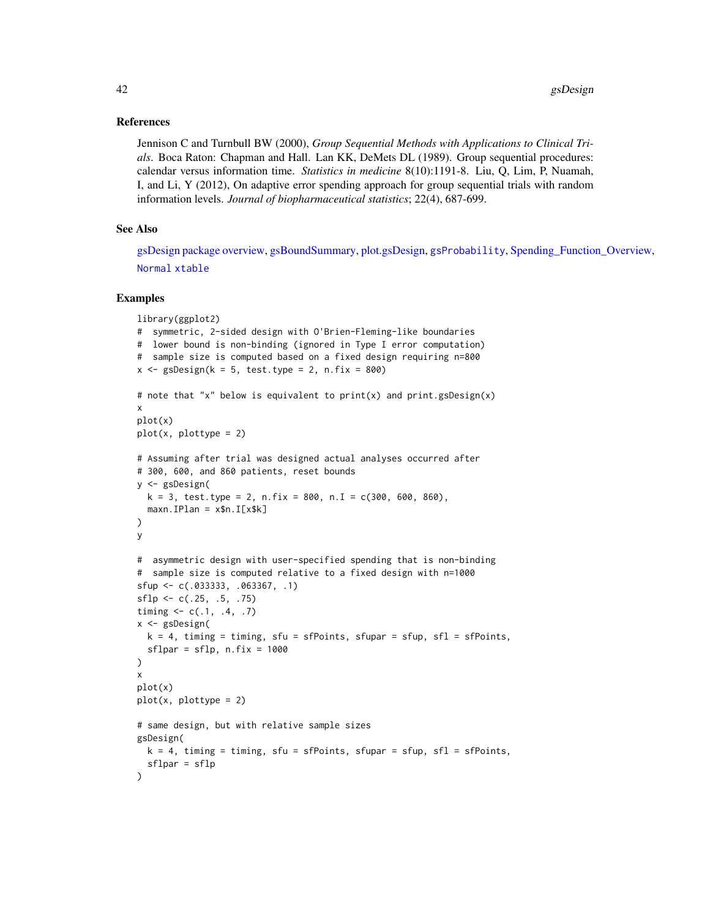## References

Jennison C and Turnbull BW (2000), *Group Sequential Methods with Applications to Clinical Trials*. Boca Raton: Chapman and Hall. Lan KK, DeMets DL (1989). Group sequential procedures: calendar versus information time. *Statistics in medicine* 8(10):1191-8. Liu, Q, Lim, P, Nuamah, I, and Li, Y (2012), On adaptive error spending approach for group sequential trials with random information levels. *Journal of biopharmaceutical statistics*; 22(4), 687-699.

### See Also

[gsDesign package overview,](#page-42-0) [gsBoundSummary,](#page-96-0) [plot.gsDesign,](#page-53-0) [gsProbability](#page-43-0), [Spending\\_Function\\_Overview,](#page-93-0) [Normal](#page-0-0) [xtable](#page-102-0)

```
library(ggplot2)
# symmetric, 2-sided design with O'Brien-Fleming-like boundaries
# lower bound is non-binding (ignored in Type I error computation)
# sample size is computed based on a fixed design requiring n=800
x \leq - gsDesign(k = 5, test.type = 2, n.fix = 800)
# note that "x" below is equivalent to print(x) and print(gsDesign(x))x
plot(x)
plot(x, plottype = 2)# Assuming after trial was designed actual analyses occurred after
# 300, 600, and 860 patients, reset bounds
y <- gsDesign(
  k = 3, test.type = 2, n.fix = 800, n.I = c(300, 600, 860),
  maxn.IDan = x$n.I[x$k])
y
# asymmetric design with user-specified spending that is non-binding
# sample size is computed relative to a fixed design with n=1000
sfup <- c(.033333, .063367, .1)
sflp < -c(.25, .5, .75)timing \leq c(.1, .4, .7)x <- gsDesign(
 k = 4, timing = timing, sfu = sfPoints, sfupar = sfup, sfl = sfPoints,
  sflpar = sflp, n.fix = 1000)
x
plot(x)
plot(x, plottype = 2)# same design, but with relative sample sizes
gsDesign(
  k = 4, timing = timing, sfu = sfPoints, sfupar = sfup, sfl = sfPoints,
  sflpar = sflp
\mathcal{L}
```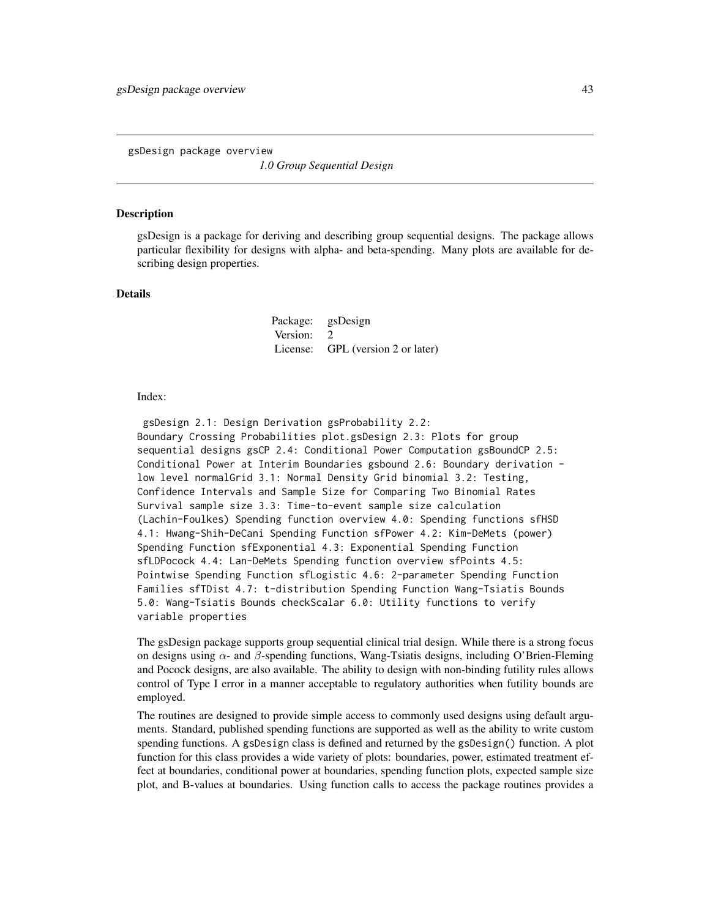<span id="page-42-0"></span>gsDesign package overview

*1.0 Group Sequential Design*

### Description

gsDesign is a package for deriving and describing group sequential designs. The package allows particular flexibility for designs with alpha- and beta-spending. Many plots are available for describing design properties.

### Details

Package: gsDesign Version: 2 License: GPL (version 2 or later)

#### Index:

gsDesign 2.1: Design Derivation gsProbability 2.2: Boundary Crossing Probabilities plot.gsDesign 2.3: Plots for group sequential designs gsCP 2.4: Conditional Power Computation gsBoundCP 2.5: Conditional Power at Interim Boundaries gsbound 2.6: Boundary derivation low level normalGrid 3.1: Normal Density Grid binomial 3.2: Testing, Confidence Intervals and Sample Size for Comparing Two Binomial Rates Survival sample size 3.3: Time-to-event sample size calculation (Lachin-Foulkes) Spending function overview 4.0: Spending functions sfHSD 4.1: Hwang-Shih-DeCani Spending Function sfPower 4.2: Kim-DeMets (power) Spending Function sfExponential 4.3: Exponential Spending Function sfLDPocock 4.4: Lan-DeMets Spending function overview sfPoints 4.5: Pointwise Spending Function sfLogistic 4.6: 2-parameter Spending Function Families sfTDist 4.7: t-distribution Spending Function Wang-Tsiatis Bounds 5.0: Wang-Tsiatis Bounds checkScalar 6.0: Utility functions to verify variable properties

The gsDesign package supports group sequential clinical trial design. While there is a strong focus on designs using  $\alpha$ - and  $\beta$ -spending functions, Wang-Tsiatis designs, including O'Brien-Fleming and Pocock designs, are also available. The ability to design with non-binding futility rules allows control of Type I error in a manner acceptable to regulatory authorities when futility bounds are employed.

The routines are designed to provide simple access to commonly used designs using default arguments. Standard, published spending functions are supported as well as the ability to write custom spending functions. A gsDesign class is defined and returned by the gsDesign() function. A plot function for this class provides a wide variety of plots: boundaries, power, estimated treatment effect at boundaries, conditional power at boundaries, spending function plots, expected sample size plot, and B-values at boundaries. Using function calls to access the package routines provides a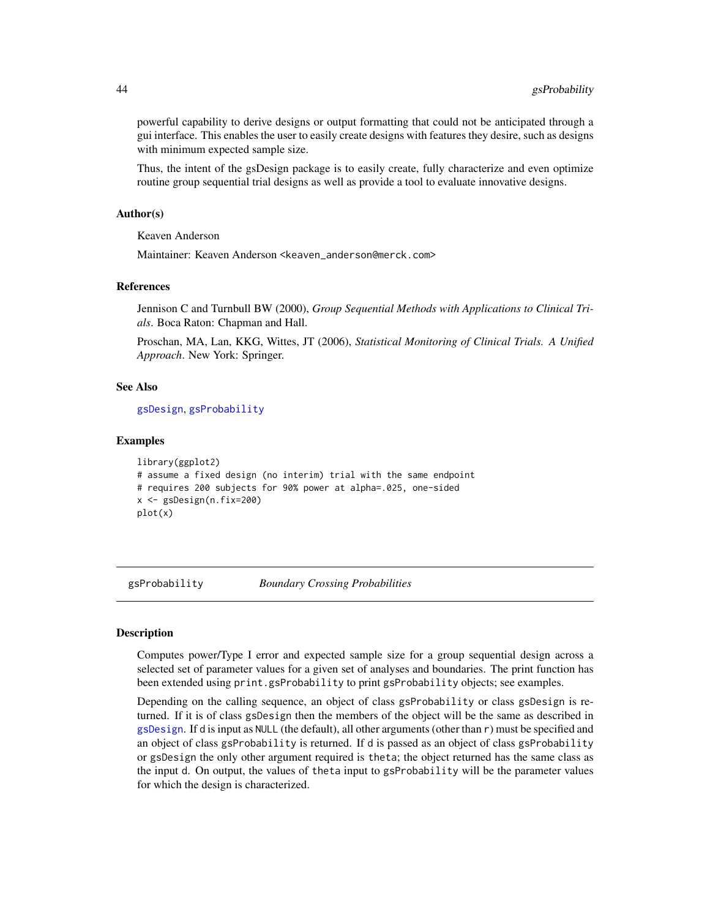powerful capability to derive designs or output formatting that could not be anticipated through a gui interface. This enables the user to easily create designs with features they desire, such as designs with minimum expected sample size.

Thus, the intent of the gsDesign package is to easily create, fully characterize and even optimize routine group sequential trial designs as well as provide a tool to evaluate innovative designs.

#### Author(s)

Keaven Anderson

Maintainer: Keaven Anderson <keaven\_anderson@merck.com>

### References

Jennison C and Turnbull BW (2000), *Group Sequential Methods with Applications to Clinical Trials*. Boca Raton: Chapman and Hall.

Proschan, MA, Lan, KKG, Wittes, JT (2006), *Statistical Monitoring of Clinical Trials. A Unified Approach*. New York: Springer.

## See Also

[gsDesign](#page-35-0), [gsProbability](#page-43-0)

#### Examples

```
library(ggplot2)
# assume a fixed design (no interim) trial with the same endpoint
# requires 200 subjects for 90% power at alpha=.025, one-sided
x <- gsDesign(n.fix=200)
plot(x)
```
<span id="page-43-0"></span>gsProbability *Boundary Crossing Probabilities*

### Description

Computes power/Type I error and expected sample size for a group sequential design across a selected set of parameter values for a given set of analyses and boundaries. The print function has been extended using print.gsProbability to print gsProbability objects; see examples.

Depending on the calling sequence, an object of class gsProbability or class gsDesign is returned. If it is of class gsDesign then the members of the object will be the same as described in [gsDesign](#page-35-0). If d is input as NULL (the default), all other arguments (other than r) must be specified and an object of class gsProbability is returned. If d is passed as an object of class gsProbability or gsDesign the only other argument required is theta; the object returned has the same class as the input d. On output, the values of theta input to gsProbability will be the parameter values for which the design is characterized.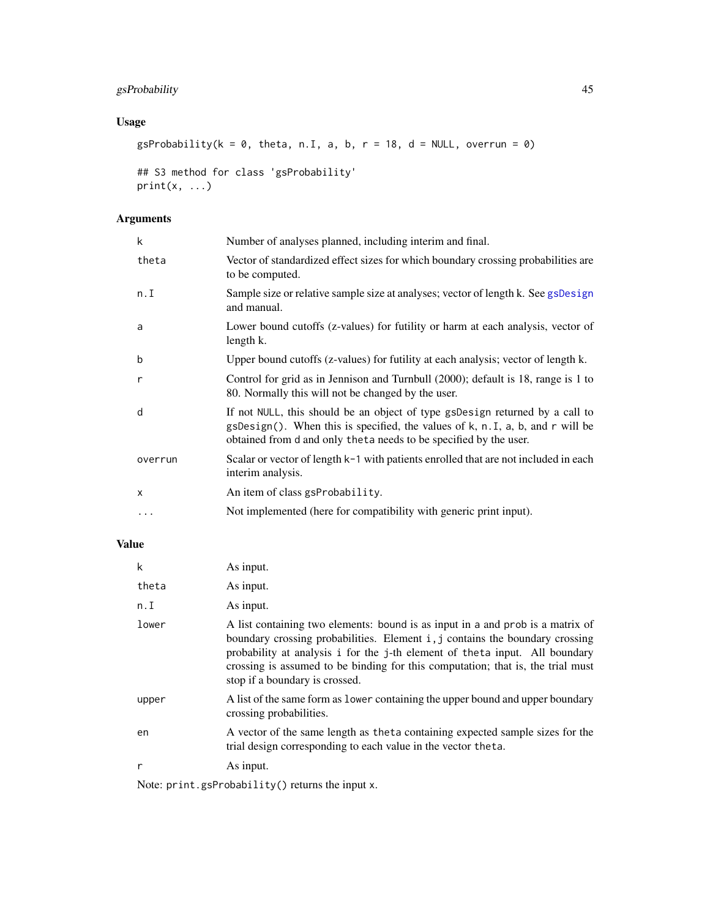# gsProbability 45

# Usage

```
gsProbability(k = 0, theta, n.I, a, b, r = 18, d = NULL, overrun = 0)
```

```
## S3 method for class 'gsProbability'
print(x, \ldots)
```
# Arguments

| k        | Number of analyses planned, including interim and final.                                                                                                                                                                               |
|----------|----------------------------------------------------------------------------------------------------------------------------------------------------------------------------------------------------------------------------------------|
| theta    | Vector of standardized effect sizes for which boundary crossing probabilities are<br>to be computed.                                                                                                                                   |
| n.I      | Sample size or relative sample size at analyses; vector of length k. See gsDesign<br>and manual.                                                                                                                                       |
| a        | Lower bound cutoffs (z-values) for futility or harm at each analysis, vector of<br>length k.                                                                                                                                           |
| b        | Upper bound cutoffs (z-values) for futility at each analysis; vector of length k.                                                                                                                                                      |
| r        | Control for grid as in Jennison and Turnbull (2000); default is 18, range is 1 to<br>80. Normally this will not be changed by the user.                                                                                                |
| d        | If not NULL, this should be an object of type gsDesign returned by a call to<br>$gsDesign()$ . When this is specified, the values of k, n. I, a, b, and r will be<br>obtained from d and only theta needs to be specified by the user. |
| overrun  | Scalar or vector of length $k-1$ with patients enrolled that are not included in each<br>interim analysis.                                                                                                                             |
| $\times$ | An item of class gsProbability.                                                                                                                                                                                                        |
| $\cdots$ | Not implemented (here for compatibility with generic print input).                                                                                                                                                                     |
|          |                                                                                                                                                                                                                                        |

# Value

| k     | As input.                                                                                                                                                                                                                                                                                                                                                           |
|-------|---------------------------------------------------------------------------------------------------------------------------------------------------------------------------------------------------------------------------------------------------------------------------------------------------------------------------------------------------------------------|
| theta | As input.                                                                                                                                                                                                                                                                                                                                                           |
| n.I   | As input.                                                                                                                                                                                                                                                                                                                                                           |
| lower | A list containing two elements: bound is as input in a and prob is a matrix of<br>boundary crossing probabilities. Element i, j contains the boundary crossing<br>probability at analysis i for the j-th element of the ta input. All boundary<br>crossing is assumed to be binding for this computation; that is, the trial must<br>stop if a boundary is crossed. |
| upper | A list of the same form as lower containing the upper bound and upper boundary<br>crossing probabilities.                                                                                                                                                                                                                                                           |
| en    | A vector of the same length as the ta containing expected sample sizes for the<br>trial design corresponding to each value in the vector theta.                                                                                                                                                                                                                     |
| r     | As input.                                                                                                                                                                                                                                                                                                                                                           |

Note: print.gsProbability() returns the input x.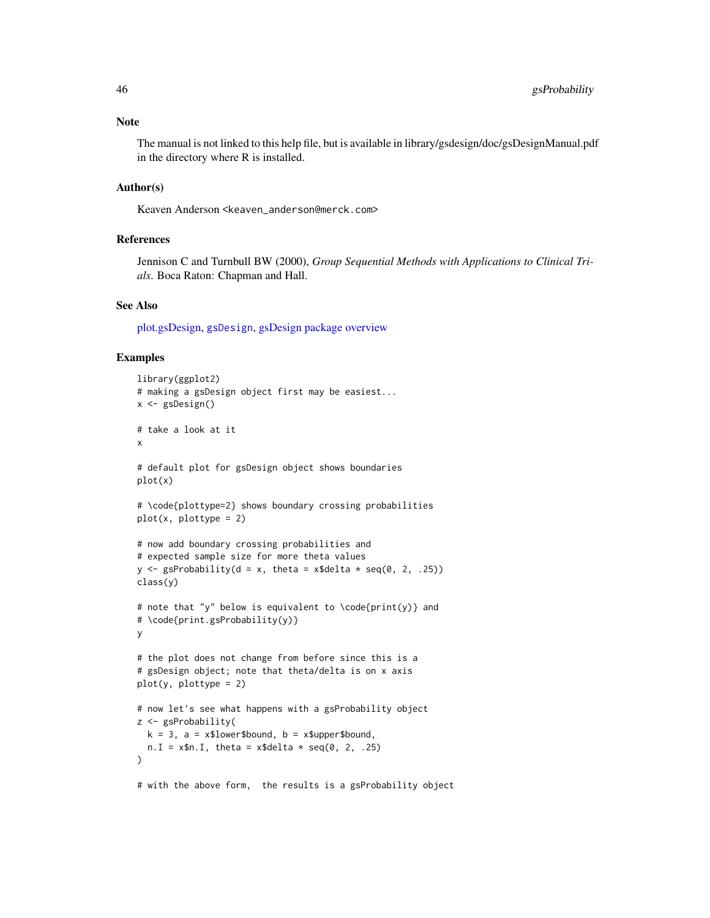The manual is not linked to this help file, but is available in library/gsdesign/doc/gsDesignManual.pdf in the directory where R is installed.

## Author(s)

Keaven Anderson <keaven\_anderson@merck.com>

## References

Jennison C and Turnbull BW (2000), *Group Sequential Methods with Applications to Clinical Trials*. Boca Raton: Chapman and Hall.

### See Also

[plot.gsDesign,](#page-53-0) [gsDesign](#page-35-0), [gsDesign package overview](#page-42-0)

```
library(ggplot2)
# making a gsDesign object first may be easiest...
x <- gsDesign()
# take a look at it
x
# default plot for gsDesign object shows boundaries
plot(x)
# \code{plottype=2} shows boundary crossing probabilities
plot(x, plottype = 2)
# now add boundary crossing probabilities and
# expected sample size for more theta values
y \leq - gsProbability(d = x, theta = x$delta * seq(0, 2, .25))
class(y)
# note that "y" below is equivalent to \code{print(y)} and
# \code{print.gsProbability(y)}
y
# the plot does not change from before since this is a
# gsDesign object; note that theta/delta is on x axis
plot(y, plottype = 2)
# now let's see what happens with a gsProbability object
z <- gsProbability(
 k = 3, a = x$lower$bound, b = x$upper$bound,n.I = x$n.I, theta = x$delta * seq(0, 2, .25))
# with the above form, the results is a gsProbability object
```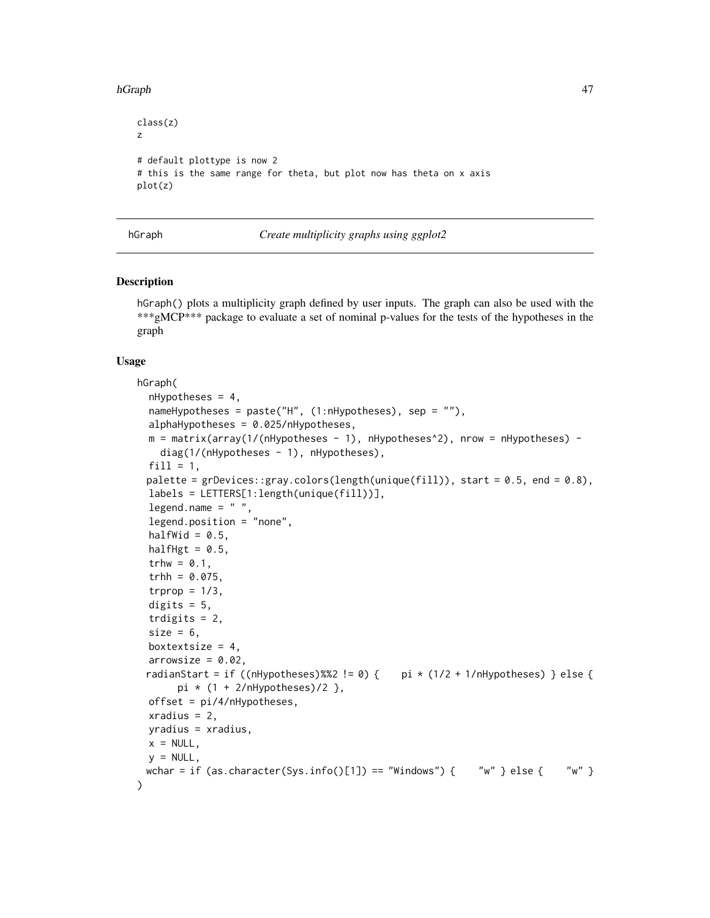#### hGraph 47

```
class(z)
z
# default plottype is now 2
# this is the same range for theta, but plot now has theta on x axis
plot(z)
```
### hGraph *Create multiplicity graphs using ggplot2*

#### Description

hGraph() plots a multiplicity graph defined by user inputs. The graph can also be used with the \*\*\*gMCP\*\*\* package to evaluate a set of nominal p-values for the tests of the hypotheses in the graph

### Usage

```
hGraph(
  nHypotheses = 4,
  nameHypotheses = paste("H", (1:nHypotheses), sep = ""),
  alphaHypotheses = 0.025/nHypotheses,
 m = matrix(array(1/(nHypotheses - 1), nHypotheses^2), nrow = nHypotheses) -diag(1/(nHypotheses - 1), nHypotheses),
  fill = 1,palette = grDevices::gray-colors(length(unique(fill)), start = 0.5, end = 0.8),labels = LETTERS[1:length(unique(fill))],
  legend.name = " "legend.position = "none",
  halfWid = 0.5,
  halfHgt = 0.5,
  trhw = 0.1,
  trhh = 0.075,trprop = 1/3,
  digits = 5,
  trdigits = 2,
  size = 6,
 boxtextsize = 4,
  arrowsize = 0.02,
 radianStart = if ((nHypotheses)%%2 != 0) { pi * (1/2 + 1/nHypothers) } else {
       pi * (1 + 2/nHypotheses)/2 },
 offset = pi/4/nHypotheses,
  xradius = 2,
 yradius = xradius,
 x = NULL,
 y = NULL,wchar = if (as.character(Sys.info()[1]) == "Windows") { "w" } else { "w" }
)
```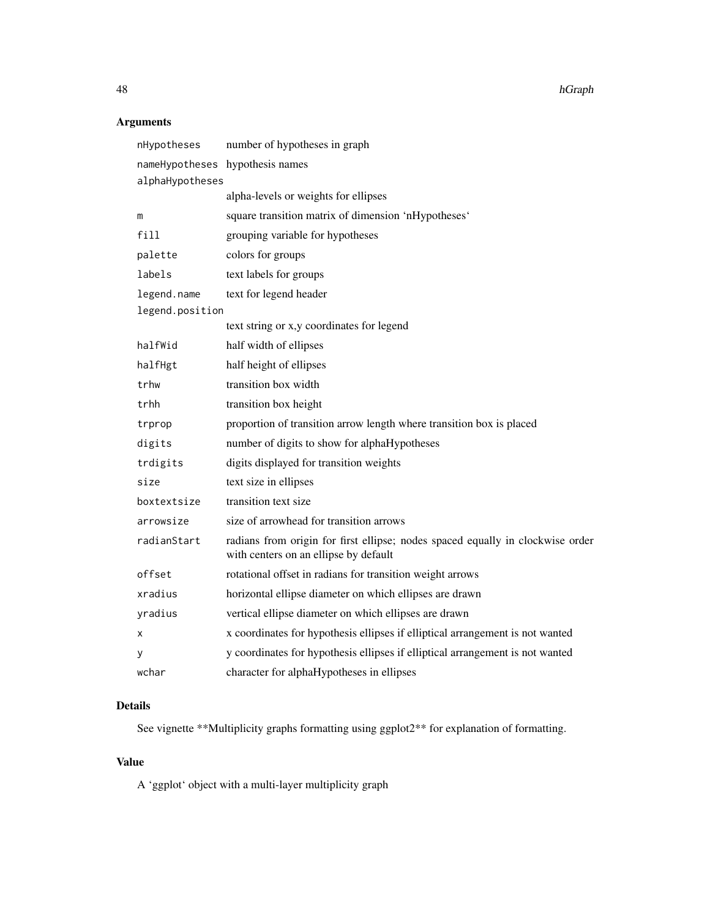48 hGraph

# Arguments

| nHypotheses                     | number of hypotheses in graph                                                                                           |
|---------------------------------|-------------------------------------------------------------------------------------------------------------------------|
| nameHypotheses hypothesis names |                                                                                                                         |
| alphaHypotheses                 |                                                                                                                         |
|                                 | alpha-levels or weights for ellipses                                                                                    |
| m                               | square transition matrix of dimension 'nHypotheses'                                                                     |
| $f$ ill                         | grouping variable for hypotheses                                                                                        |
| palette                         | colors for groups                                                                                                       |
| labels                          | text labels for groups                                                                                                  |
| legend.name                     | text for legend header                                                                                                  |
| legend.position                 |                                                                                                                         |
|                                 | text string or x,y coordinates for legend                                                                               |
| halfWid                         | half width of ellipses                                                                                                  |
| halfHgt                         | half height of ellipses                                                                                                 |
| trhw                            | transition box width                                                                                                    |
| trhh                            | transition box height                                                                                                   |
| trprop                          | proportion of transition arrow length where transition box is placed                                                    |
| digits                          | number of digits to show for alphaHypotheses                                                                            |
| trdigits                        | digits displayed for transition weights                                                                                 |
| size                            | text size in ellipses                                                                                                   |
| boxtextsize                     | transition text size                                                                                                    |
| arrowsize                       | size of arrowhead for transition arrows                                                                                 |
| radianStart                     | radians from origin for first ellipse; nodes spaced equally in clockwise order<br>with centers on an ellipse by default |
| offset                          | rotational offset in radians for transition weight arrows                                                               |
| xradius                         | horizontal ellipse diameter on which ellipses are drawn                                                                 |
| yradius                         | vertical ellipse diameter on which ellipses are drawn                                                                   |
| x                               | x coordinates for hypothesis ellipses if elliptical arrangement is not wanted                                           |
| у                               | y coordinates for hypothesis ellipses if elliptical arrangement is not wanted                                           |
| wchar                           | character for alphaHypotheses in ellipses                                                                               |

# Details

See vignette \*\*Multiplicity graphs formatting using ggplot2\*\* for explanation of formatting.

# Value

A 'ggplot' object with a multi-layer multiplicity graph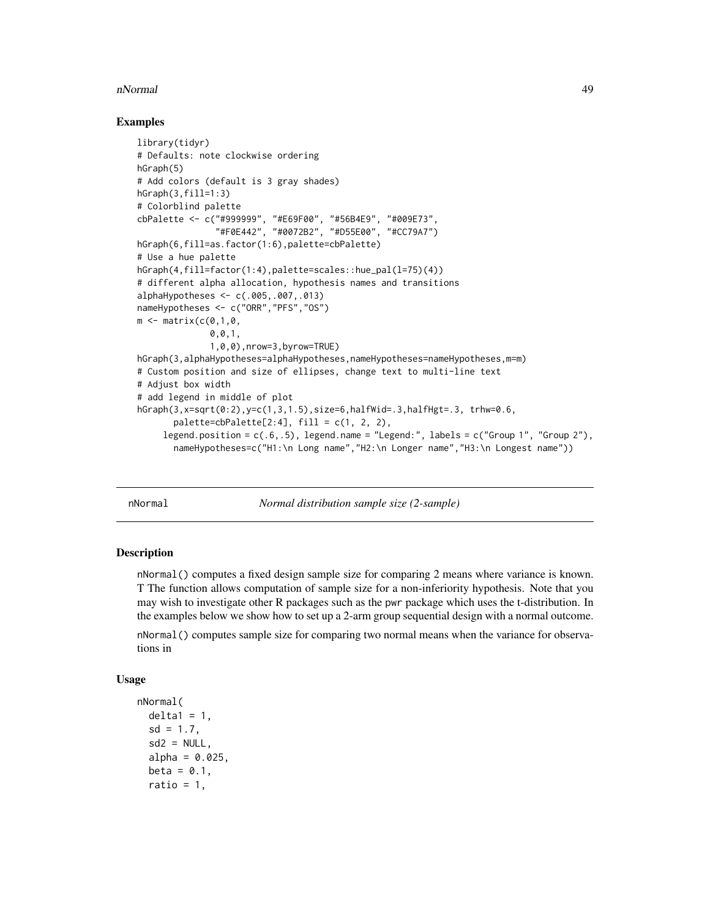#### nNormal 49

## Examples

```
library(tidyr)
# Defaults: note clockwise ordering
hGraph(5)
# Add colors (default is 3 gray shades)
hGraph(3,fill=1:3)
# Colorblind palette
cbPalette <- c("#999999", "#E69F00", "#56B4E9", "#009E73",
               "#F0E442", "#0072B2", "#D55E00", "#CC79A7")
hGraph(6,fill=as.factor(1:6),palette=cbPalette)
# Use a hue palette
hGraph(4,fill=factor(1:4),palette=scales::hue_pal(l=75)(4))
# different alpha allocation, hypothesis names and transitions
alphaHypotheses <- c(.005,.007,.013)
nameHypotheses <- c("ORR","PFS","OS")
m \leq - matrix(c(0,1,0,0,0,1,
              1,0,0),nrow=3,byrow=TRUE)
hGraph(3,alphaHypotheses=alphaHypotheses,nameHypotheses=nameHypotheses,m=m)
# Custom position and size of ellipses, change text to multi-line text
# Adjust box width
# add legend in middle of plot
hGraph(3, x=sqrt(0:2), y=c(1,3,1.5), size=6, halfWid=.3, halfHgt=.3, trhw=0.6,palette=cbPalette[2:4], fill = c(1, 2, 2),legend.position = c(.6,.5), legend.name = "Legend:", labels = c("Group 1", "Group 2"),
       nameHypotheses=c("H1:\n Long name","H2:\n Longer name","H3:\n Longest name"))
```
nNormal *Normal distribution sample size (2-sample)*

#### Description

nNormal() computes a fixed design sample size for comparing 2 means where variance is known. T The function allows computation of sample size for a non-inferiority hypothesis. Note that you may wish to investigate other R packages such as the pwr package which uses the t-distribution. In the examples below we show how to set up a 2-arm group sequential design with a normal outcome.

nNormal() computes sample size for comparing two normal means when the variance for observations in

## Usage

```
nNormal(
  delta1 = 1,
  sd = 1.7,
  sd2 = NULL,
  alpha = 0.025,
  beta = 0.1,
  ratio = 1,
```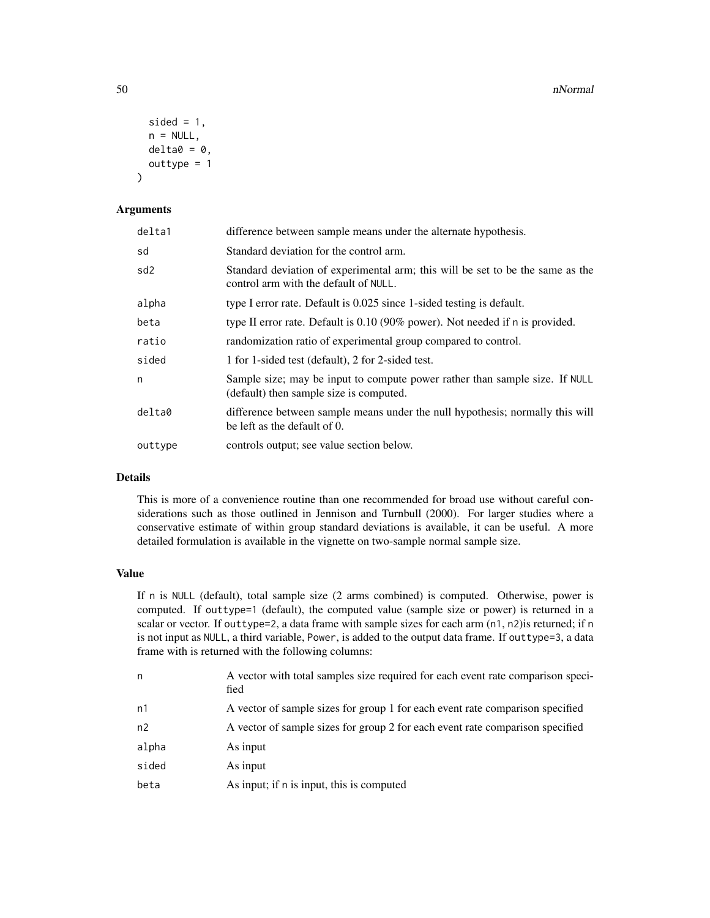```
sided = 1,
 n = NULL,delta = 0,
 outtype = 1
)
```
# Arguments

| delta1          | difference between sample means under the alternate hypothesis.                                                         |
|-----------------|-------------------------------------------------------------------------------------------------------------------------|
| sd              | Standard deviation for the control arm.                                                                                 |
| sd <sub>2</sub> | Standard deviation of experimental arm; this will be set to be the same as the<br>control arm with the default of NULL. |
| alpha           | type I error rate. Default is 0.025 since 1-sided testing is default.                                                   |
| beta            | type II error rate. Default is $0.10$ (90% power). Not needed if n is provided.                                         |
| ratio           | randomization ratio of experimental group compared to control.                                                          |
| sided           | 1 for 1-sided test (default), 2 for 2-sided test.                                                                       |
| n               | Sample size; may be input to compute power rather than sample size. If NULL<br>(default) then sample size is computed.  |
| delta0          | difference between sample means under the null hypothesis; normally this will<br>be left as the default of 0.           |
| outtype         | controls output; see value section below.                                                                               |

# Details

This is more of a convenience routine than one recommended for broad use without careful considerations such as those outlined in Jennison and Turnbull (2000). For larger studies where a conservative estimate of within group standard deviations is available, it can be useful. A more detailed formulation is available in the vignette on two-sample normal sample size.

# Value

If n is NULL (default), total sample size (2 arms combined) is computed. Otherwise, power is computed. If outtype=1 (default), the computed value (sample size or power) is returned in a scalar or vector. If outtype=2, a data frame with sample sizes for each arm (n1, n2)is returned; if n is not input as NULL, a third variable, Power, is added to the output data frame. If outtype=3, a data frame with is returned with the following columns:

| n     | A vector with total samples size required for each event rate comparison speci-<br>fied |
|-------|-----------------------------------------------------------------------------------------|
| n1    | A vector of sample sizes for group 1 for each event rate comparison specified           |
| n2    | A vector of sample sizes for group 2 for each event rate comparison specified           |
| alpha | As input                                                                                |
| sided | As input                                                                                |
| beta  | As input; if n is input, this is computed                                               |
|       |                                                                                         |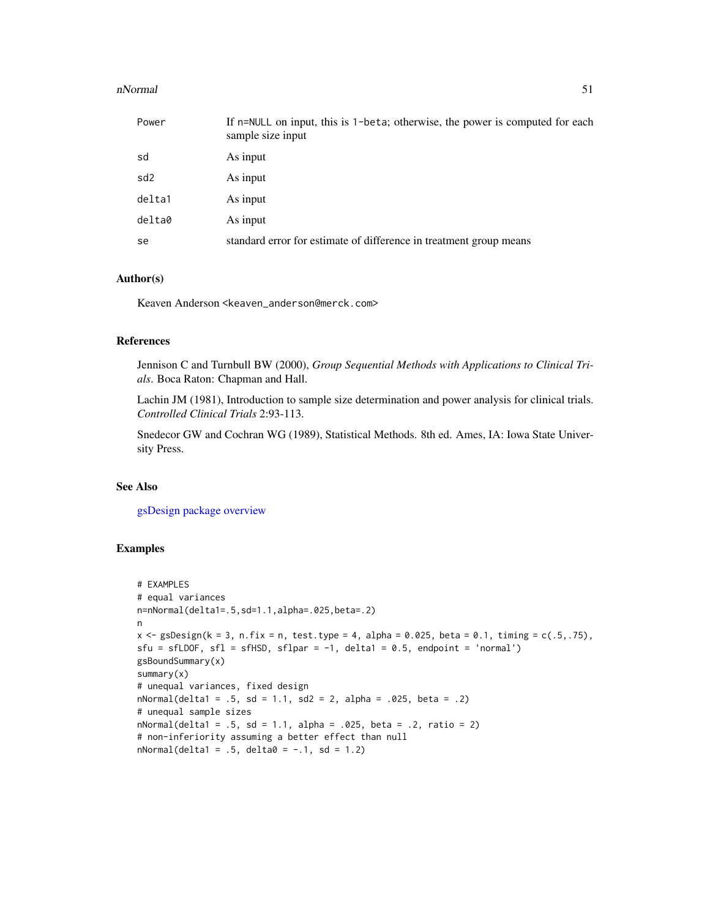#### nNormal 51

| Power           | If n=NULL on input, this is 1-beta; otherwise, the power is computed for each<br>sample size input |
|-----------------|----------------------------------------------------------------------------------------------------|
| sd              | As input                                                                                           |
| sd <sub>2</sub> | As input                                                                                           |
| delta1          | As input                                                                                           |
| delta0          | As input                                                                                           |
| se              | standard error for estimate of difference in treatment group means                                 |

## Author(s)

Keaven Anderson <keaven\_anderson@merck.com>

## References

Jennison C and Turnbull BW (2000), *Group Sequential Methods with Applications to Clinical Trials*. Boca Raton: Chapman and Hall.

Lachin JM (1981), Introduction to sample size determination and power analysis for clinical trials. *Controlled Clinical Trials* 2:93-113.

Snedecor GW and Cochran WG (1989), Statistical Methods. 8th ed. Ames, IA: Iowa State University Press.

## See Also

[gsDesign package overview](#page-42-0)

```
# EXAMPLES
# equal variances
n=nNormal(delta1=.5,sd=1.1,alpha=.025,beta=.2)
n
x \leq gSDesign(k = 3, n.fix = n, test.type = 4, alpha = 0.025, beta = 0.1, timing = c(.5,.75),
sfu = sfLDOF, sf1 = sfHSD, sf1par = -1, delta1 = 0.5, endpoint = 'normal')gsBoundSummary(x)
summary(x)
# unequal variances, fixed design
nNormal(delta1 = .5, sd = 1.1, sd2 = 2, alpha = .025, beta = .2)# unequal sample sizes
nNormal(delta1 = .5, sd = 1.1, alpha = .025, beta = .2, ratio = 2)# non-inferiority assuming a better effect than null
nNormal(delta1 = .5, delta0 = -.1, sd = 1.2)
```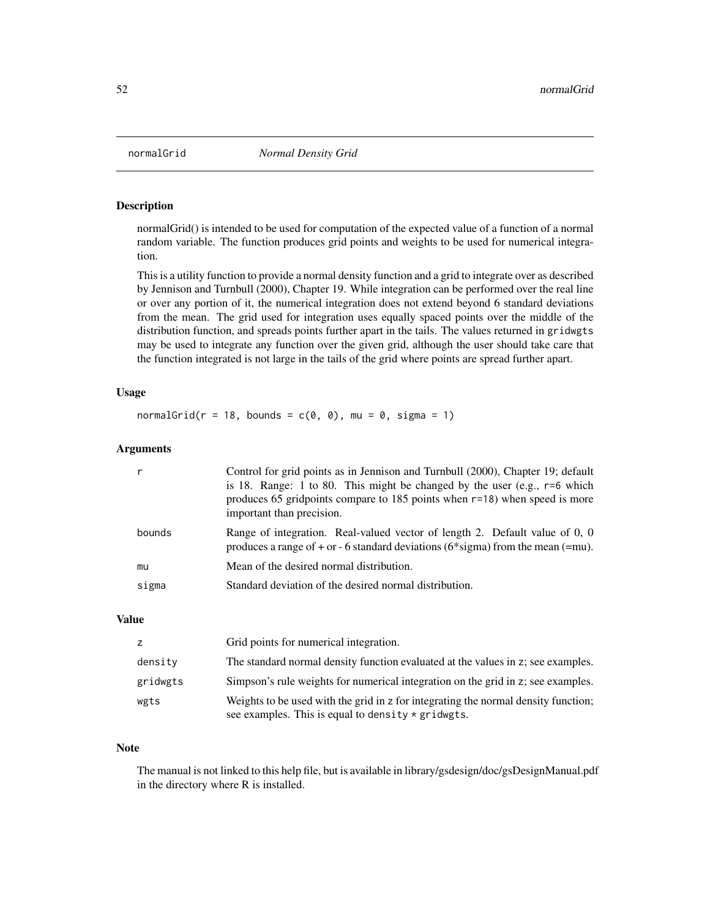# Description

normalGrid() is intended to be used for computation of the expected value of a function of a normal random variable. The function produces grid points and weights to be used for numerical integration.

This is a utility function to provide a normal density function and a grid to integrate over as described by Jennison and Turnbull (2000), Chapter 19. While integration can be performed over the real line or over any portion of it, the numerical integration does not extend beyond 6 standard deviations from the mean. The grid used for integration uses equally spaced points over the middle of the distribution function, and spreads points further apart in the tails. The values returned in gridwgts may be used to integrate any function over the given grid, although the user should take care that the function integrated is not large in the tails of the grid where points are spread further apart.

## Usage

normalGrid( $r = 18$ , bounds =  $c(0, 0)$ , mu = 0, sigma = 1)

# Arguments

| bounds<br>Mean of the desired normal distribution.<br>mu<br>Standard deviation of the desired normal distribution.<br>sigma | Control for grid points as in Jennison and Turnbull (2000), Chapter 19; default<br>is 18. Range: 1 to 80. This might be changed by the user (e.g., $r=6$ which<br>produces 65 gridpoints compare to 185 points when $r=18$ ) when speed is more<br>important than precision. |
|-----------------------------------------------------------------------------------------------------------------------------|------------------------------------------------------------------------------------------------------------------------------------------------------------------------------------------------------------------------------------------------------------------------------|
|                                                                                                                             | Range of integration. Real-valued vector of length 2. Default value of 0, 0<br>produces a range of $+$ or $-$ 6 standard deviations (6*sigma) from the mean (=mu).                                                                                                           |
|                                                                                                                             |                                                                                                                                                                                                                                                                              |
|                                                                                                                             |                                                                                                                                                                                                                                                                              |

# Value

| z        | Grid points for numerical integration.                                                                                                     |
|----------|--------------------------------------------------------------------------------------------------------------------------------------------|
| density  | The standard normal density function evaluated at the values in z; see examples.                                                           |
| gridwgts | Simpson's rule weights for numerical integration on the grid in z; see examples.                                                           |
| wgts     | Weights to be used with the grid in z for integrating the normal density function;<br>see examples. This is equal to density $*$ gridwgts. |

### Note

The manual is not linked to this help file, but is available in library/gsdesign/doc/gsDesignManual.pdf in the directory where R is installed.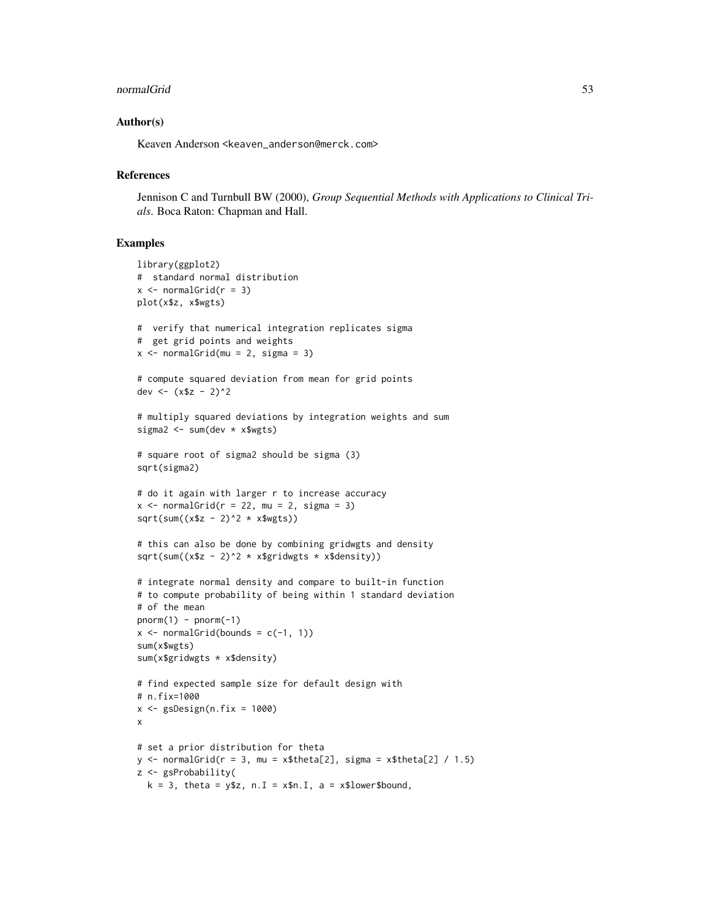#### normalGrid 53

### Author(s)

Keaven Anderson <keaven\_anderson@merck.com>

#### **References**

Jennison C and Turnbull BW (2000), *Group Sequential Methods with Applications to Clinical Trials*. Boca Raton: Chapman and Hall.

```
library(ggplot2)
# standard normal distribution
x \le normalGrid(r = 3)
plot(x$z, x$wgts)
# verify that numerical integration replicates sigma
# get grid points and weights
x \le normalGrid(mu = 2, sigma = 3)
# compute squared deviation from mean for grid points
dev <- (x$z - 2)^2# multiply squared deviations by integration weights and sum
sigma2 <- sum(dev * x$wgts)
# square root of sigma2 should be sigma (3)
sqrt(sigma2)
# do it again with larger r to increase accuracy
x \le normalGrid(r = 22, mu = 2, sigma = 3)
sqrt(sum((x$z - 2)^2 * x$wgts))# this can also be done by combining gridwgts and density
sqrt(sum((x$z - 2)^2 \times x$gridwgts \times x$density))
# integrate normal density and compare to built-in function
# to compute probability of being within 1 standard deviation
# of the mean
pnorm(1) - pom(-1)x \leftarrow normalGrid(bounds = c(-1, 1))
sum(x$wgts)
sum(x$gridwgts * x$density)
# find expected sample size for default design with
# n.fix=1000
x \leq - gsDesign(n.fix = 1000)
x
# set a prior distribution for theta
y \le normalGrid(r = 3, mu = x$theta[2], sigma = x$theta[2] / 1.5)
z <- gsProbability(
  k = 3, theta = y$z, n. I = x$n. I, a = x$lower$bound,
```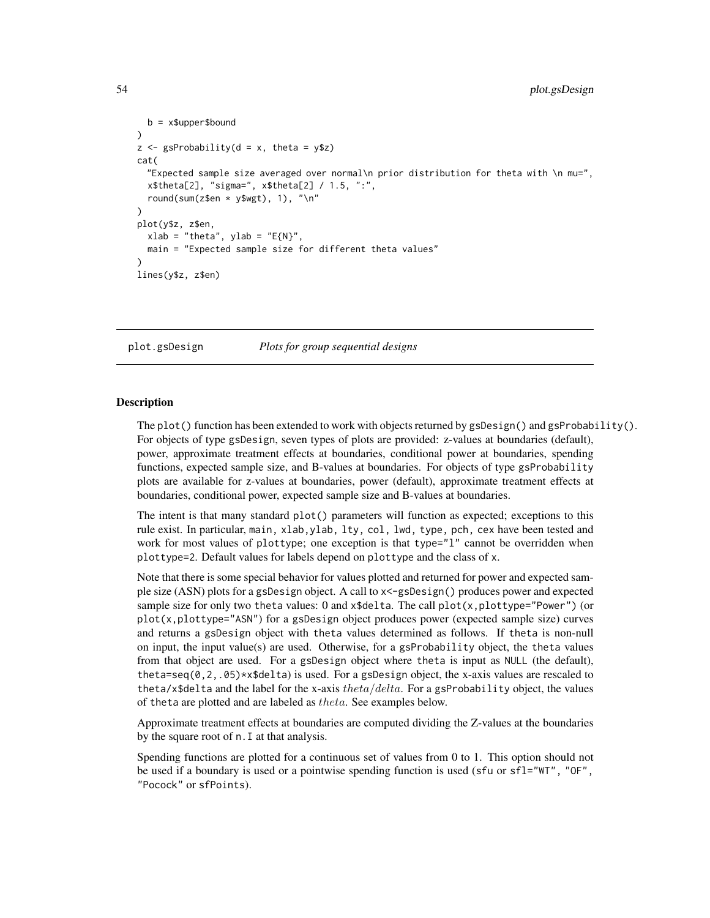```
b = x$upper$bound
)
z \leq gsProbability(d = x, theta = y$z)
cat(
  "Expected sample size averaged over normal\n prior distribution for theta with \n mu=",
  x$theta[2], "sigma=", x$theta[2] / 1.5, ":",
  round(sum(z$en * y$wgt), 1), "\n"
)
plot(y$z, z$en,
  xlab = "theta", ylab = "E{N}",main = "Expected sample size for different theta values"
)
lines(y$z, z$en)
```
plot.gsDesign *Plots for group sequential designs*

## Description

The plot() function has been extended to work with objects returned by gsDesign() and gsProbability(). For objects of type gsDesign, seven types of plots are provided: z-values at boundaries (default), power, approximate treatment effects at boundaries, conditional power at boundaries, spending functions, expected sample size, and B-values at boundaries. For objects of type gsProbability plots are available for z-values at boundaries, power (default), approximate treatment effects at boundaries, conditional power, expected sample size and B-values at boundaries.

The intent is that many standard plot() parameters will function as expected; exceptions to this rule exist. In particular, main, xlab,ylab, lty, col, lwd, type, pch, cex have been tested and work for most values of plottype; one exception is that type="1" cannot be overridden when plottype=2. Default values for labels depend on plottype and the class of x.

Note that there is some special behavior for values plotted and returned for power and expected sample size (ASN) plots for a gsDesign object. A call to x<-gsDesign() produces power and expected sample size for only two theta values: 0 and  $x$ \$delta. The call  $plot(x, plottype="Power")$  (or plot(x,plottype="ASN") for a gsDesign object produces power (expected sample size) curves and returns a gsDesign object with theta values determined as follows. If theta is non-null on input, the input value(s) are used. Otherwise, for a gsProbability object, the theta values from that object are used. For a gsDesign object where theta is input as NULL (the default), theta=seq( $0, 2, .05$ )\*x\$delta) is used. For a gsDesign object, the x-axis values are rescaled to theta/x\$delta and the label for the x-axis theta/delta. For a gsProbability object, the values of theta are plotted and are labeled as theta. See examples below.

Approximate treatment effects at boundaries are computed dividing the Z-values at the boundaries by the square root of n.I at that analysis.

Spending functions are plotted for a continuous set of values from 0 to 1. This option should not be used if a boundary is used or a pointwise spending function is used (sfu or sfl="WT", "OF", "Pocock" or sfPoints).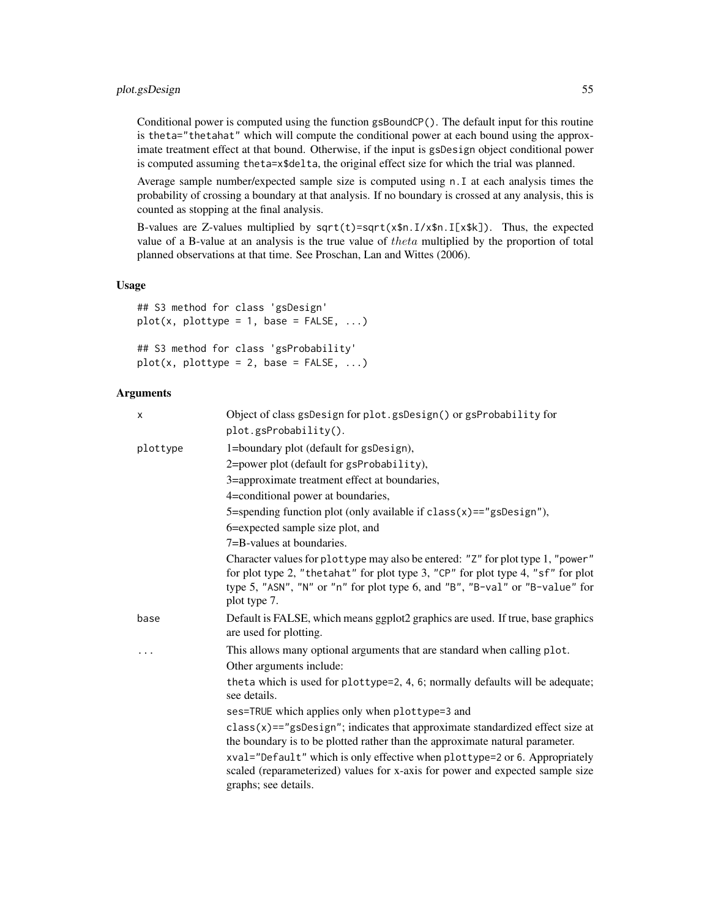# plot.gsDesign 55

Conditional power is computed using the function gsBoundCP(). The default input for this routine is theta="thetahat" which will compute the conditional power at each bound using the approximate treatment effect at that bound. Otherwise, if the input is gsDesign object conditional power is computed assuming theta=x\$delta, the original effect size for which the trial was planned.

Average sample number/expected sample size is computed using n.I at each analysis times the probability of crossing a boundary at that analysis. If no boundary is crossed at any analysis, this is counted as stopping at the final analysis.

B-values are Z-values multiplied by  $sqrt(t)$ =sqrt(x\$n.I/x\$n.I[x\$k]). Thus, the expected value of a B-value at an analysis is the true value of theta multiplied by the proportion of total planned observations at that time. See Proschan, Lan and Wittes (2006).

# Usage

```
## S3 method for class 'gsDesign'
plot(x, plottype = 1, base = FALSE, ...)## S3 method for class 'gsProbability'
plot(x, plottype = 2, base = FALSE, ...)
```
### Arguments

| X        | Object of class gsDesign for plot.gsDesign() or gsProbability for<br>$plot.gsProbability()$ .                                                                                                                                                                        |
|----------|----------------------------------------------------------------------------------------------------------------------------------------------------------------------------------------------------------------------------------------------------------------------|
| plottype | 1=boundary plot (default for gsDesign),                                                                                                                                                                                                                              |
|          | 2=power plot (default for gsProbability),                                                                                                                                                                                                                            |
|          | 3=approximate treatment effect at boundaries,                                                                                                                                                                                                                        |
|          | 4=conditional power at boundaries,                                                                                                                                                                                                                                   |
|          | 5=spending function plot (only available if $class(x) == "gsDesign"),$                                                                                                                                                                                               |
|          | 6=expected sample size plot, and                                                                                                                                                                                                                                     |
|          | 7=B-values at boundaries.                                                                                                                                                                                                                                            |
|          | Character values for plottype may also be entered: "Z" for plot type 1, "power"<br>for plot type 2, "the tahat" for plot type 3, "CP" for plot type 4, "sf" for plot<br>type 5, "ASN", "N" or "n" for plot type 6, and "B", "B-val" or "B-value" for<br>plot type 7. |
| base     | Default is FALSE, which means ggplot2 graphics are used. If true, base graphics<br>are used for plotting.                                                                                                                                                            |
| .        | This allows many optional arguments that are standard when calling plot.<br>Other arguments include:                                                                                                                                                                 |
|          | theta which is used for plottype=2, 4, 6; normally defaults will be adequate;<br>see details.                                                                                                                                                                        |
|          | ses=TRUE which applies only when plottype=3 and                                                                                                                                                                                                                      |
|          | $class(x) == "gsDesign";$ indicates that approximate standardized effect size at<br>the boundary is to be plotted rather than the approximate natural parameter.<br>xval="Default" which is only effective when plottype=2 or 6. Appropriately                       |
|          | scaled (reparameterized) values for x-axis for power and expected sample size<br>graphs; see details.                                                                                                                                                                |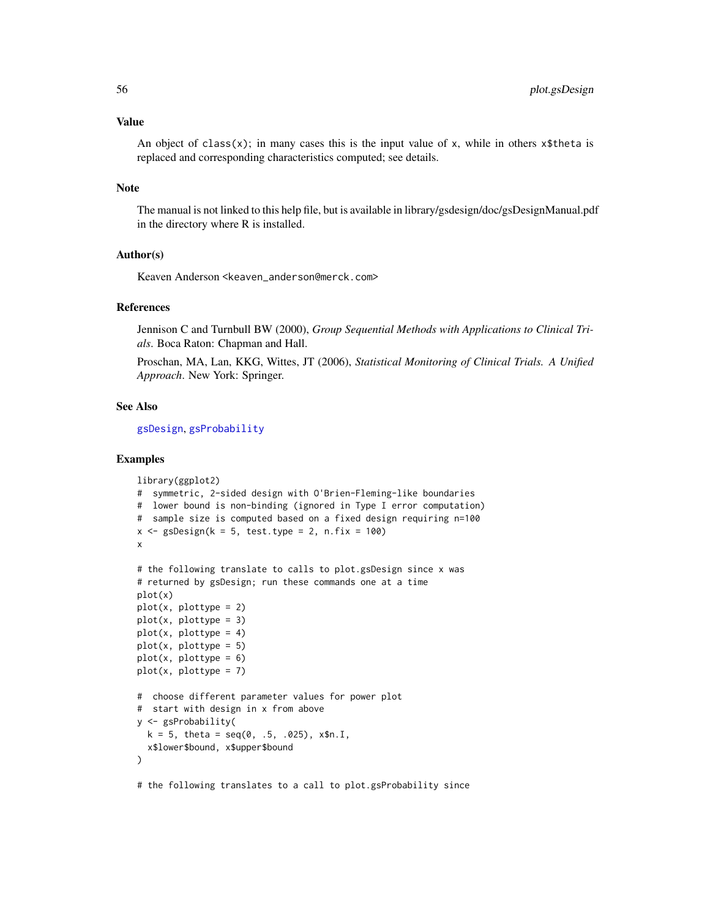#### Value

An object of class(x); in many cases this is the input value of x, while in others  $x$ \$theta is replaced and corresponding characteristics computed; see details.

### Note

The manual is not linked to this help file, but is available in library/gsdesign/doc/gsDesignManual.pdf in the directory where R is installed.

# Author(s)

Keaven Anderson <keaven\_anderson@merck.com>

# References

Jennison C and Turnbull BW (2000), *Group Sequential Methods with Applications to Clinical Trials*. Boca Raton: Chapman and Hall.

Proschan, MA, Lan, KKG, Wittes, JT (2006), *Statistical Monitoring of Clinical Trials. A Unified Approach*. New York: Springer.

## See Also

[gsDesign](#page-35-0), [gsProbability](#page-43-0)

```
library(ggplot2)
# symmetric, 2-sided design with O'Brien-Fleming-like boundaries
# lower bound is non-binding (ignored in Type I error computation)
# sample size is computed based on a fixed design requiring n=100
x \leq - gsDesign(k = 5, test.type = 2, n.fix = 100)
x
# the following translate to calls to plot.gsDesign since x was
# returned by gsDesign; run these commands one at a time
plot(x)
plot(x, plottype = 2)
plot(x, plottype = 3)plot(x, plottype = 4)plot(x, plottype = 5)plot(x, plottype = 6)plot(x, plottype = 7)
# choose different parameter values for power plot
# start with design in x from above
y <- gsProbability(
  k = 5, theta = seq(0, .5, .025), x $n.I,
  x$lower$bound, x$upper$bound
)
# the following translates to a call to plot.gsProbability since
```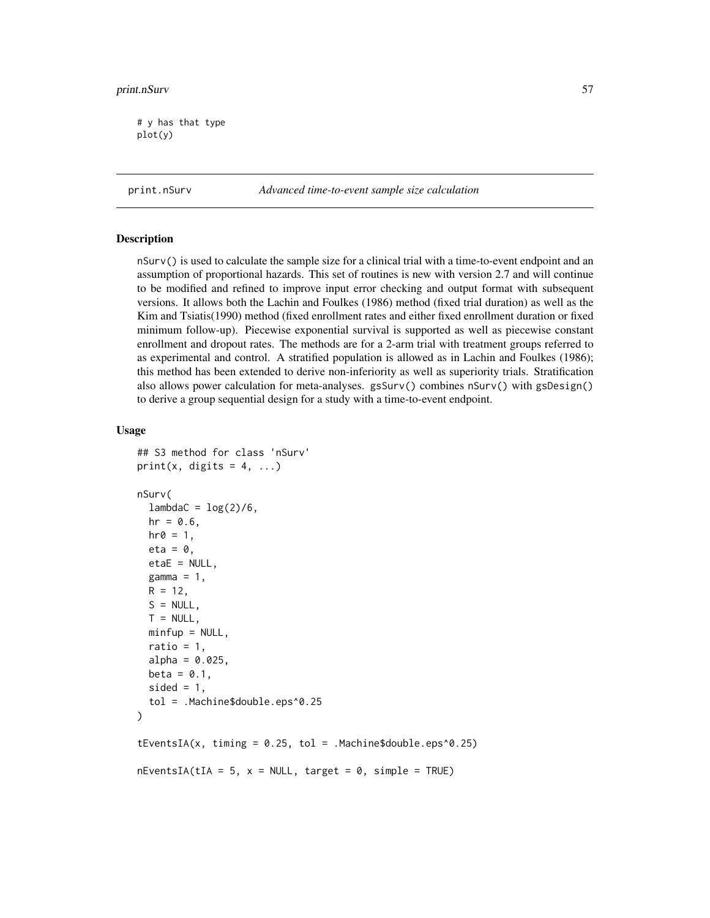# y has that type plot(y)

print.nSurv *Advanced time-to-event sample size calculation*

### **Description**

nSurv() is used to calculate the sample size for a clinical trial with a time-to-event endpoint and an assumption of proportional hazards. This set of routines is new with version 2.7 and will continue to be modified and refined to improve input error checking and output format with subsequent versions. It allows both the Lachin and Foulkes (1986) method (fixed trial duration) as well as the Kim and Tsiatis(1990) method (fixed enrollment rates and either fixed enrollment duration or fixed minimum follow-up). Piecewise exponential survival is supported as well as piecewise constant enrollment and dropout rates. The methods are for a 2-arm trial with treatment groups referred to as experimental and control. A stratified population is allowed as in Lachin and Foulkes (1986); this method has been extended to derive non-inferiority as well as superiority trials. Stratification also allows power calculation for meta-analyses. gsSurv() combines nSurv() with gsDesign() to derive a group sequential design for a study with a time-to-event endpoint.

#### Usage

```
## S3 method for class 'nSurv'
print(x, digits = 4, ...)
nSurv(
  lambdaC = log(2)/6,hr = 0.6,
 hr0 = 1,
  eta = 0,
  etaE = NULL,
  gamma = 1,
 R = 12,
  S = NULL,T = NULL,minfup = NULL,ratio = 1,
  alpha = 0.025,
 beta = 0.1,
  sided = 1,
  tol = .Machine$double.eps^0.25
)
tEventsIA(x, timing = 0.25, tol = .Machine$double.eps^0.25)nEventsIA(tIA = 5, x = NULL, target = 0, simple = TRUE)
```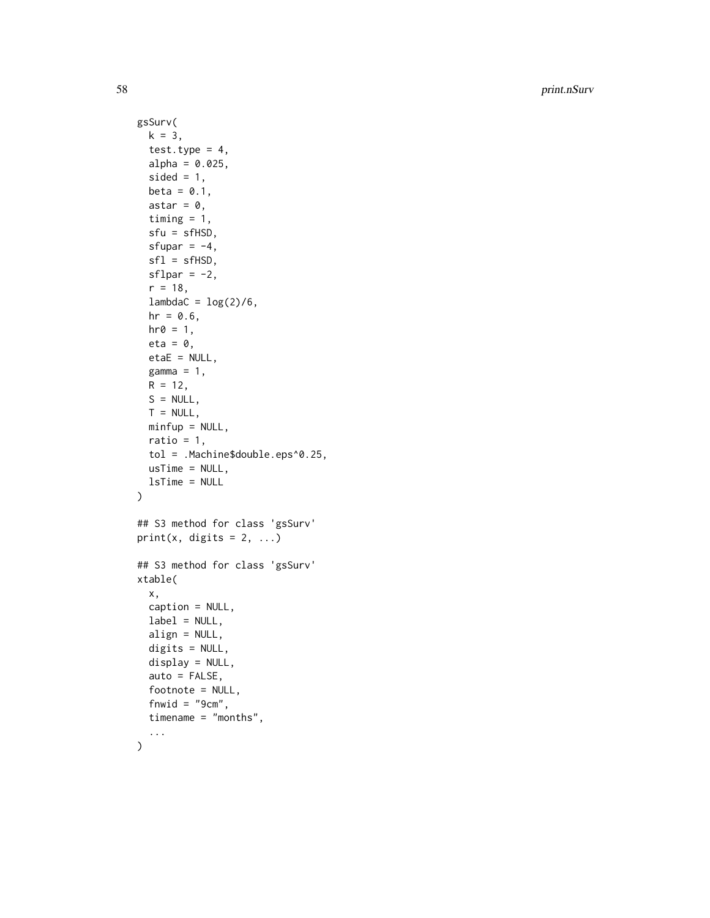```
gsSurv(
 k = 3,
  test.type = 4,
 alpha = 0.025,
  sided = 1,
 beta = 0.1,
  astar = \theta,
  timing = 1,
  sfu = sfHSD,
  sfupar = -4,
  sfl = sfHSD,sflpar = -2,
  r = 18,
  lambdaC = \log(2)/6,
 hr = 0.6,
 hr0 = 1,
 eta = 0,
 etaE = NULL,
 gamma = 1,
 R = 12,
 S = NULL,T = NULL,minfup = NULL,
 ratio = 1,
  tol = .Machine$double.eps^0.25,
 usTime = NULL,lsTime = NULL
\mathcal{L}## S3 method for class 'gsSurv'
print(x, \text{ digits} = 2, \ldots)## S3 method for class 'gsSurv'
xtable(
  x,
 caption = NULL,
 label = NULL,align = NULL,
  digits = NULL,
  display = NULL,
  auto = FALSE,
  footnote = NULL,
  fnwid = "9cm",timename = "months",
  ...
```
)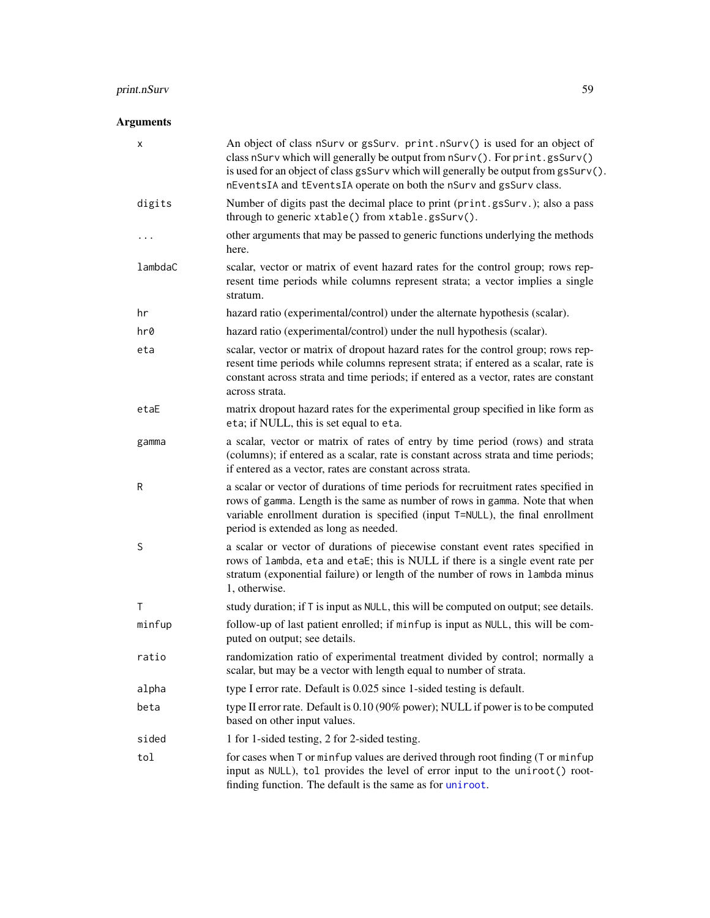# Arguments

| x       | An object of class nSurv or gsSurv. print.nSurv() is used for an object of<br>class nSurv which will generally be output from nSurv(). For print.gsSurv()<br>is used for an object of class gsSurv which will generally be output from gsSurv().<br>nEventsIA and tEventsIA operate on both the nSurv and gsSurv class. |
|---------|-------------------------------------------------------------------------------------------------------------------------------------------------------------------------------------------------------------------------------------------------------------------------------------------------------------------------|
| digits  | Number of digits past the decimal place to print (print.gsSurv.); also a pass<br>through to generic xtable() from xtable.gsSurv().                                                                                                                                                                                      |
| .       | other arguments that may be passed to generic functions underlying the methods<br>here.                                                                                                                                                                                                                                 |
| lambdaC | scalar, vector or matrix of event hazard rates for the control group; rows rep-<br>resent time periods while columns represent strata; a vector implies a single<br>stratum.                                                                                                                                            |
| hr      | hazard ratio (experimental/control) under the alternate hypothesis (scalar).                                                                                                                                                                                                                                            |
| hr0     | hazard ratio (experimental/control) under the null hypothesis (scalar).                                                                                                                                                                                                                                                 |
| eta     | scalar, vector or matrix of dropout hazard rates for the control group; rows rep-<br>resent time periods while columns represent strata; if entered as a scalar, rate is<br>constant across strata and time periods; if entered as a vector, rates are constant<br>across strata.                                       |
| etaE    | matrix dropout hazard rates for the experimental group specified in like form as<br>eta; if NULL, this is set equal to eta.                                                                                                                                                                                             |
| gamma   | a scalar, vector or matrix of rates of entry by time period (rows) and strata<br>(columns); if entered as a scalar, rate is constant across strata and time periods;<br>if entered as a vector, rates are constant across strata.                                                                                       |
| R       | a scalar or vector of durations of time periods for recruitment rates specified in<br>rows of gamma. Length is the same as number of rows in gamma. Note that when<br>variable enrollment duration is specified (input T=NULL), the final enrollment<br>period is extended as long as needed.                           |
| S       | a scalar or vector of durations of piecewise constant event rates specified in<br>rows of lambda, eta and etaE; this is NULL if there is a single event rate per<br>stratum (exponential failure) or length of the number of rows in lambda minus<br>1, otherwise.                                                      |
| Τ       | study duration; if T is input as NULL, this will be computed on output; see details.                                                                                                                                                                                                                                    |
| minfup  | follow-up of last patient enrolled; if minfup is input as NULL, this will be com-<br>puted on output; see details.                                                                                                                                                                                                      |
| ratio   | randomization ratio of experimental treatment divided by control; normally a<br>scalar, but may be a vector with length equal to number of strata.                                                                                                                                                                      |
| alpha   | type I error rate. Default is 0.025 since 1-sided testing is default.                                                                                                                                                                                                                                                   |
| beta    | type II error rate. Default is 0.10 (90% power); NULL if power is to be computed<br>based on other input values.                                                                                                                                                                                                        |
| sided   | 1 for 1-sided testing, 2 for 2-sided testing.                                                                                                                                                                                                                                                                           |
| tol     | for cases when T or minfup values are derived through root finding (T or minfup<br>input as NULL), tol provides the level of error input to the uniroot() root-<br>finding function. The default is the same as for uniroot.                                                                                            |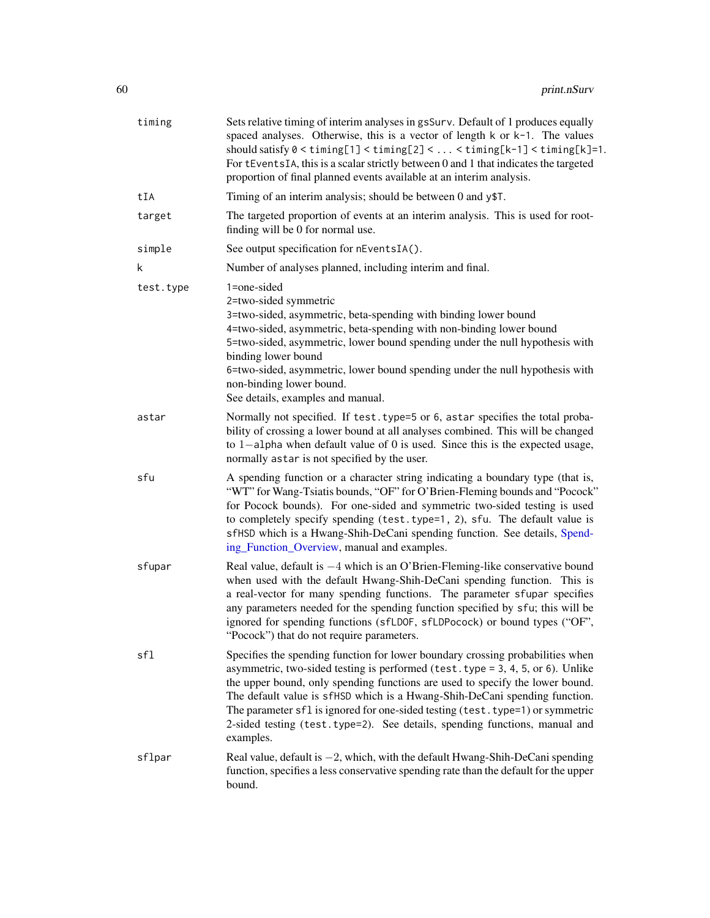| timing    | Sets relative timing of interim analyses in gsSurv. Default of 1 produces equally<br>spaced analyses. Otherwise, this is a vector of length $k$ or $k-1$ . The values<br>should satisfy $0 < t$ iming[1] $< t$ iming[2] $< \ldots < t$ iming[k-1] $< t$ iming[k]=1.<br>For tEventsIA, this is a scalar strictly between 0 and 1 that indicates the targeted<br>proportion of final planned events available at an interim analysis.                                                                           |
|-----------|---------------------------------------------------------------------------------------------------------------------------------------------------------------------------------------------------------------------------------------------------------------------------------------------------------------------------------------------------------------------------------------------------------------------------------------------------------------------------------------------------------------|
| tIA       | Timing of an interim analysis; should be between 0 and y\$T.                                                                                                                                                                                                                                                                                                                                                                                                                                                  |
| target    | The targeted proportion of events at an interim analysis. This is used for root-<br>finding will be 0 for normal use.                                                                                                                                                                                                                                                                                                                                                                                         |
| simple    | See output specification for nEventsIA().                                                                                                                                                                                                                                                                                                                                                                                                                                                                     |
| k         | Number of analyses planned, including interim and final.                                                                                                                                                                                                                                                                                                                                                                                                                                                      |
| test.type | 1=one-sided<br>2=two-sided symmetric<br>3=two-sided, asymmetric, beta-spending with binding lower bound<br>4=two-sided, asymmetric, beta-spending with non-binding lower bound<br>5=two-sided, asymmetric, lower bound spending under the null hypothesis with<br>binding lower bound<br>6=two-sided, asymmetric, lower bound spending under the null hypothesis with<br>non-binding lower bound.<br>See details, examples and manual.                                                                        |
| astar     | Normally not specified. If test. type=5 or 6, astar specifies the total proba-<br>bility of crossing a lower bound at all analyses combined. This will be changed<br>to 1-alpha when default value of 0 is used. Since this is the expected usage,<br>normally astar is not specified by the user.                                                                                                                                                                                                            |
| sfu       | A spending function or a character string indicating a boundary type (that is,<br>"WT" for Wang-Tsiatis bounds, "OF" for O'Brien-Fleming bounds and "Pocock"<br>for Pocock bounds). For one-sided and symmetric two-sided testing is used<br>to completely specify spending (test.type=1, 2), sfu. The default value is<br>sfHSD which is a Hwang-Shih-DeCani spending function. See details, Spend-<br>ing_Function_Overview, manual and examples.                                                           |
| sfupar    | Real value, default is $-4$ which is an O'Brien-Fleming-like conservative bound<br>when used with the default Hwang-Shih-DeCani spending function. This is<br>a real-vector for many spending functions. The parameter sfupar specifies<br>any parameters needed for the spending function specified by sfu; this will be<br>ignored for spending functions (sfLDOF, sfLDPocock) or bound types ("OF",<br>"Pocock") that do not require parameters.                                                           |
| sfl       | Specifies the spending function for lower boundary crossing probabilities when<br>asymmetric, two-sided testing is performed (test. type = 3, 4, 5, or 6). Unlike<br>the upper bound, only spending functions are used to specify the lower bound.<br>The default value is sfHSD which is a Hwang-Shih-DeCani spending function.<br>The parameter sfl is ignored for one-sided testing (test. type=1) or symmetric<br>2-sided testing (test.type=2). See details, spending functions, manual and<br>examples. |
| sflpar    | Real value, default is $-2$ , which, with the default Hwang-Shih-DeCani spending<br>function, specifies a less conservative spending rate than the default for the upper<br>bound.                                                                                                                                                                                                                                                                                                                            |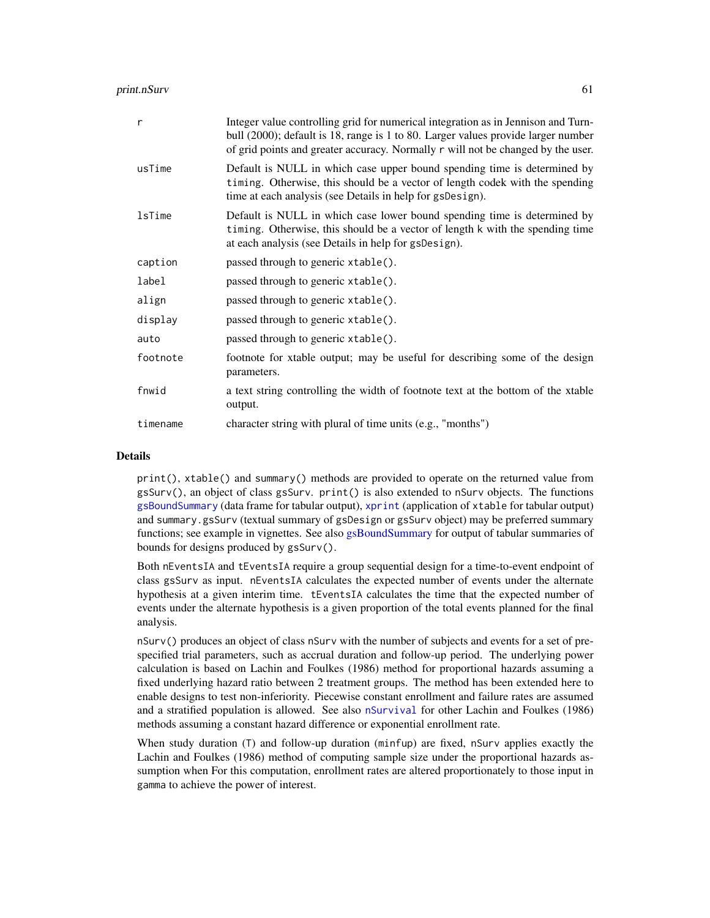| r             | Integer value controlling grid for numerical integration as in Jennison and Turn-<br>bull (2000); default is 18, range is 1 to 80. Larger values provide larger number<br>of grid points and greater accuracy. Normally r will not be changed by the user. |
|---------------|------------------------------------------------------------------------------------------------------------------------------------------------------------------------------------------------------------------------------------------------------------|
| usTime        | Default is NULL in which case upper bound spending time is determined by<br>timing. Otherwise, this should be a vector of length codek with the spending<br>time at each analysis (see Details in help for gsDesign).                                      |
| <b>lsTime</b> | Default is NULL in which case lower bound spending time is determined by<br>timing. Otherwise, this should be a vector of length k with the spending time<br>at each analysis (see Details in help for gsDesign).                                          |
| caption       | passed through to generic xtable().                                                                                                                                                                                                                        |
| label         | passed through to generic xtable().                                                                                                                                                                                                                        |
| align         | passed through to generic xtable().                                                                                                                                                                                                                        |
| display       | passed through to generic xtable().                                                                                                                                                                                                                        |
| auto          | passed through to generic xtable().                                                                                                                                                                                                                        |
| footnote      | footnote for xtable output; may be useful for describing some of the design<br>parameters.                                                                                                                                                                 |
| fnwid         | a text string controlling the width of footnote text at the bottom of the xtable<br>output.                                                                                                                                                                |
| timename      | character string with plural of time units (e.g., "months")                                                                                                                                                                                                |

#### Details

print(), xtable() and summary() methods are provided to operate on the returned value from gsSurv(), an object of class gsSurv. print() is also extended to nSurv objects. The functions [gsBoundSummary](#page-96-0) (data frame for tabular output), [xprint](#page-96-0) (application of xtable for tabular output) and summary.gsSurv (textual summary of gsDesign or gsSurv object) may be preferred summary functions; see example in vignettes. See also [gsBoundSummary](#page-96-0) for output of tabular summaries of bounds for designs produced by gsSurv().

Both nEventsIA and tEventsIA require a group sequential design for a time-to-event endpoint of class gsSurv as input. nEventsIA calculates the expected number of events under the alternate hypothesis at a given interim time. tEventsIA calculates the time that the expected number of events under the alternate hypothesis is a given proportion of the total events planned for the final analysis.

nSurv() produces an object of class nSurv with the number of subjects and events for a set of prespecified trial parameters, such as accrual duration and follow-up period. The underlying power calculation is based on Lachin and Foulkes (1986) method for proportional hazards assuming a fixed underlying hazard ratio between 2 treatment groups. The method has been extended here to enable designs to test non-inferiority. Piecewise constant enrollment and failure rates are assumed and a stratified population is allowed. See also [nSurvival](#page-65-0) for other Lachin and Foulkes (1986) methods assuming a constant hazard difference or exponential enrollment rate.

When study duration (T) and follow-up duration (minfup) are fixed, nSurv applies exactly the Lachin and Foulkes (1986) method of computing sample size under the proportional hazards assumption when For this computation, enrollment rates are altered proportionately to those input in gamma to achieve the power of interest.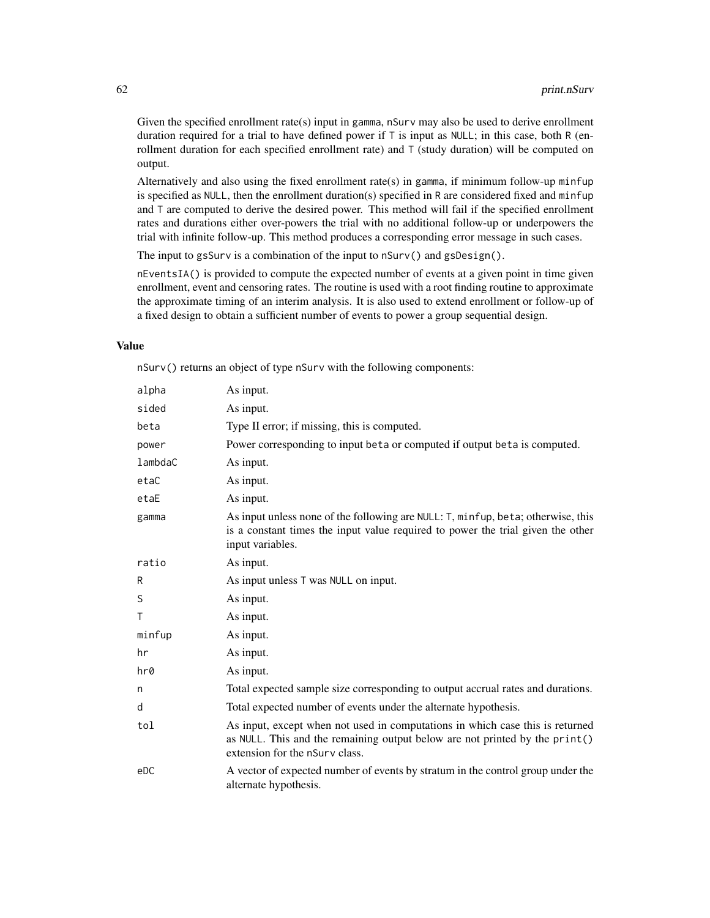Given the specified enrollment rate(s) input in gamma, nSurv may also be used to derive enrollment duration required for a trial to have defined power if  $T$  is input as NULL; in this case, both R (enrollment duration for each specified enrollment rate) and T (study duration) will be computed on output.

Alternatively and also using the fixed enrollment rate(s) in gamma, if minimum follow-up minfup is specified as NULL, then the enrollment duration(s) specified in R are considered fixed and minfup and T are computed to derive the desired power. This method will fail if the specified enrollment rates and durations either over-powers the trial with no additional follow-up or underpowers the trial with infinite follow-up. This method produces a corresponding error message in such cases.

The input to gsSurv is a combination of the input to nSurv() and gsDesign().

nEventsIA() is provided to compute the expected number of events at a given point in time given enrollment, event and censoring rates. The routine is used with a root finding routine to approximate the approximate timing of an interim analysis. It is also used to extend enrollment or follow-up of a fixed design to obtain a sufficient number of events to power a group sequential design.

#### Value

nSurv() returns an object of type nSurv with the following components:

| alpha   | As input.                                                                                                                                                                                      |
|---------|------------------------------------------------------------------------------------------------------------------------------------------------------------------------------------------------|
| sided   | As input.                                                                                                                                                                                      |
| beta    | Type II error; if missing, this is computed.                                                                                                                                                   |
| power   | Power corresponding to input beta or computed if output beta is computed.                                                                                                                      |
| lambdaC | As input.                                                                                                                                                                                      |
| etaC    | As input.                                                                                                                                                                                      |
| etaE    | As input.                                                                                                                                                                                      |
| gamma   | As input unless none of the following are NULL: T, minfup, beta; otherwise, this<br>is a constant times the input value required to power the trial given the other<br>input variables.        |
| ratio   | As input.                                                                                                                                                                                      |
| R       | As input unless T was NULL on input.                                                                                                                                                           |
| S       | As input.                                                                                                                                                                                      |
| Τ       | As input.                                                                                                                                                                                      |
| minfup  | As input.                                                                                                                                                                                      |
| hr      | As input.                                                                                                                                                                                      |
| hr0     | As input.                                                                                                                                                                                      |
| n       | Total expected sample size corresponding to output accrual rates and durations.                                                                                                                |
| d       | Total expected number of events under the alternate hypothesis.                                                                                                                                |
| tol     | As input, except when not used in computations in which case this is returned<br>as NULL. This and the remaining output below are not printed by the print()<br>extension for the nSurv class. |
| eDC     | A vector of expected number of events by stratum in the control group under the<br>alternate hypothesis.                                                                                       |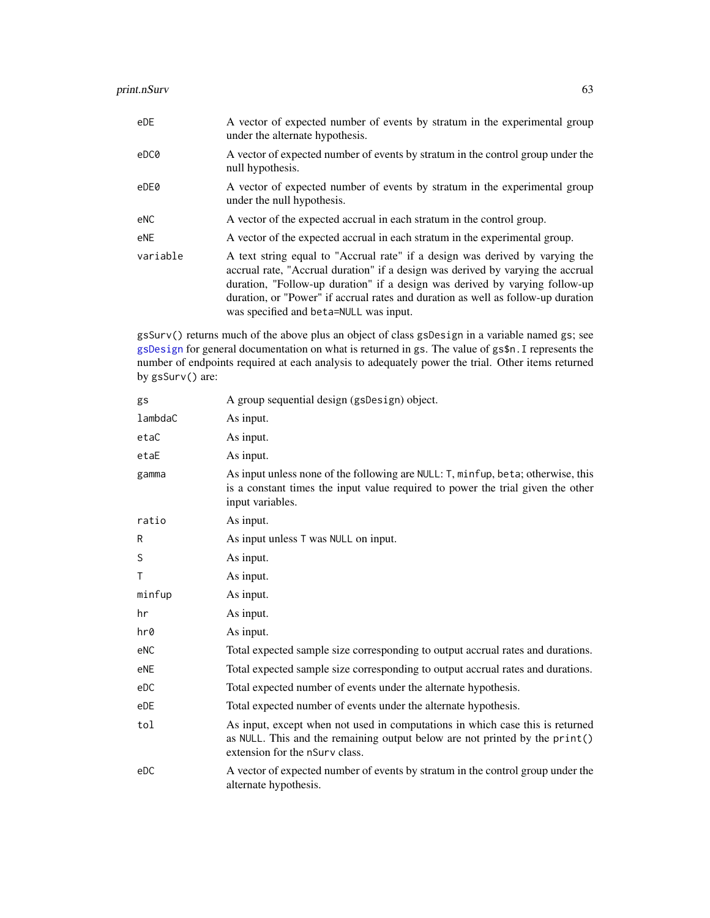| eDE      | A vector of expected number of events by stratum in the experimental group<br>under the alternate hypothesis.                                                                                                                                                                                                                                                                |
|----------|------------------------------------------------------------------------------------------------------------------------------------------------------------------------------------------------------------------------------------------------------------------------------------------------------------------------------------------------------------------------------|
| eDC0     | A vector of expected number of events by stratum in the control group under the<br>null hypothesis.                                                                                                                                                                                                                                                                          |
| eDE0     | A vector of expected number of events by stratum in the experimental group<br>under the null hypothesis.                                                                                                                                                                                                                                                                     |
| eNC      | A vector of the expected accrual in each stratum in the control group.                                                                                                                                                                                                                                                                                                       |
| eNE      | A vector of the expected accrual in each stratum in the experimental group.                                                                                                                                                                                                                                                                                                  |
| variable | A text string equal to "Accrual rate" if a design was derived by varying the<br>accrual rate, "Accrual duration" if a design was derived by varying the accrual<br>duration, "Follow-up duration" if a design was derived by varying follow-up<br>duration, or "Power" if accrual rates and duration as well as follow-up duration<br>was specified and beta=NULL was input. |

gsSurv() returns much of the above plus an object of class gsDesign in a variable named gs; see [gsDesign](#page-35-0) for general documentation on what is returned in gs. The value of gs\$n.I represents the number of endpoints required at each analysis to adequately power the trial. Other items returned by gsSurv() are:

| gs      | A group sequential design (gsDesign) object.                                                                                                                                                   |
|---------|------------------------------------------------------------------------------------------------------------------------------------------------------------------------------------------------|
| lambdaC | As input.                                                                                                                                                                                      |
| etaC    | As input.                                                                                                                                                                                      |
| etaE    | As input.                                                                                                                                                                                      |
| gamma   | As input unless none of the following are NULL: T, minfup, beta; otherwise, this<br>is a constant times the input value required to power the trial given the other<br>input variables.        |
| ratio   | As input.                                                                                                                                                                                      |
| R       | As input unless T was NULL on input.                                                                                                                                                           |
| S       | As input.                                                                                                                                                                                      |
| Τ       | As input.                                                                                                                                                                                      |
| minfup  | As input.                                                                                                                                                                                      |
| hr      | As input.                                                                                                                                                                                      |
| hr0     | As input.                                                                                                                                                                                      |
| eNC     | Total expected sample size corresponding to output accrual rates and durations.                                                                                                                |
| eNE     | Total expected sample size corresponding to output accrual rates and durations.                                                                                                                |
| eDC     | Total expected number of events under the alternate hypothesis.                                                                                                                                |
| eDE     | Total expected number of events under the alternate hypothesis.                                                                                                                                |
| tol     | As input, except when not used in computations in which case this is returned<br>as NULL. This and the remaining output below are not printed by the print()<br>extension for the nSurv class. |
| eDC     | A vector of expected number of events by stratum in the control group under the<br>alternate hypothesis.                                                                                       |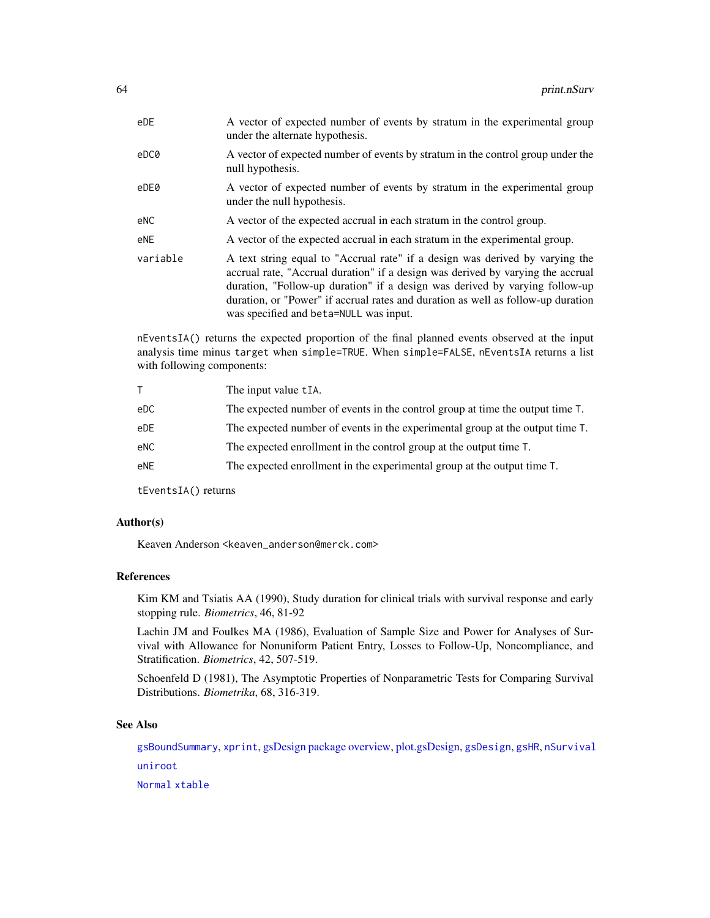| eDE      | A vector of expected number of events by stratum in the experimental group<br>under the alternate hypothesis.                                                                                                                                                                                                                                                                |
|----------|------------------------------------------------------------------------------------------------------------------------------------------------------------------------------------------------------------------------------------------------------------------------------------------------------------------------------------------------------------------------------|
| eDC0     | A vector of expected number of events by stratum in the control group under the<br>null hypothesis.                                                                                                                                                                                                                                                                          |
| eDE0     | A vector of expected number of events by stratum in the experimental group<br>under the null hypothesis.                                                                                                                                                                                                                                                                     |
| eNC      | A vector of the expected accrual in each stratum in the control group.                                                                                                                                                                                                                                                                                                       |
| eNE      | A vector of the expected accrual in each stratum in the experimental group.                                                                                                                                                                                                                                                                                                  |
| variable | A text string equal to "Accrual rate" if a design was derived by varying the<br>accrual rate, "Accrual duration" if a design was derived by varying the accrual<br>duration, "Follow-up duration" if a design was derived by varying follow-up<br>duration, or "Power" if accrual rates and duration as well as follow-up duration<br>was specified and beta=NULL was input. |

nEventsIA() returns the expected proportion of the final planned events observed at the input analysis time minus target when simple=TRUE. When simple=FALSE, nEventsIA returns a list with following components:

|     | The input value tIA.                                                          |
|-----|-------------------------------------------------------------------------------|
| eDC | The expected number of events in the control group at time the output time T. |
| eDE | The expected number of events in the experimental group at the output time T. |
| eNC | The expected enrollment in the control group at the output time T.            |
| eNE | The expected enrollment in the experimental group at the output time T.       |
|     |                                                                               |

tEventsIA() returns

# Author(s)

Keaven Anderson <keaven\_anderson@merck.com>

# References

Kim KM and Tsiatis AA (1990), Study duration for clinical trials with survival response and early stopping rule. *Biometrics*, 46, 81-92

Lachin JM and Foulkes MA (1986), Evaluation of Sample Size and Power for Analyses of Survival with Allowance for Nonuniform Patient Entry, Losses to Follow-Up, Noncompliance, and Stratification. *Biometrics*, 42, 507-519.

Schoenfeld D (1981), The Asymptotic Properties of Nonparametric Tests for Comparing Survival Distributions. *Biometrika*, 68, 316-319.

## See Also

[gsBoundSummary](#page-96-0), [xprint](#page-96-0), [gsDesign package overview,](#page-42-0) [plot.gsDesign,](#page-53-0) [gsDesign](#page-35-0), [gsHR](#page-96-0), [nSurvival](#page-65-0) [uniroot](#page-0-0)

[Normal](#page-0-0) [xtable](#page-102-0)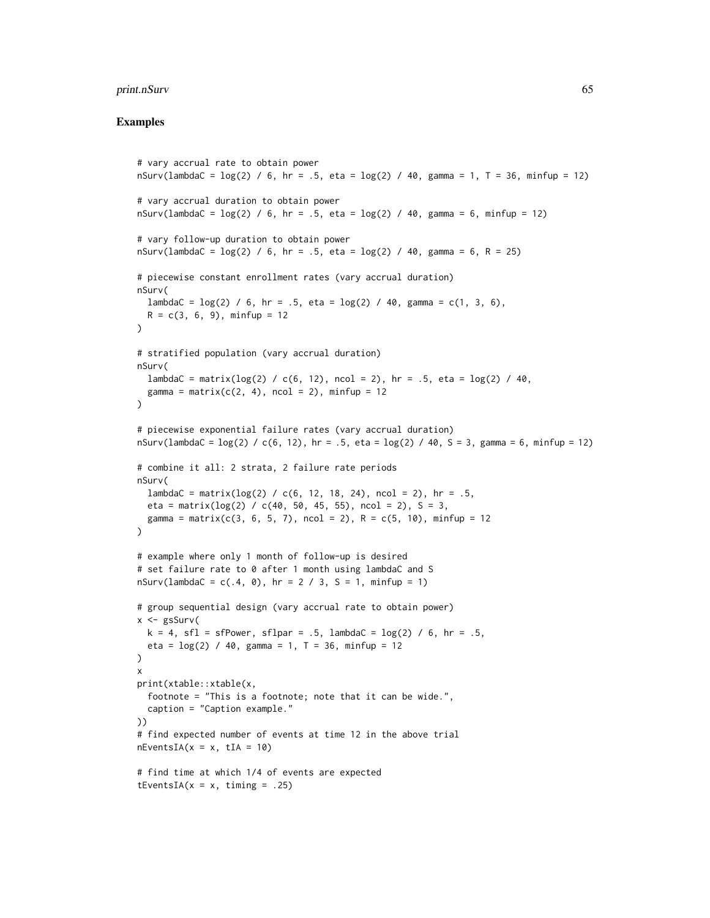```
# vary accrual rate to obtain power
nSurv(lambdaC = log(2) / 6, hr = .5, eta = log(2) / 40, gamma = 1, T = 36, minfup = 12)
# vary accrual duration to obtain power
nSurv(lambdaC = log(2) / 6, hr = .5, eta = log(2) / 40, gamma = 6, minfup = 12)
# vary follow-up duration to obtain power
nSurv(lambdaC = log(2) / 6, hr = .5, eta = log(2) / 40, gamma = 6, R = 25)
# piecewise constant enrollment rates (vary accrual duration)
nSurv(
  lambdaC = log(2) / 6, hr = .5, eta = log(2) / 40, gamma = c(1, 3, 6),
  R = c(3, 6, 9), minfup = 12
\lambda# stratified population (vary accrual duration)
nSurv(
  lambdaC = matrix(log(2) / c(6, 12), ncol = 2), hr = .5, eta = log(2) / 40,
  gamma = matrix(c(2, 4), ncol = 2), minfup = 12
)
# piecewise exponential failure rates (vary accrual duration)
nSurv(lambdaC = log(2) / c(6, 12), hr = .5, eta = log(2) / 40, S = 3, gamma = 6, minfup = 12)
# combine it all: 2 strata, 2 failure rate periods
nSurv(
 lambdaC = matrix(log(2) / c(6, 12, 18, 24), ncol = 2), hr = .5,eta = matrix(log(2) / c(40, 50, 45, 55), ncol = 2), S = 3,
  gamma = matrix(c(3, 6, 5, 7), ncol = 2), R = c(5, 10), minfup = 12
)
# example where only 1 month of follow-up is desired
# set failure rate to 0 after 1 month using lambdaC and S
nSurv(lambdaC = c(.4, 0), hr = 2 / 3, S = 1, minfup = 1)# group sequential design (vary accrual rate to obtain power)
x \leq - gsSurv(
 k = 4, sfl = sfPower, sflpar = .5, lambdaC = log(2) / 6, hr = .5,
  eta = \log(2) / 40, gamma = 1, T = 36, minfup = 12
\lambdax
print(xtable::xtable(x,
  footnote = "This is a footnote; note that it can be wide.",
  caption = "Caption example."
))
# find expected number of events at time 12 in the above trial
nEventsIA(x = x, tIA = 10)# find time at which 1/4 of events are expected
tEventsIA(x = x, timing = .25)
```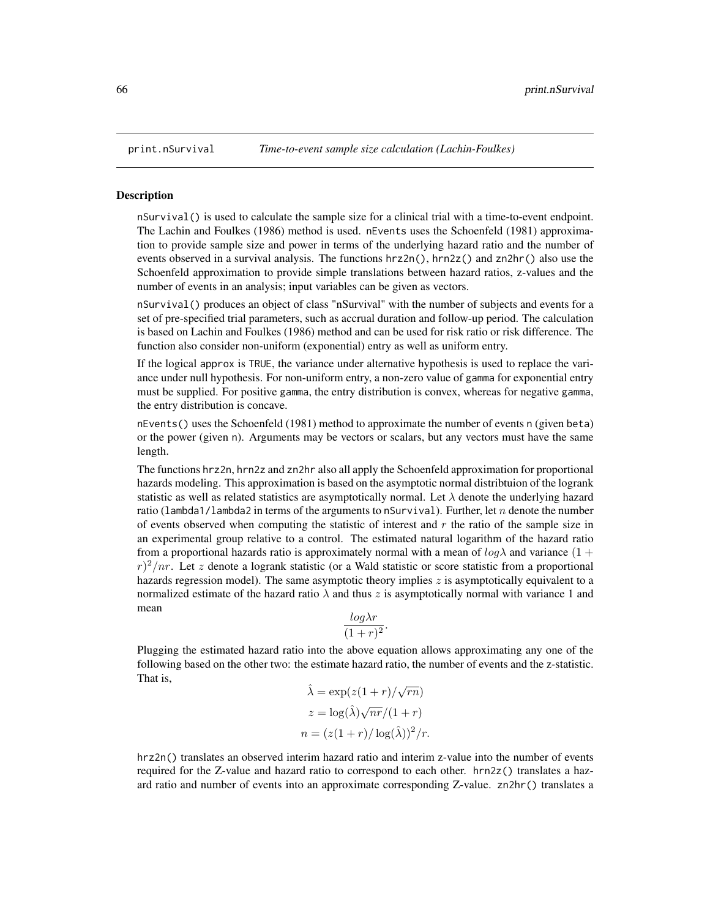#### <span id="page-65-0"></span>**Description**

nSurvival() is used to calculate the sample size for a clinical trial with a time-to-event endpoint. The Lachin and Foulkes (1986) method is used. nEvents uses the Schoenfeld (1981) approximation to provide sample size and power in terms of the underlying hazard ratio and the number of events observed in a survival analysis. The functions hrz2n(), hrn2z() and zn2hr() also use the Schoenfeld approximation to provide simple translations between hazard ratios, z-values and the number of events in an analysis; input variables can be given as vectors.

nSurvival() produces an object of class "nSurvival" with the number of subjects and events for a set of pre-specified trial parameters, such as accrual duration and follow-up period. The calculation is based on Lachin and Foulkes (1986) method and can be used for risk ratio or risk difference. The function also consider non-uniform (exponential) entry as well as uniform entry.

If the logical approx is TRUE, the variance under alternative hypothesis is used to replace the variance under null hypothesis. For non-uniform entry, a non-zero value of gamma for exponential entry must be supplied. For positive gamma, the entry distribution is convex, whereas for negative gamma, the entry distribution is concave.

nEvents() uses the Schoenfeld (1981) method to approximate the number of events n (given beta) or the power (given n). Arguments may be vectors or scalars, but any vectors must have the same length.

The functions hrz2n, hrn2z and zn2hr also all apply the Schoenfeld approximation for proportional hazards modeling. This approximation is based on the asymptotic normal distribtuion of the logrank statistic as well as related statistics are asymptotically normal. Let  $\lambda$  denote the underlying hazard ratio (lambda1/lambda2 in terms of the arguments to nSurvival). Further, let n denote the number of events observed when computing the statistic of interest and  $r$  the ratio of the sample size in an experimental group relative to a control. The estimated natural logarithm of the hazard ratio from a proportional hazards ratio is approximately normal with a mean of  $log \lambda$  and variance (1 +  $r^2/nr$ . Let z denote a logrank statistic (or a Wald statistic or score statistic from a proportional hazards regression model). The same asymptotic theory implies  $z$  is asymptotically equivalent to a normalized estimate of the hazard ratio  $\lambda$  and thus z is asymptotically normal with variance 1 and mean

$$
\frac{\log \lambda r}{(1+r)^2}.
$$

Plugging the estimated hazard ratio into the above equation allows approximating any one of the following based on the other two: the estimate hazard ratio, the number of events and the z-statistic. That is, √

$$
\hat{\lambda} = \exp(z(1+r)/\sqrt{rn})
$$

$$
z = \log(\hat{\lambda})\sqrt{nr}/(1+r)
$$

$$
n = (z(1+r)/\log(\hat{\lambda}))^2/r.
$$

hrz2n() translates an observed interim hazard ratio and interim z-value into the number of events required for the Z-value and hazard ratio to correspond to each other. hrn2z() translates a hazard ratio and number of events into an approximate corresponding Z-value. zn2hr() translates a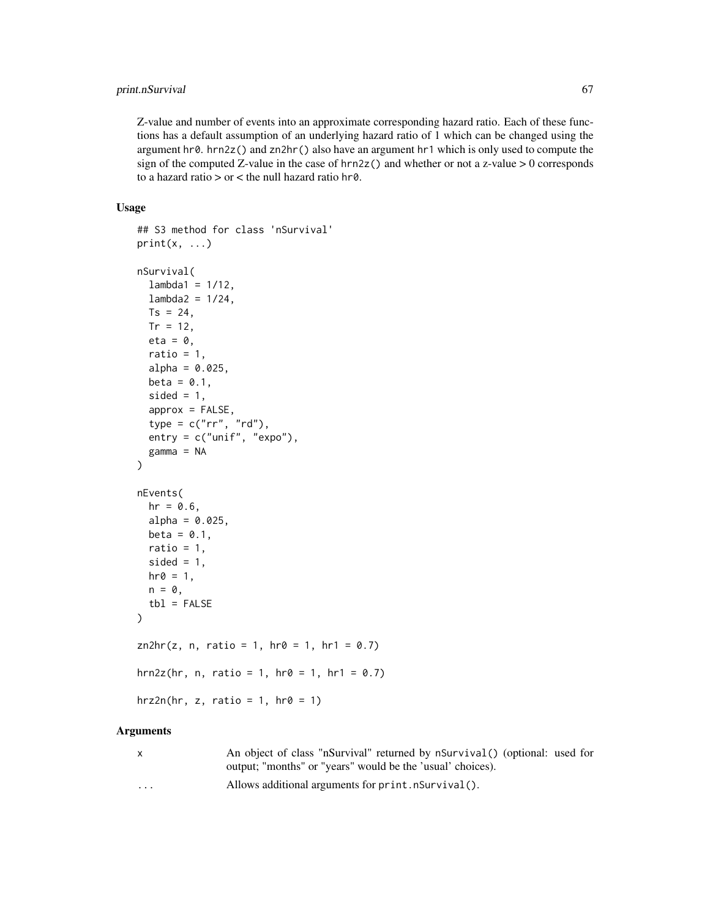# print.nSurvival 67

Z-value and number of events into an approximate corresponding hazard ratio. Each of these functions has a default assumption of an underlying hazard ratio of 1 which can be changed using the argument hr0. hrn2z() and zn2hr() also have an argument hr1 which is only used to compute the sign of the computed Z-value in the case of  $hrn2z()$  and whether or not a z-value  $> 0$  corresponds to a hazard ratio > or < the null hazard ratio hr0.

## Usage

```
## S3 method for class 'nSurvival'
print(x, \ldots)nSurvival(
  lambda1 = 1/12,
  lambda2 = 1/24,
  Ts = 24,Tr = 12,
  eta = 0,
  ratio = 1,
  alpha = 0.025,beta = 0.1,
  sided = 1,
  approx = FALSE,
  type = c("rr", "rd"),
  entry = c("unif", "expo"),
  gamma = NA
)
nEvents(
 hr = 0.6,
  alpha = 0.025,
 beta = 0.1,
 ratio = 1,
  sided = 1,
 hr0 = 1,
 n = 0,
  tb1 = FALSE)
zn2hr(z, n, ratio = 1, hr0 = 1, hr1 = 0.7)hrn2z(hr, n, ratio = 1, hr0 = 1, hr1 = 0.7)
hrz2n(hr, z, ratio = 1, hr0 = 1)
```
## Arguments

| X | An object of class "nSurvival" returned by nSurvival() (optional: used for |
|---|----------------------------------------------------------------------------|
|   | output; "months" or "years" would be the 'usual' choices).                 |
| . | Allows additional arguments for print. nSurvival().                        |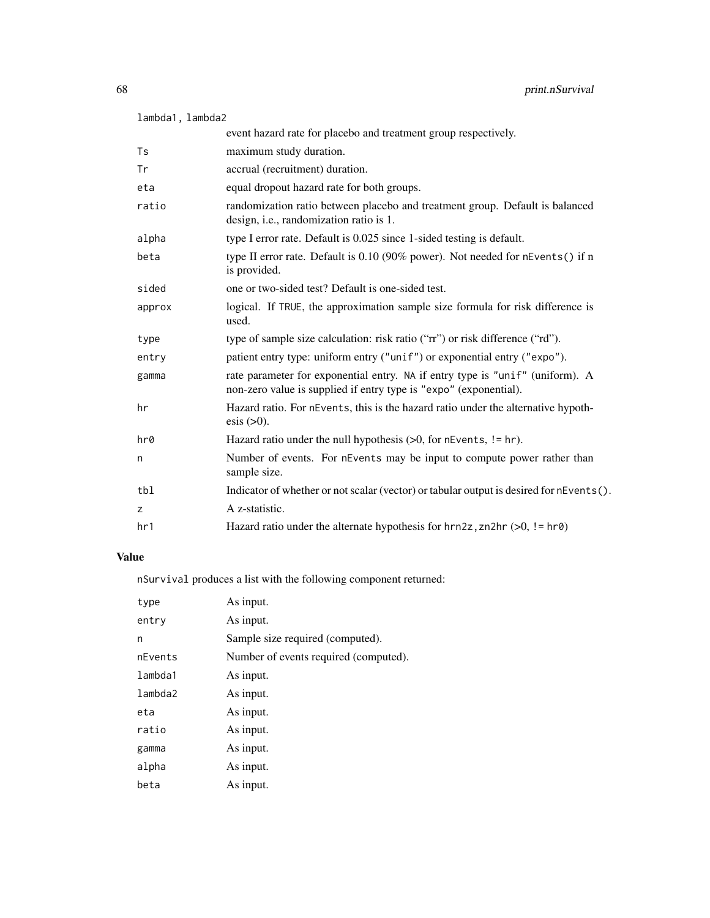| lambda1, lambda2 |  |
|------------------|--|
|                  |  |

|        | event hazard rate for placebo and treatment group respectively.                                                                                    |
|--------|----------------------------------------------------------------------------------------------------------------------------------------------------|
| Ts     | maximum study duration.                                                                                                                            |
| Tr     | accrual (recruitment) duration.                                                                                                                    |
| eta    | equal dropout hazard rate for both groups.                                                                                                         |
| ratio  | randomization ratio between placebo and treatment group. Default is balanced<br>design, i.e., randomization ratio is 1.                            |
| alpha  | type I error rate. Default is 0.025 since 1-sided testing is default.                                                                              |
| beta   | type II error rate. Default is 0.10 (90% power). Not needed for nEvents() if n<br>is provided.                                                     |
| sided  | one or two-sided test? Default is one-sided test.                                                                                                  |
| approx | logical. If TRUE, the approximation sample size formula for risk difference is<br>used.                                                            |
| type   | type of sample size calculation: risk ratio ("rr") or risk difference ("rd").                                                                      |
| entry  | patient entry type: uniform entry ("unif") or exponential entry ("expo").                                                                          |
| gamma  | rate parameter for exponential entry. NA if entry type is "unif" (uniform). A<br>non-zero value is supplied if entry type is "expo" (exponential). |
| hr     | Hazard ratio. For nEvents, this is the hazard ratio under the alternative hypoth-<br>$\text{esis}$ ( $>0$ ).                                       |
| hr0    | Hazard ratio under the null hypothesis $(>0,$ for nEvents, != hr).                                                                                 |
| n      | Number of events. For nEvents may be input to compute power rather than<br>sample size.                                                            |
| tbl    | Indicator of whether or not scalar (vector) or tabular output is desired for nEvents().                                                            |
| z      | A z-statistic.                                                                                                                                     |
| hr1    | Hazard ratio under the alternate hypothesis for $hrn2z$ , zn2hr (>0, != $hr\theta$ )                                                               |

# Value

nSurvival produces a list with the following component returned:

| type    | As input.                             |
|---------|---------------------------------------|
| entry   | As input.                             |
| n       | Sample size required (computed).      |
| nEvents | Number of events required (computed). |
| lambda1 | As input.                             |
| lambda2 | As input.                             |
| eta     | As input.                             |
| ratio   | As input.                             |
| gamma   | As input.                             |
| alpha   | As input.                             |
| beta    | As input.                             |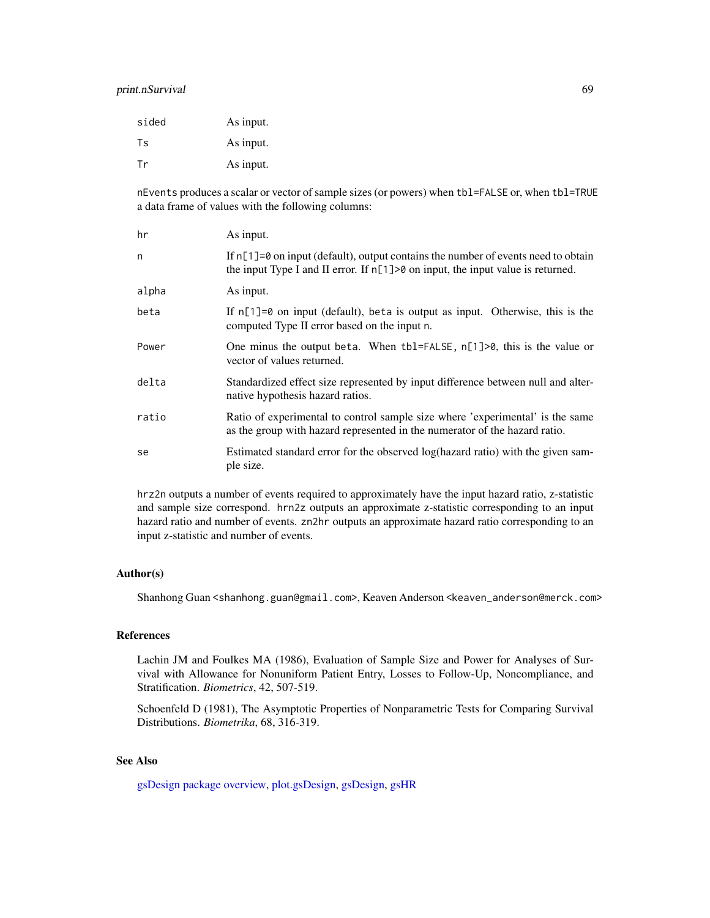# print.nSurvival 69

| sided     | As input. |
|-----------|-----------|
| <b>Ts</b> | As input. |
| Tr        | As input. |

nEvents produces a scalar or vector of sample sizes (or powers) when tbl=FALSE or, when tbl=TRUE a data frame of values with the following columns:

| hr    | As input.                                                                                                                                                                  |
|-------|----------------------------------------------------------------------------------------------------------------------------------------------------------------------------|
| n     | If $n[1]=0$ on input (default), output contains the number of events need to obtain<br>the input Type I and II error. If $n[1]$ > 0 on input, the input value is returned. |
| alpha | As input.                                                                                                                                                                  |
| beta  | If $n[1]=0$ on input (default), beta is output as input. Otherwise, this is the<br>computed Type II error based on the input n.                                            |
| Power | One minus the output beta. When $tbl = FALSE$ , $n[1] > 0$ , this is the value or<br>vector of values returned.                                                            |
| delta | Standardized effect size represented by input difference between null and alter-<br>native hypothesis hazard ratios.                                                       |
| ratio | Ratio of experimental to control sample size where 'experimental' is the same<br>as the group with hazard represented in the numerator of the hazard ratio.                |
| se    | Estimated standard error for the observed log(hazard ratio) with the given sam-<br>ple size.                                                                               |

hrz2n outputs a number of events required to approximately have the input hazard ratio, z-statistic and sample size correspond. hrn2z outputs an approximate z-statistic corresponding to an input hazard ratio and number of events. zn2hr outputs an approximate hazard ratio corresponding to an input z-statistic and number of events.

# Author(s)

Shanhong Guan <shanhong.guan@gmail.com>, Keaven Anderson <keaven\_anderson@merck.com>

#### References

Lachin JM and Foulkes MA (1986), Evaluation of Sample Size and Power for Analyses of Survival with Allowance for Nonuniform Patient Entry, Losses to Follow-Up, Noncompliance, and Stratification. *Biometrics*, 42, 507-519.

Schoenfeld D (1981), The Asymptotic Properties of Nonparametric Tests for Comparing Survival Distributions. *Biometrika*, 68, 316-319.

# See Also

[gsDesign package overview,](#page-42-0) [plot.gsDesign,](#page-53-0) [gsDesign,](#page-35-0) [gsHR](#page-96-0)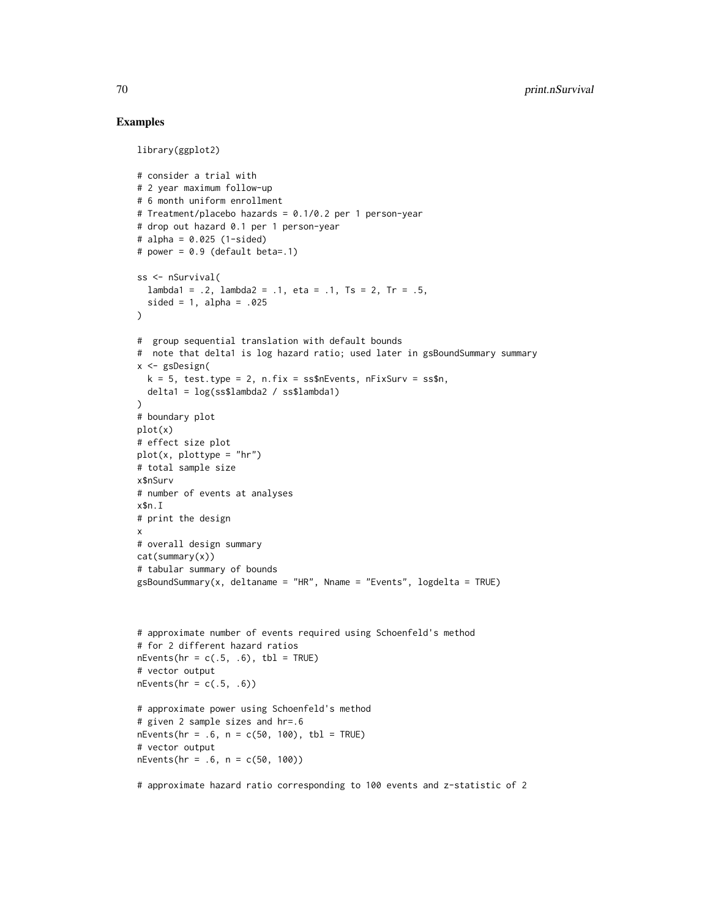```
library(ggplot2)
# consider a trial with
# 2 year maximum follow-up
# 6 month uniform enrollment
# Treatment/placebo hazards = 0.1/0.2 per 1 person-year
# drop out hazard 0.1 per 1 person-year
# alpha = 0.025 (1-sided)
# power = 0.9 (default beta=.1)
ss <- nSurvival(
 lambda1 = .2, lambda2 = .1, eta = .1, Ts = 2, Tr = .5,
  sided = 1, alpha = .025
\lambda# group sequential translation with default bounds
# note that delta1 is log hazard ratio; used later in gsBoundSummary summary
x <- gsDesign(
  k = 5, test.type = 2, n.fix = ss$nEvents, nFixSurv = ss$n,
 delta1 = log(ss$lambda2 / ss$lambda1)
)
# boundary plot
plot(x)
# effect size plot
plot(x, plottype = "hr")
# total sample size
x$nSurv
# number of events at analyses
x$n.I
# print the design
x
# overall design summary
cat(summary(x))
# tabular summary of bounds
gsBoundSummary(x, delta) = "HR", Nname = "Events", logdelta = TRUE)
# approximate number of events required using Schoenfeld's method
# for 2 different hazard ratios
nEvents(hr = c(.5, .6), thl = TRUE)# vector output
nEvents(hr = c(.5, .6))# approximate power using Schoenfeld's method
# given 2 sample sizes and hr=.6
nEvents(hr = .6, n = c(50, 100), tb1 = TRUE)# vector output
nEvents(hr = .6, n = c(50, 100))
# approximate hazard ratio corresponding to 100 events and z-statistic of 2
```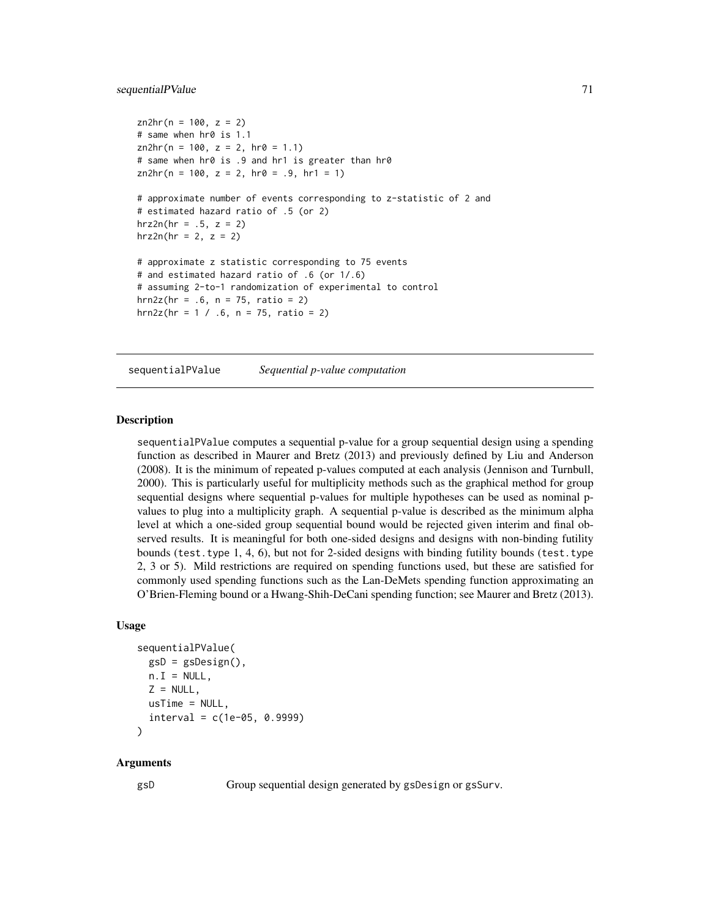# sequentialPValue 71

```
zn2hr(n = 100, z = 2)# same when hr0 is 1.1
zn2hr(n = 100, z = 2, hr0 = 1.1)# same when hr0 is .9 and hr1 is greater than hr0
zn2hr(n = 100, z = 2, hr0 = .9, hr1 = 1)# approximate number of events corresponding to z-statistic of 2 and
# estimated hazard ratio of .5 (or 2)
hrz2n(hr = .5, z = 2)hrz2n(hr = 2, z = 2)# approximate z statistic corresponding to 75 events
# and estimated hazard ratio of .6 (or 1/.6)
# assuming 2-to-1 randomization of experimental to control
hrn2z(hr = .6, n = 75, ratio = 2)hrn2z(hr = 1 / .6, n = 75, ratio = 2)
```
sequentialPValue *Sequential p-value computation*

# Description

sequentialPValue computes a sequential p-value for a group sequential design using a spending function as described in Maurer and Bretz (2013) and previously defined by Liu and Anderson (2008). It is the minimum of repeated p-values computed at each analysis (Jennison and Turnbull, 2000). This is particularly useful for multiplicity methods such as the graphical method for group sequential designs where sequential p-values for multiple hypotheses can be used as nominal pvalues to plug into a multiplicity graph. A sequential p-value is described as the minimum alpha level at which a one-sided group sequential bound would be rejected given interim and final observed results. It is meaningful for both one-sided designs and designs with non-binding futility bounds (test.type 1, 4, 6), but not for 2-sided designs with binding futility bounds (test.type 2, 3 or 5). Mild restrictions are required on spending functions used, but these are satisfied for commonly used spending functions such as the Lan-DeMets spending function approximating an O'Brien-Fleming bound or a Hwang-Shih-DeCani spending function; see Maurer and Bretz (2013).

#### Usage

```
sequentialPValue(
 gsD = gsDesign(),n.I = NULL,Z = NULL,usTime = NULL,
  interval = c(1e-05, 0.9999))
```
### Arguments

gsD Group sequential design generated by gsDesign or gsSurv.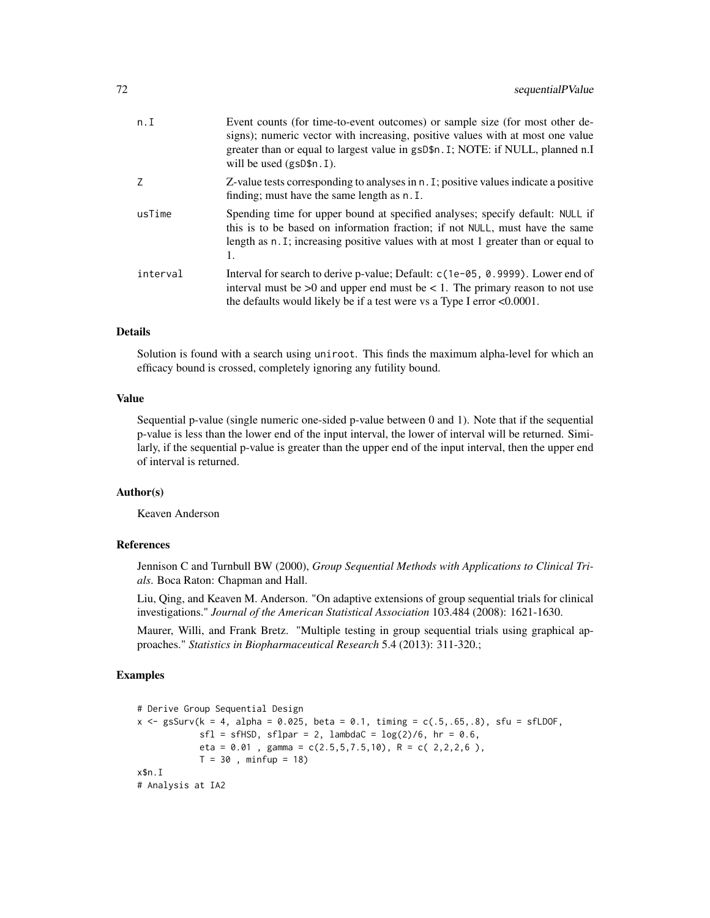| n.I      | Event counts (for time-to-event outcomes) or sample size (for most other de-<br>signs); numeric vector with increasing, positive values with at most one value<br>greater than or equal to largest value in gsD\$n. I; NOTE: if NULL, planned n.I<br>will be used $(gsD$n. I)$ . |
|----------|----------------------------------------------------------------------------------------------------------------------------------------------------------------------------------------------------------------------------------------------------------------------------------|
| Ζ        | Z-value tests corresponding to analyses in n. I; positive values indicate a positive<br>finding; must have the same length as n. I.                                                                                                                                              |
| usTime   | Spending time for upper bound at specified analyses; specify default: NULL if<br>this is to be based on information fraction; if not NULL, must have the same<br>length as n. I; increasing positive values with at most 1 greater than or equal to<br>1.                        |
| interval | Interval for search to derive p-value; Default: $c(1e-05, 0.9999)$ . Lower end of<br>interval must be $>0$ and upper end must be $< 1$ . The primary reason to not use<br>the defaults would likely be if a test were vs a Type I error $< 0.0001$ .                             |

# Details

Solution is found with a search using uniroot. This finds the maximum alpha-level for which an efficacy bound is crossed, completely ignoring any futility bound.

# Value

Sequential p-value (single numeric one-sided p-value between 0 and 1). Note that if the sequential p-value is less than the lower end of the input interval, the lower of interval will be returned. Similarly, if the sequential p-value is greater than the upper end of the input interval, then the upper end of interval is returned.

# Author(s)

Keaven Anderson

## References

Jennison C and Turnbull BW (2000), *Group Sequential Methods with Applications to Clinical Trials*. Boca Raton: Chapman and Hall.

Liu, Qing, and Keaven M. Anderson. "On adaptive extensions of group sequential trials for clinical investigations." *Journal of the American Statistical Association* 103.484 (2008): 1621-1630.

Maurer, Willi, and Frank Bretz. "Multiple testing in group sequential trials using graphical approaches." *Statistics in Biopharmaceutical Research* 5.4 (2013): 311-320.;

```
# Derive Group Sequential Design
x <- gsSurv(k = 4, alpha = 0.025, beta = 0.1, timing = c(.5,.65,.8), sfu = sfLDOF,
            sfl = sfHSD, sflpar = 2, lambdac = log(2)/6, hr = 0.6,eta = 0.01, gamma = c(2.5, 5, 7.5, 10), R = c(2.2, 2, 6),
            T = 30, minfup = 18)
x$n.I
# Analysis at IA2
```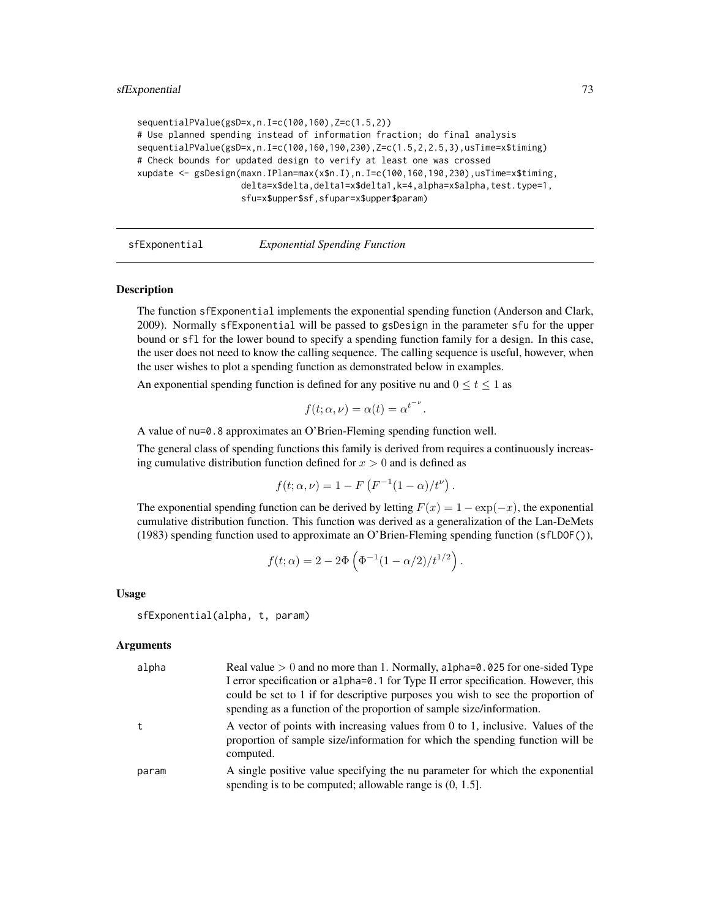```
sequentialPValue(gsD=x,n.I=c(100,160),Z=c(1.5,2))
# Use planned spending instead of information fraction; do final analysis
sequentialPValue(gsD=x,n.I=c(100,160,190,230),Z=c(1.5,2,2.5,3),usTime=x$timing)
# Check bounds for updated design to verify at least one was crossed
xupdate <- gsDesign(maxn.IPlan=max(x$n.I),n.I=c(100,160,190,230),usTime=x$timing,
                    delta=x$delta,delta1=x$delta1,k=4,alpha=x$alpha,test.type=1,
                    sfu=x$upper$sf,sfupar=x$upper$param)
```
<span id="page-72-0"></span>

sfExponential *Exponential Spending Function*

#### Description

The function sfExponential implements the exponential spending function (Anderson and Clark, 2009). Normally sfExponential will be passed to gsDesign in the parameter sfu for the upper bound or sfl for the lower bound to specify a spending function family for a design. In this case, the user does not need to know the calling sequence. The calling sequence is useful, however, when the user wishes to plot a spending function as demonstrated below in examples.

An exponential spending function is defined for any positive nu and  $0 \le t \le 1$  as

$$
f(t; \alpha, \nu) = \alpha(t) = \alpha^{t^{-\nu}}
$$

.

A value of nu=0.8 approximates an O'Brien-Fleming spending function well.

The general class of spending functions this family is derived from requires a continuously increasing cumulative distribution function defined for  $x > 0$  and is defined as

$$
f(t; \alpha, \nu) = 1 - F(F^{-1}(1 - \alpha)/t^{\nu}).
$$

The exponential spending function can be derived by letting  $F(x) = 1 - \exp(-x)$ , the exponential cumulative distribution function. This function was derived as a generalization of the Lan-DeMets (1983) spending function used to approximate an O'Brien-Fleming spending function (sfLDOF()),

$$
f(t; \alpha) = 2 - 2\Phi\left(\Phi^{-1}(1 - \alpha/2)/t^{1/2}\right).
$$

Usage

sfExponential(alpha, t, param)

#### Arguments

| alpha | Real value $> 0$ and no more than 1. Normally, alpha= $0.025$ for one-sided Type<br>I error specification or alpha=0.1 for Type II error specification. However, this<br>could be set to 1 if for descriptive purposes you wish to see the proportion of<br>spending as a function of the proportion of sample size/information. |
|-------|----------------------------------------------------------------------------------------------------------------------------------------------------------------------------------------------------------------------------------------------------------------------------------------------------------------------------------|
|       | A vector of points with increasing values from 0 to 1, inclusive. Values of the<br>proportion of sample size/information for which the spending function will be<br>computed.                                                                                                                                                    |
| param | A single positive value specifying the nu parameter for which the exponential<br>spending is to be computed; allowable range is $(0, 1.5]$ .                                                                                                                                                                                     |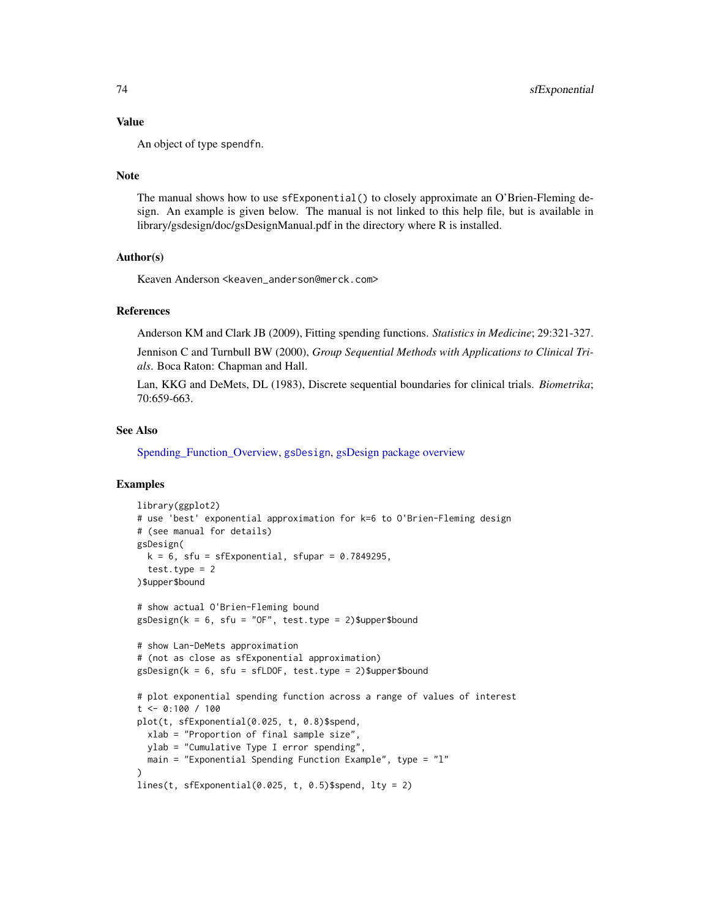#### Value

An object of type spendfn.

#### **Note**

The manual shows how to use sfExponential() to closely approximate an O'Brien-Fleming design. An example is given below. The manual is not linked to this help file, but is available in library/gsdesign/doc/gsDesignManual.pdf in the directory where R is installed.

## Author(s)

Keaven Anderson <keaven\_anderson@merck.com>

#### References

Anderson KM and Clark JB (2009), Fitting spending functions. *Statistics in Medicine*; 29:321-327.

Jennison C and Turnbull BW (2000), *Group Sequential Methods with Applications to Clinical Trials*. Boca Raton: Chapman and Hall.

Lan, KKG and DeMets, DL (1983), Discrete sequential boundaries for clinical trials. *Biometrika*; 70:659-663.

#### See Also

[Spending\\_Function\\_Overview,](#page-93-0) [gsDesign](#page-35-0), [gsDesign package overview](#page-42-0)

```
library(ggplot2)
# use 'best' exponential approximation for k=6 to O'Brien-Fleming design
# (see manual for details)
gsDesign(
  k = 6, sfu = sfExponential, sfupar = 0.7849295,
  test.type = 2)$upper$bound
# show actual O'Brien-Fleming bound
gsDesign(k = 6, sfu = "OF", test.type = 2)$upper$bound
# show Lan-DeMets approximation
# (not as close as sfExponential approximation)
gsDesign(k = 6, sfu = sfLDOF, test.type = 2)$upper$bound
# plot exponential spending function across a range of values of interest
t <- 0:100 / 100
plot(t, sfExponential(0.025, t, 0.8)$spend,
  xlab = "Proportion of final sample size",
  ylab = "Cumulative Type I error spending",
  main = "Exponential Spending Function Example", type = "l"
\lambdalines(t, sfExponential(0.025, t, 0.5)$spend, lty = 2)
```
<span id="page-73-0"></span>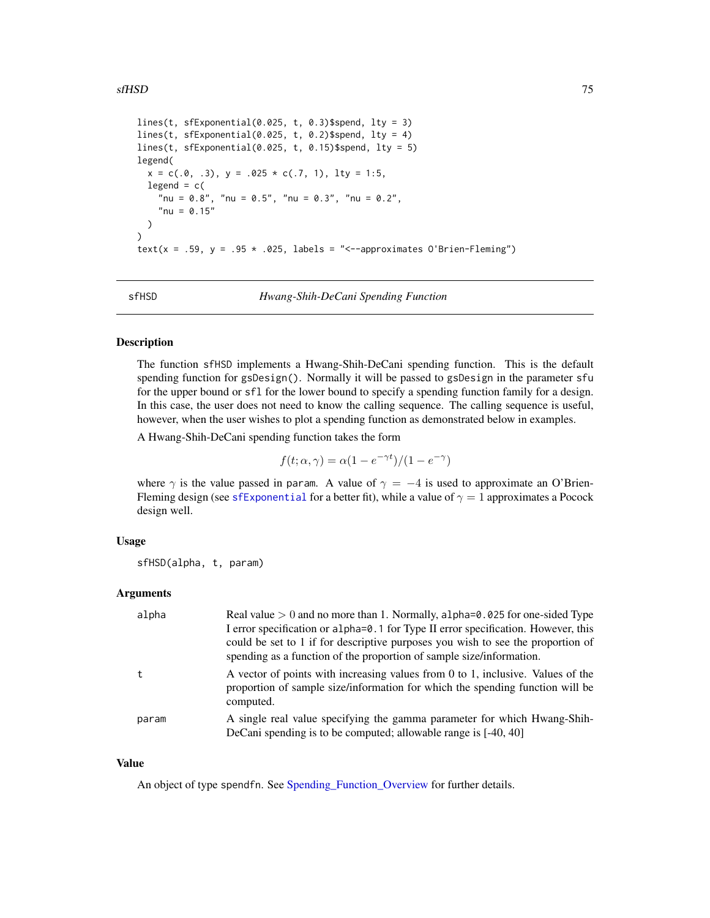```
lines(t, sfExponential(0.025, t, 0.3)$spend, lty = 3)
lines(t, sfExponential(0.025, t, 0.2)$spend, lty = 4)
lines(t, sfExponential(0.025, t, 0.15)$spend, lty = 5)
legend(
  x = c(.0, .3), y = .025 * c(.7, 1), lty = 1:5,
  legend = c("nu = 0.8", "nu = 0.5", "nu = 0.3", "nu = 0.2",
    "nu = 0.15"\lambda\mathcal{L}text(x = .59, y = .95 * .025, labels = "<--approximates O'Brien-Fleming")
```
<span id="page-74-0"></span>

sfHSD *Hwang-Shih-DeCani Spending Function*

#### Description

The function sfHSD implements a Hwang-Shih-DeCani spending function. This is the default spending function for gsDesign(). Normally it will be passed to gsDesign in the parameter sfu for the upper bound or sfl for the lower bound to specify a spending function family for a design. In this case, the user does not need to know the calling sequence. The calling sequence is useful, however, when the user wishes to plot a spending function as demonstrated below in examples.

A Hwang-Shih-DeCani spending function takes the form

$$
f(t; \alpha, \gamma) = \alpha (1 - e^{-\gamma t}) / (1 - e^{-\gamma})
$$

where  $\gamma$  is the value passed in param. A value of  $\gamma = -4$  is used to approximate an O'BrienFleming design (see [sfExponential](#page-72-0) for a better fit), while a value of  $\gamma = 1$  approximates a Pocock design well.

## Usage

sfHSD(alpha, t, param)

### Arguments

| alpha | Real value $> 0$ and no more than 1. Normally, alpha= $0.025$ for one-sided Type<br>I error specification or alpha=0.1 for Type II error specification. However, this<br>could be set to 1 if for descriptive purposes you wish to see the proportion of<br>spending as a function of the proportion of sample size/information. |
|-------|----------------------------------------------------------------------------------------------------------------------------------------------------------------------------------------------------------------------------------------------------------------------------------------------------------------------------------|
| t     | A vector of points with increasing values from $0$ to $1$ , inclusive. Values of the<br>proportion of sample size/information for which the spending function will be<br>computed.                                                                                                                                               |
| param | A single real value specifying the gamma parameter for which Hwang-Shih-<br>DeCani spending is to be computed; allowable range is [-40, 40]                                                                                                                                                                                      |

#### Value

An object of type spendfn. See [Spending\\_Function\\_Overview](#page-93-0) for further details.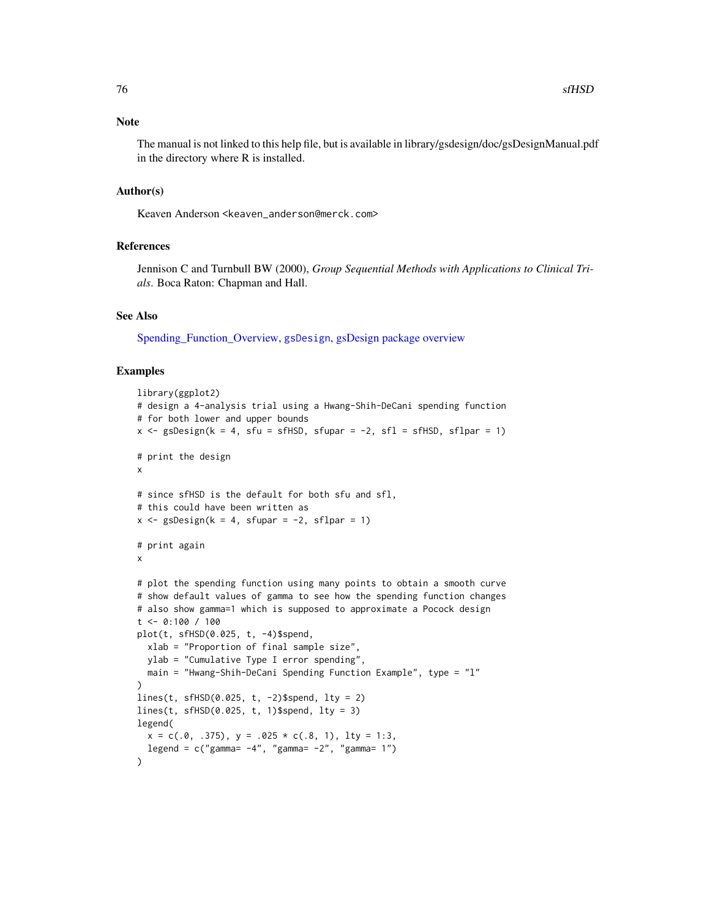<span id="page-75-0"></span>The manual is not linked to this help file, but is available in library/gsdesign/doc/gsDesignManual.pdf in the directory where R is installed.

## Author(s)

Keaven Anderson <keaven\_anderson@merck.com>

## References

Jennison C and Turnbull BW (2000), *Group Sequential Methods with Applications to Clinical Trials*. Boca Raton: Chapman and Hall.

#### See Also

[Spending\\_Function\\_Overview,](#page-93-0) [gsDesign](#page-35-0), [gsDesign package overview](#page-42-0)

```
library(ggplot2)
# design a 4-analysis trial using a Hwang-Shih-DeCani spending function
# for both lower and upper bounds
x \le gsDesign(k = 4, sfu = sfHSD, sfupar = -2, sfl = sfHSD, sflpar = 1)
# print the design
x
# since sfHSD is the default for both sfu and sfl,
# this could have been written as
x \leq - gsDesign(k = 4, sfupar = -2, sflpar = 1)
# print again
x
# plot the spending function using many points to obtain a smooth curve
# show default values of gamma to see how the spending function changes
# also show gamma=1 which is supposed to approximate a Pocock design
t < -0.100 / 100plot(t, sfHSD(0.025, t, -4)$spend,
  xlab = "Proportion of final sample size",
  ylab = "Cumulative Type I error spending",
  main = "Hwang-Shih-DeCani Spending Function Example", type = "l"
)
lines(t, sfHSD(0.025, t, -2)$spend, lty = 2)
lines(t, sfHSD(0.025, t, 1)$spend, lty = 3)
legend(
  x = c(.0, .375), y = .025 \times c(.8, 1), lty = 1:3,
  legend = c("gamma = -4", "gamma = -2", "gamma = 1"))
```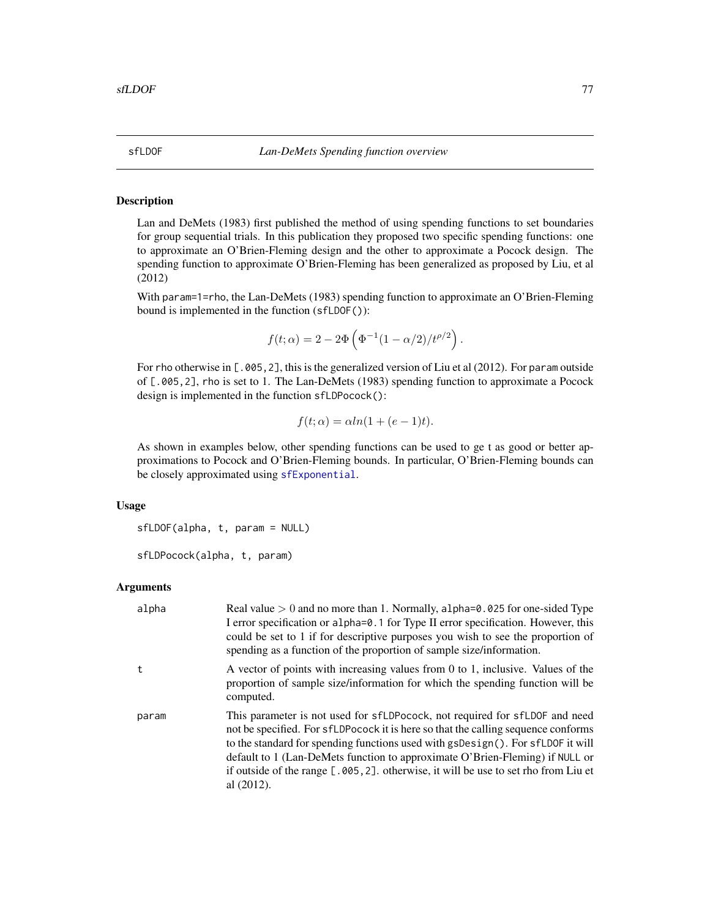#### Description

Lan and DeMets (1983) first published the method of using spending functions to set boundaries for group sequential trials. In this publication they proposed two specific spending functions: one to approximate an O'Brien-Fleming design and the other to approximate a Pocock design. The spending function to approximate O'Brien-Fleming has been generalized as proposed by Liu, et al (2012)

With param=1=rho, the Lan-DeMets (1983) spending function to approximate an O'Brien-Fleming bound is implemented in the function (sfLDOF()):

$$
f(t; \alpha) = 2 - 2\Phi\left(\Phi^{-1}(1 - \alpha/2)/t^{\rho/2}\right).
$$

For rho otherwise in [.005,2], this is the generalized version of Liu et al (2012). For param outside of [.005,2], rho is set to 1. The Lan-DeMets (1983) spending function to approximate a Pocock design is implemented in the function sfLDPocock():

$$
f(t; \alpha) = \alpha ln(1 + (e - 1)t).
$$

As shown in examples below, other spending functions can be used to ge t as good or better approximations to Pocock and O'Brien-Fleming bounds. In particular, O'Brien-Fleming bounds can be closely approximated using [sfExponential](#page-72-0).

#### Usage

sfLDOF(alpha, t, param = NULL)

```
sfLDPocock(alpha, t, param)
```
#### **Arguments**

| alpha | Real value $> 0$ and no more than 1. Normally, alpha= $0.025$ for one-sided Type<br>I error specification or alpha=0.1 for Type II error specification. However, this<br>could be set to 1 if for descriptive purposes you wish to see the proportion of<br>spending as a function of the proportion of sample size/information.                                                                                                            |
|-------|---------------------------------------------------------------------------------------------------------------------------------------------------------------------------------------------------------------------------------------------------------------------------------------------------------------------------------------------------------------------------------------------------------------------------------------------|
| t     | A vector of points with increasing values from 0 to 1, inclusive. Values of the<br>proportion of sample size/information for which the spending function will be<br>computed.                                                                                                                                                                                                                                                               |
| param | This parameter is not used for sfLDPocock, not required for sfLDOF and need<br>not be specified. For sfLDPocock it is here so that the calling sequence conforms<br>to the standard for spending functions used with gsDesign(). For sfLDOF it will<br>default to 1 (Lan-DeMets function to approximate O'Brien-Fleming) if NULL or<br>if outside of the range [.005, 2]. otherwise, it will be use to set rho from Liu et<br>al $(2012)$ . |

<span id="page-76-0"></span>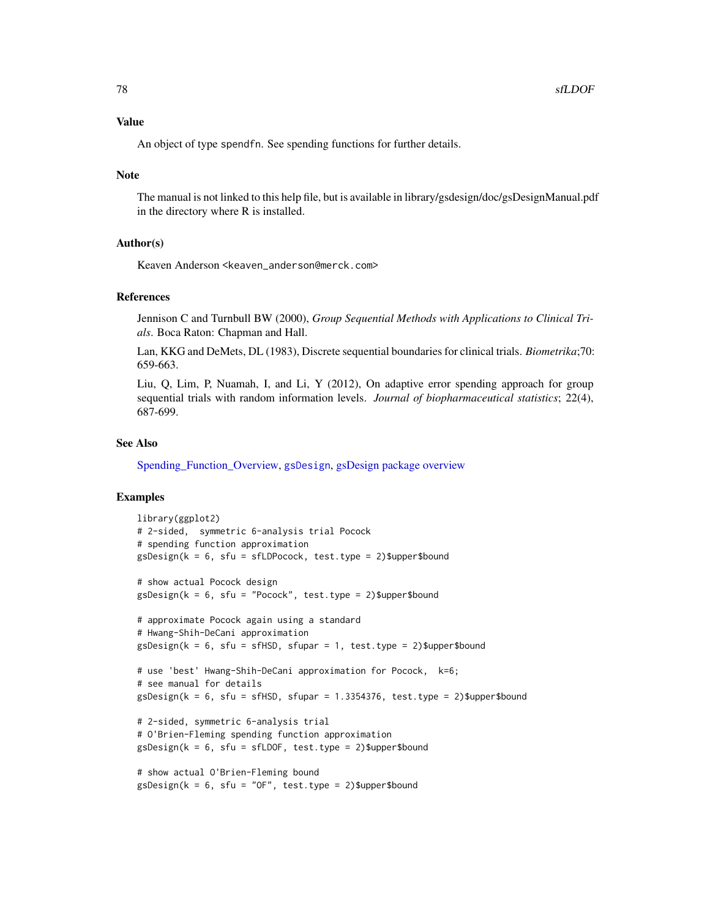#### <span id="page-77-0"></span>Value

An object of type spendfn. See spending functions for further details.

#### **Note**

The manual is not linked to this help file, but is available in library/gsdesign/doc/gsDesignManual.pdf in the directory where R is installed.

## Author(s)

Keaven Anderson <keaven\_anderson@merck.com>

#### References

Jennison C and Turnbull BW (2000), *Group Sequential Methods with Applications to Clinical Trials*. Boca Raton: Chapman and Hall.

Lan, KKG and DeMets, DL (1983), Discrete sequential boundaries for clinical trials. *Biometrika*;70: 659-663.

Liu, Q, Lim, P, Nuamah, I, and Li, Y (2012), On adaptive error spending approach for group sequential trials with random information levels. *Journal of biopharmaceutical statistics*; 22(4), 687-699.

#### See Also

[Spending\\_Function\\_Overview,](#page-93-0) [gsDesign](#page-35-0), [gsDesign package overview](#page-42-0)

```
library(ggplot2)
# 2-sided, symmetric 6-analysis trial Pocock
# spending function approximation
gsDesign(k = 6, sfu = sfLDPocock, test.type = 2)$upper$bound
# show actual Pocock design
gsDesign(k = 6, sfu = "Pocock", test.type = 2)$upper$bound
# approximate Pocock again using a standard
# Hwang-Shih-DeCani approximation
gsDesign(k = 6, sfu = sfHSD, sfupar = 1, test-type = 2)\$upper$bound# use 'best' Hwang-Shih-DeCani approximation for Pocock, k=6;
# see manual for details
gsDesign(k = 6, sfu = sfHSD, sfupar = 1.3354376, test.\ntype = 2)\$upper\$bound# 2-sided, symmetric 6-analysis trial
# O'Brien-Fleming spending function approximation
gsDesign(k = 6, sfu = sfLDOF, test.type = 2)$upper$bound
# show actual O'Brien-Fleming bound
gsDesign(k = 6, sfu = "OF", test_type = 2)Supper$bound
```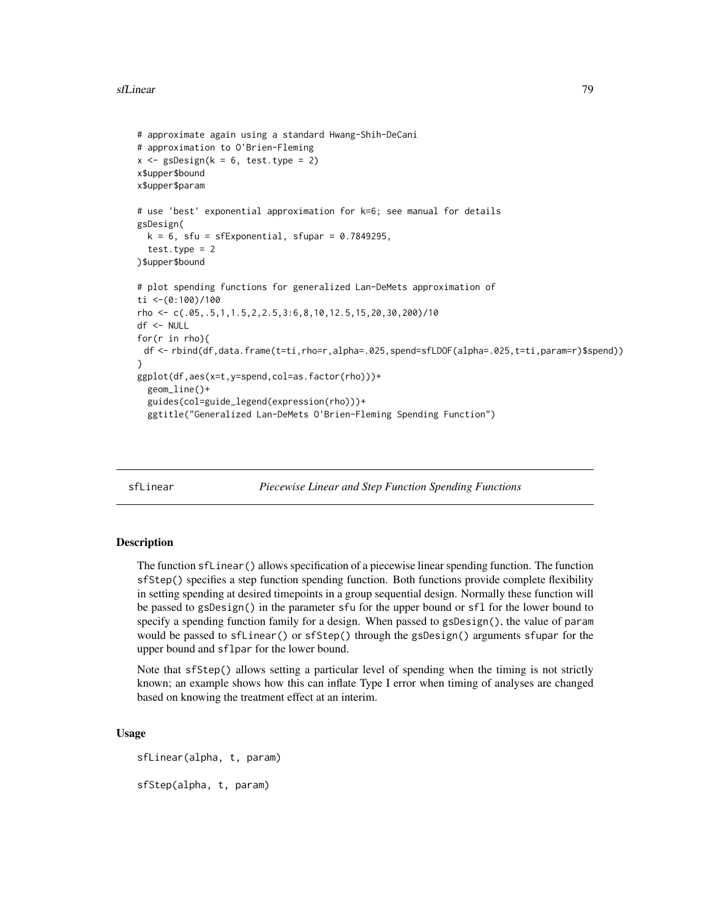```
# approximate again using a standard Hwang-Shih-DeCani
# approximation to O'Brien-Fleming
x \leq - gsDesign(k = 6, test.type = 2)
x$upper$bound
x$upper$param
# use 'best' exponential approximation for k=6; see manual for details
gsDesign(
  k = 6, sfu = sfExponential, sfupar = 0.7849295,
  test.type = 2)$upper$bound
# plot spending functions for generalized Lan-DeMets approximation of
ti <-(0:100)/100
rho <- c(.05,.5,1,1.5,2,2.5,3:6,8,10,12.5,15,20,30,200)/10
df <- NULL
for(r in rho){
 df <- rbind(df,data.frame(t=ti,rho=r,alpha=.025,spend=sfLDOF(alpha=.025,t=ti,param=r)$spend))
}
ggplot(df,aes(x=t,y=spend,col=as.factor(rho)))+
  geom_line()+
  guides(col=guide_legend(expression(rho)))+
  ggtitle("Generalized Lan-DeMets O'Brien-Fleming Spending Function")
```
sfLinear *Piecewise Linear and Step Function Spending Functions*

## **Description**

The function sfLinear() allows specification of a piecewise linear spending function. The function sfStep() specifies a step function spending function. Both functions provide complete flexibility in setting spending at desired timepoints in a group sequential design. Normally these function will be passed to gsDesign() in the parameter sfu for the upper bound or sfl for the lower bound to specify a spending function family for a design. When passed to gsDesign(), the value of param would be passed to sfLinear() or sfStep() through the gsDesign() arguments sfupar for the upper bound and sflpar for the lower bound.

Note that sfStep() allows setting a particular level of spending when the timing is not strictly known; an example shows how this can inflate Type I error when timing of analyses are changed based on knowing the treatment effect at an interim.

#### Usage

sfLinear(alpha, t, param) sfStep(alpha, t, param)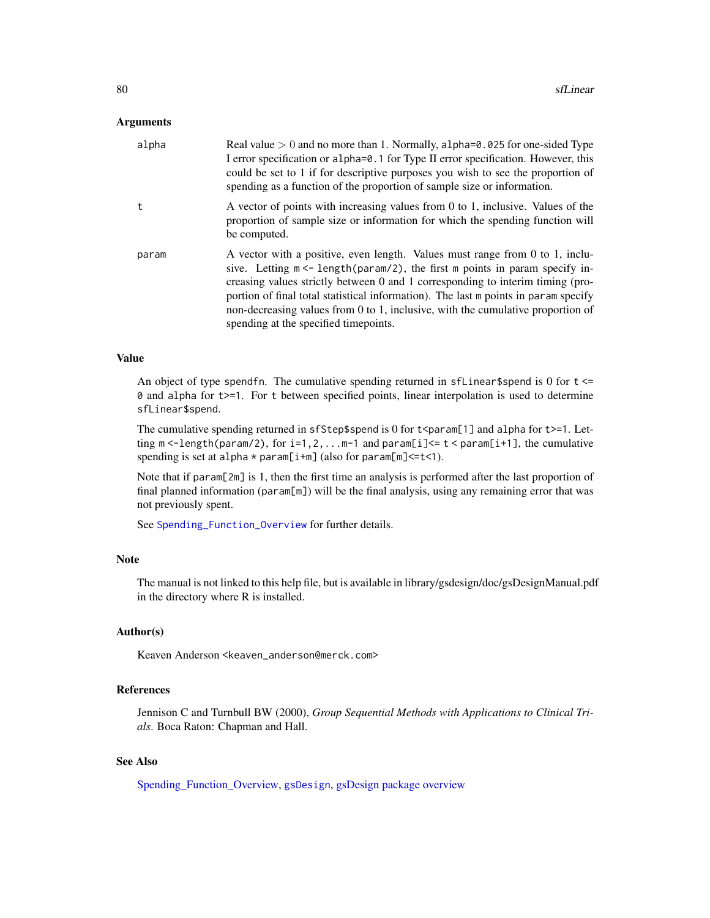#### <span id="page-79-0"></span>Arguments

| alpha | Real value $> 0$ and no more than 1. Normally, alpha= $0.025$ for one-sided Type<br>I error specification or alpha=0.1 for Type II error specification. However, this<br>could be set to 1 if for descriptive purposes you wish to see the proportion of<br>spending as a function of the proportion of sample size or information.                                                                                                                                   |
|-------|-----------------------------------------------------------------------------------------------------------------------------------------------------------------------------------------------------------------------------------------------------------------------------------------------------------------------------------------------------------------------------------------------------------------------------------------------------------------------|
|       | A vector of points with increasing values from 0 to 1, inclusive. Values of the<br>proportion of sample size or information for which the spending function will<br>be computed.                                                                                                                                                                                                                                                                                      |
| param | A vector with a positive, even length. Values must range from 0 to 1, inclu-<br>sive. Letting $m < -$ length (param/2), the first m points in param specify in-<br>creasing values strictly between 0 and 1 corresponding to interim timing (pro-<br>portion of final total statistical information). The last m points in param specify<br>non-decreasing values from 0 to 1, inclusive, with the cumulative proportion of<br>spending at the specified time points. |

## Value

An object of type spendfn. The cumulative spending returned in  $sfLinear$$ spend is 0 for  $t \le$ 0 and alpha for t>=1. For t between specified points, linear interpolation is used to determine sfLinear\$spend.

The cumulative spending returned in sfStep\$spend is 0 for  $t$   $\epsilon$  param[1] and alpha for  $t$   $>$ =1. Letting  $m < -length(param/2)$ , for  $i=1,2,...m-1$  and  $param[i] < = t < param[i+1]$ , the cumulative spending is set at alpha  $*$  param[i+m] (also for param[m] <= t<1).

Note that if param[2m] is 1, then the first time an analysis is performed after the last proportion of final planned information (param[m]) will be the final analysis, using any remaining error that was not previously spent.

See [Spending\\_Function\\_Overview](#page-93-0) for further details.

#### Note

The manual is not linked to this help file, but is available in library/gsdesign/doc/gsDesignManual.pdf in the directory where R is installed.

# Author(s)

Keaven Anderson <keaven\_anderson@merck.com>

# References

Jennison C and Turnbull BW (2000), *Group Sequential Methods with Applications to Clinical Trials*. Boca Raton: Chapman and Hall.

# See Also

[Spending\\_Function\\_Overview,](#page-93-0) [gsDesign](#page-35-0), [gsDesign package overview](#page-42-0)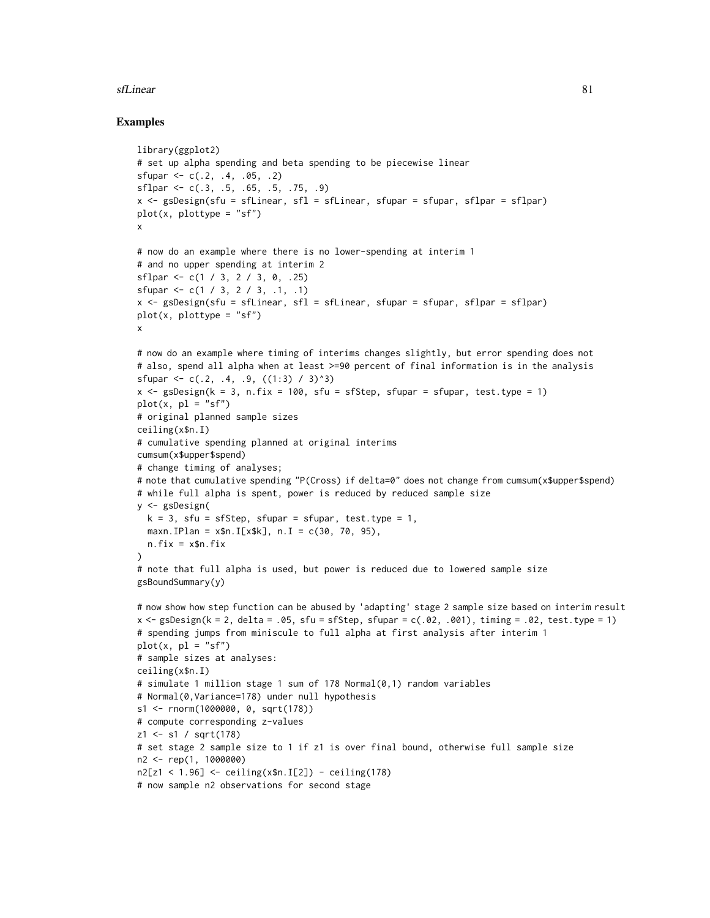#### sfLinear 81

```
library(ggplot2)
# set up alpha spending and beta spending to be piecewise linear
sfupar <-c(.2, .4, .05, .2)sflpar \leftarrow c(.3, .5, .65, .5, .75, .9)x <- gsDesign(sfu = sfLinear, sfl = sfLinear, sfupar = sfupar, sflpar = sflpar)
plot(x, plottype = "sf")x
# now do an example where there is no lower-spending at interim 1
# and no upper spending at interim 2
sflpar <- c(1 / 3, 2 / 3, 0, .25)
sfupar <- c(1 / 3, 2 / 3, .1, .1)
x \leq - gsDesign(sfu = sfLinear, sfl = sfLinear, sfupar = sfupar, sflpar = sflpar)
plot(x, plottype = "sf")x
# now do an example where timing of interims changes slightly, but error spending does not
# also, spend all alpha when at least >=90 percent of final information is in the analysis
sfupar \leq c(.2, .4, .9, ((1:3) / 3)^3)x \leq - gsDesign(k = 3, n.fix = 100, sfu = sfStep, sfupar = sfupar, test.type = 1)
plot(x, pl = "sf")# original planned sample sizes
ceiling(x$n.I)
# cumulative spending planned at original interims
cumsum(x$upper$spend)
# change timing of analyses;
# note that cumulative spending "P(Cross) if delta=0" does not change from cumsum(x$upper$spend)
# while full alpha is spent, power is reduced by reduced sample size
y <- gsDesign(
  k = 3, sfu = sfStep, sfupar = sfupar, test.type = 1,
  maxn. IPlan = x$n. I[x$k], n. I = c(30, 70, 95),
  n.fix = x$n.fix
)
# note that full alpha is used, but power is reduced due to lowered sample size
gsBoundSummary(y)
# now show how step function can be abused by 'adapting' stage 2 sample size based on interim result
x \leq gSbesign(k = 2, delta = .05, sfu = sfStep, sfupar = c(.02, .001), timing = .02, test.type = 1)
# spending jumps from miniscule to full alpha at first analysis after interim 1
plot(x, pl = "sf")# sample sizes at analyses:
ceiling(x$n.I)
# simulate 1 million stage 1 sum of 178 Normal(0,1) random variables
# Normal(0,Variance=178) under null hypothesis
s1 <- rnorm(1000000, 0, sqrt(178))
# compute corresponding z-values
z1 <- s1 / sqrt(178)
# set stage 2 sample size to 1 if z1 is over final bound, otherwise full sample size
n2 <- rep(1, 1000000)
n2[z1 < 1.96] <- ceiling(x$n.I[2]) - ceiling(178)
# now sample n2 observations for second stage
```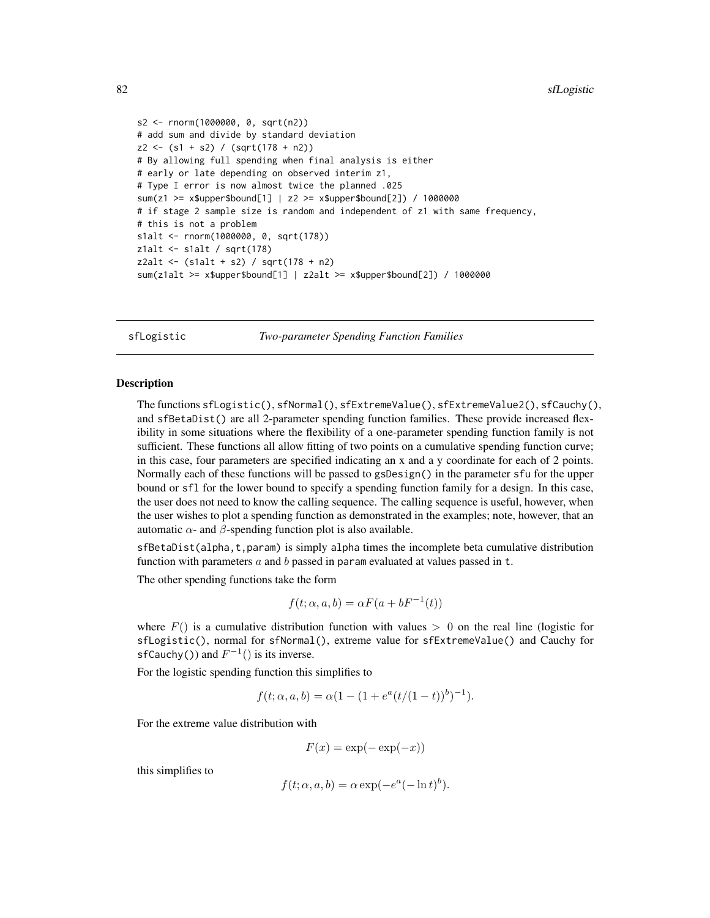```
s2 <- rnorm(1000000, 0, sqrt(n2))
# add sum and divide by standard deviation
z2 \leftarrow (s1 + s2) / (sqrt(178 + n2))# By allowing full spending when final analysis is either
# early or late depending on observed interim z1,
# Type I error is now almost twice the planned .025
sum(z1 >= x$upper$bound[1] | z2 >= x$upper$bound[2]) / 1000000
# if stage 2 sample size is random and independent of z1 with same frequency,
# this is not a problem
s1alt <- rnorm(1000000, 0, sqrt(178))
z1alt <- s1alt / sqrt(178)
z2alt < - (slalt + s2) / sqrt(178 + n2)sum(z1alt >= x$upper$bound[1] | z2alt >= x$upper$bound[2]) / 1000000
```
<span id="page-81-0"></span>sfLogistic *Two-parameter Spending Function Families*

## Description

The functions sfLogistic(), sfNormal(), sfExtremeValue(), sfExtremeValue2(), sfCauchy(), and sfBetaDist() are all 2-parameter spending function families. These provide increased flexibility in some situations where the flexibility of a one-parameter spending function family is not sufficient. These functions all allow fitting of two points on a cumulative spending function curve; in this case, four parameters are specified indicating an x and a y coordinate for each of 2 points. Normally each of these functions will be passed to gsDesign() in the parameter sfu for the upper bound or sfl for the lower bound to specify a spending function family for a design. In this case, the user does not need to know the calling sequence. The calling sequence is useful, however, when the user wishes to plot a spending function as demonstrated in the examples; note, however, that an automatic  $\alpha$ - and  $\beta$ -spending function plot is also available.

sfBetaDist(alpha,t,param) is simply alpha times the incomplete beta cumulative distribution function with parameters  $a$  and  $b$  passed in param evaluated at values passed in t.

The other spending functions take the form

$$
f(t; \alpha, a, b) = \alpha F(a + bF^{-1}(t))
$$

where  $F()$  is a cumulative distribution function with values  $> 0$  on the real line (logistic for sfLogistic(), normal for sfNormal(), extreme value for sfExtremeValue() and Cauchy for sfCauchy()) and  $F^{-1}$ () is its inverse.

For the logistic spending function this simplifies to

$$
f(t; \alpha, a, b) = \alpha (1 - (1 + e^{a}(t/(1-t))^{b})^{-1}).
$$

For the extreme value distribution with

$$
F(x) = \exp(-\exp(-x))
$$

this simplifies to

$$
f(t; \alpha, a, b) = \alpha \exp(-e^a(-\ln t)^b).
$$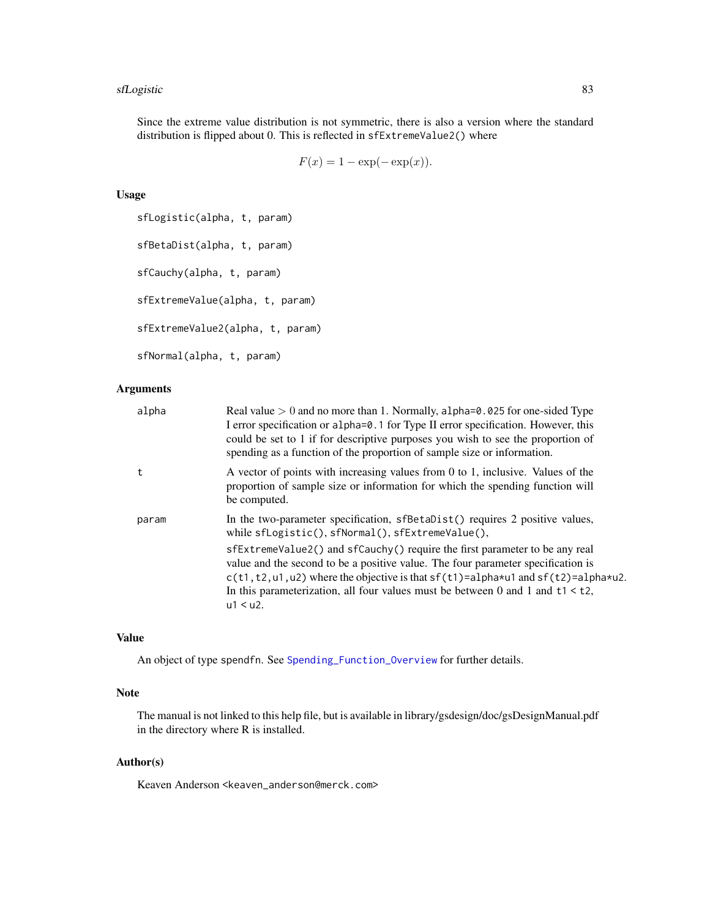#### <span id="page-82-0"></span>sfLogistic 83

Since the extreme value distribution is not symmetric, there is also a version where the standard distribution is flipped about 0. This is reflected in sfExtremeValue2() where

$$
F(x) = 1 - \exp(-\exp(x)).
$$

# Usage

```
sfLogistic(alpha, t, param)
sfBetaDist(alpha, t, param)
sfCauchy(alpha, t, param)
sfExtremeValue(alpha, t, param)
sfExtremeValue2(alpha, t, param)
sfNormal(alpha, t, param)
```
# Arguments

| alpha | Real value $> 0$ and no more than 1. Normally, alpha= $0.025$ for one-sided Type<br>I error specification or alpha=0.1 for Type II error specification. However, this<br>could be set to 1 if for descriptive purposes you wish to see the proportion of<br>spending as a function of the proportion of sample size or information.                              |
|-------|------------------------------------------------------------------------------------------------------------------------------------------------------------------------------------------------------------------------------------------------------------------------------------------------------------------------------------------------------------------|
| t     | A vector of points with increasing values from $0$ to 1, inclusive. Values of the<br>proportion of sample size or information for which the spending function will<br>be computed.                                                                                                                                                                               |
| param | In the two-parameter specification, sfBetaDist() requires 2 positive values,<br>while sfLogistic(), sfNormal(), sfExtremeValue(),                                                                                                                                                                                                                                |
|       | sfExtremeValue2() and sfCauchy() require the first parameter to be any real<br>value and the second to be a positive value. The four parameter specification is<br>$c(t1, t2, u1, u2)$ where the objective is that $sf(t1)=alpha+u1$ and $sf(t2)=alpha+u2$ .<br>In this parameterization, all four values must be between 0 and 1 and $t1 < t2$ ,<br>$u1 < u2$ . |

# Value

An object of type spendfn. See [Spending\\_Function\\_Overview](#page-93-0) for further details.

# Note

The manual is not linked to this help file, but is available in library/gsdesign/doc/gsDesignManual.pdf in the directory where R is installed.

## Author(s)

Keaven Anderson <keaven\_anderson@merck.com>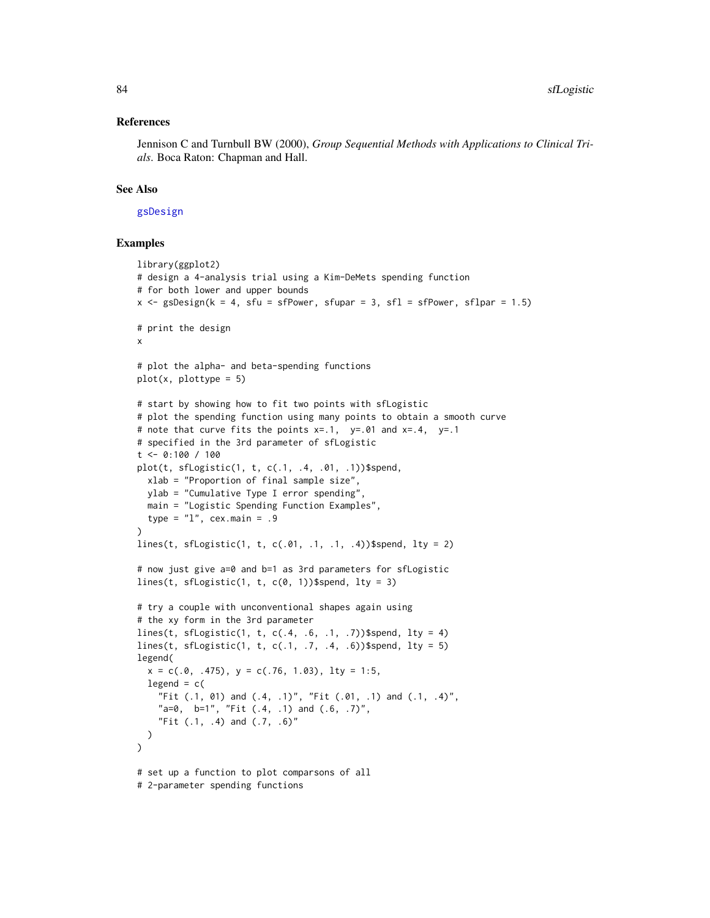#### <span id="page-83-0"></span>References

Jennison C and Turnbull BW (2000), *Group Sequential Methods with Applications to Clinical Trials*. Boca Raton: Chapman and Hall.

## See Also

[gsDesign](#page-35-0)

```
library(ggplot2)
# design a 4-analysis trial using a Kim-DeMets spending function
# for both lower and upper bounds
x \le - gsDesign(k = 4, sfu = sfPower, sfupar = 3, sfl = sfPower, sflpar = 1.5)
# print the design
x
# plot the alpha- and beta-spending functions
plot(x, plottype = 5)# start by showing how to fit two points with sfLogistic
# plot the spending function using many points to obtain a smooth curve
# note that curve fits the points x=.1, y=.01 and x=.4, y=.1
# specified in the 3rd parameter of sfLogistic
t <- 0:100 / 100
plot(t, sfLogistic(1, t, c(.1, .4, .01, .1))$spend,
  xlab = "Proportion of final sample size",
  ylab = "Cumulative Type I error spending",
 main = "Logistic Spending Function Examples",
  type = "1", cex.main = .9
)
lines(t, sfLogistic(1, t, c(.01, .1, .1, .4))$spend, lty = 2)
# now just give a=0 and b=1 as 3rd parameters for sfLogistic
lines(t, sfLogistic(1, t, c(0, 1))$spend, lty = 3)
# try a couple with unconventional shapes again using
# the xy form in the 3rd parameter
lines(t, sfLogistic(1, t, c(.4, .6, .1, .7))$spend, lty = 4)
lines(t, sfLogistic(1, t, c(.1, .7, .4, .6))$spend, lty = 5)
legend(
  x = c(.0, .475), y = c(.76, 1.03), lty = 1:5,legend = c("Fit (.1, 01) and (.4, .1)", "Fit (.01, .1) and (.1, .4)",
    "a=0, b=1", "Fit (.4, .1) and (.6, .7)",
    "Fit (.1, .4) and (.7, .6)"
  )
\lambda# set up a function to plot comparsons of all
# 2-parameter spending functions
```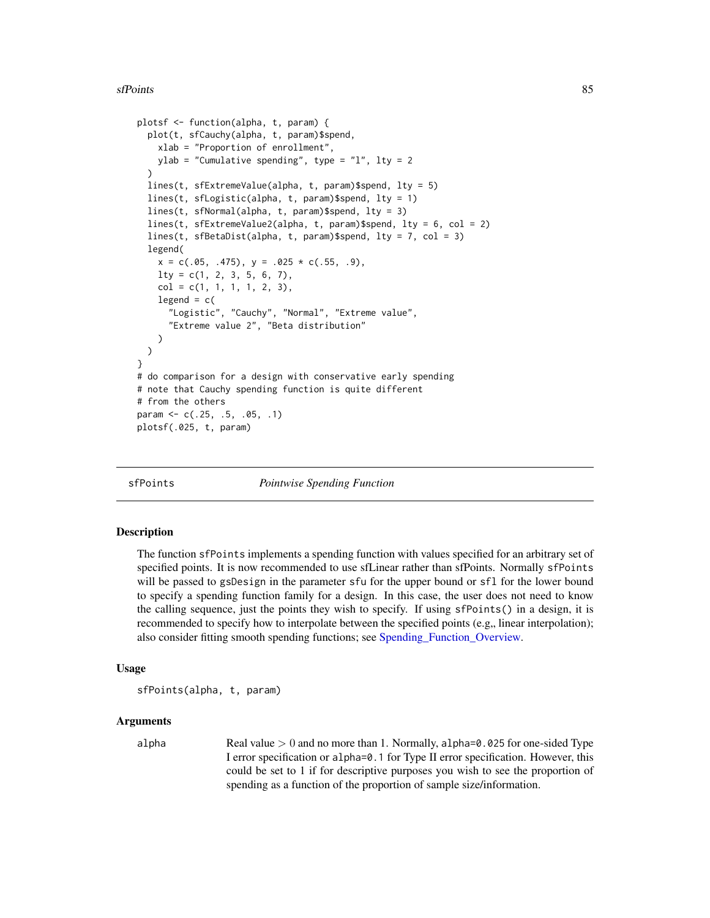```
plotsf <- function(alpha, t, param) {
 plot(t, sfCauchy(alpha, t, param)$spend,
   xlab = "Proportion of enrollment",
   ylab = "Cumulative spending", type = "l", lty = 2
 )
 lines(t, sfExtremeValue(alpha, t, param)$spend, lty = 5)
 lines(t, sfLogistic(alpha, t, param)$spend, lty = 1)
 lines(t, sfNormal(alpha, t, param)$spend, lty = 3)
 lines(t, sfExtremeValue2(alpha, t, param)$spend, lty = 6, col = 2)
 lines(t, sfBetaDist(alpha, t, param)$spend, lty = 7, col = 3)
 legend(
    x = c(.05, .475), y = .025 * c(.55, .9),lty = c(1, 2, 3, 5, 6, 7),col = c(1, 1, 1, 1, 2, 3),
   legend = c("Logistic", "Cauchy", "Normal", "Extreme value",
      "Extreme value 2", "Beta distribution"
   )
 )
}
# do comparison for a design with conservative early spending
# note that Cauchy spending function is quite different
# from the others
param <- c(.25, .5, .05, .1)
plotsf(.025, t, param)
```
sfPoints *Pointwise Spending Function*

#### **Description**

The function sfPoints implements a spending function with values specified for an arbitrary set of specified points. It is now recommended to use sfLinear rather than sfPoints. Normally sfPoints will be passed to gsDesign in the parameter sfu for the upper bound or sfl for the lower bound to specify a spending function family for a design. In this case, the user does not need to know the calling sequence, just the points they wish to specify. If using sfPoints() in a design, it is recommended to specify how to interpolate between the specified points  $(e.g.,)$  linear interpolation); also consider fitting smooth spending functions; see [Spending\\_Function\\_Overview.](#page-93-0)

## Usage

```
sfPoints(alpha, t, param)
```
#### Arguments

alpha Real value  $> 0$  and no more than 1. Normally, alpha=0.025 for one-sided Type I error specification or alpha=0.1 for Type II error specification. However, this could be set to 1 if for descriptive purposes you wish to see the proportion of spending as a function of the proportion of sample size/information.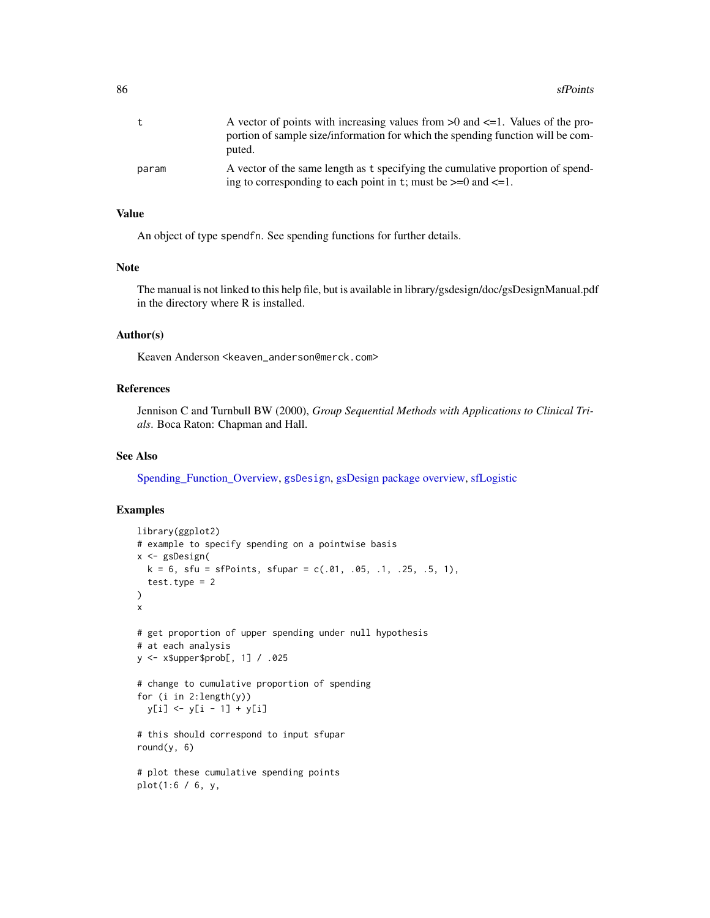<span id="page-85-0"></span>

| t     | A vector of points with increasing values from $>0$ and $\leq$ -1. Values of the pro-<br>portion of sample size/information for which the spending function will be com-<br>puted. |
|-------|------------------------------------------------------------------------------------------------------------------------------------------------------------------------------------|
| param | A vector of the same length as t specifying the cumulative proportion of spend-<br>ing to corresponding to each point in t; must be $>=0$ and $<=1$ .                              |

### Value

An object of type spendfn. See spending functions for further details.

# Note

The manual is not linked to this help file, but is available in library/gsdesign/doc/gsDesignManual.pdf in the directory where R is installed.

## Author(s)

Keaven Anderson <keaven\_anderson@merck.com>

## References

Jennison C and Turnbull BW (2000), *Group Sequential Methods with Applications to Clinical Trials*. Boca Raton: Chapman and Hall.

## See Also

[Spending\\_Function\\_Overview,](#page-93-0) [gsDesign](#page-35-0), [gsDesign package overview,](#page-42-0) [sfLogistic](#page-81-0)

```
library(ggplot2)
# example to specify spending on a pointwise basis
x <- gsDesign(
  k = 6, sfu = sfPoints, sfupar = c(.01, .05, .1, .25, .5, 1),
  test.type = 2)
x
# get proportion of upper spending under null hypothesis
# at each analysis
y <- x$upper$prob[, 1] / .025
# change to cumulative proportion of spending
for (i in 2:length(y))
  y[i] <- y[i - 1] + y[i]# this should correspond to input sfupar
round(y, 6)# plot these cumulative spending points
plot(1:6 / 6, y,
```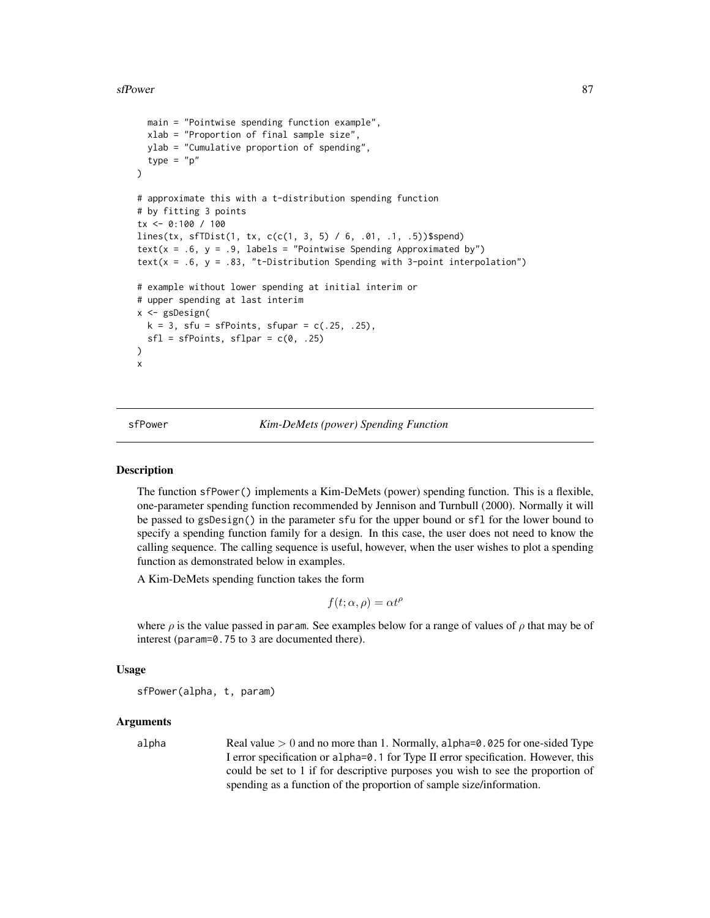#### <span id="page-86-1"></span>sfPower 87

```
main = "Pointwise spending function example",
  xlab = "Proportion of final sample size",
  ylab = "Cumulative proportion of spending",
  type = "p")
# approximate this with a t-distribution spending function
# by fitting 3 points
tx <- 0:100 / 100
lines(tx, sfTDist(1, tx, c(c(1, 3, 5) / 6, .01, .1, .5))$spend)
text(x = .6, y = .9, labels = "Pointwise Spending Approximated by")
text(x = .6, y = .83, "t-Distribution Spending with 3-point interpolation")
# example without lower spending at initial interim or
# upper spending at last interim
x <- gsDesign(
  k = 3, sfu = sfPoints, sfupar = c(.25, .25),
  sfl = sfPoints, sflpar = c(0, .25))
x
```
<span id="page-86-0"></span>

sfPower *Kim-DeMets (power) Spending Function*

# Description

The function sfPower() implements a Kim-DeMets (power) spending function. This is a flexible, one-parameter spending function recommended by Jennison and Turnbull (2000). Normally it will be passed to gsDesign() in the parameter sfu for the upper bound or sfl for the lower bound to specify a spending function family for a design. In this case, the user does not need to know the calling sequence. The calling sequence is useful, however, when the user wishes to plot a spending function as demonstrated below in examples.

A Kim-DeMets spending function takes the form

$$
f(t; \alpha, \rho) = \alpha t^{\rho}
$$

where  $\rho$  is the value passed in param. See examples below for a range of values of  $\rho$  that may be of interest (param=0.75 to 3 are documented there).

## Usage

sfPower(alpha, t, param)

#### Arguments

alpha Real value  $> 0$  and no more than 1. Normally, alpha=0.025 for one-sided Type I error specification or alpha=0.1 for Type II error specification. However, this could be set to 1 if for descriptive purposes you wish to see the proportion of spending as a function of the proportion of sample size/information.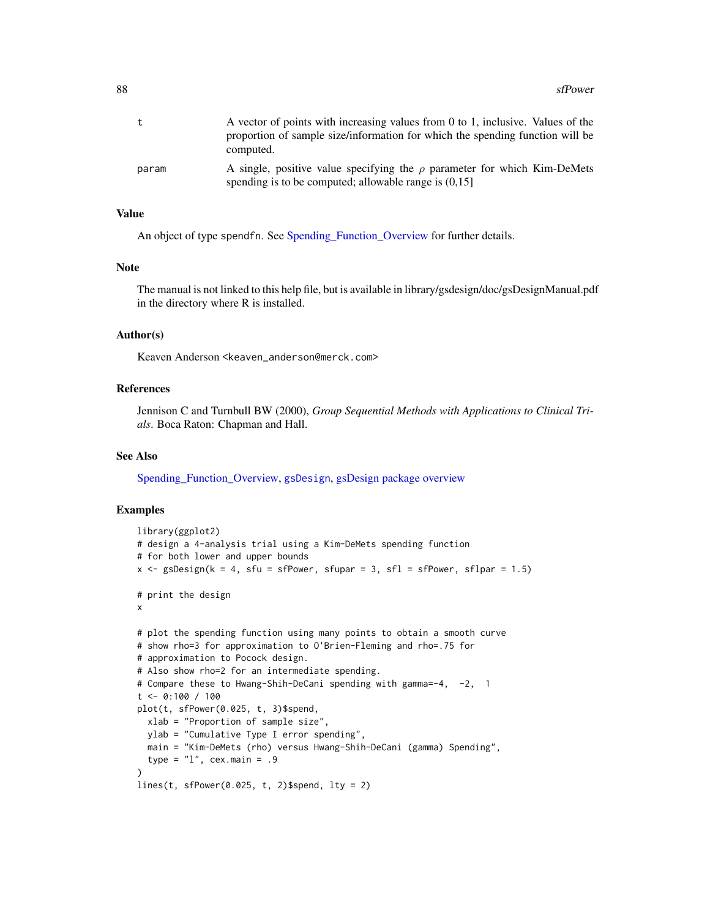<span id="page-87-0"></span>

| t     | A vector of points with increasing values from 0 to 1, inclusive. Values of the<br>proportion of sample size/information for which the spending function will be<br>computed. |
|-------|-------------------------------------------------------------------------------------------------------------------------------------------------------------------------------|
| param | A single, positive value specifying the $\rho$ parameter for which Kim-DeMets<br>spending is to be computed; allowable range is $(0.15)$                                      |

### Value

An object of type spendfn. See [Spending\\_Function\\_Overview](#page-93-0) for further details.

## Note

The manual is not linked to this help file, but is available in library/gsdesign/doc/gsDesignManual.pdf in the directory where R is installed.

#### Author(s)

Keaven Anderson <keaven\_anderson@merck.com>

## References

Jennison C and Turnbull BW (2000), *Group Sequential Methods with Applications to Clinical Trials*. Boca Raton: Chapman and Hall.

#### See Also

[Spending\\_Function\\_Overview,](#page-93-0) [gsDesign](#page-35-0), [gsDesign package overview](#page-42-0)

```
library(ggplot2)
# design a 4-analysis trial using a Kim-DeMets spending function
# for both lower and upper bounds
x <- gsDesign(k = 4, sfu = sfPower, sfupar = 3, sfl = sfPower, sflpar = 1.5)
# print the design
x
# plot the spending function using many points to obtain a smooth curve
# show rho=3 for approximation to O'Brien-Fleming and rho=.75 for
# approximation to Pocock design.
# Also show rho=2 for an intermediate spending.
# Compare these to Hwang-Shih-DeCani spending with gamma=-4, -2, 1
t <- 0:100 / 100
plot(t, sfPower(0.025, t, 3)$spend,
  xlab = "Proportion of sample size",
  ylab = "Cumulative Type I error spending",
  main = "Kim-DeMets (rho) versus Hwang-Shih-DeCani (gamma) Spending",
  type = "1", cex.main = .9
\lambdalines(t, sfPower(0.025, t, 2)$spend, lty = 2)
```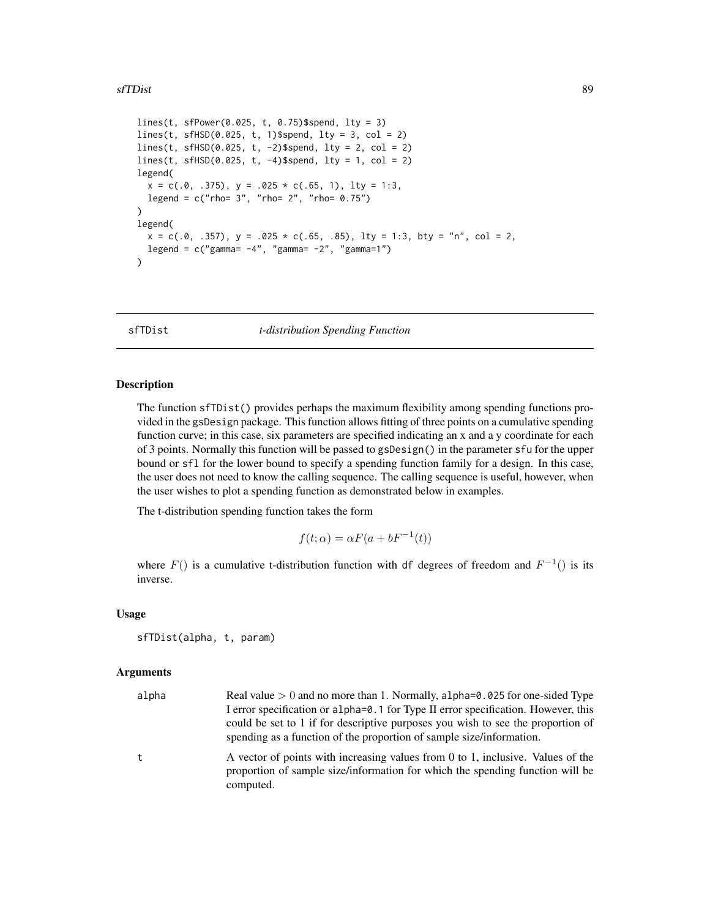#### <span id="page-88-0"></span>sfTDist 89

```
lines(t, sfPower(0.025, t, 0.75)$spend, lty = 3)
lines(t, sfHSD(0.025, t, 1)$spend, lty = 3, col = 2)lines(t, sfHSD(0.025, t, -2)$spend, lty = 2, col = 2)
lines(t, sfHSD(0.025, t, -4)$spend, lty = 1, col = 2)legend(
  x = c(.0, .375), y = .025 * c(.65, 1), lty = 1:3,legend = c("rho= 3", "rho= 2", "rho= 0.75")\mathcal{L}legend(
  x = c(.0, .357), y = .025 * c(.65, .85), lty = 1:3, bty = "n", col = 2,legend = c("gamma = -4", "gamma = -2", "gamma = 1")\lambda
```
sfTDist *t-distribution Spending Function*

### **Description**

The function sfTDist() provides perhaps the maximum flexibility among spending functions provided in the gsDesign package. This function allows fitting of three points on a cumulative spending function curve; in this case, six parameters are specified indicating an x and a y coordinate for each of 3 points. Normally this function will be passed to gsDesign() in the parameter sfu for the upper bound or sfl for the lower bound to specify a spending function family for a design. In this case, the user does not need to know the calling sequence. The calling sequence is useful, however, when the user wishes to plot a spending function as demonstrated below in examples.

The t-distribution spending function takes the form

$$
f(t; \alpha) = \alpha F(a + bF^{-1}(t))
$$

where  $F()$  is a cumulative t-distribution function with df degrees of freedom and  $F^{-1}()$  is its inverse.

#### Usage

```
sfTDist(alpha, t, param)
```
#### Arguments

| alpha | Real value $> 0$ and no more than 1. Normally, alpha= $0.025$ for one-sided Type                                                                                                                                                             |
|-------|----------------------------------------------------------------------------------------------------------------------------------------------------------------------------------------------------------------------------------------------|
|       | I error specification or alpha=0.1 for Type II error specification. However, this<br>could be set to 1 if for descriptive purposes you wish to see the proportion of<br>spending as a function of the proportion of sample size/information. |
| t.    | A vector of points with increasing values from 0 to 1, inclusive. Values of the<br>proportion of sample size/information for which the spending function will be<br>computed.                                                                |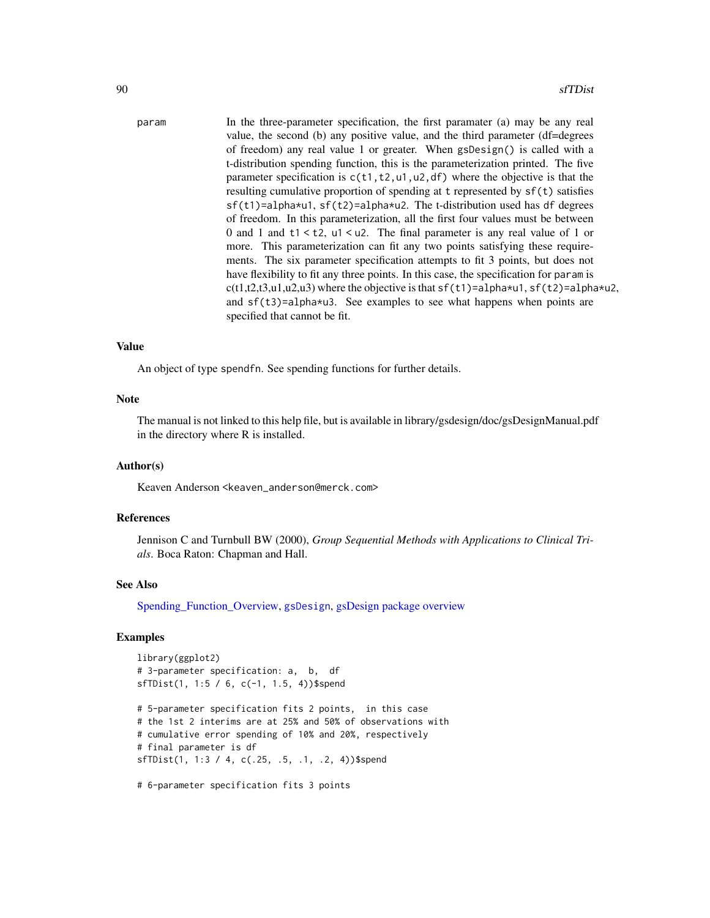```
param In the three-parameter specification, the first paramater (a) may be any real
                  value, the second (b) any positive value, and the third parameter (df=degrees
                  of freedom) any real value 1 or greater. When gsDesign() is called with a
                  t-distribution spending function, this is the parameterization printed. The five
                  parameter specification is c(t1, t2, u1, u2, df) where the objective is that the
                  resulting cumulative proportion of spending at t represented by sf(t) satisfies
                  sf(t1)=alpha*u1, sf(t2)=alpha*u2. The t-distribution used has df degrees
                  of freedom. In this parameterization, all the first four values must be between
                  0 and 1 and t1 < t2, u1 < u2. The final parameter is any real value of 1 or
                  more. This parameterization can fit any two points satisfying these require-
                  ments. The six parameter specification attempts to fit 3 points, but does not
                  have flexibility to fit any three points. In this case, the specification for param is
                  c(t1,t2,t3,u1,u2,u3) where the objective is that sf(t1)=alpha*u1, sf(t2)=alpha*u2,
                  and sf(t3)=alpha*u3. See examples to see what happens when points are
                  specified that cannot be fit.
```
#### Value

An object of type spendfn. See spending functions for further details.

#### Note

The manual is not linked to this help file, but is available in library/gsdesign/doc/gsDesignManual.pdf in the directory where R is installed.

## Author(s)

Keaven Anderson <keaven\_anderson@merck.com>

#### References

Jennison C and Turnbull BW (2000), *Group Sequential Methods with Applications to Clinical Trials*. Boca Raton: Chapman and Hall.

## See Also

[Spending\\_Function\\_Overview,](#page-93-0) [gsDesign](#page-35-0), [gsDesign package overview](#page-42-0)

### Examples

```
library(ggplot2)
# 3-parameter specification: a, b, df
sfTDist(1, 1:5 / 6, c(-1, 1.5, 4))$spend
# 5-parameter specification fits 2 points, in this case
# the 1st 2 interims are at 25% and 50% of observations with
# cumulative error spending of 10% and 20%, respectively
# final parameter is df
sfTDist(1, 1:3 / 4, c(.25, .5, .1, .2, 4))$spend
```
# 6-parameter specification fits 3 points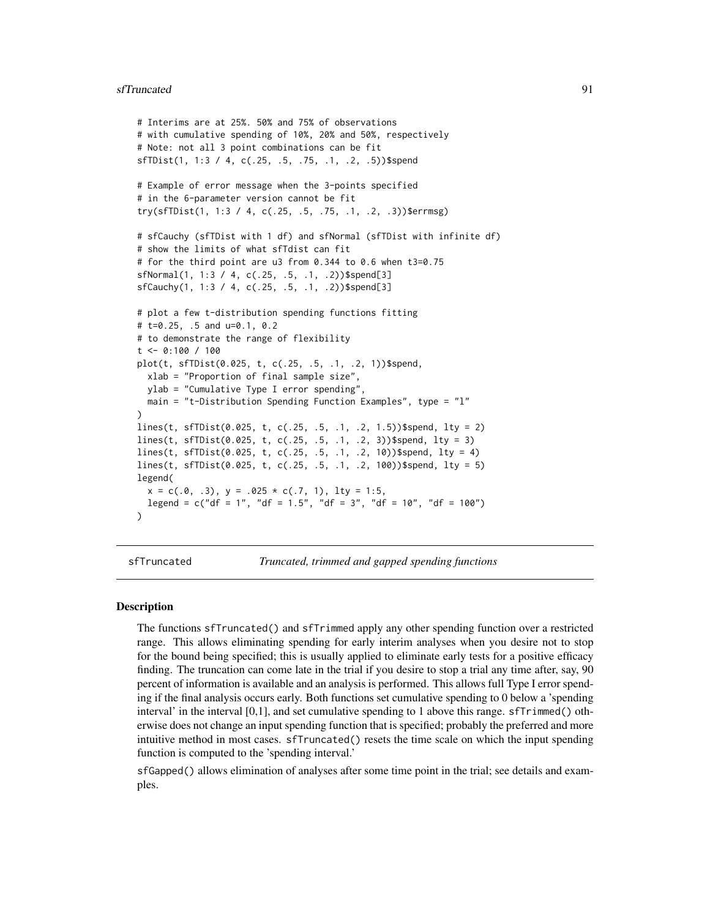#### <span id="page-90-1"></span>sfTruncated 91

```
# Interims are at 25%. 50% and 75% of observations
# with cumulative spending of 10%, 20% and 50%, respectively
# Note: not all 3 point combinations can be fit
sfTDist(1, 1:3 / 4, c(.25, .5, .75, .1, .2, .5))$spend
# Example of error message when the 3-points specified
# in the 6-parameter version cannot be fit
try(sfTDist(1, 1:3 / 4, c(.25, .5, .75, .1, .2, .3))$errmsg)
# sfCauchy (sfTDist with 1 df) and sfNormal (sfTDist with infinite df)
# show the limits of what sfTdist can fit
# for the third point are u3 from 0.344 to 0.6 when t3=0.75
sfNormal(1, 1:3 / 4, c(.25, .5, .1, .2))$spend[3]
sfCauchy(1, 1:3 / 4, c(.25, .5, .1, .2))$spend[3]
# plot a few t-distribution spending functions fitting
# t=0.25, .5 and u=0.1, 0.2
# to demonstrate the range of flexibility
t <- 0:100 / 100
plot(t, sfTDist(0.025, t, c(.25, .5, .1, .2, 1))$spend,
  xlab = "Proportion of final sample size",
  ylab = "Cumulative Type I error spending",
  main = "t-Distribution Spending Function Examples", type = "l"
)
lines(t, sfTDist(0.025, t, c(.25, .5, .1, .2, 1.5))$spend, lty = 2)
lines(t, sfTDist(0.025, t, c(.25, .5, .1, .2, 3))$spend, lty = 3)
lines(t, sfTDist(0.025, t, c(.25, .5, .1, .2, 10))$spend, lty = 4)
lines(t, sfTDist(0.025, t, c(.25, .5, .1, .2, 100))$spend, lty = 5)
legend(
  x = c(.0, .3), y = .025 * c(.7, 1), 1ty = 1:5,legend = c("df = 1", "df = 1.5", "df = 3", "df = 10", "df = 100"))
```
<span id="page-90-0"></span>

sfTruncated *Truncated, trimmed and gapped spending functions*

#### **Description**

The functions sfTruncated() and sfTrimmed apply any other spending function over a restricted range. This allows eliminating spending for early interim analyses when you desire not to stop for the bound being specified; this is usually applied to eliminate early tests for a positive efficacy finding. The truncation can come late in the trial if you desire to stop a trial any time after, say, 90 percent of information is available and an analysis is performed. This allows full Type I error spending if the final analysis occurs early. Both functions set cumulative spending to 0 below a 'spending interval' in the interval [0,1], and set cumulative spending to 1 above this range. sfTrimmed() otherwise does not change an input spending function that is specified; probably the preferred and more intuitive method in most cases. sfTruncated() resets the time scale on which the input spending function is computed to the 'spending interval.'

sfGapped() allows elimination of analyses after some time point in the trial; see details and examples.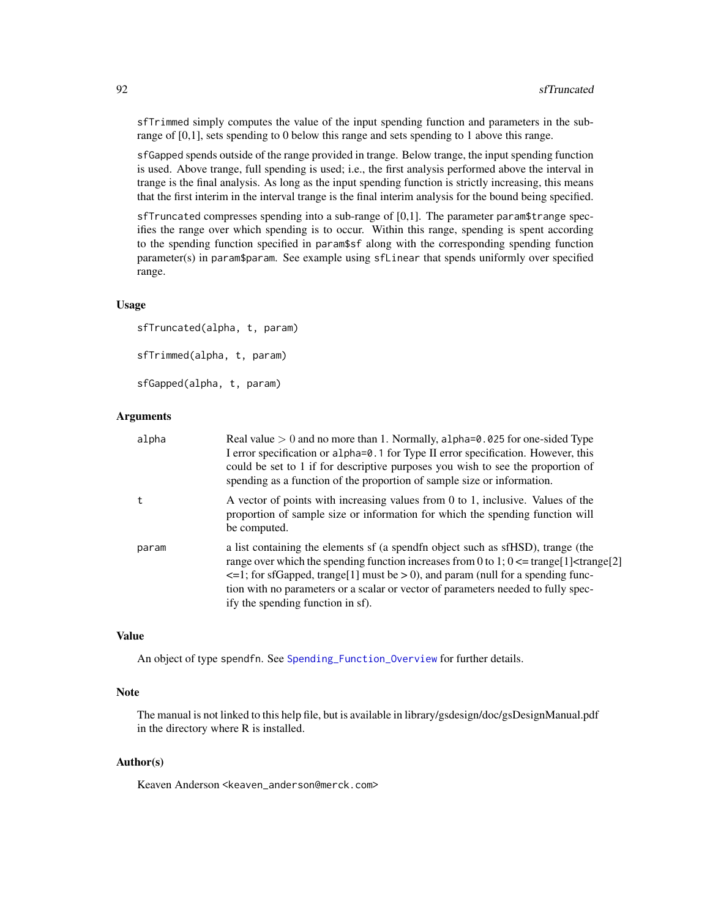<span id="page-91-0"></span>sfTrimmed simply computes the value of the input spending function and parameters in the subrange of [0,1], sets spending to 0 below this range and sets spending to 1 above this range.

sfGapped spends outside of the range provided in trange. Below trange, the input spending function is used. Above trange, full spending is used; i.e., the first analysis performed above the interval in trange is the final analysis. As long as the input spending function is strictly increasing, this means that the first interim in the interval trange is the final interim analysis for the bound being specified.

sfTruncated compresses spending into a sub-range of [0,1]. The parameter param\$trange specifies the range over which spending is to occur. Within this range, spending is spent according to the spending function specified in param\$sf along with the corresponding spending function parameter(s) in param\$param. See example using sfLinear that spends uniformly over specified range.

# Usage

```
sfTruncated(alpha, t, param)
sfTrimmed(alpha, t, param)
sfGapped(alpha, t, param)
```
## Arguments

| alpha | Real value $> 0$ and no more than 1. Normally, alpha= $0.025$ for one-sided Type<br>I error specification or alpha=0.1 for Type II error specification. However, this<br>could be set to 1 if for descriptive purposes you wish to see the proportion of<br>spending as a function of the proportion of sample size or information.                                                                                 |
|-------|---------------------------------------------------------------------------------------------------------------------------------------------------------------------------------------------------------------------------------------------------------------------------------------------------------------------------------------------------------------------------------------------------------------------|
| t     | A vector of points with increasing values from 0 to 1, inclusive. Values of the<br>proportion of sample size or information for which the spending function will<br>be computed.                                                                                                                                                                                                                                    |
| param | a list containing the elements of (a spendfn object such as sfHSD), trange (the<br>range over which the spending function increases from 0 to 1; $0 \leq \text{trange}[1] \leq \text{trange}[2]$<br>$\leq$ =1; for sfGapped, trange[1] must be > 0), and param (null for a spending func-<br>tion with no parameters or a scalar or vector of parameters needed to fully spec-<br>ify the spending function in sf). |

#### Value

An object of type spendfn. See [Spending\\_Function\\_Overview](#page-93-0) for further details.

#### Note

The manual is not linked to this help file, but is available in library/gsdesign/doc/gsDesignManual.pdf in the directory where R is installed.

## Author(s)

Keaven Anderson <keaven\_anderson@merck.com>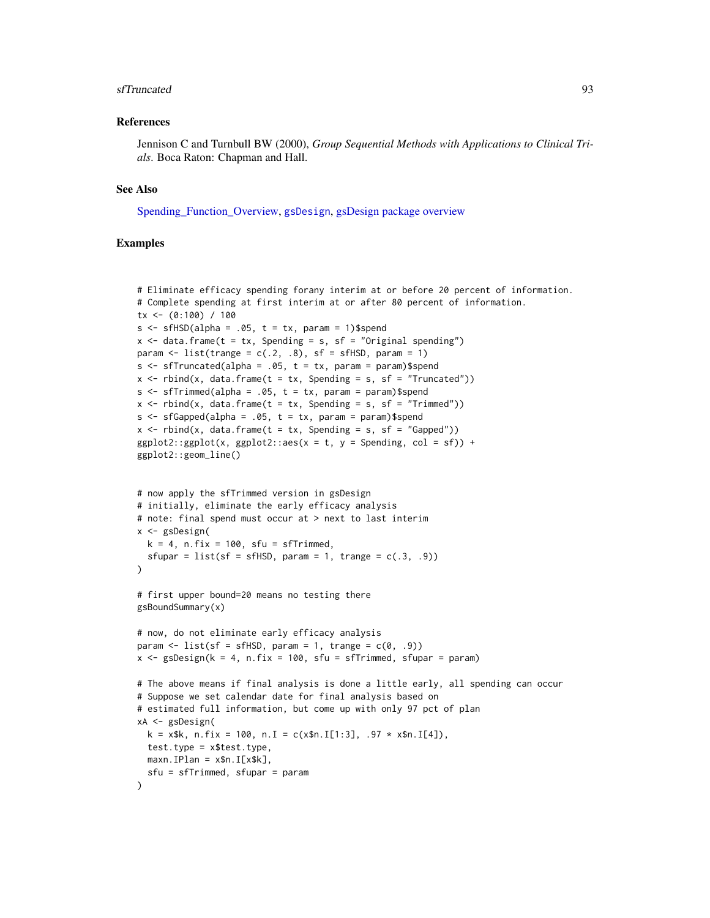#### <span id="page-92-0"></span>sfTruncated 93

#### References

Jennison C and Turnbull BW (2000), *Group Sequential Methods with Applications to Clinical Trials*. Boca Raton: Chapman and Hall.

#### See Also

[Spending\\_Function\\_Overview,](#page-93-0) [gsDesign](#page-35-0), [gsDesign package overview](#page-42-0)

```
# Eliminate efficacy spending forany interim at or before 20 percent of information.
# Complete spending at first interim at or after 80 percent of information.
tx <- (0:100) / 100
s \leq sfHSD(alpha = .05, t = tx, param = 1)$spend
x \le - data.frame(t = tx, Spending = s, sf = "Original spending")
param \le list(trange = c(.2, .8), sf = sfHSD, param = 1)
s \leq s fTruncated(alpha = .05, t = tx, param = param)$spend
x \le rbind(x, data.frame(t = tx, Spending = s, sf = "Truncated"))
s \leq s fTrimmed(alpha = .05, t = tx, param = param)$spend
x \le rbind(x, data.frame(t = tx, Spending = s, sf = "Trimmed"))
s \leq s sfGapped(alpha = .05, t = tx, param = param)$spend
x \le rbind(x, data.frame(t = tx, Spending = s, sf = "Gapped"))
ggplot2::ggplot(x, ggplot2::aes(x = t, y = Spending, col = sf)) +ggplot2::geom_line()
# now apply the sfTrimmed version in gsDesign
# initially, eliminate the early efficacy analysis
# note: final spend must occur at > next to last interim
x <- gsDesign(
  k = 4, n.fix = 100, sfu = sfTrimmed,
  sfupar = list(sf = sfHSD, param = 1, trange = c(.3, .9)))
# first upper bound=20 means no testing there
gsBoundSummary(x)
# now, do not eliminate early efficacy analysis
param \le list(sf = sfHSD, param = 1, trange = c(0, .9))
x \le - gsDesign(k = 4, n.fix = 100, sfu = sfTrimmed, sfupar = param)
# The above means if final analysis is done a little early, all spending can occur
# Suppose we set calendar date for final analysis based on
# estimated full information, but come up with only 97 pct of plan
xA <- gsDesign(
  k = x$k, n.fix = 100, n.I = c(x$n.I[1:3], .97 * x$n.I[4]),
  test.type = x$test.type,
 maxn.IDan = x$n.I[x$k],sfu = sfTrimmed, sfupar = param
)
```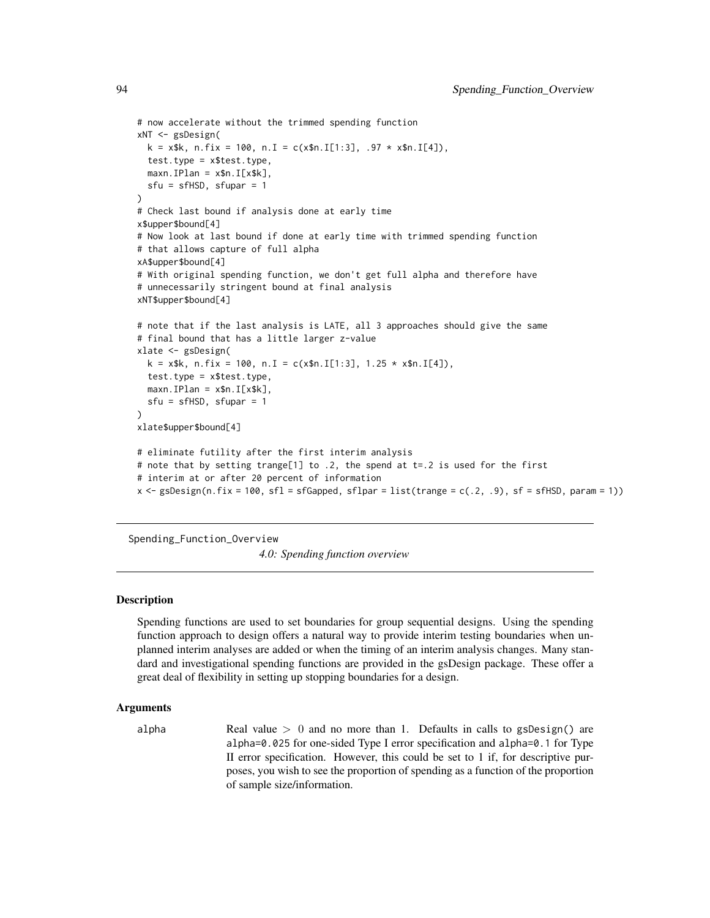```
# now accelerate without the trimmed spending function
xNT <- gsDesign(
 k = x$k, n.fix = 100, n.I = c(x$n.I[1:3], .97 * x$n.I[4]),
 test.type = x$test.type,
 maxn.IPlan = x$n.I[x$k],sfu = sfHSD, sfupar = 1)
# Check last bound if analysis done at early time
x$upper$bound[4]
# Now look at last bound if done at early time with trimmed spending function
# that allows capture of full alpha
xA$upper$bound[4]
# With original spending function, we don't get full alpha and therefore have
# unnecessarily stringent bound at final analysis
xNT$upper$bound[4]
# note that if the last analysis is LATE, all 3 approaches should give the same
# final bound that has a little larger z-value
xlate <- gsDesign(
 k = x$k, n.fix = 100, n.I = c(x$n.I[1:3], 1.25 * x$n.I[4]),
 test.type = x$test.type,
 maxn.IPlan = x$n.I[x$k],sfu = sfHSD, sfupar = 1
)
xlate$upper$bound[4]
# eliminate futility after the first interim analysis
# note that by setting trange[1] to .2, the spend at t=.2 is used for the first
# interim at or after 20 percent of information
x \leq gSDesign(n.fix = 100, sfl = sfGapped, sflpar = list(trange = c(.2, .9), sf = sfHSD, param = 1))
```
<span id="page-93-0"></span>Spending\_Function\_Overview

*4.0: Spending function overview*

# **Description**

Spending functions are used to set boundaries for group sequential designs. Using the spending function approach to design offers a natural way to provide interim testing boundaries when unplanned interim analyses are added or when the timing of an interim analysis changes. Many standard and investigational spending functions are provided in the gsDesign package. These offer a great deal of flexibility in setting up stopping boundaries for a design.

## Arguments

alpha Real value  $> 0$  and no more than 1. Defaults in calls to gsDesign() are alpha=0.025 for one-sided Type I error specification and alpha=0.1 for Type II error specification. However, this could be set to 1 if, for descriptive purposes, you wish to see the proportion of spending as a function of the proportion of sample size/information.

<span id="page-93-1"></span>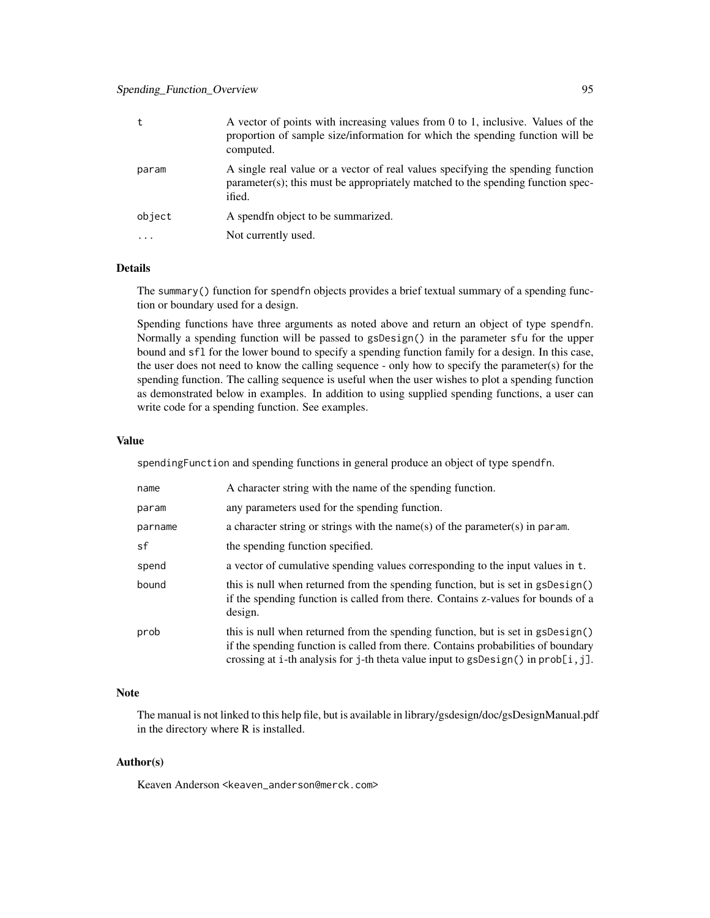# Spending\_Function\_Overview 95

| t         | A vector of points with increasing values from 0 to 1, inclusive. Values of the<br>proportion of sample size/information for which the spending function will be<br>computed. |
|-----------|-------------------------------------------------------------------------------------------------------------------------------------------------------------------------------|
| param     | A single real value or a vector of real values specifying the spending function<br>parameter(s); this must be appropriately matched to the spending function spec-<br>ified.  |
| object    | A spendfn object to be summarized.                                                                                                                                            |
| $\ddotsc$ | Not currently used.                                                                                                                                                           |

# Details

The summary() function for spendfn objects provides a brief textual summary of a spending function or boundary used for a design.

Spending functions have three arguments as noted above and return an object of type spendfn. Normally a spending function will be passed to gsDesign() in the parameter sfu for the upper bound and sfl for the lower bound to specify a spending function family for a design. In this case, the user does not need to know the calling sequence - only how to specify the parameter(s) for the spending function. The calling sequence is useful when the user wishes to plot a spending function as demonstrated below in examples. In addition to using supplied spending functions, a user can write code for a spending function. See examples.

## Value

spendingFunction and spending functions in general produce an object of type spendfn.

| name    | A character string with the name of the spending function.                                                                                                                                                                                                     |
|---------|----------------------------------------------------------------------------------------------------------------------------------------------------------------------------------------------------------------------------------------------------------------|
| param   | any parameters used for the spending function.                                                                                                                                                                                                                 |
| parname | a character string or strings with the name(s) of the parameter(s) in param.                                                                                                                                                                                   |
| sf      | the spending function specified.                                                                                                                                                                                                                               |
| spend   | a vector of cumulative spending values corresponding to the input values in t.                                                                                                                                                                                 |
| bound   | this is null when returned from the spending function, but is set in gsDesign()<br>if the spending function is called from there. Contains z-values for bounds of a<br>design.                                                                                 |
| prob    | this is null when returned from the spending function, but is set in gsDesign()<br>if the spending function is called from there. Contains probabilities of boundary<br>crossing at i-th analysis for j-th theta value input to $gsDesign()$ in $prob[i, j]$ . |

# Note

The manual is not linked to this help file, but is available in library/gsdesign/doc/gsDesignManual.pdf in the directory where R is installed.

## Author(s)

Keaven Anderson <keaven\_anderson@merck.com>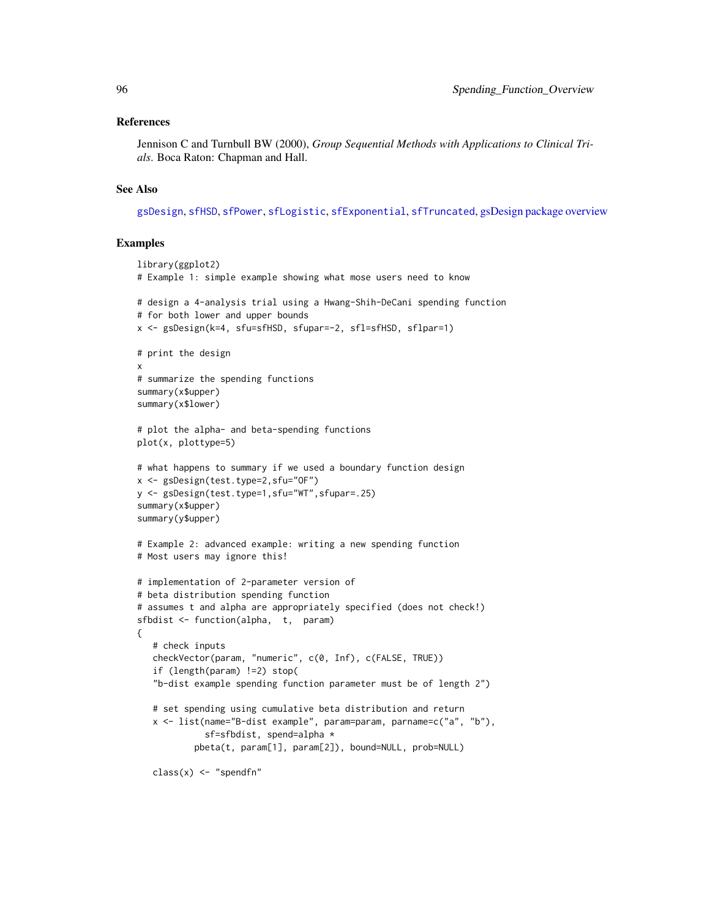#### <span id="page-95-0"></span>References

Jennison C and Turnbull BW (2000), *Group Sequential Methods with Applications to Clinical Trials*. Boca Raton: Chapman and Hall.

#### See Also

[gsDesign](#page-35-0), [sfHSD](#page-74-0), [sfPower](#page-86-0), [sfLogistic](#page-81-0), [sfExponential](#page-72-0), [sfTruncated](#page-90-0), [gsDesign package overview](#page-42-0)

```
library(ggplot2)
# Example 1: simple example showing what mose users need to know
# design a 4-analysis trial using a Hwang-Shih-DeCani spending function
# for both lower and upper bounds
x <- gsDesign(k=4, sfu=sfHSD, sfupar=-2, sfl=sfHSD, sflpar=1)
# print the design
x
# summarize the spending functions
summary(x$upper)
summary(x$lower)
# plot the alpha- and beta-spending functions
plot(x, plottype=5)
# what happens to summary if we used a boundary function design
x <- gsDesign(test.type=2,sfu="OF")
y <- gsDesign(test.type=1,sfu="WT",sfupar=.25)
summary(x$upper)
summary(y$upper)
# Example 2: advanced example: writing a new spending function
# Most users may ignore this!
# implementation of 2-parameter version of
# beta distribution spending function
# assumes t and alpha are appropriately specified (does not check!)
sfbdist <- function(alpha, t, param)
{
   # check inputs
   checkVector(param, "numeric", c(0, Inf), c(FALSE, TRUE))
   if (length(param) !=2) stop(
   "b-dist example spending function parameter must be of length 2")
   # set spending using cumulative beta distribution and return
   x <- list(name="B-dist example", param=param, parname=c("a", "b"),
             sf=sfbdist, spend=alpha *
           pbeta(t, param[1], param[2]), bound=NULL, prob=NULL)
   class(x) \leq "spendfn"
```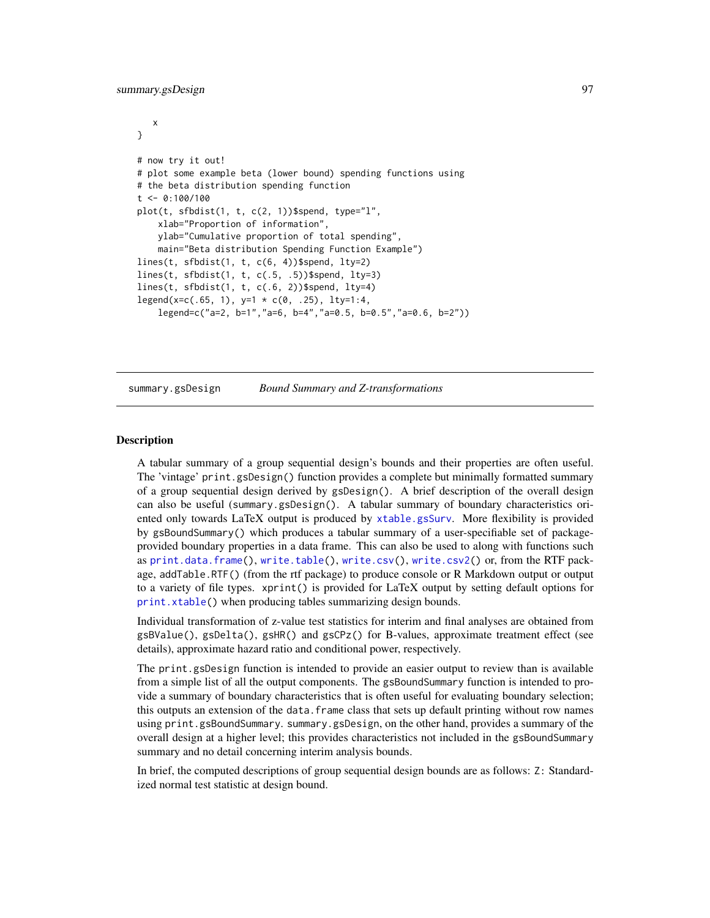```
x
}
# now try it out!
# plot some example beta (lower bound) spending functions using
# the beta distribution spending function
t < -0.100/100plot(t, sfbdist(1, t, c(2, 1))$spend, type="l",
   xlab="Proportion of information",
   ylab="Cumulative proportion of total spending",
   main="Beta distribution Spending Function Example")
lines(t, sfbdist(1, t, c(6, 4))$spend, lty=2)
lines(t, sfbdist(1, t, c(.5, .5))$spend, lty=3)
lines(t, sfbdist(1, t, c(.6, 2))$spend, lty=4)
legend(x=c(.65, 1), y=1 * c(0, .25), lty=1:4,legend=c("a=2, b=1","a=6, b=4","a=0.5, b=0.5","a=0.6, b=2"))
```

```
summary.gsDesign Bound Summary and Z-transformations
```
## Description

A tabular summary of a group sequential design's bounds and their properties are often useful. The 'vintage' print.gsDesign() function provides a complete but minimally formatted summary of a group sequential design derived by gsDesign(). A brief description of the overall design can also be useful (summary.gsDesign(). A tabular summary of boundary characteristics oriented only towards LaTeX output is produced by [xtable.gsSurv](#page-56-0). More flexibility is provided by gsBoundSummary() which produces a tabular summary of a user-specifiable set of packageprovided boundary properties in a data frame. This can also be used to along with functions such as [print.data.frame\(](#page-0-0)), [write.table\(](#page-0-0)), [write.csv\(](#page-0-0)), [write.csv2\(](#page-0-0)) or, from the RTF package, addTable.RTF() (from the rtf package) to produce console or R Markdown output or output to a variety of file types. xprint() is provided for LaTeX output by setting default options for [print.xtable\(](#page-0-0)) when producing tables summarizing design bounds.

Individual transformation of z-value test statistics for interim and final analyses are obtained from gsBValue(), gsDelta(), gsHR() and gsCPz() for B-values, approximate treatment effect (see details), approximate hazard ratio and conditional power, respectively.

The print.gsDesign function is intended to provide an easier output to review than is available from a simple list of all the output components. The gsBoundSummary function is intended to provide a summary of boundary characteristics that is often useful for evaluating boundary selection; this outputs an extension of the data.frame class that sets up default printing without row names using print.gsBoundSummary. summary.gsDesign, on the other hand, provides a summary of the overall design at a higher level; this provides characteristics not included in the gsBoundSummary summary and no detail concerning interim analysis bounds.

In brief, the computed descriptions of group sequential design bounds are as follows: Z: Standardized normal test statistic at design bound.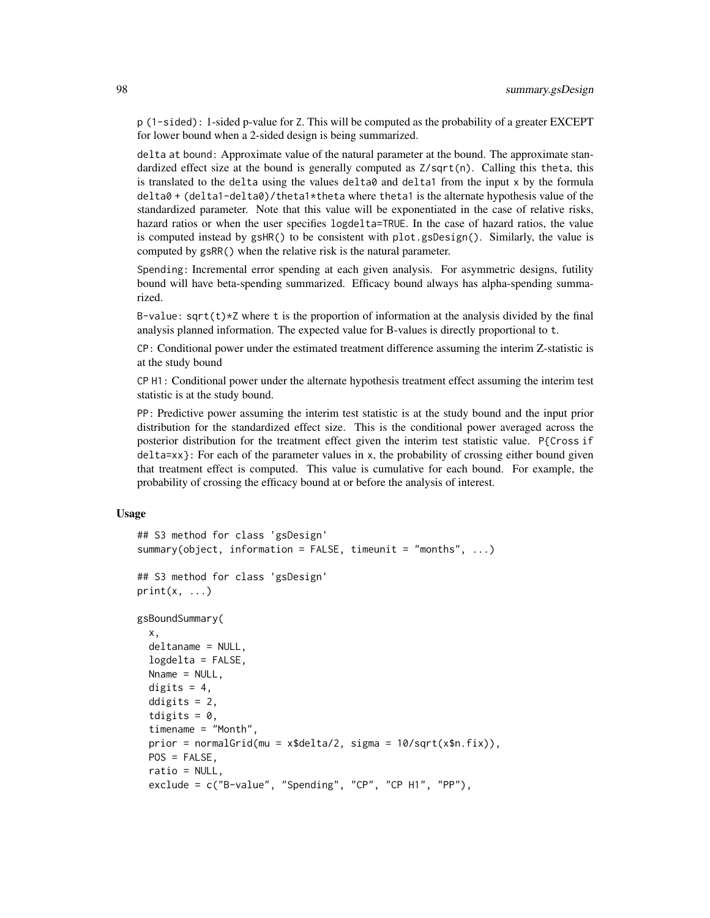p (1-sided): 1-sided p-value for Z. This will be computed as the probability of a greater EXCEPT for lower bound when a 2-sided design is being summarized.

delta at bound: Approximate value of the natural parameter at the bound. The approximate standardized effect size at the bound is generally computed as  $Z/\sqrt{g}$ t(n). Calling this theta, this is translated to the delta using the values delta0 and delta1 from the input x by the formula delta0 + (delta1-delta0)/theta1\*theta where theta1 is the alternate hypothesis value of the standardized parameter. Note that this value will be exponentiated in the case of relative risks, hazard ratios or when the user specifies logdelta=TRUE. In the case of hazard ratios, the value is computed instead by gsHR() to be consistent with plot.gsDesign(). Similarly, the value is computed by gsRR() when the relative risk is the natural parameter.

Spending: Incremental error spending at each given analysis. For asymmetric designs, futility bound will have beta-spending summarized. Efficacy bound always has alpha-spending summarized.

B-value:  $sqrt(t)*Z$  where t is the proportion of information at the analysis divided by the final analysis planned information. The expected value for B-values is directly proportional to t.

CP: Conditional power under the estimated treatment difference assuming the interim Z-statistic is at the study bound

CP H1: Conditional power under the alternate hypothesis treatment effect assuming the interim test statistic is at the study bound.

PP: Predictive power assuming the interim test statistic is at the study bound and the input prior distribution for the standardized effect size. This is the conditional power averaged across the posterior distribution for the treatment effect given the interim test statistic value. P{Cross if  $delta=xx$ }: For each of the parameter values in x, the probability of crossing either bound given that treatment effect is computed. This value is cumulative for each bound. For example, the probability of crossing the efficacy bound at or before the analysis of interest.

#### Usage

```
## S3 method for class 'gsDesign'
summary(object, information = FALSE, timeunit = "months", ...)
## S3 method for class 'gsDesign'
print(x, \ldots)gsBoundSummary(
  x,
  deltaname = NULL,
  logdelta = FALSE,
 Nname = NULL,
  digits = 4,
  ddigits = 2,
  tdigits = 0,
  timename = "Month",
  prior = normalGrid(mu = x$delta/2, sigma = 10/sqrt(x$n.fix)),
 POS = FALSE,
  ratio = NULL,
  exclude = c("B-value", "Spending", "CP", "CP H1", "PP"),
```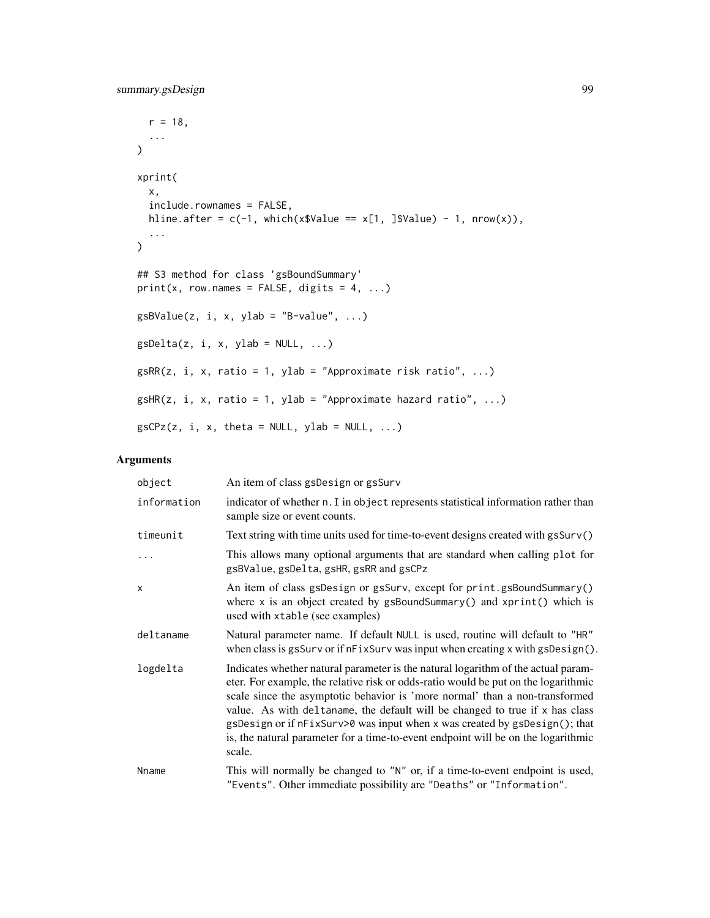```
r = 18,
 ...
\lambdaxprint(
 x,
 include.rownames = FALSE,
 hline.after = c(-1), which(x$Value == x[1, ]$Value) - 1, nrow(x)),
  ...
)
## S3 method for class 'gsBoundSummary'
print(x, row.names = FALSE, digits = 4, ...)
gsBValue(z, i, x, ylab = "B-value", ...)gsDelta(z, i, x, ylab = NULL, ...)gsRR(z, i, x, ratio = 1, ylab = "Approximate risk ratio", ...)gsHR(z, i, x, ratio = 1, ylab = "Approximate hazard ratio", ...)
gsCPz(z, i, x, theta = NULL, ylab = NULL, ...)
```
# Arguments

| object      | An item of class gsDesign or gsSurv                                                                                                                                                                                                                                                                                                                                                                                                                                                                                 |
|-------------|---------------------------------------------------------------------------------------------------------------------------------------------------------------------------------------------------------------------------------------------------------------------------------------------------------------------------------------------------------------------------------------------------------------------------------------------------------------------------------------------------------------------|
| information | indicator of whether n. I in object represents statistical information rather than<br>sample size or event counts.                                                                                                                                                                                                                                                                                                                                                                                                  |
| timeunit    | Text string with time units used for time-to-event designs created with gsSurv()                                                                                                                                                                                                                                                                                                                                                                                                                                    |
| $\ddots$    | This allows many optional arguments that are standard when calling plot for<br>gsBValue, gsDelta, gsHR, gsRR and gsCPz                                                                                                                                                                                                                                                                                                                                                                                              |
| $\times$    | An item of class gsDesign or gsSurv, except for print.gsBoundSummary()<br>where $x$ is an object created by gsBoundSummary() and $xprint()$ which is<br>used with xtable (see examples)                                                                                                                                                                                                                                                                                                                             |
| deltaname   | Natural parameter name. If default NULL is used, routine will default to "HR"<br>when class is gsSurv or if nFixSurv was input when creating x with gsDesign().                                                                                                                                                                                                                                                                                                                                                     |
| logdelta    | Indicates whether natural parameter is the natural logarithm of the actual param-<br>eter. For example, the relative risk or odds-ratio would be put on the logarithmic<br>scale since the asymptotic behavior is 'more normal' than a non-transformed<br>value. As with deltaname, the default will be changed to true if x has class<br>gsDesign or if nFixSurv>0 was input when x was created by gsDesign(); that<br>is, the natural parameter for a time-to-event endpoint will be on the logarithmic<br>scale. |
| Nname       | This will normally be changed to "N" or, if a time-to-event endpoint is used,<br>"Events". Other immediate possibility are "Deaths" or "Information".                                                                                                                                                                                                                                                                                                                                                               |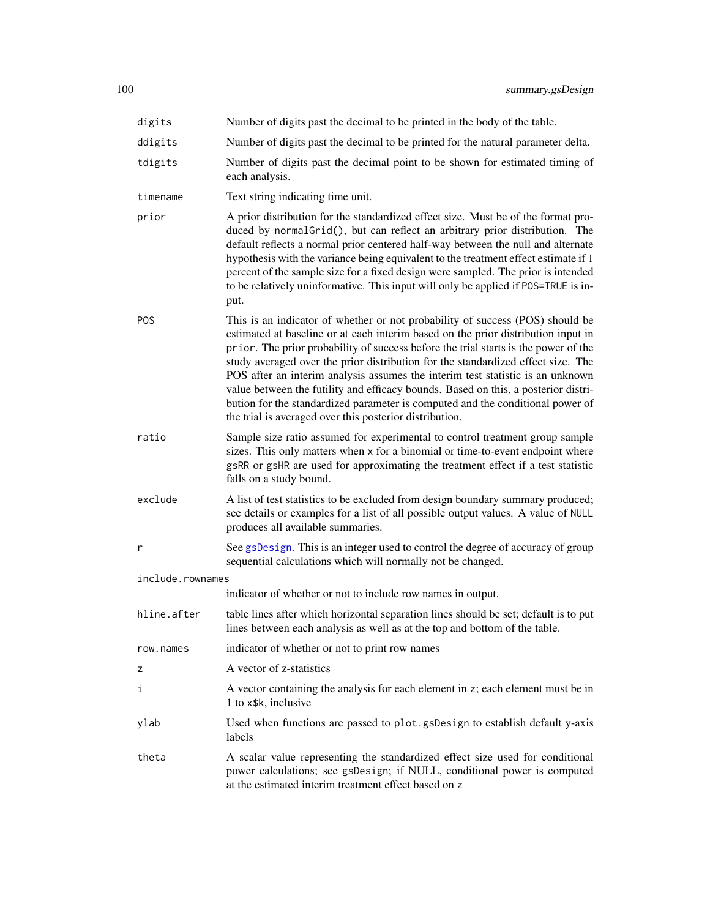<span id="page-99-0"></span>

| digits           | Number of digits past the decimal to be printed in the body of the table.                                                                                                                                                                                                                                                                                                                                                                                                                                                                                                                                                                                          |  |  |  |  |
|------------------|--------------------------------------------------------------------------------------------------------------------------------------------------------------------------------------------------------------------------------------------------------------------------------------------------------------------------------------------------------------------------------------------------------------------------------------------------------------------------------------------------------------------------------------------------------------------------------------------------------------------------------------------------------------------|--|--|--|--|
| ddigits          | Number of digits past the decimal to be printed for the natural parameter delta.                                                                                                                                                                                                                                                                                                                                                                                                                                                                                                                                                                                   |  |  |  |  |
| tdigits          | Number of digits past the decimal point to be shown for estimated timing of<br>each analysis.                                                                                                                                                                                                                                                                                                                                                                                                                                                                                                                                                                      |  |  |  |  |
| timename         | Text string indicating time unit.                                                                                                                                                                                                                                                                                                                                                                                                                                                                                                                                                                                                                                  |  |  |  |  |
| prior            | A prior distribution for the standardized effect size. Must be of the format pro-<br>duced by normalGrid(), but can reflect an arbitrary prior distribution. The<br>default reflects a normal prior centered half-way between the null and alternate<br>hypothesis with the variance being equivalent to the treatment effect estimate if 1<br>percent of the sample size for a fixed design were sampled. The prior is intended<br>to be relatively uninformative. This input will only be applied if POS=TRUE is in-<br>put.                                                                                                                                     |  |  |  |  |
| <b>POS</b>       | This is an indicator of whether or not probability of success (POS) should be<br>estimated at baseline or at each interim based on the prior distribution input in<br>prior. The prior probability of success before the trial starts is the power of the<br>study averaged over the prior distribution for the standardized effect size. The<br>POS after an interim analysis assumes the interim test statistic is an unknown<br>value between the futility and efficacy bounds. Based on this, a posterior distri-<br>bution for the standardized parameter is computed and the conditional power of<br>the trial is averaged over this posterior distribution. |  |  |  |  |
| ratio            | Sample size ratio assumed for experimental to control treatment group sample<br>sizes. This only matters when x for a binomial or time-to-event endpoint where<br>gsRR or gsHR are used for approximating the treatment effect if a test statistic<br>falls on a study bound.                                                                                                                                                                                                                                                                                                                                                                                      |  |  |  |  |
| exclude          | A list of test statistics to be excluded from design boundary summary produced;<br>see details or examples for a list of all possible output values. A value of NULL<br>produces all available summaries.                                                                                                                                                                                                                                                                                                                                                                                                                                                          |  |  |  |  |
| r                | See gsDesign. This is an integer used to control the degree of accuracy of group<br>sequential calculations which will normally not be changed.                                                                                                                                                                                                                                                                                                                                                                                                                                                                                                                    |  |  |  |  |
| include.rownames |                                                                                                                                                                                                                                                                                                                                                                                                                                                                                                                                                                                                                                                                    |  |  |  |  |
|                  | indicator of whether or not to include row names in output.                                                                                                                                                                                                                                                                                                                                                                                                                                                                                                                                                                                                        |  |  |  |  |
| hline.after      | table lines after which horizontal separation lines should be set; default is to put<br>lines between each analysis as well as at the top and bottom of the table.                                                                                                                                                                                                                                                                                                                                                                                                                                                                                                 |  |  |  |  |
| row.names        | indicator of whether or not to print row names                                                                                                                                                                                                                                                                                                                                                                                                                                                                                                                                                                                                                     |  |  |  |  |
| z                | A vector of z-statistics                                                                                                                                                                                                                                                                                                                                                                                                                                                                                                                                                                                                                                           |  |  |  |  |
| ı                | A vector containing the analysis for each element in z; each element must be in<br>1 to x\$k, inclusive                                                                                                                                                                                                                                                                                                                                                                                                                                                                                                                                                            |  |  |  |  |
| ylab             | Used when functions are passed to plot.gsDesign to establish default y-axis<br>labels                                                                                                                                                                                                                                                                                                                                                                                                                                                                                                                                                                              |  |  |  |  |
| theta            | A scalar value representing the standardized effect size used for conditional<br>power calculations; see gsDesign; if NULL, conditional power is computed<br>at the estimated interim treatment effect based on z                                                                                                                                                                                                                                                                                                                                                                                                                                                  |  |  |  |  |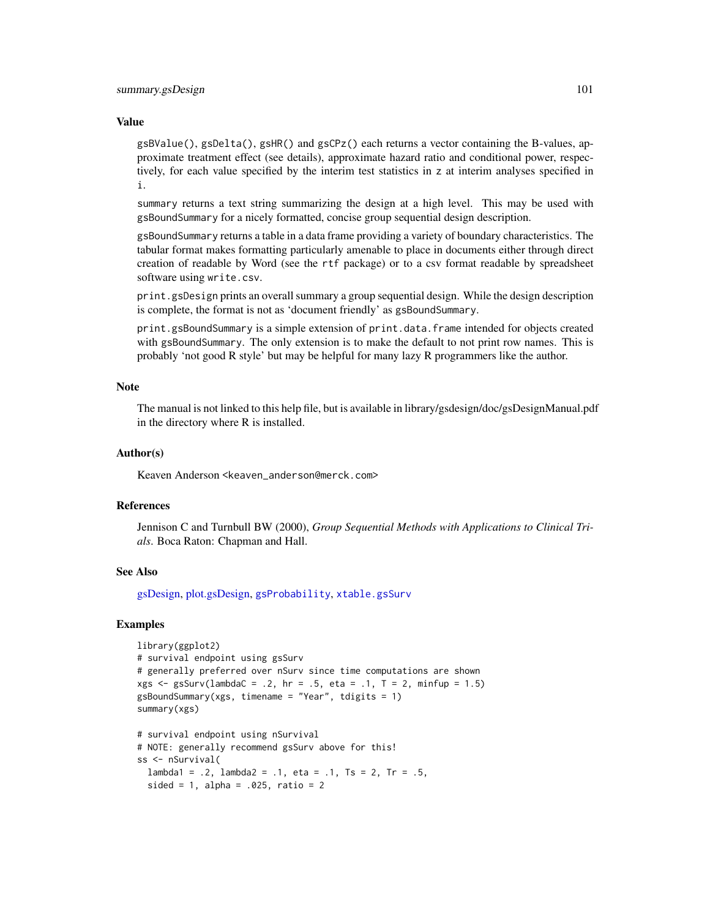#### <span id="page-100-0"></span>Value

 $g$ sBValue(),  $g$ sDelta(),  $g$ sHR() and  $g$ sCPz() each returns a vector containing the B-values, approximate treatment effect (see details), approximate hazard ratio and conditional power, respectively, for each value specified by the interim test statistics in z at interim analyses specified in i.

summary returns a text string summarizing the design at a high level. This may be used with gsBoundSummary for a nicely formatted, concise group sequential design description.

gsBoundSummary returns a table in a data frame providing a variety of boundary characteristics. The tabular format makes formatting particularly amenable to place in documents either through direct creation of readable by Word (see the rtf package) or to a csv format readable by spreadsheet software using write.csv.

print.gsDesign prints an overall summary a group sequential design. While the design description is complete, the format is not as 'document friendly' as gsBoundSummary.

print.gsBoundSummary is a simple extension of print.data.frame intended for objects created with gsBoundSummary. The only extension is to make the default to not print row names. This is probably 'not good R style' but may be helpful for many lazy R programmers like the author.

## Note

The manual is not linked to this help file, but is available in library/gsdesign/doc/gsDesignManual.pdf in the directory where R is installed.

#### Author(s)

Keaven Anderson <keaven\_anderson@merck.com>

#### References

Jennison C and Turnbull BW (2000), *Group Sequential Methods with Applications to Clinical Trials*. Boca Raton: Chapman and Hall.

## See Also

[gsDesign,](#page-35-0) [plot.gsDesign,](#page-53-0) [gsProbability](#page-43-0), [xtable.gsSurv](#page-56-0)

```
library(ggplot2)
# survival endpoint using gsSurv
# generally preferred over nSurv since time computations are shown
xgs \le gsSurv(lambdaC = .2, hr = .5, eta = .1, T = 2, minfup = 1.5)
gsBoundSummary(xgs, timename = "Year", tdigits = 1)
summary(xgs)
# survival endpoint using nSurvival
# NOTE: generally recommend gsSurv above for this!
```

```
ss <- nSurvival(
 lambda1 = .2, lambda2 = .1, eta = .1, Ts = 2, Tr = .5,
 sided = 1, alpha = .025, ratio = 2
```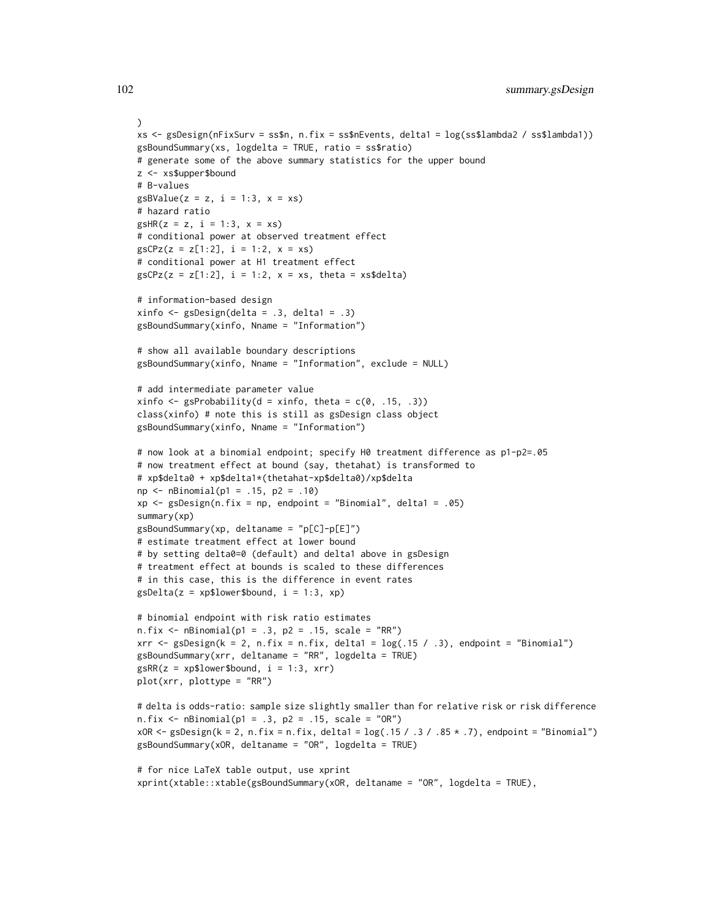```
)
xs <- gsDesign(nFixSurv = ss$n, n.fix = ss$nEvents, delta1 = log(ss$lambda2 / ss$lambda1))
gsBoundSummary(xs, logdelta = TRUE, ratio = ss$ratio)
# generate some of the above summary statistics for the upper bound
z <- xs$upper$bound
# B-values
gsBValue(z = z, i = 1:3, x = xs)# hazard ratio
gSHR(z = z, i = 1:3, x = xs)# conditional power at observed treatment effect
gsCPz(z = z[1:2], i = 1:2, x = xs)# conditional power at H1 treatment effect
gsCPz(z = z[1:2], i = 1:2, x = xs, theta = xs$delta)# information-based design
xinfo \leftarrow gsDesign(delta = .3, delta1 = .3)gsBoundSummary(xinfo, Nname = "Information")
# show all available boundary descriptions
gsBoundSummary(xinfo, Nname = "Information", exclude = NULL)
# add intermediate parameter value
xinfo \leq gsProbability(d = xinfo, theta = c(0, .15, .3))
class(xinfo) # note this is still as gsDesign class object
gsBoundSummary(xinfo, Nname = "Information")
# now look at a binomial endpoint; specify H0 treatment difference as p1-p2=.05
# now treatment effect at bound (say, thetahat) is transformed to
# xp$delta0 + xp$delta1*(thetahat-xp$delta0)/xp$delta
np \le - nBinomial(p1 = .15, p2 = .10)xp \leq-gsDesign(n.fix = np, endpoint = "Binomial", delta1 = .05)summary(xp)
gsBoundSummary(xp, deltaname = "p[C]-p[E]")
# estimate treatment effect at lower bound
# by setting delta0=0 (default) and delta1 above in gsDesign
# treatment effect at bounds is scaled to these differences
# in this case, this is the difference in event rates
gsDelta(z = xp$lower$bound, i = 1:3, xp)# binomial endpoint with risk ratio estimates
n.fix \leq nBinomial(p1 = .3, p2 = .15, scale = "RR")xrr <- gsDesign(k = 2, n.fix = n.fix, delta1 = log(.15 / .3), endpoint = "Binomial")
gsBoundSummary(xrr, deltaname = "RR", logdelta = TRUE)
gSRR(z = xp$lower$bound, i = 1:3, xrr)plot(xrr, plottype = "RR")
# delta is odds-ratio: sample size slightly smaller than for relative risk or risk difference
n.fix \leq nBinomial(p1 = .3, p2 = .15, scale = "OR")xOR <- gsDesign(k = 2, n.fix = n.fix, delta1 = log(.15 / .3 / .85 * .7), endpoint = "Binomial")
gsBoundSummary(xOR, deltaname = "OR", logdelta = TRUE)
# for nice LaTeX table output, use xprint
```

```
xprint(xtable::xtable(gsBoundSummary(xOR, deltaname = "OR", logdelta = TRUE),
```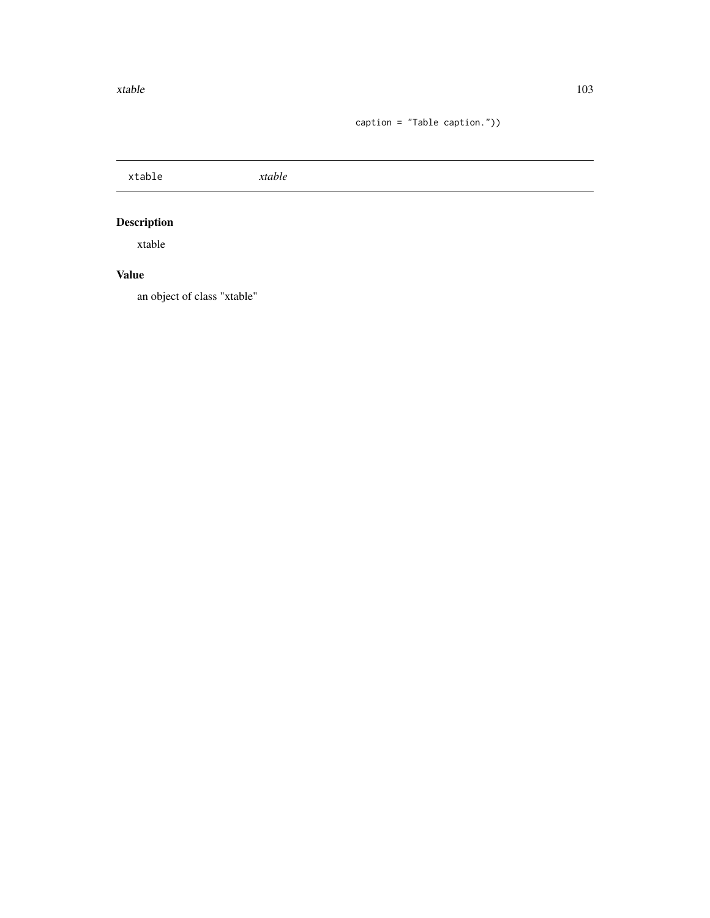caption = "Table caption."))

<span id="page-102-0"></span>

| xtable                       | xtable |  |  |
|------------------------------|--------|--|--|
| <b>Description</b><br>xtable |        |  |  |
| <b>Value</b>                 |        |  |  |

an object of class "xtable"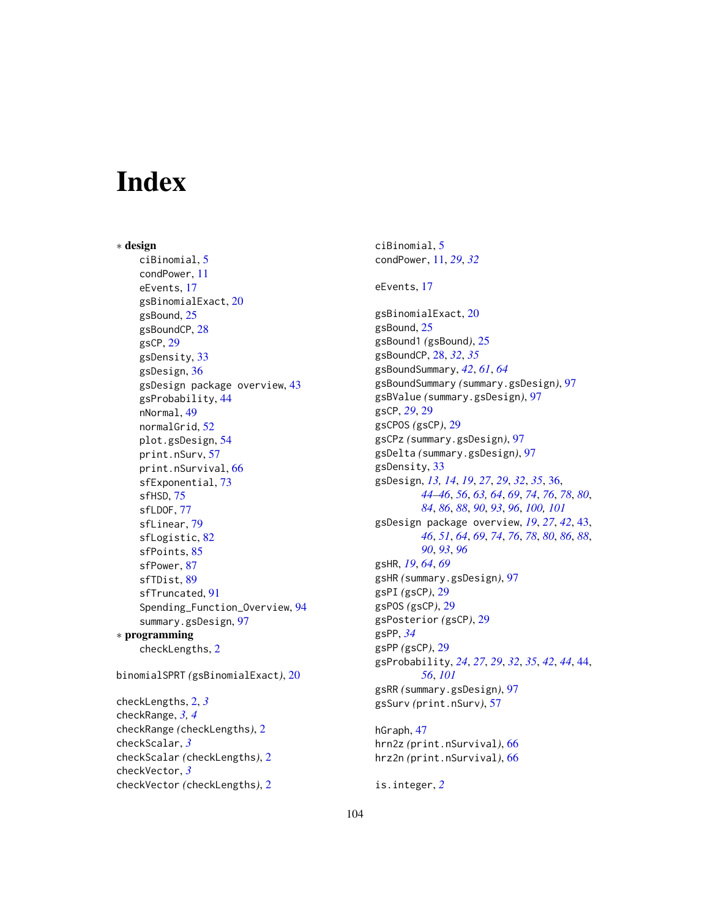# **Index**

∗ design ciBinomial, [5](#page-4-0) condPower, [11](#page-10-0) eEvents, [17](#page-16-0) gsBinomialExact, [20](#page-19-0) gsBound, [25](#page-24-0) gsBoundCP, [28](#page-27-0) gsCP, [29](#page-28-0) gsDensity, [33](#page-32-0) gsDesign, [36](#page-35-1) gsDesign package overview, [43](#page-42-1) gsProbability, [44](#page-43-1) nNormal, [49](#page-48-0) normalGrid, [52](#page-51-0) plot.gsDesign, [54](#page-53-1) print.nSurv, [57](#page-56-1) print.nSurvival, [66](#page-65-0) sfExponential, [73](#page-72-1) sfHSD, [75](#page-74-1) sfLDOF, [77](#page-76-0) sfLinear, [79](#page-78-0) sfLogistic, [82](#page-81-1) sfPoints, [85](#page-84-0) sfPower, [87](#page-86-1) sfTDist, [89](#page-88-0) sfTruncated, [91](#page-90-1) Spending\_Function\_Overview, [94](#page-93-1) summary.gsDesign, [97](#page-96-0) ∗ programming checkLengths, [2](#page-1-0)

binomialSPRT *(*gsBinomialExact*)*, [20](#page-19-0)

checkLengths, [2,](#page-1-0) *[3](#page-2-0)* checkRange, *[3,](#page-2-0) [4](#page-3-0)* checkRange *(*checkLengths*)*, [2](#page-1-0) checkScalar, *[3](#page-2-0)* checkScalar *(*checkLengths*)*, [2](#page-1-0) checkVector, *[3](#page-2-0)* checkVector *(*checkLengths*)*, [2](#page-1-0)

ciBinomial, [5](#page-4-0) condPower, [11,](#page-10-0) *[29](#page-28-0)*, *[32](#page-31-0)* eEvents, [17](#page-16-0) gsBinomialExact, [20](#page-19-0) gsBound, [25](#page-24-0) gsBound1 *(*gsBound*)*, [25](#page-24-0) gsBoundCP, [28,](#page-27-0) *[32](#page-31-0)*, *[35](#page-34-0)* gsBoundSummary, *[42](#page-41-0)*, *[61](#page-60-0)*, *[64](#page-63-0)* gsBoundSummary *(*summary.gsDesign*)*, [97](#page-96-0) gsBValue *(*summary.gsDesign*)*, [97](#page-96-0) gsCP, *[29](#page-28-0)*, [29](#page-28-0) gsCPOS *(*gsCP*)*, [29](#page-28-0) gsCPz *(*summary.gsDesign*)*, [97](#page-96-0) gsDelta *(*summary.gsDesign*)*, [97](#page-96-0) gsDensity, [33](#page-32-0) gsDesign, *[13,](#page-12-0) [14](#page-13-0)*, *[19](#page-18-0)*, *[27](#page-26-0)*, *[29](#page-28-0)*, *[32](#page-31-0)*, *[35](#page-34-0)*, [36,](#page-35-1) *[44](#page-43-1)[–46](#page-45-0)*, *[56](#page-55-0)*, *[63,](#page-62-0) [64](#page-63-0)*, *[69](#page-68-0)*, *[74](#page-73-0)*, *[76](#page-75-0)*, *[78](#page-77-0)*, *[80](#page-79-0)*, *[84](#page-83-0)*, *[86](#page-85-0)*, *[88](#page-87-0)*, *[90](#page-89-0)*, *[93](#page-92-0)*, *[96](#page-95-0)*, *[100,](#page-99-0) [101](#page-100-0)* gsDesign package overview, *[19](#page-18-0)*, *[27](#page-26-0)*, *[42](#page-41-0)*, [43,](#page-42-1) *[46](#page-45-0)*, *[51](#page-50-0)*, *[64](#page-63-0)*, *[69](#page-68-0)*, *[74](#page-73-0)*, *[76](#page-75-0)*, *[78](#page-77-0)*, *[80](#page-79-0)*, *[86](#page-85-0)*, *[88](#page-87-0)*, *[90](#page-89-0)*, *[93](#page-92-0)*, *[96](#page-95-0)* gsHR, *[19](#page-18-0)*, *[64](#page-63-0)*, *[69](#page-68-0)* gsHR *(*summary.gsDesign*)*, [97](#page-96-0) gsPI *(*gsCP*)*, [29](#page-28-0) gsPOS *(*gsCP*)*, [29](#page-28-0) gsPosterior *(*gsCP*)*, [29](#page-28-0) gsPP, *[34](#page-33-0)* gsPP *(*gsCP*)*, [29](#page-28-0) gsProbability, *[24](#page-23-0)*, *[27](#page-26-0)*, *[29](#page-28-0)*, *[32](#page-31-0)*, *[35](#page-34-0)*, *[42](#page-41-0)*, *[44](#page-43-1)*, [44,](#page-43-1) *[56](#page-55-0)*, *[101](#page-100-0)* gsRR *(*summary.gsDesign*)*, [97](#page-96-0) gsSurv *(*print.nSurv*)*, [57](#page-56-1) hGraph, [47](#page-46-0) hrn2z *(*print.nSurvival*)*, [66](#page-65-0)

hrz2n *(*print.nSurvival*)*, [66](#page-65-0) is.integer, *[2](#page-1-0)*